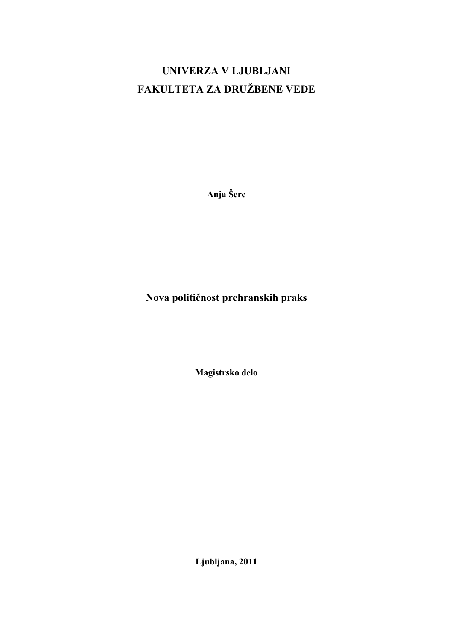## **UNIVERZA V LJUBLJANI FAKULTETA ZA DRUŽBENE VEDE**

**Anja Šerc** 

**Nova političnost prehranskih praks** 

**Magistrsko delo** 

**Ljubljana, 2011**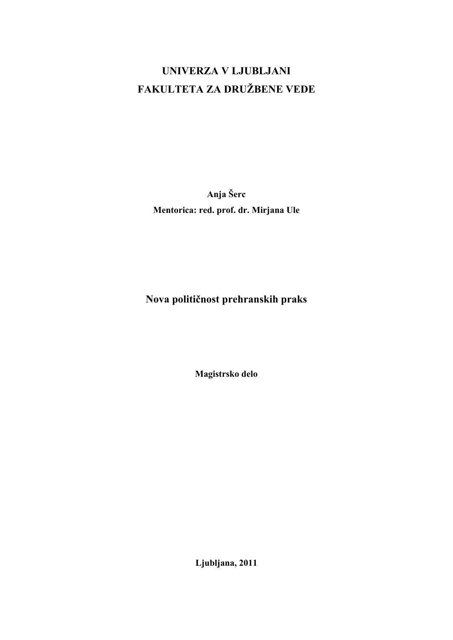## **UNIVERZA V LJUBLJANI FAKULTETA ZA DRUŽBENE VEDE**

**Anja Šerc Mentorica: red. prof. dr. Mirjana Ule** 

**Nova političnost prehranskih praks** 

**Magistrsko delo** 

**Ljubljana, 2011**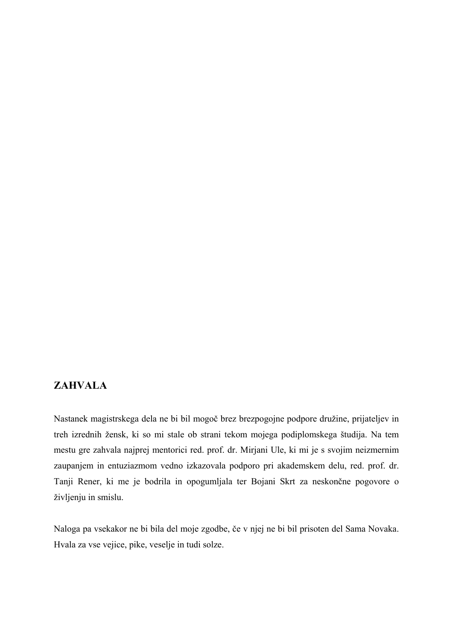### **ZAHVALA**

Nastanek magistrskega dela ne bi bil mogoč brez brezpogojne podpore družine, prijateljev in treh izrednih žensk, ki so mi stale ob strani tekom mojega podiplomskega študija. Na tem mestu gre zahvala najprej mentorici red. prof. dr. Mirjani Ule, ki mi je s svojim neizmernim zaupanjem in entuziazmom vedno izkazovala podporo pri akademskem delu, red. prof. dr. Tanji Rener, ki me je bodrila in opogumljala ter Bojani Skrt za neskončne pogovore o življenju in smislu.

Naloga pa vsekakor ne bi bila del moje zgodbe, če v njej ne bi bil prisoten del Sama Novaka. Hvala za vse vejice, pike, veselje in tudi solze.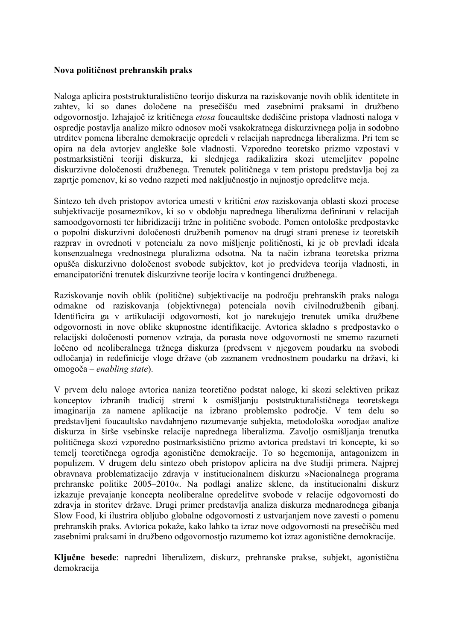#### **Nova političnost prehranskih praks**

Naloga aplicira poststrukturalistično teorijo diskurza na raziskovanje novih oblik identitete in zahtev, ki so danes določene na presečišču med zasebnimi praksami in družbeno odgovornostjo. Izhajajoč iz kritičnega *etosa* foucaultske dediščine pristopa vladnosti naloga v ospredje postavlja analizo mikro odnosov moči vsakokratnega diskurzivnega polja in sodobno utrditev pomena liberalne demokracije opredeli v relacijah naprednega liberalizma. Pri tem se opira na dela avtorjev angleške šole vladnosti. Vzporedno teoretsko prizmo vzpostavi v postmarksistični teoriji diskurza, ki slednjega radikalizira skozi utemeljitev popolne diskurzivne določenosti družbenega. Trenutek političnega v tem pristopu predstavlja boj za zaprtje pomenov, ki so vedno razpeti med naključnostjo in nujnostjo opredelitve meja.

Sintezo teh dveh pristopov avtorica umesti v kritični *etos* raziskovanja oblasti skozi procese subjektivacije posameznikov, ki so v obdobju naprednega liberalizma definirani v relacijah samoodgovornosti ter hibridizaciji tržne in politične svobode. Pomen ontološke predpostavke o popolni diskurzivni določenosti družbenih pomenov na drugi strani prenese iz teoretskih razprav in ovrednoti v potencialu za novo mišljenje političnosti, ki je ob prevladi ideala konsenzualnega vrednostnega pluralizma odsotna. Na ta način izbrana teoretska prizma opušča diskurzivno določenost svobode subjektov, kot jo predvideva teorija vladnosti, in emancipatorični trenutek diskurzivne teorije locira v kontingenci družbenega.

Raziskovanje novih oblik (politične) subjektivacije na področju prehranskih praks naloga odmakne od raziskovanja (objektivnega) potenciala novih civilnodružbenih gibanj. Identificira ga v artikulaciji odgovornosti, kot jo narekujejo trenutek umika družbene odgovornosti in nove oblike skupnostne identifikacije. Avtorica skladno s predpostavko o relacijski določenosti pomenov vztraja, da porasta nove odgovornosti ne smemo razumeti ločeno od neoliberalnega tržnega diskurza (predvsem v njegovem poudarku na svobodi odločanja) in redefinicije vloge države (ob zaznanem vrednostnem poudarku na državi, ki omogoča – *enabling state*).

V prvem delu naloge avtorica naniza teoretično podstat naloge, ki skozi selektiven prikaz konceptov izbranih tradicij stremi k osmišljanju poststrukturalističnega teoretskega imaginarija za namene aplikacije na izbrano problemsko področje. V tem delu so predstavljeni foucaultsko navdahnjeno razumevanje subjekta, metodološka »orodja« analize diskurza in širše vsebinske relacije naprednega liberalizma. Zavoljo osmišljanja trenutka političnega skozi vzporedno postmarksistično prizmo avtorica predstavi tri koncepte, ki so temelj teoretičnega ogrodja agonistične demokracije. To so hegemonija, antagonizem in populizem. V drugem delu sintezo obeh pristopov aplicira na dve študiji primera. Najprej obravnava problematizacijo zdravja v institucionalnem diskurzu »Nacionalnega programa prehranske politike 2005–2010«. Na podlagi analize sklene, da institucionalni diskurz izkazuje prevajanje koncepta neoliberalne opredelitve svobode v relacije odgovornosti do zdravia in storitev države. Drugi primer predstavlja analiza diskurza mednarodnega gibanja Slow Food, ki ilustrira obljubo globalne odgovornosti z ustvarjanjem nove zavesti o pomenu prehranskih praks. Avtorica pokaže, kako lahko ta izraz nove odgovornosti na presečišču med zasebnimi praksami in družbeno odgovornostjo razumemo kot izraz agonistične demokracije.

**Ključne besede**: napredni liberalizem, diskurz, prehranske prakse, subjekt, agonistična demokracija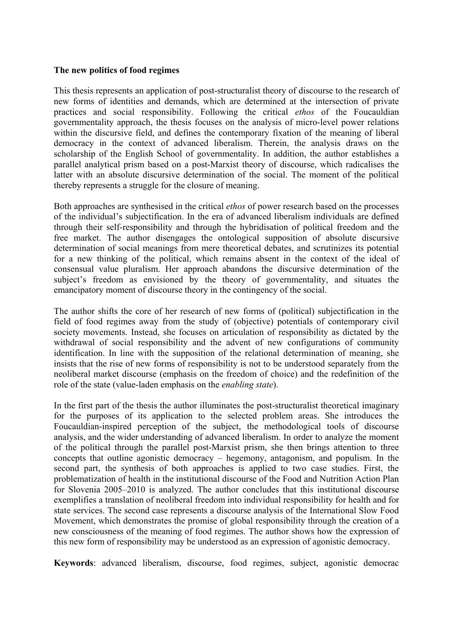#### **The new politics of food regimes**

This thesis represents an application of post-structuralist theory of discourse to the research of new forms of identities and demands, which are determined at the intersection of private practices and social responsibility. Following the critical *ethos* of the Foucauldian governmentality approach, the thesis focuses on the analysis of micro-level power relations within the discursive field, and defines the contemporary fixation of the meaning of liberal democracy in the context of advanced liberalism. Therein, the analysis draws on the scholarship of the English School of governmentality. In addition, the author establishes a parallel analytical prism based on a post-Marxist theory of discourse, which radicalises the latter with an absolute discursive determination of the social. The moment of the political thereby represents a struggle for the closure of meaning.

Both approaches are synthesised in the critical *ethos* of power research based on the processes of the individual's subjectification. In the era of advanced liberalism individuals are defined through their self-responsibility and through the hybridisation of political freedom and the free market. The author disengages the ontological supposition of absolute discursive determination of social meanings from mere theoretical debates, and scrutinizes its potential for a new thinking of the political, which remains absent in the context of the ideal of consensual value pluralism. Her approach abandons the discursive determination of the subject's freedom as envisioned by the theory of governmentality, and situates the emancipatory moment of discourse theory in the contingency of the social.

The author shifts the core of her research of new forms of (political) subjectification in the field of food regimes away from the study of (objective) potentials of contemporary civil society movements. Instead, she focuses on articulation of responsibility as dictated by the withdrawal of social responsibility and the advent of new configurations of community identification. In line with the supposition of the relational determination of meaning, she insists that the rise of new forms of responsibility is not to be understood separately from the neoliberal market discourse (emphasis on the freedom of choice) and the redefinition of the role of the state (value-laden emphasis on the *enabling state*).

In the first part of the thesis the author illuminates the post-structuralist theoretical imaginary for the purposes of its application to the selected problem areas. She introduces the Foucauldian-inspired perception of the subject, the methodological tools of discourse analysis, and the wider understanding of advanced liberalism. In order to analyze the moment of the political through the parallel post-Marxist prism, she then brings attention to three concepts that outline agonistic democracy – hegemony, antagonism, and populism. In the second part, the synthesis of both approaches is applied to two case studies. First, the problematization of health in the institutional discourse of the Food and Nutrition Action Plan for Slovenia 2005–2010 is analyzed. The author concludes that this institutional discourse exemplifies a translation of neoliberal freedom into individual responsibility for health and for state services. The second case represents a discourse analysis of the International Slow Food Movement, which demonstrates the promise of global responsibility through the creation of a new consciousness of the meaning of food regimes. The author shows how the expression of this new form of responsibility may be understood as an expression of agonistic democracy.

**Keywords**: advanced liberalism, discourse, food regimes, subject, agonistic democrac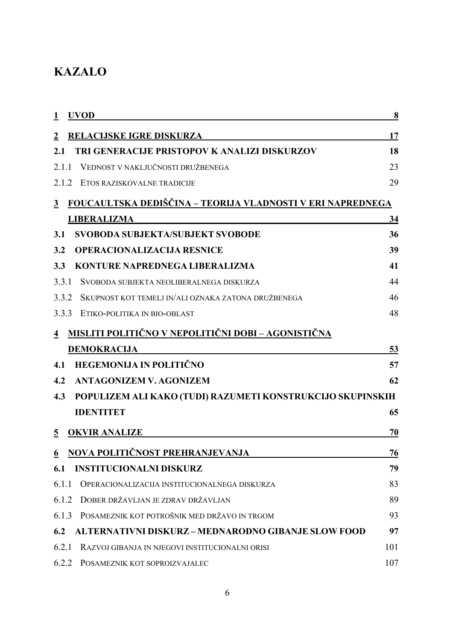## **KAZALO**

| $\mathbf{1}$                                                                         | <b>UVOD</b>                                                | 8   |  |  |
|--------------------------------------------------------------------------------------|------------------------------------------------------------|-----|--|--|
| $\overline{2}$                                                                       | RELACIJSKE IGRE DISKURZA                                   | 17  |  |  |
| 2.1                                                                                  | TRI GENERACIJE PRISTOPOV K ANALIZI DISKURZOV               | 18  |  |  |
| 2.1.1                                                                                | VEDNOST V NAKLJUČNOSTI DRUŽBENEGA                          | 23  |  |  |
| 2.1.2                                                                                | ETOS RAZISKOVALNE TRADICIJE                                | 29  |  |  |
| <u> FOUCAULTSKA DEDIŠČINA – TEORIJA VLADNOSTI V ERI NAPREDNEGA</u><br>$\overline{3}$ |                                                            |     |  |  |
|                                                                                      | <b>LIBERALIZMA</b>                                         | 34  |  |  |
| 3.1                                                                                  | SVOBODA SUBJEKTA/SUBJEKT SVOBODE                           | 36  |  |  |
| 3.2                                                                                  | <b>OPERACIONALIZACIJA RESNICE</b>                          | 39  |  |  |
| 3.3                                                                                  | KONTURE NAPREDNEGA LIBERALIZMA                             | 41  |  |  |
| 3.3.1                                                                                | SVOBODA SUBJEKTA NEOLIBERALNEGA DISKURZA                   | 44  |  |  |
| 3.3.2                                                                                | SKUPNOST KOT TEMELJ IN/ALI OZNAKA ZATONA DRUŽBENEGA        | 46  |  |  |
|                                                                                      | 3.3.3 ETIKO-POLITIKA IN BIO-OBLAST                         | 48  |  |  |
| $\overline{\mathbf{4}}$                                                              | <u>MISLITI POLITIČNO V NEPOLITIČNI DOBI – AGONISTIČNA</u>  |     |  |  |
|                                                                                      | <b>DEMOKRACIJA</b>                                         | 53  |  |  |
| 4.1                                                                                  | HEGEMONIJA IN POLITIČNO                                    | 57  |  |  |
| 4.2                                                                                  | <b>ANTAGONIZEM V. AGONIZEM</b>                             | 62  |  |  |
| 4.3                                                                                  | POPULIZEM ALI KAKO (TUDI) RAZUMETI KONSTRUKCIJO SKUPINSKIH |     |  |  |
|                                                                                      | <b>IDENTITET</b>                                           | 65  |  |  |
| $\overline{5}$                                                                       | <b>OKVIR ANALIZE</b>                                       | 70  |  |  |
| $6\overline{6}$                                                                      | <u>NOVA POLITIČNOST PREHRANJEVANJA</u>                     | 76  |  |  |
| 6.1                                                                                  | <b>INSTITUCIONALNI DISKURZ</b>                             | 79  |  |  |
| 6.1.1                                                                                | OPERACIONALIZACIJA INSTITUCIONALNEGA DISKURZA              | 83  |  |  |
| 6.1.2                                                                                | DOBER DRŽAVLJAN JE ZDRAV DRŽAVLJAN                         | 89  |  |  |
| 6.1.3                                                                                | POSAMEZNIK KOT POTROŠNIK MED DRŽAVO IN TRGOM               | 93  |  |  |
| 6.2                                                                                  | ALTERNATIVNI DISKURZ – MEDNARODNO GIBANJE SLOW FOOD        | 97  |  |  |
| 6.2.1                                                                                | RAZVOJ GIBANJA IN NJEGOVI INSTITUCIONALNI ORISI            | 101 |  |  |
| 6.2.2                                                                                | POSAMEZNIK KOT SOPROIZVAJALEC                              | 107 |  |  |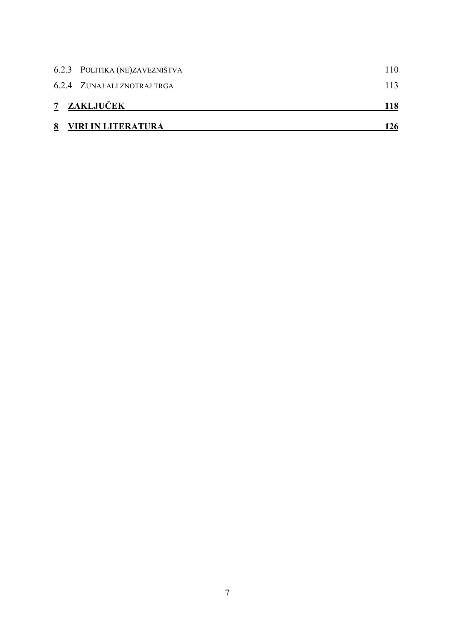| 8 VIRI IN LITERATURA           | 126 |
|--------------------------------|-----|
| 7 ZAKLJUČEK                    | 118 |
| 6.2.4 ZUNAJ ALI ZNOTRAJ TRGA   | 113 |
| 6.2.3 POLITIKA (NE)ZAVEZNIŠTVA | 110 |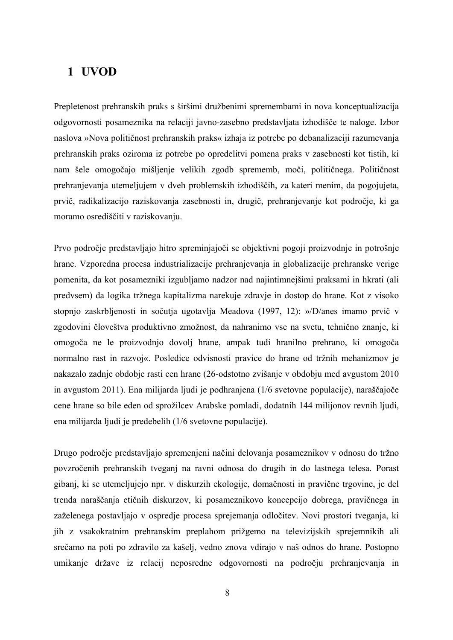### **1 UVOD**

Prepletenost prehranskih praks s širšimi družbenimi spremembami in nova konceptualizacija odgovornosti posameznika na relaciji javno-zasebno predstavljata izhodišče te naloge. Izbor naslova »Nova političnost prehranskih praks« izhaja iz potrebe po debanalizaciji razumevanja prehranskih praks oziroma iz potrebe po opredelitvi pomena praks v zasebnosti kot tistih, ki nam šele omogočajo mišljenje velikih zgodb sprememb, moči, političnega. Političnost prehranjevanja utemeljujem v dveh problemskih izhodiščih, za kateri menim, da pogojujeta, prvič, radikalizacijo raziskovanja zasebnosti in, drugič, prehranjevanje kot področje, ki ga moramo osrediščiti v raziskovanju.

Prvo področje predstavljajo hitro spreminjajoči se objektivni pogoji proizvodnje in potrošnje hrane. Vzporedna procesa industrializacije prehranjevanja in globalizacije prehranske verige pomenita, da kot posamezniki izgubljamo nadzor nad najintimnejšimi praksami in hkrati (ali predvsem) da logika tržnega kapitalizma narekuje zdravje in dostop do hrane. Kot z visoko stopnjo zaskrbljenosti in sočutja ugotavlja Meadova (1997, 12): »/D/anes imamo prvič v zgodovini človeštva produktivno zmožnost, da nahranimo vse na svetu, tehnično znanje, ki omogoča ne le proizvodnjo dovolj hrane, ampak tudi hranilno prehrano, ki omogoča normalno rast in razvoj«. Posledice odvisnosti pravice do hrane od tržnih mehanizmov je nakazalo zadnje obdobje rasti cen hrane (26-odstotno zvišanje v obdobju med avgustom 2010 in avgustom 2011). Ena milijarda ljudi je podhranjena (1/6 svetovne populacije), naraščajoče cene hrane so bile eden od sprožilcev Arabske pomladi, dodatnih 144 milijonov revnih ljudi, ena milijarda ljudi je predebelih (1/6 svetovne populacije).

Drugo področje predstavljajo spremenjeni načini delovanja posameznikov v odnosu do tržno povzročenih prehranskih tveganj na ravni odnosa do drugih in do lastnega telesa. Porast gibanj, ki se utemeljujejo npr. v diskurzih ekologije, domačnosti in pravične trgovine, je del trenda naraščanja etičnih diskurzov, ki posameznikovo koncepcijo dobrega, pravičnega in zaželenega postavljajo v ospredje procesa sprejemanja odločitev. Novi prostori tveganja, ki jih z vsakokratnim prehranskim preplahom prižgemo na televizijskih sprejemnikih ali srečamo na poti po zdravilo za kašelj, vedno znova vdirajo v naš odnos do hrane. Postopno umikanje države iz relacij neposredne odgovornosti na področju prehranjevanja in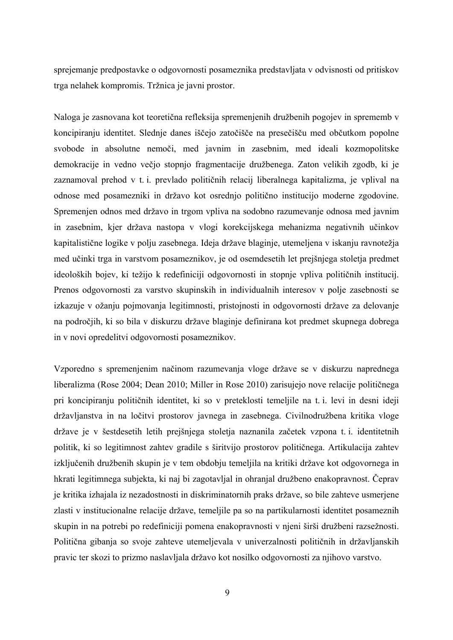sprejemanje predpostavke o odgovornosti posameznika predstavljata v odvisnosti od pritiskov trga nelahek kompromis. Tržnica je javni prostor.

Naloga je zasnovana kot teoretična refleksija spremenjenih družbenih pogojev in sprememb v koncipiranju identitet. Slednje danes iščejo zatočišče na presečišču med občutkom popolne svobode in absolutne nemoči, med javnim in zasebnim, med ideali kozmopolitske demokracije in vedno večjo stopnjo fragmentacije družbenega. Zaton velikih zgodb, ki je zaznamoval prehod v t. i. prevlado političnih relacij liberalnega kapitalizma, je vplival na odnose med posamezniki in državo kot osrednjo politično institucijo moderne zgodovine. Spremenjen odnos med državo in trgom vpliva na sodobno razumevanje odnosa med javnim in zasebnim, kjer država nastopa v vlogi korekcijskega mehanizma negativnih učinkov kapitalistične logike v polju zasebnega. Ideja države blaginje, utemeljena v iskanju ravnotežja med učinki trga in varstvom posameznikov, je od osemdesetih let prejšnjega stoletja predmet ideoloških bojev, ki težijo k redefiniciji odgovornosti in stopnje vpliva političnih institucij. Prenos odgovornosti za varstvo skupinskih in individualnih interesov v polje zasebnosti se izkazuje v ožanju pojmovanja legitimnosti, pristojnosti in odgovornosti države za delovanje na področjih, ki so bila v diskurzu države blaginje definirana kot predmet skupnega dobrega in v novi opredelitvi odgovornosti posameznikov.

Vzporedno s spremenjenim načinom razumevanja vloge države se v diskurzu naprednega liberalizma (Rose 2004; Dean 2010; Miller in Rose 2010) zarisujejo nove relacije političnega pri koncipiranju političnih identitet, ki so v preteklosti temeljile na t. i. levi in desni ideji državljanstva in na ločitvi prostorov javnega in zasebnega. Civilnodružbena kritika vloge države je v šestdesetih letih prejšnjega stoletja naznanila začetek vzpona t. i. identitetnih politik, ki so legitimnost zahtev gradile s širitvijo prostorov političnega. Artikulacija zahtev izključenih družbenih skupin je v tem obdobju temeljila na kritiki države kot odgovornega in hkrati legitimnega subjekta, ki naj bi zagotavljal in ohranjal družbeno enakopravnost. Čeprav je kritika izhajala iz nezadostnosti in diskriminatornih praks države, so bile zahteve usmerjene zlasti v institucionalne relacije države, temeljile pa so na partikularnosti identitet posameznih skupin in na potrebi po redefiniciji pomena enakopravnosti v njeni širši družbeni razsežnosti. Politična gibanja so svoje zahteve utemeljevala v univerzalnosti političnih in državljanskih pravic ter skozi to prizmo naslavljala državo kot nosilko odgovornosti za njihovo varstvo.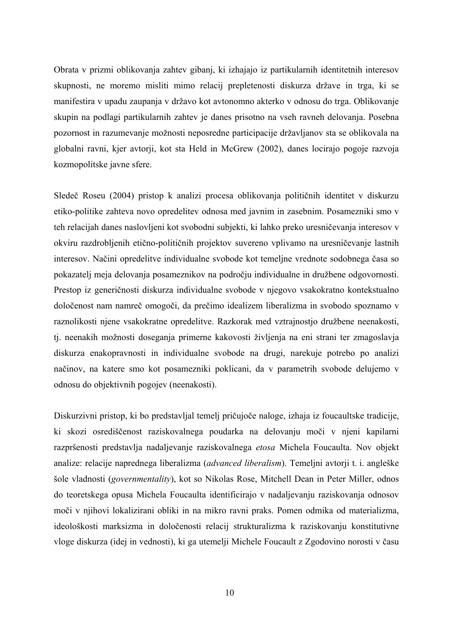Obrata v prizmi oblikovanja zahtev gibanj, ki izhajajo iz partikularnih identitetnih interesov skupnosti, ne moremo misliti mimo relacij prepletenosti diskurza države in trga, ki se manifestira v upadu zaupanja v državo kot avtonomno akterko v odnosu do trga. Oblikovanje skupin na podlagi partikularnih zahtev je danes prisotno na vseh ravneh delovanja. Posebna pozornost in razumevanje možnosti neposredne participacije državljanov sta se oblikovala na globalni ravni, kjer avtorji, kot sta Held in McGrew (2002), danes locirajo pogoje razvoja kozmopolitske javne sfere.

Sledeč Roseu (2004) pristop k analizi procesa oblikovanja političnih identitet v diskurzu etiko-politike zahteva novo opredelitev odnosa med javnim in zasebnim. Posamezniki smo v teh relacijah danes naslovljeni kot svobodni subjekti, ki lahko preko uresničevanja interesov v okviru razdrobljenih etično-političnih projektov suvereno vplivamo na uresničevanje lastnih interesov. Načini opredelitve individualne svobode kot temeljne vrednote sodobnega časa so pokazatelj meja delovanja posameznikov na področju individualne in družbene odgovornosti. Prestop iz generičnosti diskurza individualne svobode v njegovo vsakokratno kontekstualno določenost nam namreč omogoči, da prečimo idealizem liberalizma in svobodo spoznamo v raznolikosti njene vsakokratne opredelitve. Razkorak med vztrajnostjo družbene neenakosti, tj. neenakih možnosti doseganja primerne kakovosti življenja na eni strani ter zmagoslavja diskurza enakopravnosti in individualne svobode na drugi, narekuje potrebo po analizi načinov, na katere smo kot posamezniki poklicani, da v parametrih svobode delujemo v odnosu do objektivnih pogojev (neenakosti).

Diskurzivni pristop, ki bo predstavljal temelj pričujoče naloge, izhaja iz foucaultske tradicije, ki skozi osrediščenost raziskovalnega poudarka na delovanju moči v njeni kapilarni razpršenosti predstavlja nadaljevanje raziskovalnega *etosa* Michela Foucaulta. Nov objekt analize: relacije naprednega liberalizma (*advanced liberalism*). Temeljni avtorji t. i. angleške šole vladnosti (*governmentality*), kot so Nikolas Rose, Mitchell Dean in Peter Miller, odnos do teoretskega opusa Michela Foucaulta identificirajo v nadaljevanju raziskovanja odnosov moči v njihovi lokalizirani obliki in na mikro ravni praks. Pomen odmika od materializma, ideološkosti marksizma in določenosti relacij strukturalizma k raziskovanju konstitutivne vloge diskurza (idej in vednosti), ki ga utemelji Michele Foucault z Zgodovino norosti v času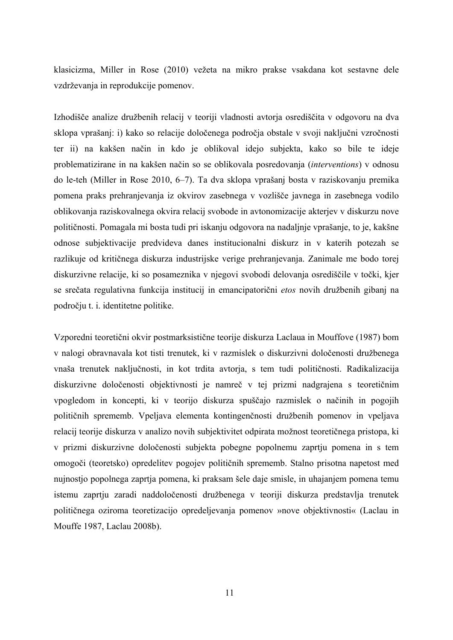klasicizma, Miller in Rose (2010) vežeta na mikro prakse vsakdana kot sestavne dele vzdrževanja in reprodukcije pomenov.

Izhodišče analize družbenih relacij v teoriji vladnosti avtorja osrediščita v odgovoru na dva sklopa vprašanj: i) kako so relacije določenega področja obstale v svoji naključni vzročnosti ter ii) na kakšen način in kdo je oblikoval idejo subjekta, kako so bile te ideje problematizirane in na kakšen način so se oblikovala posredovanja (*interventions*) v odnosu do le-teh (Miller in Rose 2010, 6–7). Ta dva sklopa vprašanj bosta v raziskovanju premika pomena praks prehranjevanja iz okvirov zasebnega v vozlišče javnega in zasebnega vodilo oblikovanja raziskovalnega okvira relacij svobode in avtonomizacije akterjev v diskurzu nove političnosti. Pomagala mi bosta tudi pri iskanju odgovora na nadaljnje vprašanje, to je, kakšne odnose subjektivacije predvideva danes institucionalni diskurz in v katerih potezah se razlikuje od kritičnega diskurza industrijske verige prehranjevanja. Zanimale me bodo torej diskurzivne relacije, ki so posameznika v njegovi svobodi delovanja osrediščile v točki, kjer se srečata regulativna funkcija institucij in emancipatorični *etos* novih družbenih gibanj na področju t. i. identitetne politike.

Vzporedni teoretični okvir postmarksistične teorije diskurza Laclaua in Mouffove (1987) bom v nalogi obravnavala kot tisti trenutek, ki v razmislek o diskurzivni določenosti družbenega vnaša trenutek naključnosti, in kot trdita avtorja, s tem tudi političnosti. Radikalizacija diskurzivne določenosti objektivnosti je namreč v tej prizmi nadgrajena s teoretičnim vpogledom in koncepti, ki v teorijo diskurza spuščajo razmislek o načinih in pogojih političnih sprememb. Vpeljava elementa kontingenčnosti družbenih pomenov in vpeljava relacij teorije diskurza v analizo novih subjektivitet odpirata možnost teoretičnega pristopa, ki v prizmi diskurzivne določenosti subjekta pobegne popolnemu zaprtju pomena in s tem omogoči (teoretsko) opredelitev pogojev političnih sprememb. Stalno prisotna napetost med nujnostjo popolnega zaprtja pomena, ki praksam šele daje smisle, in uhajanjem pomena temu istemu zaprtju zaradi naddoločenosti družbenega v teoriji diskurza predstavlja trenutek političnega oziroma teoretizacijo opredeljevanja pomenov »nove objektivnosti« (Laclau in Mouffe 1987, Laclau 2008b).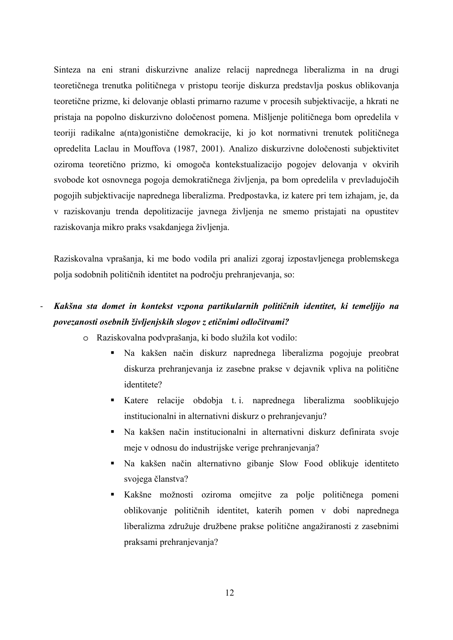Sinteza na eni strani diskurzivne analize relacij naprednega liberalizma in na drugi teoretičnega trenutka političnega v pristopu teorije diskurza predstavlja poskus oblikovanja teoretične prizme, ki delovanje oblasti primarno razume v procesih subjektivacije, a hkrati ne pristaja na popolno diskurzivno določenost pomena. Mišljenje političnega bom opredelila v teoriji radikalne a(nta)gonistične demokracije, ki jo kot normativni trenutek političnega opredelita Laclau in Mouffova (1987, 2001). Analizo diskurzivne določenosti subjektivitet oziroma teoretično prizmo, ki omogoča kontekstualizacijo pogojev delovanja v okvirih svobode kot osnovnega pogoja demokratičnega življenja, pa bom opredelila v prevladujočih pogojih subjektivacije naprednega liberalizma. Predpostavka, iz katere pri tem izhajam, je, da v raziskovanju trenda depolitizacije javnega življenja ne smemo pristajati na opustitev raziskovanja mikro praks vsakdanjega življenja.

Raziskovalna vprašanja, ki me bodo vodila pri analizi zgoraj izpostavljenega problemskega polja sodobnih političnih identitet na področju prehranjevanja, so:

### - *Kakšna sta domet in kontekst vzpona partikularnih političnih identitet, ki temeljijo na povezanosti osebnih življenjskih slogov z etičnimi odločitvami?*

- o Raziskovalna podvprašanja, ki bodo služila kot vodilo:
	- Na kakšen način diskurz naprednega liberalizma pogojuje preobrat diskurza prehranjevanja iz zasebne prakse v dejavnik vpliva na politične identitete?
	- Katere relacije obdobja t. i. naprednega liberalizma sooblikujejo institucionalni in alternativni diskurz o prehranjevanju?
	- Na kakšen način institucionalni in alternativni diskurz definirata svoje meje v odnosu do industrijske verige prehranjevanja?
	- Na kakšen način alternativno gibanje Slow Food oblikuje identiteto svojega članstva?
	- Kakšne možnosti oziroma omejitve za polje političnega pomeni oblikovanje političnih identitet, katerih pomen v dobi naprednega liberalizma združuje družbene prakse politične angažiranosti z zasebnimi praksami prehranjevanja?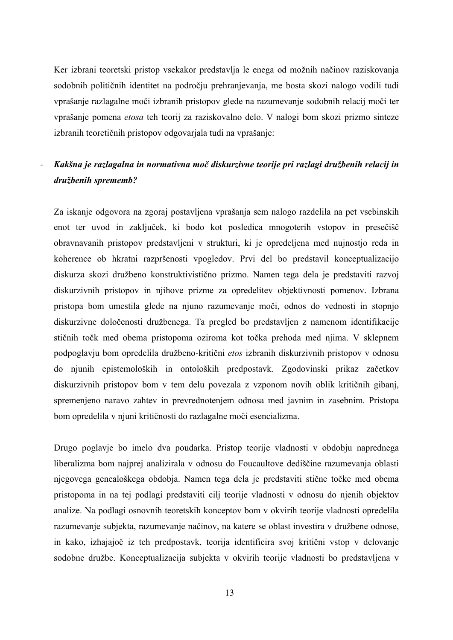Ker izbrani teoretski pristop vsekakor predstavlja le enega od možnih načinov raziskovanja sodobnih političnih identitet na področju prehranjevanja, me bosta skozi nalogo vodili tudi vprašanje razlagalne moči izbranih pristopov glede na razumevanje sodobnih relacij moči ter vprašanje pomena *etosa* teh teorij za raziskovalno delo. V nalogi bom skozi prizmo sinteze izbranih teoretičnih pristopov odgovarjala tudi na vprašanje:

### - *Kakšna je razlagalna in normativna moč diskurzivne teorije pri razlagi družbenih relacij in družbenih sprememb?*

Za iskanje odgovora na zgoraj postavljena vprašanja sem nalogo razdelila na pet vsebinskih enot ter uvod in zaključek, ki bodo kot posledica mnogoterih vstopov in presečišč obravnavanih pristopov predstavljeni v strukturi, ki je opredeljena med nujnostjo reda in koherence ob hkratni razpršenosti vpogledov. Prvi del bo predstavil konceptualizacijo diskurza skozi družbeno konstruktivistično prizmo. Namen tega dela je predstaviti razvoj diskurzivnih pristopov in njihove prizme za opredelitev objektivnosti pomenov. Izbrana pristopa bom umestila glede na njuno razumevanje moči, odnos do vednosti in stopnjo diskurzivne določenosti družbenega. Ta pregled bo predstavljen z namenom identifikacije stičnih točk med obema pristopoma oziroma kot točka prehoda med njima. V sklepnem podpoglavju bom opredelila družbeno-kritični *etos* izbranih diskurzivnih pristopov v odnosu do njunih epistemoloških in ontoloških predpostavk. Zgodovinski prikaz začetkov diskurzivnih pristopov bom v tem delu povezala z vzponom novih oblik kritičnih gibanj, spremenjeno naravo zahtev in prevrednotenjem odnosa med javnim in zasebnim. Pristopa bom opredelila v njuni kritičnosti do razlagalne moči esencializma.

Drugo poglavje bo imelo dva poudarka. Pristop teorije vladnosti v obdobju naprednega liberalizma bom najprej analizirala v odnosu do Foucaultove dediščine razumevanja oblasti njegovega genealoškega obdobja. Namen tega dela je predstaviti stične točke med obema pristopoma in na tej podlagi predstaviti cilj teorije vladnosti v odnosu do njenih objektov analize. Na podlagi osnovnih teoretskih konceptov bom v okvirih teorije vladnosti opredelila razumevanje subjekta, razumevanje načinov, na katere se oblast investira v družbene odnose, in kako, izhajajoč iz teh predpostavk, teorija identificira svoj kritični vstop v delovanje sodobne družbe. Konceptualizacija subjekta v okvirih teorije vladnosti bo predstavljena v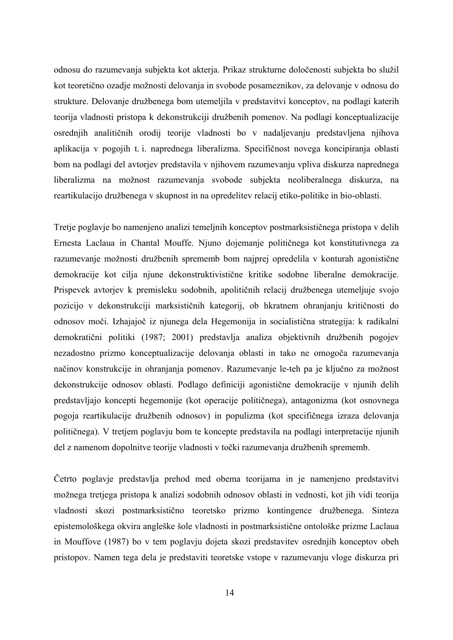odnosu do razumevanja subjekta kot akterja. Prikaz strukturne določenosti subjekta bo služil kot teoretično ozadje možnosti delovanja in svobode posameznikov, za delovanje v odnosu do strukture. Delovanje družbenega bom utemeljila v predstavitvi konceptov, na podlagi katerih teorija vladnosti pristopa k dekonstrukciji družbenih pomenov. Na podlagi konceptualizacije osrednjih analitičnih orodij teorije vladnosti bo v nadaljevanju predstavljena njihova aplikacija v pogojih t. i. naprednega liberalizma. Specifičnost novega koncipiranja oblasti bom na podlagi del avtorjev predstavila v njihovem razumevanju vpliva diskurza naprednega liberalizma na možnost razumevanja svobode subjekta neoliberalnega diskurza, na reartikulacijo družbenega v skupnost in na opredelitev relacij etiko-politike in bio-oblasti.

Tretje poglavje bo namenjeno analizi temeljnih konceptov postmarksističnega pristopa v delih Ernesta Laclaua in Chantal Mouffe. Njuno dojemanje političnega kot konstitutivnega za razumevanje možnosti družbenih sprememb bom najprej opredelila v konturah agonistične demokracije kot cilja njune dekonstruktivistične kritike sodobne liberalne demokracije. Prispevek avtorjev k premisleku sodobnih, apolitičnih relacij družbenega utemeljuje svojo pozicijo v dekonstrukciji marksističnih kategorij, ob hkratnem ohranjanju kritičnosti do odnosov moči. Izhajajoč iz njunega dela Hegemonija in socialistična strategija: k radikalni demokratični politiki (1987; 2001) predstavlja analiza objektivnih družbenih pogojev nezadostno prizmo konceptualizacije delovanja oblasti in tako ne omogoča razumevanja načinov konstrukcije in ohranjanja pomenov. Razumevanje le-teh pa je ključno za možnost dekonstrukcije odnosov oblasti. Podlago definiciji agonistične demokracije v njunih delih predstavljajo koncepti hegemonije (kot operacije političnega), antagonizma (kot osnovnega pogoja reartikulacije družbenih odnosov) in populizma (kot specifičnega izraza delovanja političnega). V tretjem poglavju bom te koncepte predstavila na podlagi interpretacije njunih del z namenom dopolnitve teorije vladnosti v točki razumevanja družbenih sprememb.

Četrto poglavje predstavlja prehod med obema teorijama in je namenjeno predstavitvi možnega tretjega pristopa k analizi sodobnih odnosov oblasti in vednosti, kot jih vidi teorija vladnosti skozi postmarksistično teoretsko prizmo kontingence družbenega. Sinteza epistemološkega okvira angleške šole vladnosti in postmarksistične ontološke prizme Laclaua in Mouffove (1987) bo v tem poglavju dojeta skozi predstavitev osrednjih konceptov obeh pristopov. Namen tega dela je predstaviti teoretske vstope v razumevanju vloge diskurza pri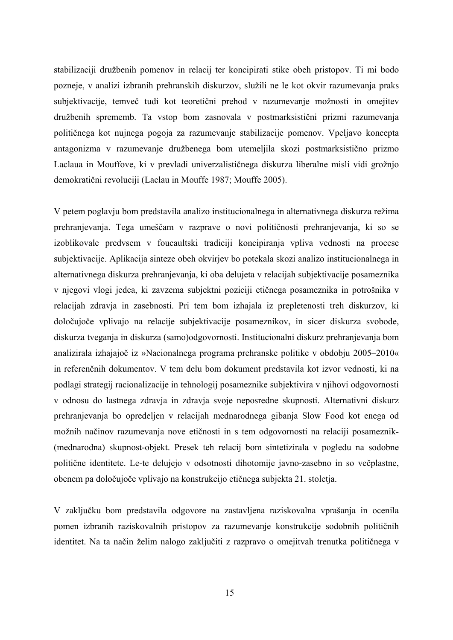stabilizaciji družbenih pomenov in relacij ter koncipirati stike obeh pristopov. Ti mi bodo pozneje, v analizi izbranih prehranskih diskurzov, služili ne le kot okvir razumevanja praks subjektivacije, temveč tudi kot teoretični prehod v razumevanje možnosti in omejitev družbenih sprememb. Ta vstop bom zasnovala v postmarksistični prizmi razumevanja političnega kot nujnega pogoja za razumevanje stabilizacije pomenov. Vpeljavo koncepta antagonizma v razumevanje družbenega bom utemeljila skozi postmarksistično prizmo Laclaua in Mouffove, ki v prevladi univerzalističnega diskurza liberalne misli vidi grožnjo demokratični revoluciji (Laclau in Mouffe 1987; Mouffe 2005).

V petem poglavju bom predstavila analizo institucionalnega in alternativnega diskurza režima prehranjevanja. Tega umeščam v razprave o novi političnosti prehranjevanja, ki so se izoblikovale predvsem v foucaultski tradiciji koncipiranja vpliva vednosti na procese subjektivacije. Aplikacija sinteze obeh okvirjev bo potekala skozi analizo institucionalnega in alternativnega diskurza prehranjevanja, ki oba delujeta v relacijah subjektivacije posameznika v njegovi vlogi jedca, ki zavzema subjektni poziciji etičnega posameznika in potrošnika v relacijah zdravja in zasebnosti. Pri tem bom izhajala iz prepletenosti treh diskurzov, ki določujoče vplivajo na relacije subjektivacije posameznikov, in sicer diskurza svobode, diskurza tveganja in diskurza (samo)odgovornosti. Institucionalni diskurz prehranjevanja bom analizirala izhajajoč iz »Nacionalnega programa prehranske politike v obdobju 2005–2010« in referenčnih dokumentov. V tem delu bom dokument predstavila kot izvor vednosti, ki na podlagi strategij racionalizacije in tehnologij posameznike subjektivira v njihovi odgovornosti v odnosu do lastnega zdravja in zdravja svoje neposredne skupnosti. Alternativni diskurz prehranjevanja bo opredeljen v relacijah mednarodnega gibanja Slow Food kot enega od možnih načinov razumevanja nove etičnosti in s tem odgovornosti na relaciji posameznik- (mednarodna) skupnost-objekt. Presek teh relacij bom sintetizirala v pogledu na sodobne politične identitete. Le-te delujejo v odsotnosti dihotomije javno-zasebno in so večplastne, obenem pa določujoče vplivajo na konstrukcijo etičnega subjekta 21. stoletja.

V zaključku bom predstavila odgovore na zastavljena raziskovalna vprašanja in ocenila pomen izbranih raziskovalnih pristopov za razumevanje konstrukcije sodobnih političnih identitet. Na ta način želim nalogo zaključiti z razpravo o omejitvah trenutka političnega v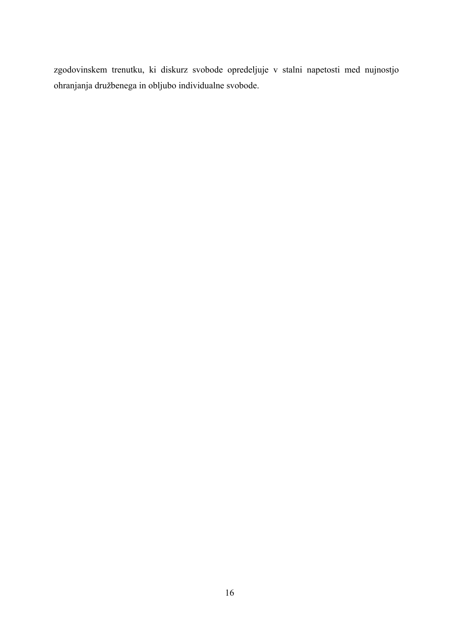zgodovinskem trenutku, ki diskurz svobode opredeljuje v stalni napetosti med nujnostjo ohranjanja družbenega in obljubo individualne svobode.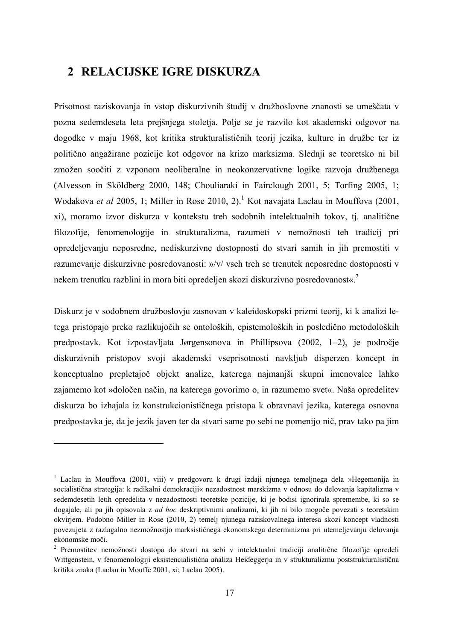### **2 RELACIJSKE IGRE DISKURZA**

**.** 

Prisotnost raziskovanja in vstop diskurzivnih študij v družboslovne znanosti se umeščata v pozna sedemdeseta leta prejšnjega stoletja. Polje se je razvilo kot akademski odgovor na dogodke v maju 1968, kot kritika strukturalističnih teorij jezika, kulture in družbe ter iz politično angažirane pozicije kot odgovor na krizo marksizma. Slednji se teoretsko ni bil zmožen soočiti z vzponom neoliberalne in neokonzervativne logike razvoja družbenega (Alvesson in Sköldberg 2000, 148; Chouliaraki in Fairclough 2001, 5; Torfing 2005, 1; Wodakova *et al* 2005, 1; Miller in Rose 2010, 2).<sup>1</sup> Kot navajata Laclau in Mouffova (2001, xi), moramo izvor diskurza v kontekstu treh sodobnih intelektualnih tokov, tj. analitične filozofije, fenomenologije in strukturalizma, razumeti v nemožnosti teh tradicij pri opredeljevanju neposredne, nediskurzivne dostopnosti do stvari samih in jih premostiti v razumevanje diskurzivne posredovanosti: »/v/ vseh treh se trenutek neposredne dostopnosti v nekem trenutku razblini in mora biti opredeljen skozi diskurzivno posredovanost«.<sup>2</sup>

Diskurz je v sodobnem družboslovju zasnovan v kaleidoskopski prizmi teorij, ki k analizi letega pristopajo preko razlikujočih se ontoloških, epistemoloških in posledično metodoloških predpostavk. Kot izpostavljata Jørgensonova in Phillipsova (2002, 1–2), je področje diskurzivnih pristopov svoji akademski vseprisotnosti navkljub disperzen koncept in konceptualno prepletajoč objekt analize, katerega najmanjši skupni imenovalec lahko zajamemo kot »določen način, na katerega govorimo o, in razumemo svet«. Naša opredelitev diskurza bo izhajala iz konstrukcionističnega pristopa k obravnavi jezika, katerega osnovna predpostavka je, da je jezik javen ter da stvari same po sebi ne pomenijo nič, prav tako pa jim

<sup>&</sup>lt;sup>1</sup> Laclau in Mouffova (2001, viii) v predgovoru k drugi izdaji njunega temeljnega dela »Hegemonija in socialistična strategija: k radikalni demokraciji« nezadostnost marskizma v odnosu do delovanja kapitalizma v sedemdesetih letih opredelita v nezadostnosti teoretske pozicije, ki je bodisi ignorirala spremembe, ki so se dogajale, ali pa jih opisovala z *ad hoc* deskriptivnimi analizami, ki jih ni bilo mogoče povezati s teoretskim okvirjem. Podobno Miller in Rose (2010, 2) temelj njunega raziskovalnega interesa skozi koncept vladnosti povezujeta z razlagalno nezmožnostjo marksističnega ekonomskega determinizma pri utemeljevanju delovanja ekonomske moči. 2

<sup>&</sup>lt;sup>2</sup> Premostitev nemožnosti dostopa do stvari na sebi v intelektualni tradiciji analitične filozofije opredeli Wittgenstein, v fenomenologiji eksistencialistična analiza Heideggerja in v strukturalizmu poststrukturalistična kritika znaka (Laclau in Mouffe 2001, xi; Laclau 2005).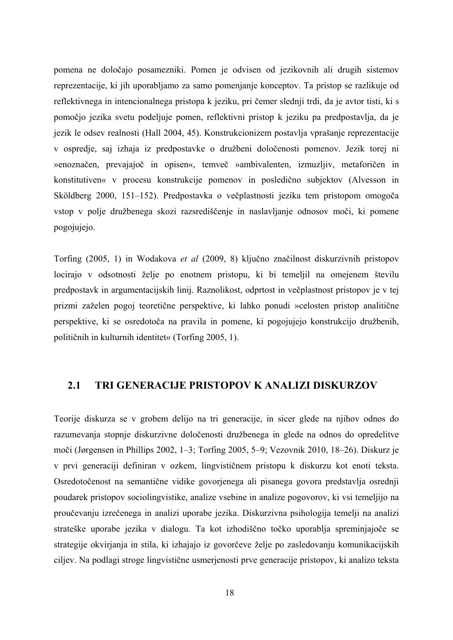pomena ne določajo posamezniki. Pomen je odvisen od jezikovnih ali drugih sistemov reprezentacije, ki jih uporabljamo za samo pomenjanje konceptov. Ta pristop se razlikuje od reflektivnega in intencionalnega pristopa k jeziku, pri čemer slednji trdi, da je avtor tisti, ki s pomočjo jezika svetu podeljuje pomen, reflektivni pristop k jeziku pa predpostavlja, da je jezik le odsev realnosti (Hall 2004, 45). Konstrukcionizem postavlja vprašanje reprezentacije v ospredje, saj izhaja iz predpostavke o družbeni določenosti pomenov. Jezik torej ni »enoznačen, prevajajoč in opisen«, temveč »ambivalenten, izmuzljiv, metaforičen in konstitutiven« v procesu konstrukcije pomenov in posledično subjektov (Alvesson in Sköldberg 2000, 151–152). Predpostavka o večplastnosti jezika tem pristopom omogoča vstop v polje družbenega skozi razsrediščenje in naslavljanje odnosov moči, ki pomene pogojujejo.

Torfing (2005, 1) in Wodakova *et al* (2009, 8) ključno značilnost diskurzivnih pristopov locirajo v odsotnosti želje po enotnem pristopu, ki bi temeljil na omejenem številu predpostavk in argumentacijskih linij. Raznolikost, odprtost in večplastnost pristopov je v tej prizmi zaželen pogoj teoretične perspektive, ki lahko ponudi »celosten pristop analitične perspektive, ki se osredotoča na pravila in pomene, ki pogojujejo konstrukcijo družbenih, političnih in kulturnih identitet« (Torfing 2005, 1).

### **2.1 TRI GENERACIJE PRISTOPOV K ANALIZI DISKURZOV**

Teorije diskurza se v grobem delijo na tri generacije, in sicer glede na njihov odnos do razumevanja stopnje diskurzivne določenosti družbenega in glede na odnos do opredelitve moči (Jørgensen in Phillips 2002, 1–3; Torfing 2005, 5–9; Vezovnik 2010, 18–26). Diskurz je v prvi generaciji definiran v ozkem, lingvističnem pristopu k diskurzu kot enoti teksta. Osredotočenost na semantične vidike govorjenega ali pisanega govora predstavlja osrednji poudarek pristopov sociolingvistike, analize vsebine in analize pogovorov, ki vsi temeljijo na proučevanju izrečenega in analizi uporabe jezika. Diskurzivna psihologija temelji na analizi strateške uporabe jezika v dialogu. Ta kot izhodiščno točko uporablja spreminjajoče se strategije okvirjanja in stila, ki izhajajo iz govorčeve želje po zasledovanju komunikacijskih ciljev. Na podlagi stroge lingvistične usmerjenosti prve generacije pristopov, ki analizo teksta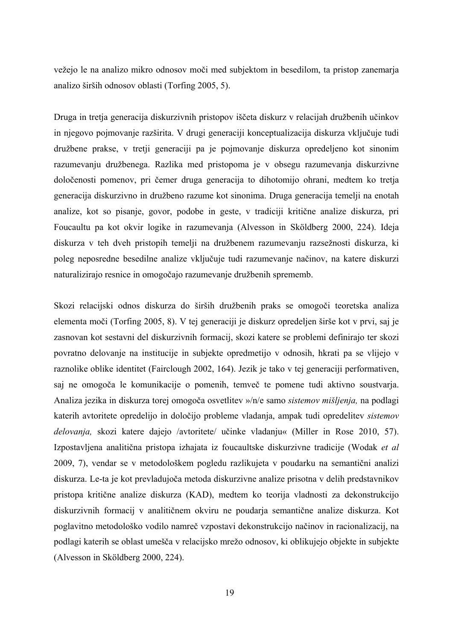vežejo le na analizo mikro odnosov moči med subjektom in besedilom, ta pristop zanemarja analizo širših odnosov oblasti (Torfing 2005, 5).

Druga in tretja generacija diskurzivnih pristopov iščeta diskurz v relacijah družbenih učinkov in njegovo pojmovanje razširita. V drugi generaciji konceptualizacija diskurza vključuje tudi družbene prakse, v tretji generaciji pa je pojmovanje diskurza opredeljeno kot sinonim razumevanju družbenega. Razlika med pristopoma je v obsegu razumevanja diskurzivne določenosti pomenov, pri čemer druga generacija to dihotomijo ohrani, medtem ko tretja generacija diskurzivno in družbeno razume kot sinonima. Druga generacija temelji na enotah analize, kot so pisanje, govor, podobe in geste, v tradiciji kritične analize diskurza, pri Foucaultu pa kot okvir logike in razumevanja (Alvesson in Sköldberg 2000, 224). Ideja diskurza v teh dveh pristopih temelji na družbenem razumevanju razsežnosti diskurza, ki poleg neposredne besedilne analize vključuje tudi razumevanje načinov, na katere diskurzi naturalizirajo resnice in omogočajo razumevanje družbenih sprememb.

Skozi relacijski odnos diskurza do širših družbenih praks se omogoči teoretska analiza elementa moči (Torfing 2005, 8). V tej generaciji je diskurz opredeljen širše kot v prvi, saj je zasnovan kot sestavni del diskurzivnih formacij, skozi katere se problemi definirajo ter skozi povratno delovanje na institucije in subjekte opredmetijo v odnosih, hkrati pa se vlijejo v raznolike oblike identitet (Fairclough 2002, 164). Jezik je tako v tej generaciji performativen, saj ne omogoča le komunikacije o pomenih, temveč te pomene tudi aktivno soustvarja. Analiza jezika in diskurza torej omogoča osvetlitev »/n/e samo *sistemov mišljenja,* na podlagi katerih avtoritete opredelijo in določijo probleme vladanja, ampak tudi opredelitev *sistemov delovanja,* skozi katere dajejo /avtoritete/ učinke vladanju« (Miller in Rose 2010, 57). Izpostavljena analitična pristopa izhajata iz foucaultske diskurzivne tradicije (Wodak *et al* 2009, 7), vendar se v metodološkem pogledu razlikujeta v poudarku na semantični analizi diskurza. Le-ta je kot prevladujoča metoda diskurzivne analize prisotna v delih predstavnikov pristopa kritične analize diskurza (KAD), medtem ko teorija vladnosti za dekonstrukcijo diskurzivnih formacij v analitičnem okviru ne poudarja semantične analize diskurza. Kot poglavitno metodološko vodilo namreč vzpostavi dekonstrukcijo načinov in racionalizacij, na podlagi katerih se oblast umešča v relacijsko mrežo odnosov, ki oblikujejo objekte in subjekte (Alvesson in Sköldberg 2000, 224).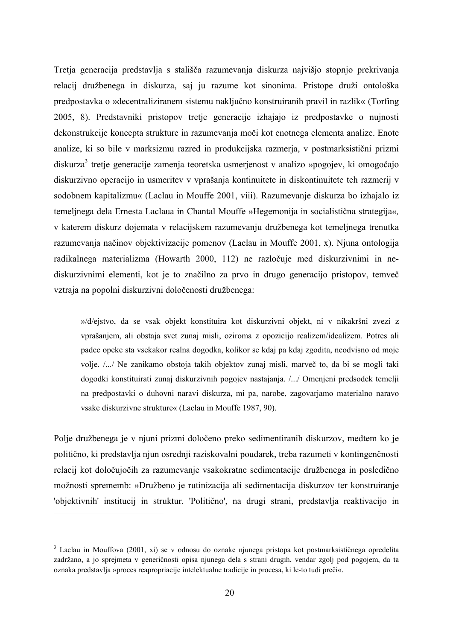Tretja generacija predstavlja s stališča razumevanja diskurza najvišjo stopnjo prekrivanja relacij družbenega in diskurza, saj ju razume kot sinonima. Pristope druži ontološka predpostavka o »decentraliziranem sistemu naključno konstruiranih pravil in razlik« (Torfing 2005, 8). Predstavniki pristopov tretje generacije izhajajo iz predpostavke o nujnosti dekonstrukcije koncepta strukture in razumevanja moči kot enotnega elementa analize. Enote analize, ki so bile v marksizmu razred in produkcijska razmerja, v postmarksistični prizmi diskurza<sup>3</sup> tretje generacije zamenja teoretska usmerjenost v analizo »pogojev, ki omogočajo diskurzivno operacijo in usmeritev v vprašanja kontinuitete in diskontinuitete teh razmerij v sodobnem kapitalizmu« (Laclau in Mouffe 2001, viii). Razumevanje diskurza bo izhajalo iz temeljnega dela Ernesta Laclaua in Chantal Mouffe »Hegemonija in socialistična strategija«*,* v katerem diskurz dojemata v relacijskem razumevanju družbenega kot temeljnega trenutka razumevanja načinov objektivizacije pomenov (Laclau in Mouffe 2001, x). Njuna ontologija radikalnega materializma (Howarth 2000, 112) ne razločuje med diskurzivnimi in nediskurzivnimi elementi, kot je to značilno za prvo in drugo generacijo pristopov, temveč vztraja na popolni diskurzivni določenosti družbenega:

»/d/ejstvo, da se vsak objekt konstituira kot diskurzivni objekt, ni v nikakršni zvezi z vprašanjem, ali obstaja svet zunaj misli, oziroma z opozicijo realizem/idealizem. Potres ali padec opeke sta vsekakor realna dogodka, kolikor se kdaj pa kdaj zgodita, neodvisno od moje volje. /.../ Ne zanikamo obstoja takih objektov zunaj misli, marveč to, da bi se mogli taki dogodki konstituirati zunaj diskurzivnih pogojev nastajanja. /.../ Omenjeni predsodek temelji na predpostavki o duhovni naravi diskurza, mi pa, narobe, zagovarjamo materialno naravo vsake diskurzivne strukture« (Laclau in Mouffe 1987, 90).

Polje družbenega je v njuni prizmi določeno preko sedimentiranih diskurzov, medtem ko je politično, ki predstavlja njun osrednji raziskovalni poudarek, treba razumeti v kontingenčnosti relacij kot določujočih za razumevanje vsakokratne sedimentacije družbenega in posledično možnosti sprememb: »Družbeno je rutinizacija ali sedimentacija diskurzov ter konstruiranje 'objektivnih' institucij in struktur. 'Politično', na drugi strani, predstavlja reaktivacijo in

**.** 

<sup>&</sup>lt;sup>3</sup> Laclau in Mouffova (2001, xi) se v odnosu do oznake njunega pristopa kot postmarksističnega opredelita zadržano, a jo sprejmeta v generičnosti opisa njunega dela s strani drugih, vendar zgolj pod pogojem, da ta oznaka predstavlja »proces reapropriacije intelektualne tradicije in procesa, ki le-to tudi preči«.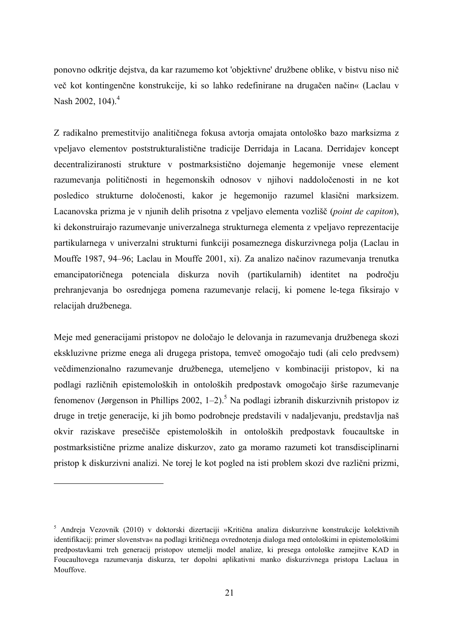ponovno odkritje dejstva, da kar razumemo kot 'objektivne' družbene oblike, v bistvu niso nič več kot kontingenčne konstrukcije, ki so lahko redefinirane na drugačen način« (Laclau v Nash 2002, 104).<sup>4</sup>

Z radikalno premestitvijo analitičnega fokusa avtorja omajata ontološko bazo marksizma z vpeljavo elementov poststrukturalistične tradicije Derridaja in Lacana. Derridajev koncept decentraliziranosti strukture v postmarksistično dojemanje hegemonije vnese element razumevanja političnosti in hegemonskih odnosov v njihovi naddoločenosti in ne kot posledico strukturne določenosti, kakor je hegemonijo razumel klasični marksizem. Lacanovska prizma je v njunih delih prisotna z vpeljavo elementa vozlišč (*point de capiton*), ki dekonstruirajo razumevanje univerzalnega strukturnega elementa z vpeljavo reprezentacije partikularnega v univerzalni strukturni funkciji posameznega diskurzivnega polja (Laclau in Mouffe 1987, 94–96; Laclau in Mouffe 2001, xi). Za analizo načinov razumevanja trenutka emancipatoričnega potenciala diskurza novih (partikularnih) identitet na področju prehranjevanja bo osrednjega pomena razumevanje relacij, ki pomene le-tega fiksirajo v relacijah družbenega.

Meje med generacijami pristopov ne določajo le delovanja in razumevanja družbenega skozi ekskluzivne prizme enega ali drugega pristopa, temveč omogočajo tudi (ali celo predvsem) večdimenzionalno razumevanje družbenega, utemeljeno v kombinaciji pristopov, ki na podlagi različnih epistemoloških in ontoloških predpostavk omogočajo širše razumevanje fenomenov (Jørgenson in Phillips 2002, 1-2).<sup>5</sup> Na podlagi izbranih diskurzivnih pristopov iz druge in tretje generacije, ki jih bomo podrobneje predstavili v nadaljevanju, predstavlja naš okvir raziskave presečišče epistemoloških in ontoloških predpostavk foucaultske in postmarksistične prizme analize diskurzov, zato ga moramo razumeti kot transdisciplinarni pristop k diskurzivni analizi. Ne torej le kot pogled na isti problem skozi dve različni prizmi,

1

<sup>&</sup>lt;sup>5</sup> Andreja Vezovnik (2010) v doktorski dizertaciji »Kritična analiza diskurzivne konstrukcije kolektivnih identifikacij: primer slovenstva« na podlagi kritičnega ovrednotenja dialoga med ontološkimi in epistemološkimi predpostavkami treh generacij pristopov utemelji model analize, ki presega ontološke zamejitve KAD in Foucaultovega razumevanja diskurza, ter dopolni aplikativni manko diskurzivnega pristopa Laclaua in Mouffove.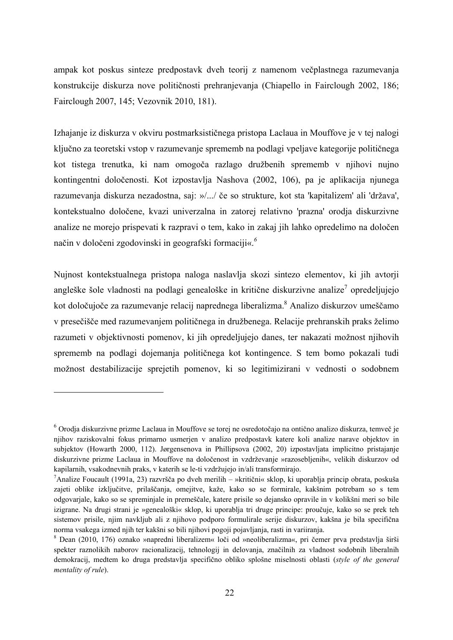ampak kot poskus sinteze predpostavk dveh teorij z namenom večplastnega razumevanja konstrukcije diskurza nove političnosti prehranjevanja (Chiapello in Fairclough 2002, 186; Fairclough 2007, 145; Vezovnik 2010, 181).

Izhajanje iz diskurza v okviru postmarksističnega pristopa Laclaua in Mouffove je v tej nalogi ključno za teoretski vstop v razumevanje sprememb na podlagi vpeljave kategorije političnega kot tistega trenutka, ki nam omogoča razlago družbenih sprememb v njihovi nujno kontingentni določenosti. Kot izpostavlja Nashova (2002, 106), pa je aplikacija njunega razumevanja diskurza nezadostna, saj: »/.../ če so strukture, kot sta 'kapitalizem' ali 'država', kontekstualno določene, kvazi univerzalna in zatorej relativno 'prazna' orodja diskurzivne analize ne morejo prispevati k razpravi o tem, kako in zakaj jih lahko opredelimo na določen način v določeni zgodovinski in geografski formaciji«.*<sup>6</sup>* 

Nujnost kontekstualnega pristopa naloga naslavlja skozi sintezo elementov, ki jih avtorji angleške šole vladnosti na podlagi genealoške in kritične diskurzivne analize<sup>7</sup> opredeljujejo kot določujoče za razumevanje relacij naprednega liberalizma.<sup>8</sup> Analizo diskurzov umeščamo v presečišče med razumevanjem političnega in družbenega. Relacije prehranskih praks želimo razumeti v objektivnosti pomenov, ki jih opredeljujejo danes, ter nakazati možnost njihovih sprememb na podlagi dojemanja političnega kot kontingence. S tem bomo pokazali tudi možnost destabilizacije sprejetih pomenov, ki so legitimizirani v vednosti o sodobnem

**.** 

<sup>&</sup>lt;sup>6</sup> Orodja diskurzivne prizme Laclaua in Mouffove se torej ne osredotočajo na ontično analizo diskurza, temveč je njihov raziskovalni fokus primarno usmerjen v analizo predpostavk katere koli analize narave objektov in subjektov (Howarth 2000, 112). Jørgensenova in Phillipsova (2002, 20) izpostavljata implicitno pristajanje diskurzivne prizme Laclaua in Mouffove na določenost in vzdrževanje »razosebljenih«, velikih diskurzov od kapilarnih, vsakodnevnih praks, v katerih se le-ti vzdržujejo in/ali transformirajo. 7

Analize Foucault (1991a, 23) razvršča po dveh merilih – »kritični« sklop, ki uporablja princip obrata, poskuša zajeti oblike izključitve, prilaščanja, omejitve, kaže, kako so se formirale, kakšnim potrebam so s tem odgovarjale, kako so se spreminjale in premeščale, katere prisile so dejansko opravile in v kolikšni meri so bile izigrane. Na drugi strani je »genealoški« sklop, ki uporablja tri druge principe: proučuje, kako so se prek teh sistemov prisile, njim navkljub ali z njihovo podporo formulirale serije diskurzov, kakšna je bila specifična norma vsakega izmed njih ter kakšni so bili njihovi pogoji pojavljanja, rasti in variiranja.

<sup>8</sup> Dean (2010, 176) oznako »napredni liberalizem« loči od »neoliberalizma«, pri čemer prva predstavlja širši spekter raznolikih naborov racionalizacij, tehnologij in delovanja, značilnih za vladnost sodobnih liberalnih demokracij, medtem ko druga predstavlja specifično obliko splošne miselnosti oblasti (*style of the general mentality of rule*).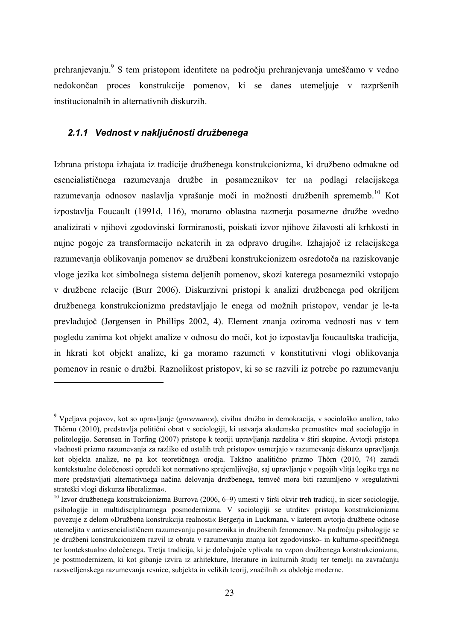prehranjevanju.<sup>9</sup> S tem pristopom identitete na področju prehranjevanja umeščamo v vedno nedokončan proces konstrukcije pomenov, ki se danes utemeljuje v razpršenih institucionalnih in alternativnih diskurzih.

#### *2.1.1 Vednost v naključnosti družbenega*

 $\overline{a}$ 

Izbrana pristopa izhajata iz tradicije družbenega konstrukcionizma, ki družbeno odmakne od esencialističnega razumevanja družbe in posameznikov ter na podlagi relacijskega razumevanja odnosov naslavlja vprašanje moči in možnosti družbenih sprememb.<sup>10</sup> Kot izpostavlja Foucault (1991d, 116), moramo oblastna razmerja posamezne družbe »vedno analizirati v njihovi zgodovinski formiranosti, poiskati izvor njihove žilavosti ali krhkosti in nujne pogoje za transformacijo nekaterih in za odpravo drugih«. Izhajajoč iz relacijskega razumevanja oblikovanja pomenov se družbeni konstrukcionizem osredotoča na raziskovanje vloge jezika kot simbolnega sistema deljenih pomenov, skozi katerega posamezniki vstopajo v družbene relacije (Burr 2006). Diskurzivni pristopi k analizi družbenega pod okriljem družbenega konstrukcionizma predstavljajo le enega od možnih pristopov, vendar je le-ta prevladujoč (Jørgensen in Phillips 2002, 4). Element znanja oziroma vednosti nas v tem pogledu zanima kot objekt analize v odnosu do moči, kot jo izpostavlja foucaultska tradicija, in hkrati kot objekt analize, ki ga moramo razumeti v konstitutivni vlogi oblikovanja pomenov in resnic o družbi. Raznolikost pristopov, ki so se razvili iz potrebe po razumevanju

<sup>9</sup> Vpeljava pojavov, kot so upravljanje (*governance*), civilna družba in demokracija, v sociološko analizo, tako Thörnu (2010), predstavlja politični obrat v sociologiji, ki ustvarja akademsko premostitev med sociologijo in politologijo. Sørensen in Torfing (2007) pristope k teoriji upravljanja razdelita v štiri skupine. Avtorji pristopa vladnosti prizmo razumevanja za razliko od ostalih treh pristopov usmerjajo v razumevanje diskurza upravljanja kot objekta analize, ne pa kot teoretičnega orodja. Takšno analitično prizmo Thörn (2010, 74) zaradi kontekstualne določenosti opredeli kot normativno sprejemljivejšo, saj upravljanje v pogojih vlitja logike trga ne more predstavljati alternativnega načina delovanja družbenega, temveč mora biti razumljeno v »regulativni strateški vlogi diskurza liberalizma«.

 $10$  Izvor družbenega konstrukcionizma Burrova (2006, 6–9) umesti v širši okvir treh tradicij, in sicer sociologije, psihologije in multidisciplinarnega posmodernizma. V sociologiji se utrditev pristopa konstrukcionizma povezuje z delom »Družbena konstrukcija realnosti« Bergerja in Luckmana, v katerem avtorja družbene odnose utemeljita v antiesencialističnem razumevanju posameznika in družbenih fenomenov. Na področju psihologije se je družbeni konstrukcionizem razvil iz obrata v razumevanju znanja kot zgodovinsko- in kulturno-specifičnega ter kontekstualno določenega. Tretja tradicija, ki je določujoče vplivala na vzpon družbenega konstrukcionizma, je postmodernizem, ki kot gibanje izvira iz arhitekture, literature in kulturnih študij ter temelji na zavračanju razsvetljenskega razumevanja resnice, subjekta in velikih teorij, značilnih za obdobje moderne.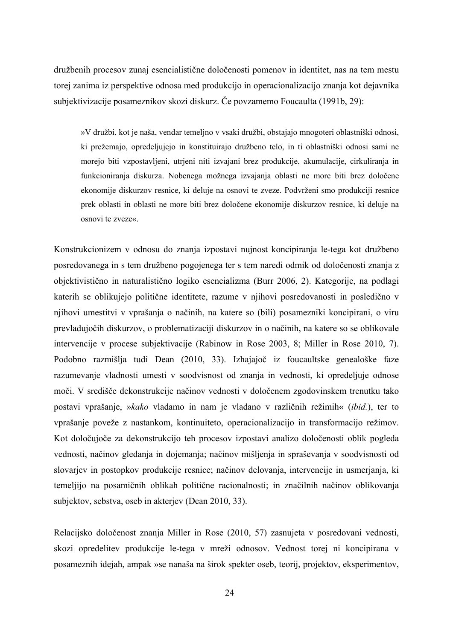družbenih procesov zunaj esencialistične določenosti pomenov in identitet, nas na tem mestu torej zanima iz perspektive odnosa med produkcijo in operacionalizacijo znanja kot dejavnika subjektivizacije posameznikov skozi diskurz. Če povzamemo Foucaulta (1991b, 29):

»V družbi, kot je naša, vendar temeljno v vsaki družbi, obstajajo mnogoteri oblastniški odnosi, ki prežemajo, opredeljujejo in konstituirajo družbeno telo, in ti oblastniški odnosi sami ne morejo biti vzpostavljeni, utrjeni niti izvajani brez produkcije, akumulacije, cirkuliranja in funkcioniranja diskurza. Nobenega možnega izvajanja oblasti ne more biti brez določene ekonomije diskurzov resnice, ki deluje na osnovi te zveze. Podvrženi smo produkciji resnice prek oblasti in oblasti ne more biti brez določene ekonomije diskurzov resnice, ki deluje na osnovi te zveze«.

Konstrukcionizem v odnosu do znanja izpostavi nujnost koncipiranja le-tega kot družbeno posredovanega in s tem družbeno pogojenega ter s tem naredi odmik od določenosti znanja z objektivistično in naturalistično logiko esencializma (Burr 2006, 2). Kategorije, na podlagi katerih se oblikujejo politične identitete, razume v njihovi posredovanosti in posledično v njihovi umestitvi v vprašanja o načinih, na katere so (bili) posamezniki koncipirani, o viru prevladujočih diskurzov, o problematizaciji diskurzov in o načinih, na katere so se oblikovale intervencije v procese subjektivacije (Rabinow in Rose 2003, 8; Miller in Rose 2010, 7). Podobno razmišlja tudi Dean (2010, 33). Izhajajoč iz foucaultske genealoške faze razumevanje vladnosti umesti v soodvisnost od znanja in vednosti, ki opredeljuje odnose moči. V središče dekonstrukcije načinov vednosti v določenem zgodovinskem trenutku tako postavi vprašanje, »*kako* vladamo in nam je vladano v različnih režimih« (*ibid.*), ter to vprašanje poveže z nastankom, kontinuiteto, operacionalizacijo in transformacijo režimov. Kot določujoče za dekonstrukcijo teh procesov izpostavi analizo določenosti oblik pogleda vednosti, načinov gledanja in dojemanja; načinov mišljenja in spraševanja v soodvisnosti od slovarjev in postopkov produkcije resnice; načinov delovanja, intervencije in usmerjanja, ki temeljijo na posamičnih oblikah politične racionalnosti; in značilnih načinov oblikovanja subjektov, sebstva, oseb in akterjev (Dean 2010, 33).

Relacijsko določenost znanja Miller in Rose (2010, 57) zasnujeta v posredovani vednosti, skozi opredelitev produkcije le-tega v mreži odnosov. Vednost torej ni koncipirana v posameznih idejah, ampak »se nanaša na širok spekter oseb, teorij, projektov, eksperimentov,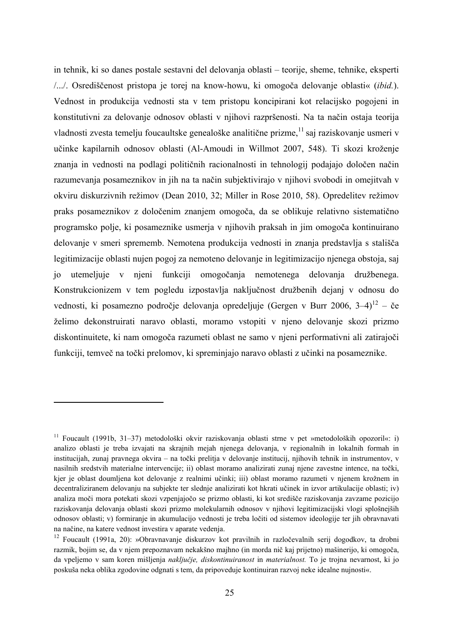in tehnik, ki so danes postale sestavni del delovanja oblasti – teorije, sheme, tehnike, eksperti /.../. Osrediščenost pristopa je torej na know-howu, ki omogoča delovanje oblasti« (*ibid.*). Vednost in produkcija vednosti sta v tem pristopu koncipirani kot relacijsko pogojeni in konstitutivni za delovanje odnosov oblasti v njihovi razpršenosti. Na ta način ostaja teorija vladnosti zvesta temelju foucaultske genealoške analitične prizme,  $^{11}$  saj raziskovanje usmeri v učinke kapilarnih odnosov oblasti (Al-Amoudi in Willmot 2007, 548). Ti skozi kroženje znanja in vednosti na podlagi političnih racionalnosti in tehnologij podajajo določen način razumevanja posameznikov in jih na ta način subjektivirajo v njihovi svobodi in omejitvah v okviru diskurzivnih režimov (Dean 2010, 32; Miller in Rose 2010, 58). Opredelitev režimov praks posameznikov z določenim znanjem omogoča, da se oblikuje relativno sistematično programsko polje, ki posameznike usmerja v njihovih praksah in jim omogoča kontinuirano delovanje v smeri sprememb. Nemotena produkcija vednosti in znanja predstavlja s stališča legitimizacije oblasti nujen pogoj za nemoteno delovanje in legitimizacijo njenega obstoja, saj jo utemeljuje v njeni funkciji omogočanja nemotenega delovanja družbenega. Konstrukcionizem v tem pogledu izpostavlja naključnost družbenih dejanj v odnosu do vednosti, ki posamezno področje delovanja opredeljuje (Gergen v Burr 2006,  $3-4$ )<sup>12</sup> – če želimo dekonstruirati naravo oblasti, moramo vstopiti v njeno delovanje skozi prizmo diskontinuitete, ki nam omogoča razumeti oblast ne samo v njeni performativni ali zatirajoči funkciji, temveč na točki prelomov, ki spreminjajo naravo oblasti z učinki na posameznike.

**.** 

<sup>&</sup>lt;sup>11</sup> Foucault (1991b, 31–37) metodološki okvir raziskovanja oblasti strne v pet »metodoloških opozoril«: i) analizo oblasti je treba izvajati na skrajnih mejah njenega delovanja, v regionalnih in lokalnih formah in institucijah, zunaj pravnega okvira – na točki prelitja v delovanje institucij, njihovih tehnik in instrumentov, v nasilnih sredstvih materialne intervencije; ii) oblast moramo analizirati zunaj njene zavestne intence, na točki, kjer je oblast doumljena kot delovanje z realnimi učinki; iii) oblast moramo razumeti v njenem krožnem in decentraliziranem delovanju na subjekte ter slednje analizirati kot hkrati učinek in izvor artikulacije oblasti; iv) analiza moči mora potekati skozi vzpenjajočo se prizmo oblasti, ki kot središče raziskovanja zavzame pozicijo raziskovanja delovanja oblasti skozi prizmo molekularnih odnosov v njihovi legitimizacijski vlogi splošnejših odnosov oblasti; v) formiranje in akumulacijo vednosti je treba ločiti od sistemov ideologije ter jih obravnavati na načine, na katere vednost investira v aparate vedenja.

<sup>12</sup> Foucault (1991a, 20): »Obravnavanje diskurzov kot pravilnih in razločevalnih serij dogodkov, ta drobni razmik, bojim se, da v njem prepoznavam nekakšno majhno (in morda nič kaj prijetno) mašinerijo, ki omogoča, da vpeljemo v sam koren mišljenja *naključje, diskontinuiranost* in *materialnost.* To je trojna nevarnost, ki jo poskuša neka oblika zgodovine odgnati s tem, da pripoveduje kontinuiran razvoj neke idealne nujnosti«.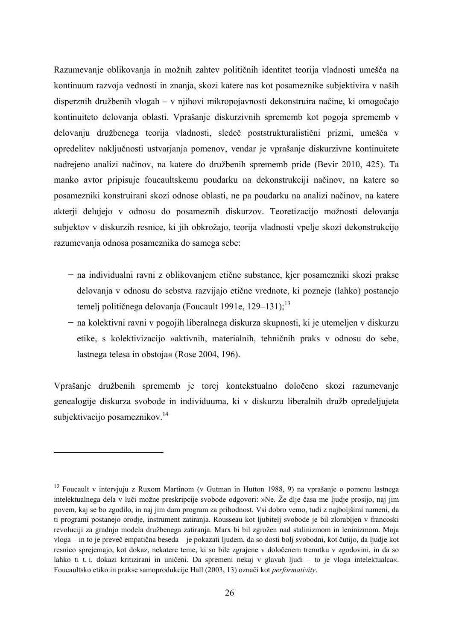Razumevanje oblikovanja in možnih zahtev političnih identitet teorija vladnosti umešča na kontinuum razvoja vednosti in znanja, skozi katere nas kot posameznike subjektivira v naših disperznih družbenih vlogah – v njihovi mikropojavnosti dekonstruira načine, ki omogočajo kontinuiteto delovanja oblasti. Vprašanje diskurzivnih sprememb kot pogoja sprememb v delovanju družbenega teorija vladnosti, sledeč poststrukturalistični prizmi, umešča v opredelitev naključnosti ustvarjanja pomenov, vendar je vprašanje diskurzivne kontinuitete nadrejeno analizi načinov, na katere do družbenih sprememb pride (Bevir 2010, 425). Ta manko avtor pripisuje foucaultskemu poudarku na dekonstrukciji načinov, na katere so posamezniki konstruirani skozi odnose oblasti, ne pa poudarku na analizi načinov, na katere akterji delujejo v odnosu do posameznih diskurzov. Teoretizacijo možnosti delovanja subjektov v diskurzih resnice, ki jih obkrožajo, teorija vladnosti vpelje skozi dekonstrukcijo razumevanja odnosa posameznika do samega sebe:

- − na individualni ravni z oblikovanjem etične substance, kjer posamezniki skozi prakse delovanja v odnosu do sebstva razvijajo etične vrednote, ki pozneje (lahko) postanejo temelj političnega delovanja (Foucault 1991e, 129–131); $^{13}$
- − na kolektivni ravni v pogojih liberalnega diskurza skupnosti, ki je utemeljen v diskurzu etike, s kolektivizacijo »aktivnih, materialnih, tehničnih praks v odnosu do sebe, lastnega telesa in obstoja« (Rose 2004, 196).

Vprašanje družbenih sprememb je torej kontekstualno določeno skozi razumevanje genealogije diskurza svobode in individuuma, ki v diskurzu liberalnih družb opredeljujeta subjektivacijo posameznikov.<sup>14</sup>

1

<sup>&</sup>lt;sup>13</sup> Foucault v intervjuju z Ruxom Martinom (v Gutman in Hutton 1988, 9) na vprašanje o pomenu lastnega intelektualnega dela v luči možne preskripcije svobode odgovori: »Ne. Že dlje časa me ljudje prosijo, naj jim povem, kaj se bo zgodilo, in naj jim dam program za prihodnost. Vsi dobro vemo, tudi z najboljšimi nameni, da ti programi postanejo orodje, instrument zatiranja. Rousseau kot ljubitelj svobode je bil zlorabljen v francoski revoluciji za gradnjo modela družbenega zatiranja. Marx bi bil zgrožen nad stalinizmom in leninizmom. Moja vloga – in to je preveč empatična beseda – je pokazati ljudem, da so dosti bolj svobodni, kot čutijo, da ljudje kot resnico sprejemajo, kot dokaz, nekatere teme, ki so bile zgrajene v določenem trenutku v zgodovini, in da so lahko ti t. i. dokazi kritizirani in uničeni. Da spremeni nekaj v glavah ljudi – to je vloga intelektualca«. Foucaultsko etiko in prakse samoprodukcije Hall (2003, 13) označi kot *performativity*.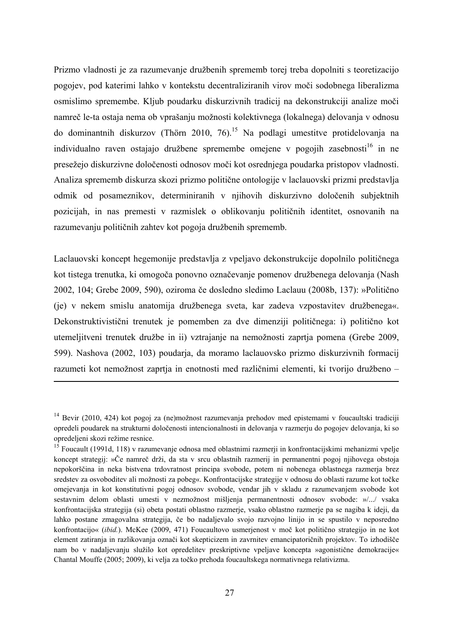Prizmo vladnosti je za razumevanje družbenih sprememb torej treba dopolniti s teoretizacijo pogojev, pod katerimi lahko v kontekstu decentraliziranih virov moči sodobnega liberalizma osmislimo spremembe. Kljub poudarku diskurzivnih tradicij na dekonstrukciji analize moči namreč le-ta ostaja nema ob vprašanju možnosti kolektivnega (lokalnega) delovanja v odnosu do dominantnih diskurzov (Thörn 2010, 76).<sup>15</sup> Na podlagi umestitve protidelovanja na individualno raven ostajajo družbene spremembe omejene v pogojih zasebnosti $16$  in ne presežejo diskurzivne določenosti odnosov moči kot osrednjega poudarka pristopov vladnosti. Analiza sprememb diskurza skozi prizmo politične ontologije v laclauovski prizmi predstavlja odmik od posameznikov, determiniranih v njihovih diskurzivno določenih subjektnih pozicijah, in nas premesti v razmislek o oblikovanju političnih identitet, osnovanih na razumevanju političnih zahtev kot pogoja družbenih sprememb.

Laclauovski koncept hegemonije predstavlja z vpeljavo dekonstrukcije dopolnilo političnega kot tistega trenutka, ki omogoča ponovno označevanje pomenov družbenega delovanja (Nash 2002, 104; Grebe 2009, 590), oziroma če dosledno sledimo Laclauu (2008b, 137): »Politično (je) v nekem smislu anatomija družbenega sveta, kar zadeva vzpostavitev družbenega«. Dekonstruktivistični trenutek je pomemben za dve dimenziji političnega: i) politično kot utemeljitveni trenutek družbe in ii) vztrajanje na nemožnosti zaprtja pomena (Grebe 2009, 599). Nashova (2002, 103) poudarja, da moramo laclauovsko prizmo diskurzivnih formacij razumeti kot nemožnost zaprtja in enotnosti med različnimi elementi, ki tvorijo družbeno –

1

<sup>&</sup>lt;sup>14</sup> Bevir (2010, 424) kot pogoj za (ne)možnost razumevanja prehodov med epistemami v foucaultski tradiciji opredeli poudarek na strukturni določenosti intencionalnosti in delovanja v razmerju do pogojev delovanja, ki so opredeljeni skozi režime resnice.

<sup>&</sup>lt;sup>15</sup> Foucault (1991d, 118) v razumevanje odnosa med oblastnimi razmerji in konfrontacijskimi mehanizmi vpelje koncept strategij: »Če namreč drži, da sta v srcu oblastnih razmerij in permanentni pogoj njihovega obstoja nepokorščina in neka bistvena trdovratnost principa svobode, potem ni nobenega oblastnega razmerja brez sredstev za osvoboditev ali možnosti za pobeg«. Konfrontacijske strategije v odnosu do oblasti razume kot točke omejevanja in kot konstitutivni pogoj odnosov svobode, vendar jih v skladu z razumevanjem svobode kot sestavnim delom oblasti umesti v nezmožnost mišljenja permanentnosti odnosov svobode: »/.../ vsaka konfrontacijska strategija (si) obeta postati oblastno razmerje, vsako oblastno razmerje pa se nagiba k ideji, da lahko postane zmagovalna strategija, če bo nadaljevalo svojo razvojno linijo in se spustilo v neposredno konfrontacijo« (*ibid.*). McKee (2009, 471) Foucaultovo usmerjenost v moč kot politično strategijo in ne kot element zatiranja in razlikovanja označi kot skepticizem in zavrnitev emancipatoričnih projektov. To izhodišče nam bo v nadaljevanju služilo kot opredelitev preskriptivne vpeljave koncepta »agonistične demokracije« Chantal Mouffe (2005; 2009), ki velja za točko prehoda foucaultskega normativnega relativizma.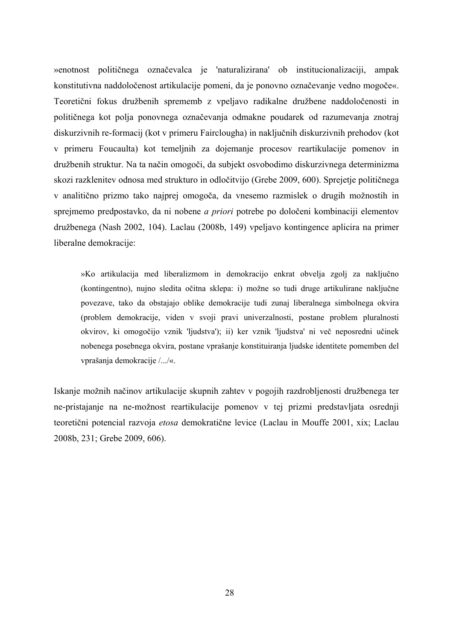»enotnost političnega označevalca je 'naturalizirana' ob institucionalizaciji, ampak konstitutivna naddoločenost artikulacije pomeni, da je ponovno označevanje vedno mogoče«. Teoretični fokus družbenih sprememb z vpeljavo radikalne družbene naddoločenosti in političnega kot polja ponovnega označevanja odmakne poudarek od razumevanja znotraj diskurzivnih re-formacij (kot v primeru Fairclougha) in naključnih diskurzivnih prehodov (kot v primeru Foucaulta) kot temeljnih za dojemanje procesov reartikulacije pomenov in družbenih struktur. Na ta način omogoči, da subjekt osvobodimo diskurzivnega determinizma skozi razklenitev odnosa med strukturo in odločitvijo (Grebe 2009, 600). Sprejetje političnega v analitično prizmo tako najprej omogoča, da vnesemo razmislek o drugih možnostih in sprejmemo predpostavko, da ni nobene *a priori* potrebe po določeni kombinaciji elementov družbenega (Nash 2002, 104). Laclau (2008b, 149) vpeljavo kontingence aplicira na primer liberalne demokracije:

»Ko artikulacija med liberalizmom in demokracijo enkrat obvelja zgolj za naključno (kontingentno), nujno sledita očitna sklepa: i) možne so tudi druge artikulirane naključne povezave, tako da obstajajo oblike demokracije tudi zunaj liberalnega simbolnega okvira (problem demokracije, viden v svoji pravi univerzalnosti, postane problem pluralnosti okvirov, ki omogočijo vznik 'ljudstva'); ii) ker vznik 'ljudstva' ni več neposredni učinek nobenega posebnega okvira, postane vprašanje konstituiranja ljudske identitete pomemben del vprašanja demokracije /.../«.

Iskanje možnih načinov artikulacije skupnih zahtev v pogojih razdrobljenosti družbenega ter ne-pristajanje na ne-možnost reartikulacije pomenov v tej prizmi predstavljata osrednji teoretični potencial razvoja *etosa* demokratične levice (Laclau in Mouffe 2001, xix; Laclau 2008b, 231; Grebe 2009, 606).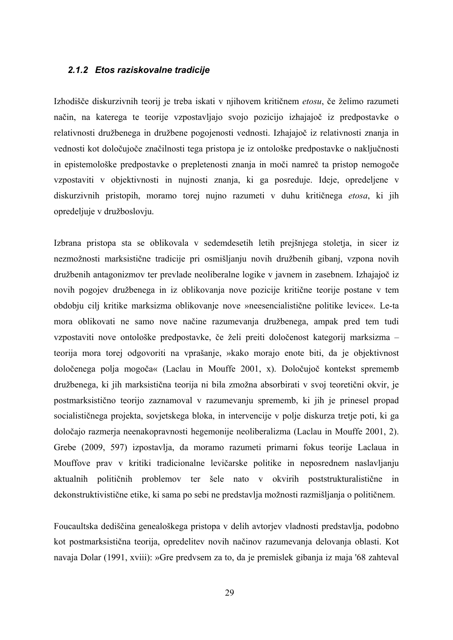#### *2.1.2 Etos raziskovalne tradicije*

Izhodišče diskurzivnih teorij je treba iskati v njihovem kritičnem *etosu*, če želimo razumeti način, na katerega te teorije vzpostavljajo svojo pozicijo izhajajoč iz predpostavke o relativnosti družbenega in družbene pogojenosti vednosti. Izhajajoč iz relativnosti znanja in vednosti kot določujoče značilnosti tega pristopa je iz ontološke predpostavke o naključnosti in epistemološke predpostavke o prepletenosti znanja in moči namreč ta pristop nemogoče vzpostaviti v objektivnosti in nujnosti znanja, ki ga posreduje. Ideje, opredeljene v diskurzivnih pristopih, moramo torej nujno razumeti v duhu kritičnega *etosa*, ki jih opredeljuje v družboslovju.

Izbrana pristopa sta se oblikovala v sedemdesetih letih prejšnjega stoletja, in sicer iz nezmožnosti marksistične tradicije pri osmišljanju novih družbenih gibanj, vzpona novih družbenih antagonizmov ter prevlade neoliberalne logike v javnem in zasebnem. Izhajajoč iz novih pogojev družbenega in iz oblikovanja nove pozicije kritične teorije postane v tem obdobju cilj kritike marksizma oblikovanje nove »neesencialistične politike levice«. Le-ta mora oblikovati ne samo nove načine razumevanja družbenega, ampak pred tem tudi vzpostaviti nove ontološke predpostavke, če želi preiti določenost kategorij marksizma – teorija mora torej odgovoriti na vprašanje, »kako morajo enote biti, da je objektivnost določenega polja mogoča« (Laclau in Mouffe 2001, x). Določujoč kontekst sprememb družbenega, ki jih marksistična teorija ni bila zmožna absorbirati v svoj teoretični okvir, je postmarksistično teorijo zaznamoval v razumevanju sprememb, ki jih je prinesel propad socialističnega projekta, sovjetskega bloka, in intervencije v polje diskurza tretje poti, ki ga določajo razmerja neenakopravnosti hegemonije neoliberalizma (Laclau in Mouffe 2001, 2). Grebe (2009, 597) izpostavlja, da moramo razumeti primarni fokus teorije Laclaua in Mouffove prav v kritiki tradicionalne levičarske politike in neposrednem naslavljanju aktualnih političnih problemov ter šele nato v okvirih poststrukturalistične in dekonstruktivistične etike, ki sama po sebi ne predstavlja možnosti razmišljanja o političnem.

Foucaultska dediščina genealoškega pristopa v delih avtorjev vladnosti predstavlja, podobno kot postmarksistična teorija, opredelitev novih načinov razumevanja delovanja oblasti. Kot navaja Dolar (1991, xviii): »Gre predvsem za to, da je premislek gibanja iz maja '68 zahteval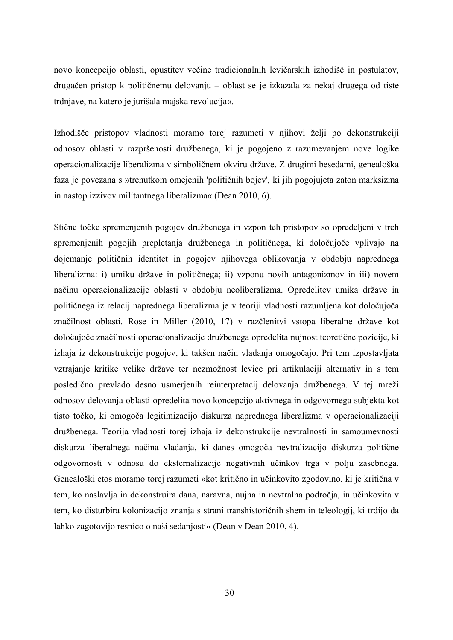novo koncepcijo oblasti, opustitev večine tradicionalnih levičarskih izhodišč in postulatov, drugačen pristop k političnemu delovanju – oblast se je izkazala za nekaj drugega od tiste trdnjave, na katero je jurišala majska revolucija«.

Izhodišče pristopov vladnosti moramo torej razumeti v njihovi želji po dekonstrukciji odnosov oblasti v razpršenosti družbenega, ki je pogojeno z razumevanjem nove logike operacionalizacije liberalizma v simboličnem okviru države. Z drugimi besedami, genealoška faza je povezana s »trenutkom omejenih 'političnih bojev', ki jih pogojujeta zaton marksizma in nastop izzivov militantnega liberalizma« (Dean 2010, 6).

Stične točke spremenjenih pogojev družbenega in vzpon teh pristopov so opredeljeni v treh spremenjenih pogojih prepletanja družbenega in političnega, ki določujoče vplivajo na dojemanje političnih identitet in pogojev njihovega oblikovanja v obdobju naprednega liberalizma: i) umiku države in političnega; ii) vzponu novih antagonizmov in iii) novem načinu operacionalizacije oblasti v obdobju neoliberalizma. Opredelitev umika države in političnega iz relacij naprednega liberalizma je v teoriji vladnosti razumljena kot določujoča značilnost oblasti. Rose in Miller (2010, 17) v razčlenitvi vstopa liberalne države kot določujoče značilnosti operacionalizacije družbenega opredelita nujnost teoretične pozicije, ki izhaja iz dekonstrukcije pogojev, ki takšen način vladanja omogočajo. Pri tem izpostavljata vztrajanje kritike velike države ter nezmožnost levice pri artikulaciji alternativ in s tem posledično prevlado desno usmerjenih reinterpretacij delovanja družbenega. V tej mreži odnosov delovanja oblasti opredelita novo koncepcijo aktivnega in odgovornega subjekta kot tisto točko, ki omogoča legitimizacijo diskurza naprednega liberalizma v operacionalizaciji družbenega. Teorija vladnosti torej izhaja iz dekonstrukcije nevtralnosti in samoumevnosti diskurza liberalnega načina vladanja, ki danes omogoča nevtralizacijo diskurza politične odgovornosti v odnosu do eksternalizacije negativnih učinkov trga v polju zasebnega. Genealoški etos moramo torej razumeti »kot kritično in učinkovito zgodovino, ki je kritična v tem, ko naslavlja in dekonstruira dana, naravna, nujna in nevtralna področja, in učinkovita v tem, ko disturbira kolonizacijo znanja s strani transhistoričnih shem in teleologij, ki trdijo da lahko zagotovijo resnico o naši sedanjosti« (Dean v Dean 2010, 4).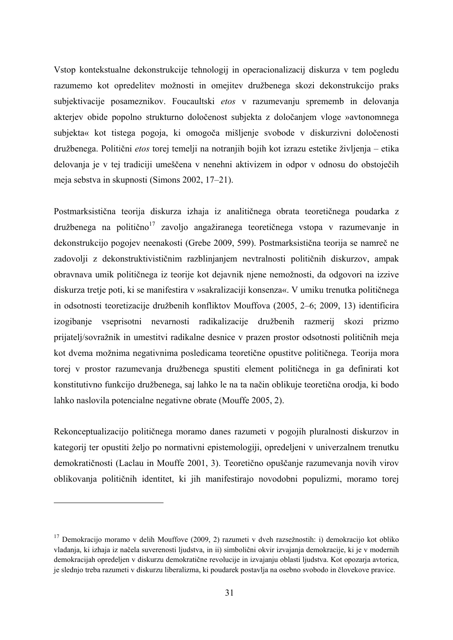Vstop kontekstualne dekonstrukcije tehnologij in operacionalizacij diskurza v tem pogledu razumemo kot opredelitev možnosti in omejitev družbenega skozi dekonstrukcijo praks subjektivacije posameznikov. Foucaultski *etos* v razumevanju sprememb in delovanja akterjev obide popolno strukturno določenost subjekta z določanjem vloge »avtonomnega subjekta« kot tistega pogoja, ki omogoča mišljenje svobode v diskurzivni določenosti družbenega. Politični *etos* torej temelji na notranjih bojih kot izrazu estetike življenja – etika delovanja je v tej tradiciji umeščena v nenehni aktivizem in odpor v odnosu do obstoječih meja sebstva in skupnosti (Simons 2002, 17–21).

Postmarksistična teorija diskurza izhaja iz analitičnega obrata teoretičnega poudarka z  $d\mu$ žbenega na politično<sup>17</sup> zavoljo angažiranega teoretičnega vstopa v razumevanje in dekonstrukcijo pogojev neenakosti (Grebe 2009, 599). Postmarksistična teorija se namreč ne zadovolji z dekonstruktivističnim razblinjanjem nevtralnosti političnih diskurzov, ampak obravnava umik političnega iz teorije kot dejavnik njene nemožnosti, da odgovori na izzive diskurza tretje poti, ki se manifestira v »sakralizaciji konsenza«. V umiku trenutka političnega in odsotnosti teoretizacije družbenih konfliktov Mouffova (2005, 2–6; 2009, 13) identificira izogibanje vseprisotni nevarnosti radikalizacije družbenih razmerij skozi prizmo prijatelj/sovražnik in umestitvi radikalne desnice v prazen prostor odsotnosti političnih meja kot dvema možnima negativnima posledicama teoretične opustitve političnega. Teorija mora torej v prostor razumevanja družbenega spustiti element političnega in ga definirati kot konstitutivno funkcijo družbenega, saj lahko le na ta način oblikuje teoretična orodja, ki bodo lahko naslovila potencialne negativne obrate (Mouffe 2005, 2).

Rekonceptualizacijo političnega moramo danes razumeti v pogojih pluralnosti diskurzov in kategorij ter opustiti željo po normativni epistemologiji, opredeljeni v univerzalnem trenutku demokratičnosti (Laclau in Mouffe 2001, 3). Teoretično opuščanje razumevanja novih virov oblikovanja političnih identitet, ki jih manifestirajo novodobni populizmi, moramo torej

**.** 

<sup>&</sup>lt;sup>17</sup> Demokracijo moramo v delih Mouffove (2009, 2) razumeti v dveh razsežnostih: i) demokracijo kot obliko vladanja, ki izhaja iz načela suverenosti ljudstva, in ii) simbolični okvir izvajanja demokracije, ki je v modernih demokracijah opredeljen v diskurzu demokratične revolucije in izvajanju oblasti ljudstva. Kot opozarja avtorica, je slednjo treba razumeti v diskurzu liberalizma, ki poudarek postavlja na osebno svobodo in človekove pravice.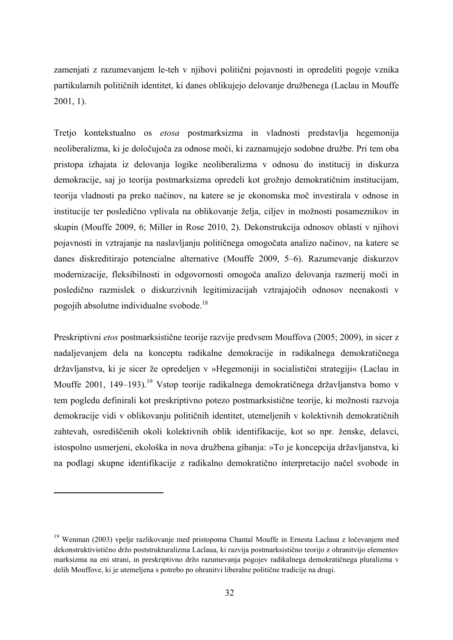zamenjati z razumevanjem le-teh v njihovi politični pojavnosti in opredeliti pogoje vznika partikularnih političnih identitet, ki danes oblikujejo delovanje družbenega (Laclau in Mouffe 2001, 1).

Tretjo kontekstualno os *etosa* postmarksizma in vladnosti predstavlja hegemonija neoliberalizma, ki je določujoča za odnose moči, ki zaznamujejo sodobne družbe. Pri tem oba pristopa izhajata iz delovanja logike neoliberalizma v odnosu do institucij in diskurza demokracije, saj jo teorija postmarksizma opredeli kot grožnjo demokratičnim institucijam, teorija vladnosti pa preko načinov, na katere se je ekonomska moč investirala v odnose in institucije ter posledično vplivala na oblikovanje želja, ciljev in možnosti posameznikov in skupin (Mouffe 2009, 6; Miller in Rose 2010, 2). Dekonstrukcija odnosov oblasti v njihovi pojavnosti in vztrajanje na naslavljanju političnega omogočata analizo načinov, na katere se danes diskreditirajo potencialne alternative (Mouffe 2009, 5–6). Razumevanje diskurzov modernizacije, fleksibilnosti in odgovornosti omogoča analizo delovanja razmerij moči in posledično razmislek o diskurzivnih legitimizacijah vztrajajočih odnosov neenakosti v pogojih absolutne individualne svobode.18

Preskriptivni *etos* postmarksistične teorije razvije predvsem Mouffova (2005; 2009), in sicer z nadaljevanjem dela na konceptu radikalne demokracije in radikalnega demokratičnega državljanstva, ki je sicer že opredeljen v »Hegemoniji in socialistični strategiji« (Laclau in Mouffe 2001, 149–193).<sup>19</sup> Vstop teorije radikalnega demokratičnega državljanstva bomo v tem pogledu definirali kot preskriptivno potezo postmarksistične teorije, ki možnosti razvoja demokracije vidi v oblikovanju političnih identitet, utemeljenih v kolektivnih demokratičnih zahtevah, osrediščenih okoli kolektivnih oblik identifikacije, kot so npr. ženske, delavci, istospolno usmerjeni, ekološka in nova družbena gibanja: »To je koncepcija državljanstva, ki na podlagi skupne identifikacije z radikalno demokratično interpretacijo načel svobode in

1

<sup>&</sup>lt;sup>19</sup> Wenman (2003) vpelje razlikovanje med pristopoma Chantal Mouffe in Ernesta Laclaua z ločevanjem med dekonstruktivistično držo poststrukturalizma Laclaua, ki razvija postmarksistično teorijo z ohranitvijo elementov marksizma na eni strani, in preskriptivno držo razumevanja pogojev radikalnega demokratičnega pluralizma v delih Mouffove, ki je utemeljena s potrebo po ohranitvi liberalne politične tradicije na drugi.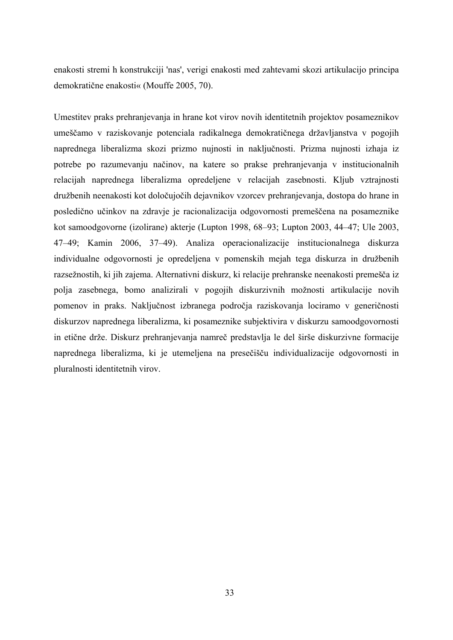enakosti stremi h konstrukciji 'nas', verigi enakosti med zahtevami skozi artikulacijo principa demokratične enakosti« (Mouffe 2005, 70).

Umestitev praks prehranjevanja in hrane kot virov novih identitetnih projektov posameznikov umeščamo v raziskovanje potenciala radikalnega demokratičnega državljanstva v pogojih naprednega liberalizma skozi prizmo nujnosti in naključnosti. Prizma nujnosti izhaja iz potrebe po razumevanju načinov, na katere so prakse prehranjevanja v institucionalnih relacijah naprednega liberalizma opredeljene v relacijah zasebnosti. Kljub vztrajnosti družbenih neenakosti kot določujočih dejavnikov vzorcev prehranjevanja, dostopa do hrane in posledično učinkov na zdravje je racionalizacija odgovornosti premeščena na posameznike kot samoodgovorne (izolirane) akterje (Lupton 1998, 68–93; Lupton 2003, 44–47; Ule 2003, 47–49; Kamin 2006, 37–49). Analiza operacionalizacije institucionalnega diskurza individualne odgovornosti je opredeljena v pomenskih mejah tega diskurza in družbenih razsežnostih, ki jih zajema. Alternativni diskurz, ki relacije prehranske neenakosti premešča iz polja zasebnega, bomo analizirali v pogojih diskurzivnih možnosti artikulacije novih pomenov in praks. Naključnost izbranega področja raziskovanja lociramo v generičnosti diskurzov naprednega liberalizma, ki posameznike subjektivira v diskurzu samoodgovornosti in etične drže. Diskurz prehranjevanja namreč predstavlja le del širše diskurzivne formacije naprednega liberalizma, ki je utemeljena na presečišču individualizacije odgovornosti in pluralnosti identitetnih virov.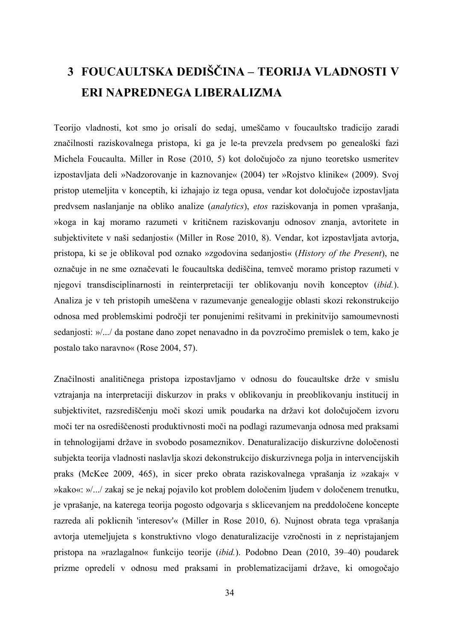# **3 FOUCAULTSKA DEDIŠČINA – TEORIJA VLADNOSTI V ERI NAPREDNEGA LIBERALIZMA**

Teorijo vladnosti, kot smo jo orisali do sedaj, umeščamo v foucaultsko tradicijo zaradi značilnosti raziskovalnega pristopa, ki ga je le-ta prevzela predvsem po genealoški fazi Michela Foucaulta. Miller in Rose (2010, 5) kot določujočo za njuno teoretsko usmeritev izpostavljata deli »Nadzorovanje in kaznovanje« (2004) ter »Rojstvo klinike« (2009). Svoj pristop utemeljita v konceptih, ki izhajajo iz tega opusa, vendar kot določujoče izpostavljata predvsem naslanjanje na obliko analize (*analytics*), *etos* raziskovanja in pomen vprašanja, »koga in kaj moramo razumeti v kritičnem raziskovanju odnosov znanja, avtoritete in subjektivitete v naši sedanjosti« (Miller in Rose 2010, 8). Vendar, kot izpostavljata avtorja, pristopa, ki se je oblikoval pod oznako »zgodovina sedanjosti« (*History of the Present*), ne označuje in ne sme označevati le foucaultska dediščina, temveč moramo pristop razumeti v njegovi transdisciplinarnosti in reinterpretaciji ter oblikovanju novih konceptov (*ibid.*). Analiza je v teh pristopih umeščena v razumevanje genealogije oblasti skozi rekonstrukcijo odnosa med problemskimi področji ter ponujenimi rešitvami in prekinitvijo samoumevnosti sedanjosti: »/.../ da postane dano zopet nenavadno in da povzročimo premislek o tem, kako je postalo tako naravno« (Rose 2004, 57).

Značilnosti analitičnega pristopa izpostavljamo v odnosu do foucaultske drže v smislu vztrajanja na interpretaciji diskurzov in praks v oblikovanju in preoblikovanju institucij in subjektivitet, razsrediščenju moči skozi umik poudarka na državi kot določujočem izvoru moči ter na osrediščenosti produktivnosti moči na podlagi razumevanja odnosa med praksami in tehnologijami države in svobodo posameznikov. Denaturalizacijo diskurzivne določenosti subjekta teorija vladnosti naslavlja skozi dekonstrukcijo diskurzivnega polja in intervencijskih praks (McKee 2009, 465), in sicer preko obrata raziskovalnega vprašanja iz »zakaj« v »kako«: »/.../ zakaj se je nekaj pojavilo kot problem določenim ljudem v določenem trenutku, je vprašanje, na katerega teorija pogosto odgovarja s sklicevanjem na preddoločene koncepte razreda ali poklicnih 'interesov'« (Miller in Rose 2010, 6). Nujnost obrata tega vprašanja avtorja utemeljujeta s konstruktivno vlogo denaturalizacije vzročnosti in z nepristajanjem pristopa na »razlagalno« funkcijo teorije (*ibid.*). Podobno Dean (2010, 39–40) poudarek prizme opredeli v odnosu med praksami in problematizacijami države, ki omogočajo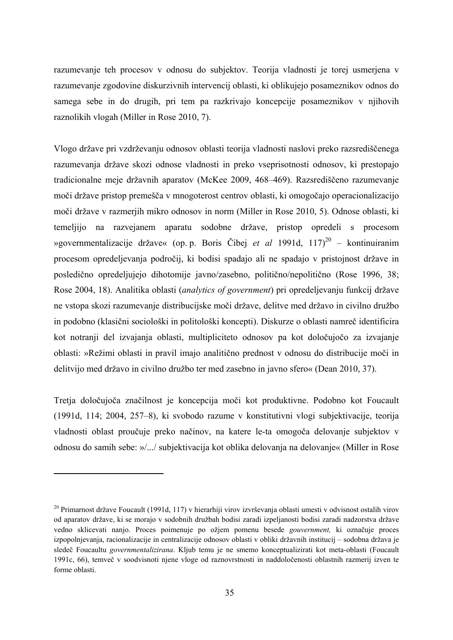razumevanje teh procesov v odnosu do subjektov. Teorija vladnosti je torej usmerjena v razumevanje zgodovine diskurzivnih intervencij oblasti, ki oblikujejo posameznikov odnos do samega sebe in do drugih, pri tem pa razkrivajo koncepcije posameznikov v njihovih raznolikih vlogah (Miller in Rose 2010, 7).

Vlogo države pri vzdrževanju odnosov oblasti teorija vladnosti naslovi preko razsrediščenega razumevanja države skozi odnose vladnosti in preko vseprisotnosti odnosov, ki prestopajo tradicionalne meje državnih aparatov (McKee 2009, 468–469). Razsrediščeno razumevanje moči države pristop premešča v mnogoterost centrov oblasti, ki omogočajo operacionalizacijo moči države v razmerjih mikro odnosov in norm (Miller in Rose 2010, 5). Odnose oblasti, ki temeljijo na razvejanem aparatu sodobne države, pristop opredeli s procesom »governmentalizacije države« (op. p. Boris Čibej *et al* 1991d, 117)20 – kontinuiranim procesom opredeljevanja področij, ki bodisi spadajo ali ne spadajo v pristojnost države in posledično opredeljujejo dihotomije javno/zasebno, politično/nepolitično (Rose 1996, 38; Rose 2004, 18). Analitika oblasti (*analytics of government*) pri opredeljevanju funkcij države ne vstopa skozi razumevanje distribucijske moči države, delitve med državo in civilno družbo in podobno (klasični sociološki in politološki koncepti). Diskurze o oblasti namreč identificira kot notranji del izvajanja oblasti, multipliciteto odnosov pa kot določujočo za izvajanje oblasti: »Režimi oblasti in pravil imajo analitično prednost v odnosu do distribucije moči in delitvijo med državo in civilno družbo ter med zasebno in javno sfero« (Dean 2010, 37).

Tretja določujoča značilnost je koncepcija moči kot produktivne. Podobno kot Foucault (1991d, 114; 2004, 257–8), ki svobodo razume v konstitutivni vlogi subjektivacije, teorija vladnosti oblast proučuje preko načinov, na katere le-ta omogoča delovanje subjektov v odnosu do samih sebe: »/.../ subjektivacija kot oblika delovanja na delovanje« (Miller in Rose

**.** 

<sup>&</sup>lt;sup>20</sup> Primarnost države Foucault (1991d, 117) v hierarhiji virov izvrševanja oblasti umesti v odvisnost ostalih virov od aparatov države, ki se morajo v sodobnih družbah bodisi zaradi izpeljanosti bodisi zaradi nadzorstva države vedno sklicevati nanjo. Proces poimenuje po ožjem pomenu besede *gouvernment,* ki označuje proces izpopolnjevanja, racionalizacije in centralizacije odnosov oblasti v obliki državnih institucij – sodobna država je sledeč Foucaultu *governmentalizirana*. Kljub temu je ne smemo konceptualizirati kot meta-oblasti (Foucault 1991c, 66), temveč v soodvisnoti njene vloge od raznovrstnosti in naddoločenosti oblastnih razmerij izven te forme oblasti.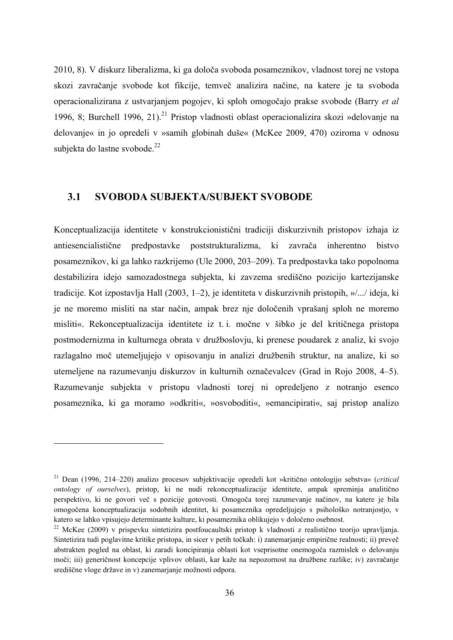2010, 8). V diskurz liberalizma, ki ga določa svoboda posameznikov, vladnost torej ne vstopa skozi zavračanje svobode kot fikcije, temveč analizira načine, na katere je ta svoboda operacionalizirana z ustvarjanjem pogojev, ki sploh omogočajo prakse svobode (Barry *et al*  1996, 8; Burchell 1996, 21).<sup>21</sup> Pristop vladnosti oblast operacionalizira skozi »delovanje na delovanje« in jo opredeli v »samih globinah duše« (McKee 2009, 470) oziroma v odnosu subjekta do lastne svobode.<sup>22</sup>

### **3.1 SVOBODA SUBJEKTA/SUBJEKT SVOBODE**

Konceptualizacija identitete v konstrukcionistični tradiciji diskurzivnih pristopov izhaja iz antiesencialistične predpostavke poststrukturalizma, ki zavrača inherentno bistvo posameznikov, ki ga lahko razkrijemo (Ule 2000, 203–209). Ta predpostavka tako popolnoma destabilizira idejo samozadostnega subjekta, ki zavzema središčno pozicijo kartezijanske tradicije. Kot izpostavlja Hall (2003, 1–2), je identiteta v diskurzivnih pristopih, »/.../ ideja, ki je ne moremo misliti na star način, ampak brez nje določenih vprašanj sploh ne moremo misliti«. Rekonceptualizacija identitete iz t. i. močne v šibko je del kritičnega pristopa postmodernizma in kulturnega obrata v družboslovju, ki prenese poudarek z analiz, ki svojo razlagalno moč utemeljujejo v opisovanju in analizi družbenih struktur, na analize, ki so utemeljene na razumevanju diskurzov in kulturnih označevalcev (Grad in Rojo 2008, 4–5). Razumevanje subjekta v pristopu vladnosti torej ni opredeljeno z notranjo esenco posameznika, ki ga moramo »odkriti«, »osvoboditi«, »emancipirati«, saj pristop analizo

<sup>21</sup> Dean (1996, 214–220) analizo procesov subjektivacije opredeli kot »kritično ontologijo sebstva« (*critical ontology of ourselves*), pristop, ki ne nudi rekonceptualizacije identitete, ampak spreminja analitično perspektivo, ki ne govori več s pozicije gotovosti. Omogoča torej razumevanje načinov, na katere je bila omogočena konceptualizacija sodobnih identitet, ki posameznika opredeljujejo s psihološko notranjostjo, v katero se lahko vpisujejo determinante kulture, ki posameznika oblikujejo v določeno osebnost.<br><sup>22</sup> McKee (2009) v prispevku sintetizira postfoucaultski pristop k vladnosti z realistično teorijo upravljanja.

Sintetizira tudi poglavitne kritike pristopa, in sicer v petih točkah: i) zanemarjanje empirične realnosti; ii) preveč abstrakten pogled na oblast, ki zaradi koncipiranja oblasti kot vseprisotne onemogoča razmislek o delovanju moči; iii) generičnost koncepcije vplivov oblasti, kar kaže na nepozornost na družbene razlike; iv) zavračanje središčne vloge države in v) zanemarjanje možnosti odpora.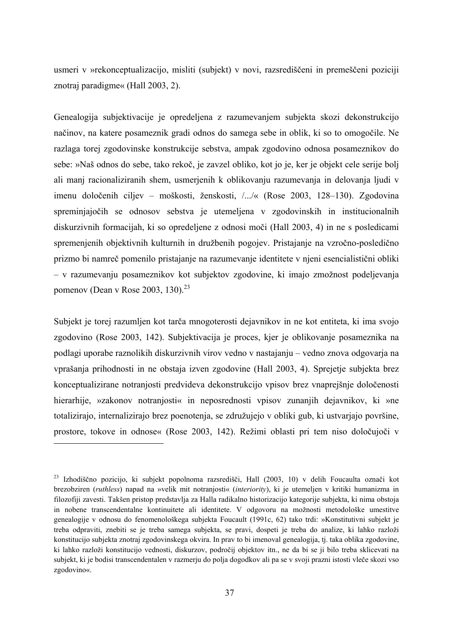usmeri v »rekonceptualizacijo, misliti (subjekt) v novi, razsrediščeni in premeščeni poziciji znotraj paradigme« (Hall 2003, 2).

Genealogija subjektivacije je opredeljena z razumevanjem subjekta skozi dekonstrukcijo načinov, na katere posameznik gradi odnos do samega sebe in oblik, ki so to omogočile. Ne razlaga torej zgodovinske konstrukcije sebstva, ampak zgodovino odnosa posameznikov do sebe: »Naš odnos do sebe, tako rekoč, je zavzel obliko, kot jo je, ker je objekt cele serije bolj ali manj racionaliziranih shem, usmerjenih k oblikovanju razumevanja in delovanja ljudi v imenu določenih ciljev – moškosti, ženskosti, /.../« (Rose 2003, 128–130). Zgodovina spreminjajočih se odnosov sebstva je utemeljena v zgodovinskih in institucionalnih diskurzivnih formacijah, ki so opredeljene z odnosi moči (Hall 2003, 4) in ne s posledicami spremenjenih objektivnih kulturnih in družbenih pogojev. Pristajanje na vzročno-posledično prizmo bi namreč pomenilo pristajanje na razumevanje identitete v njeni esencialistični obliki – v razumevanju posameznikov kot subjektov zgodovine, ki imajo zmožnost podeljevanja pomenov (Dean v Rose 2003, 130). $^{23}$ 

Subjekt je torej razumljen kot tarča mnogoterosti dejavnikov in ne kot entiteta, ki ima svojo zgodovino (Rose 2003, 142). Subjektivacija je proces, kjer je oblikovanje posameznika na podlagi uporabe raznolikih diskurzivnih virov vedno v nastajanju – vedno znova odgovarja na vprašanja prihodnosti in ne obstaja izven zgodovine (Hall 2003, 4). Sprejetje subjekta brez konceptualizirane notranjosti predvideva dekonstrukcijo vpisov brez vnaprejšnje določenosti hierarhije, »zakonov notranjosti« in neposrednosti vpisov zunanjih dejavnikov, ki »ne totalizirajo, internalizirajo brez poenotenja, se združujejo v obliki gub, ki ustvarjajo površine, prostore, tokove in odnose« (Rose 2003, 142). Režimi oblasti pri tem niso določujoči v

<sup>23</sup> Izhodiščno pozicijo, ki subjekt popolnoma razsredišči, Hall (2003, 10) v delih Foucaulta označi kot brezobziren (*ruthless*) napad na »velik mit notranjosti« (*interiority*), ki je utemeljen v kritiki humanizma in filozofiji zavesti. Takšen pristop predstavlja za Halla radikalno historizacijo kategorije subjekta, ki nima obstoja in nobene transcendentalne kontinuitete ali identitete. V odgovoru na možnosti metodološke umestitve genealogije v odnosu do fenomenološkega subjekta Foucault (1991c, 62) tako trdi: »Konstitutivni subjekt je treba odpraviti, znebiti se je treba samega subjekta, se pravi, dospeti je treba do analize, ki lahko razloži konstitucijo subjekta znotraj zgodovinskega okvira. In prav to bi imenoval genealogija, tj. taka oblika zgodovine, ki lahko razloži konstitucijo vednosti, diskurzov, področij objektov itn., ne da bi se ji bilo treba sklicevati na subjekt, ki je bodisi transcendentalen v razmerju do polja dogodkov ali pa se v svoji prazni istosti vleče skozi vso zgodovino«.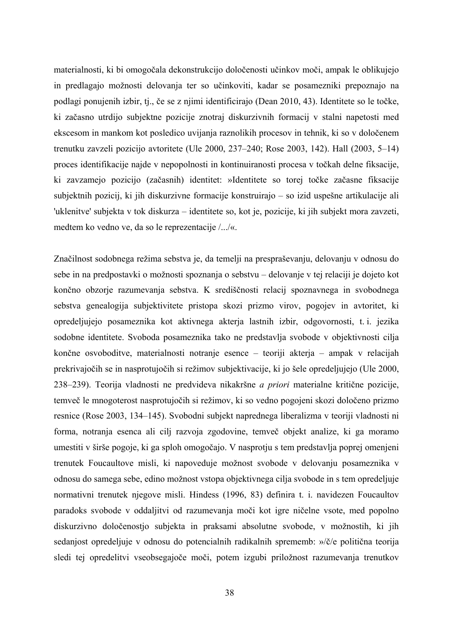materialnosti, ki bi omogočala dekonstrukcijo določenosti učinkov moči, ampak le oblikujejo in predlagajo možnosti delovanja ter so učinkoviti, kadar se posamezniki prepoznajo na podlagi ponujenih izbir, tj., če se z njimi identificirajo (Dean 2010, 43). Identitete so le točke, ki začasno utrdijo subjektne pozicije znotraj diskurzivnih formacij v stalni napetosti med ekscesom in mankom kot posledico uvijanja raznolikih procesov in tehnik, ki so v določenem trenutku zavzeli pozicijo avtoritete (Ule 2000, 237–240; Rose 2003, 142). Hall (2003, 5–14) proces identifikacije najde v nepopolnosti in kontinuiranosti procesa v točkah delne fiksacije, ki zavzamejo pozicijo (začasnih) identitet: »Identitete so torej točke začasne fiksacije subjektnih pozicij, ki jih diskurzivne formacije konstruirajo – so izid uspešne artikulacije ali 'uklenitve' subjekta v tok diskurza – identitete so, kot je, pozicije, ki jih subjekt mora zavzeti, medtem ko vedno ve, da so le reprezentacije /.../«.

Značilnost sodobnega režima sebstva je, da temelji na prespraševanju, delovanju v odnosu do sebe in na predpostavki o možnosti spoznanja o sebstvu – delovanje v tej relaciji je dojeto kot končno obzorje razumevanja sebstva. K središčnosti relacij spoznavnega in svobodnega sebstva genealogija subjektivitete pristopa skozi prizmo virov, pogojev in avtoritet, ki opredeljujejo posameznika kot aktivnega akterja lastnih izbir, odgovornosti, t. i. jezika sodobne identitete. Svoboda posameznika tako ne predstavlja svobode v objektivnosti cilja končne osvoboditve, materialnosti notranje esence – teoriji akterja – ampak v relacijah prekrivajočih se in nasprotujočih si režimov subjektivacije, ki jo šele opredeljujejo (Ule 2000, 238–239). Teorija vladnosti ne predvideva nikakršne *a priori* materialne kritične pozicije, temveč le mnogoterost nasprotujočih si režimov, ki so vedno pogojeni skozi določeno prizmo resnice (Rose 2003, 134–145). Svobodni subjekt naprednega liberalizma v teoriji vladnosti ni forma, notranja esenca ali cilj razvoja zgodovine, temveč objekt analize, ki ga moramo umestiti v širše pogoje, ki ga sploh omogočajo. V nasprotju s tem predstavlja poprej omenjeni trenutek Foucaultove misli, ki napoveduje možnost svobode v delovanju posameznika v odnosu do samega sebe, edino možnost vstopa objektivnega cilja svobode in s tem opredeljuje normativni trenutek njegove misli. Hindess (1996, 83) definira t. i. navidezen Foucaultov paradoks svobode v oddaljitvi od razumevanja moči kot igre ničelne vsote, med popolno diskurzivno določenostjo subjekta in praksami absolutne svobode, v možnostih, ki jih sedanjost opredeljuje v odnosu do potencialnih radikalnih sprememb: »/č/e politična teorija sledi tej opredelitvi vseobsegajoče moči, potem izgubi priložnost razumevanja trenutkov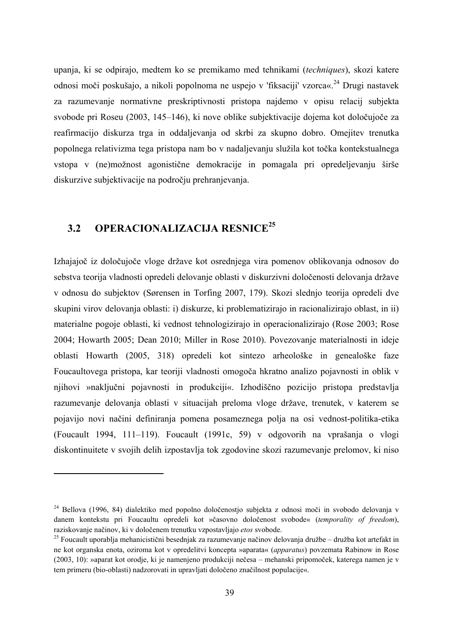upanja, ki se odpirajo, medtem ko se premikamo med tehnikami (*techniques*), skozi katere odnosi moči poskušajo, a nikoli popolnoma ne uspejo v 'fiksaciji' vzorca« $^{24}$  Drugi nastavek za razumevanje normativne preskriptivnosti pristopa najdemo v opisu relacij subjekta svobode pri Roseu (2003, 145–146), ki nove oblike subjektivacije dojema kot določujoče za reafirmacijo diskurza trga in oddaljevanja od skrbi za skupno dobro. Omejitev trenutka popolnega relativizma tega pristopa nam bo v nadaljevanju služila kot točka kontekstualnega vstopa v (ne)možnost agonistične demokracije in pomagala pri opredeljevanju širše diskurzive subjektivacije na področju prehranjevanja.

# **3.2 OPERACIONALIZACIJA RESNICE<sup>25</sup>**

**.** 

Izhajajoč iz določujoče vloge države kot osrednjega vira pomenov oblikovanja odnosov do sebstva teorija vladnosti opredeli delovanje oblasti v diskurzivni določenosti delovanja države v odnosu do subjektov (Sørensen in Torfing 2007, 179). Skozi slednjo teorija opredeli dve skupini virov delovanja oblasti: i) diskurze, ki problematizirajo in racionalizirajo oblast, in ii) materialne pogoje oblasti, ki vednost tehnologizirajo in operacionalizirajo (Rose 2003; Rose 2004; Howarth 2005; Dean 2010; Miller in Rose 2010). Povezovanje materialnosti in ideje oblasti Howarth (2005, 318) opredeli kot sintezo arheološke in genealoške faze Foucaultovega pristopa, kar teoriji vladnosti omogoča hkratno analizo pojavnosti in oblik v njihovi »naključni pojavnosti in produkciji«. Izhodiščno pozicijo pristopa predstavlja razumevanje delovanja oblasti v situacijah preloma vloge države, trenutek, v katerem se pojavijo novi načini definiranja pomena posameznega polja na osi vednost-politika-etika (Foucault 1994, 111–119). Foucault (1991c, 59) v odgovorih na vprašanja o vlogi diskontinuitete v svojih delih izpostavlja tok zgodovine skozi razumevanje prelomov, ki niso

<sup>&</sup>lt;sup>24</sup> Bellova (1996, 84) dialektiko med popolno določenostjo subjekta z odnosi moči in svobodo delovanja v danem kontekstu pri Foucaultu opredeli kot »časovno določenost svobode« (*temporality of freedom*), raziskovanje načinov, ki v določenem trenutku vzpostavljajo *etos* svobode. 25 Foucault uporablja mehanicistični besednjak za razumevanje načinov delovanja družbe – družba kot artefakt in

ne kot organska enota, oziroma kot v opredelitvi koncepta »aparata« (*apparatus*) povzemata Rabinow in Rose (2003, 10): »aparat kot orodje, ki je namenjeno produkciji nečesa – mehanski pripomoček, katerega namen je v tem primeru (bio-oblasti) nadzorovati in upravljati določeno značilnost populacije«.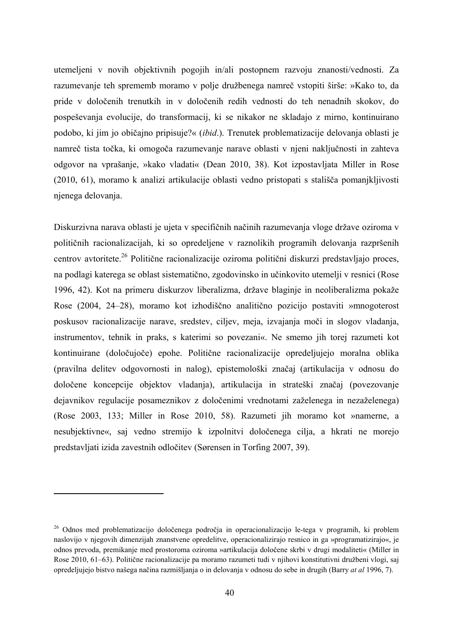utemeljeni v novih objektivnih pogojih in/ali postopnem razvoju znanosti/vednosti. Za razumevanje teh sprememb moramo v polje družbenega namreč vstopiti širše: »Kako to, da pride v določenih trenutkih in v določenih redih vednosti do teh nenadnih skokov, do pospeševanja evolucije, do transformacij, ki se nikakor ne skladajo z mirno, kontinuirano podobo, ki jim jo običajno pripisuje?« (*ibid*.). Trenutek problematizacije delovanja oblasti je namreč tista točka, ki omogoča razumevanje narave oblasti v njeni naključnosti in zahteva odgovor na vprašanje, »kako vladati« (Dean 2010, 38). Kot izpostavljata Miller in Rose (2010, 61), moramo k analizi artikulacije oblasti vedno pristopati s stališča pomanjkljivosti njenega delovanja.

Diskurzivna narava oblasti je ujeta v specifičnih načinih razumevanja vloge države oziroma v političnih racionalizacijah, ki so opredeljene v raznolikih programih delovanja razpršenih centrov avtoritete.26 Politične racionalizacije oziroma politični diskurzi predstavljajo proces, na podlagi katerega se oblast sistematično, zgodovinsko in učinkovito utemelji v resnici (Rose 1996, 42). Kot na primeru diskurzov liberalizma, države blaginje in neoliberalizma pokaže Rose (2004, 24–28), moramo kot izhodiščno analitično pozicijo postaviti »mnogoterost poskusov racionalizacije narave, sredstev, ciljev, meja, izvajanja moči in slogov vladanja, instrumentov, tehnik in praks, s katerimi so povezani«. Ne smemo jih torej razumeti kot kontinuirane (določujoče) epohe. Politične racionalizacije opredeljujejo moralna oblika (pravilna delitev odgovornosti in nalog), epistemološki značaj (artikulacija v odnosu do določene koncepcije objektov vladanja), artikulacija in strateški značaj (povezovanje dejavnikov regulacije posameznikov z določenimi vrednotami zaželenega in nezaželenega) (Rose 2003, 133; Miller in Rose 2010, 58). Razumeti jih moramo kot »namerne, a nesubjektivne«, saj vedno stremijo k izpolnitvi določenega cilja, a hkrati ne morejo predstavljati izida zavestnih odločitev (Sørensen in Torfing 2007, 39).

 $\overline{a}$ 

<sup>26</sup> Odnos med problematizacijo določenega področja in operacionalizacijo le-tega v programih, ki problem naslovijo v njegovih dimenzijah znanstvene opredelitve, operacionalizirajo resnico in ga »programatizirajo«, je odnos prevoda, premikanje med prostoroma oziroma »artikulacija določene skrbi v drugi modaliteti« (Miller in Rose 2010, 61–63). Politične racionalizacije pa moramo razumeti tudi v njihovi konstitutivni družbeni vlogi, saj opredeljujejo bistvo našega načina razmišljanja o in delovanja v odnosu do sebe in drugih (Barry *at al* 1996, 7).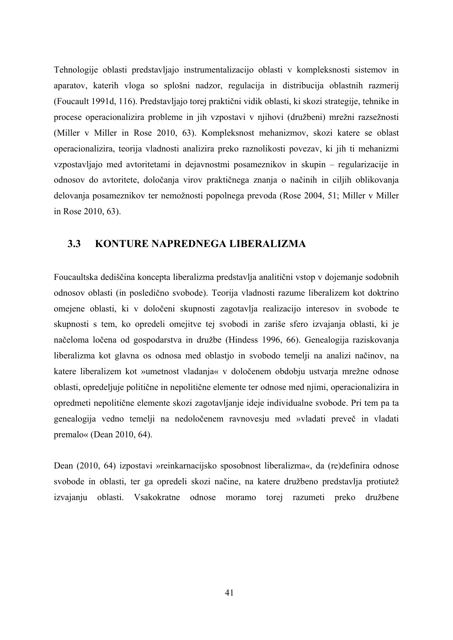Tehnologije oblasti predstavljajo instrumentalizacijo oblasti v kompleksnosti sistemov in aparatov, katerih vloga so splošni nadzor, regulacija in distribucija oblastnih razmerij (Foucault 1991d, 116). Predstavljajo torej praktični vidik oblasti, ki skozi strategije, tehnike in procese operacionalizira probleme in jih vzpostavi v njihovi (družbeni) mrežni razsežnosti (Miller v Miller in Rose 2010, 63). Kompleksnost mehanizmov, skozi katere se oblast operacionalizira, teorija vladnosti analizira preko raznolikosti povezav, ki jih ti mehanizmi vzpostavljajo med avtoritetami in dejavnostmi posameznikov in skupin – regularizacije in odnosov do avtoritete, določanja virov praktičnega znanja o načinih in ciljih oblikovanja delovanja posameznikov ter nemožnosti popolnega prevoda (Rose 2004, 51; Miller v Miller in Rose 2010, 63).

### **3.3 KONTURE NAPREDNEGA LIBERALIZMA**

Foucaultska dediščina koncepta liberalizma predstavlja analitični vstop v dojemanje sodobnih odnosov oblasti (in posledično svobode). Teorija vladnosti razume liberalizem kot doktrino omejene oblasti, ki v določeni skupnosti zagotavlja realizacijo interesov in svobode te skupnosti s tem, ko opredeli omejitve tej svobodi in zariše sfero izvajanja oblasti, ki je načeloma ločena od gospodarstva in družbe (Hindess 1996, 66). Genealogija raziskovanja liberalizma kot glavna os odnosa med oblastjo in svobodo temelji na analizi načinov, na katere liberalizem kot »umetnost vladanja« v določenem obdobju ustvarja mrežne odnose oblasti, opredeljuje politične in nepolitične elemente ter odnose med njimi, operacionalizira in opredmeti nepolitične elemente skozi zagotavljanje ideje individualne svobode. Pri tem pa ta genealogija vedno temelji na nedoločenem ravnovesju med »vladati preveč in vladati premalo« (Dean 2010, 64).

Dean (2010, 64) izpostavi »reinkarnacijsko sposobnost liberalizma«, da (re)definira odnose svobode in oblasti, ter ga opredeli skozi načine, na katere družbeno predstavlja protiutež izvajanju oblasti. Vsakokratne odnose moramo torej razumeti preko družbene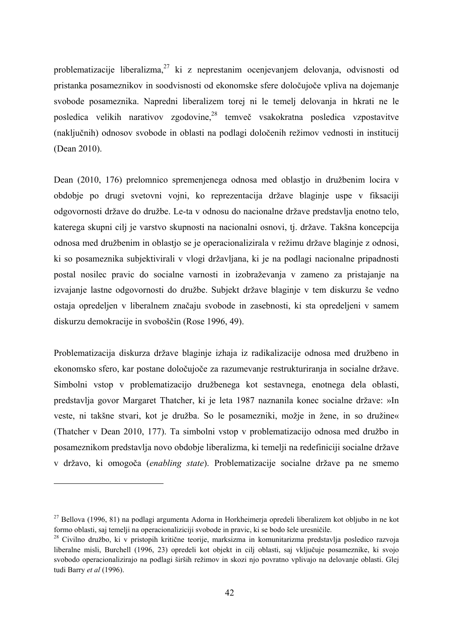problematizacije liberalizma,  $27$  ki z neprestanim ocenjevanjem delovanja, odvisnosti od pristanka posameznikov in soodvisnosti od ekonomske sfere določujoče vpliva na dojemanje svobode posameznika. Napredni liberalizem torej ni le temelj delovanja in hkrati ne le posledica velikih narativov zgodovine,28 temveč vsakokratna posledica vzpostavitve (naključnih) odnosov svobode in oblasti na podlagi določenih režimov vednosti in institucij (Dean 2010).

Dean (2010, 176) prelomnico spremenjenega odnosa med oblastjo in družbenim locira v obdobje po drugi svetovni vojni, ko reprezentacija države blaginje uspe v fiksaciji odgovornosti države do družbe. Le-ta v odnosu do nacionalne države predstavlja enotno telo, katerega skupni cilj je varstvo skupnosti na nacionalni osnovi, tj. države. Takšna koncepcija odnosa med družbenim in oblastjo se je operacionalizirala v režimu države blaginje z odnosi, ki so posameznika subjektivirali v vlogi državljana, ki je na podlagi nacionalne pripadnosti postal nosilec pravic do socialne varnosti in izobraževanja v zameno za pristajanje na izvajanje lastne odgovornosti do družbe. Subjekt države blaginje v tem diskurzu še vedno ostaja opredeljen v liberalnem značaju svobode in zasebnosti, ki sta opredeljeni v samem diskurzu demokracije in svoboščin (Rose 1996, 49).

Problematizacija diskurza države blaginje izhaja iz radikalizacije odnosa med družbeno in ekonomsko sfero, kar postane določujoče za razumevanje restrukturiranja in socialne države. Simbolni vstop v problematizacijo družbenega kot sestavnega, enotnega dela oblasti, predstavlja govor Margaret Thatcher, ki je leta 1987 naznanila konec socialne države: »In veste, ni takšne stvari, kot je družba. So le posamezniki, možje in žene, in so družine« (Thatcher v Dean 2010, 177). Ta simbolni vstop v problematizacijo odnosa med družbo in posameznikom predstavlja novo obdobje liberalizma, ki temelji na redefiniciji socialne države v državo, ki omogoča (*enabling state*). Problematizacije socialne države pa ne smemo

1

 $27$  Bellova (1996, 81) na podlagi argumenta Adorna in Horkheimerja opredeli liberalizem kot obljubo in ne kot formo oblasti, saj temelji na operacionaliziciji svobode in pravic, ki se bodo šele uresničile.<br><sup>28</sup> Civilno družbo, ki v pristopih kritične teorije, marksizma in komunitarizma predstavlja posledico razvoja

liberalne misli, Burchell (1996, 23) opredeli kot objekt in cilj oblasti, saj vključuje posameznike, ki svojo svobodo operacionalizirajo na podlagi širših režimov in skozi njo povratno vplivajo na delovanje oblasti. Glej tudi Barry *et al* (1996).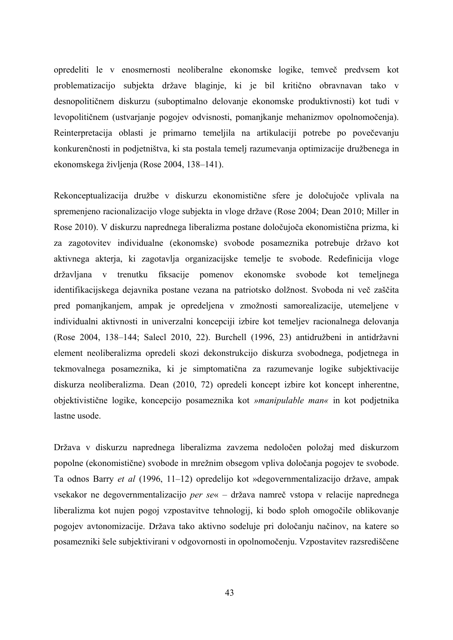opredeliti le v enosmernosti neoliberalne ekonomske logike, temveč predvsem kot problematizacijo subjekta države blaginje, ki je bil kritično obravnavan tako v desnopolitičnem diskurzu (suboptimalno delovanje ekonomske produktivnosti) kot tudi v levopolitičnem (ustvarjanje pogojev odvisnosti, pomanjkanje mehanizmov opolnomočenja). Reinterpretacija oblasti je primarno temeljila na artikulaciji potrebe po povečevanju konkurenčnosti in podjetništva, ki sta postala temelj razumevanja optimizacije družbenega in ekonomskega življenja (Rose 2004, 138–141).

Rekonceptualizacija družbe v diskurzu ekonomistične sfere je določujoče vplivala na spremenjeno racionalizacijo vloge subjekta in vloge države (Rose 2004; Dean 2010; Miller in Rose 2010). V diskurzu naprednega liberalizma postane določujoča ekonomistična prizma, ki za zagotovitev individualne (ekonomske) svobode posameznika potrebuje državo kot aktivnega akterja, ki zagotavlja organizacijske temelje te svobode. Redefinicija vloge državljana v trenutku fiksacije pomenov ekonomske svobode kot temeljnega identifikacijskega dejavnika postane vezana na patriotsko dolžnost. Svoboda ni več zaščita pred pomanjkanjem, ampak je opredeljena v zmožnosti samorealizacije, utemeljene v individualni aktivnosti in univerzalni koncepciji izbire kot temeljev racionalnega delovanja (Rose 2004, 138–144; Salecl 2010, 22). Burchell (1996, 23) antidružbeni in antidržavni element neoliberalizma opredeli skozi dekonstrukcijo diskurza svobodnega, podjetnega in tekmovalnega posameznika, ki je simptomatična za razumevanje logike subjektivacije diskurza neoliberalizma. Dean (2010, 72) opredeli koncept izbire kot koncept inherentne, objektivistične logike, koncepcijo posameznika kot *»manipulable man«* in kot podjetnika lastne usode.

Država v diskurzu naprednega liberalizma zavzema nedoločen položaj med diskurzom popolne (ekonomistične) svobode in mrežnim obsegom vpliva določanja pogojev te svobode. Ta odnos Barry *et al* (1996, 11–12) opredelijo kot »degovernmentalizacijo države, ampak vsekakor ne degovernmentalizacijo *per se*« – država namreč vstopa v relacije naprednega liberalizma kot nujen pogoj vzpostavitve tehnologij, ki bodo sploh omogočile oblikovanje pogojev avtonomizacije. Država tako aktivno sodeluje pri določanju načinov, na katere so posamezniki šele subjektivirani v odgovornosti in opolnomočenju. Vzpostavitev razsrediščene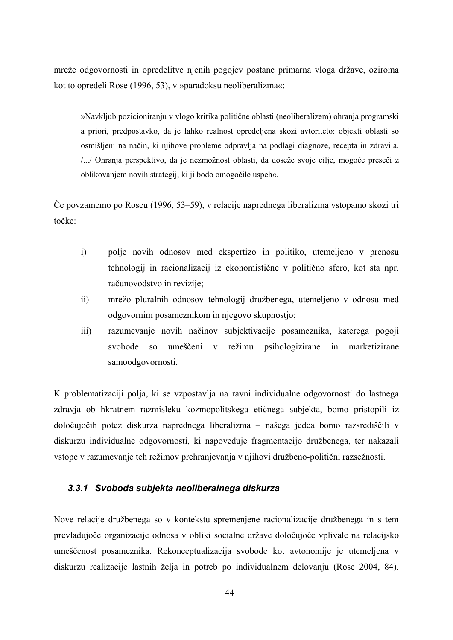mreže odgovornosti in opredelitve njenih pogojev postane primarna vloga države, oziroma kot to opredeli Rose (1996, 53), v »paradoksu neoliberalizma«:

»Navkljub pozicioniranju v vlogo kritika politične oblasti (neoliberalizem) ohranja programski a priori, predpostavko, da je lahko realnost opredeljena skozi avtoriteto: objekti oblasti so osmišljeni na način, ki njihove probleme odpravlja na podlagi diagnoze, recepta in zdravila. /.../ Ohranja perspektivo, da je nezmožnost oblasti, da doseže svoje cilje, mogoče preseči z oblikovanjem novih strategij, ki ji bodo omogočile uspeh«.

Če povzamemo po Roseu (1996, 53–59), v relacije naprednega liberalizma vstopamo skozi tri točke:

- i) polje novih odnosov med ekspertizo in politiko, utemeljeno v prenosu tehnologij in racionalizacij iz ekonomistične v politično sfero, kot sta npr. računovodstvo in revizije;
- ii) mrežo pluralnih odnosov tehnologij družbenega, utemeljeno v odnosu med odgovornim posameznikom in njegovo skupnostjo;
- iii) razumevanje novih načinov subjektivacije posameznika, katerega pogoji svobode so umeščeni v režimu psihologizirane in marketizirane samoodgovornosti.

K problematizaciji polja, ki se vzpostavlja na ravni individualne odgovornosti do lastnega zdravja ob hkratnem razmisleku kozmopolitskega etičnega subjekta, bomo pristopili iz določujočih potez diskurza naprednega liberalizma – našega jedca bomo razsrediščili v diskurzu individualne odgovornosti, ki napoveduje fragmentacijo družbenega, ter nakazali vstope v razumevanje teh režimov prehranjevanja v njihovi družbeno-politični razsežnosti.

### *3.3.1 Svoboda subjekta neoliberalnega diskurza*

Nove relacije družbenega so v kontekstu spremenjene racionalizacije družbenega in s tem prevladujoče organizacije odnosa v obliki socialne države določujoče vplivale na relacijsko umeščenost posameznika. Rekonceptualizacija svobode kot avtonomije je utemeljena v diskurzu realizacije lastnih želja in potreb po individualnem delovanju (Rose 2004, 84).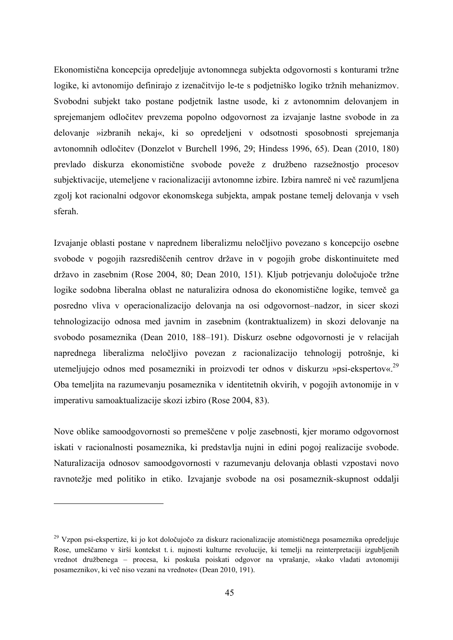Ekonomistična koncepcija opredeljuje avtonomnega subjekta odgovornosti s konturami tržne logike, ki avtonomijo definirajo z izenačitvijo le-te s podjetniško logiko tržnih mehanizmov. Svobodni subjekt tako postane podjetnik lastne usode, ki z avtonomnim delovanjem in sprejemanjem odločitev prevzema popolno odgovornost za izvajanje lastne svobode in za delovanje »izbranih nekaj«, ki so opredeljeni v odsotnosti sposobnosti sprejemanja avtonomnih odločitev (Donzelot v Burchell 1996, 29; Hindess 1996, 65). Dean (2010, 180) prevlado diskurza ekonomistične svobode poveže z družbeno razsežnostjo procesov subjektivacije, utemeljene v racionalizaciji avtonomne izbire. Izbira namreč ni več razumljena zgolj kot racionalni odgovor ekonomskega subjekta, ampak postane temelj delovanja v vseh sferah.

Izvajanje oblasti postane v naprednem liberalizmu neločljivo povezano s koncepcijo osebne svobode v pogojih razsrediščenih centrov države in v pogojih grobe diskontinuitete med državo in zasebnim (Rose 2004, 80; Dean 2010, 151). Kljub potrjevanju določujoče tržne logike sodobna liberalna oblast ne naturalizira odnosa do ekonomistične logike, temveč ga posredno vliva v operacionalizacijo delovanja na osi odgovornost–nadzor, in sicer skozi tehnologizacijo odnosa med javnim in zasebnim (kontraktualizem) in skozi delovanje na svobodo posameznika (Dean 2010, 188–191). Diskurz osebne odgovornosti je v relacijah naprednega liberalizma neločljivo povezan z racionalizacijo tehnologij potrošnje, ki utemeljujejo odnos med posamezniki in proizvodi ter odnos v diskurzu »psi-ekspertov«.<sup>29</sup> Oba temeljita na razumevanju posameznika v identitetnih okvirih, v pogojih avtonomije in v imperativu samoaktualizacije skozi izbiro (Rose 2004, 83).

Nove oblike samoodgovornosti so premeščene v polje zasebnosti, kjer moramo odgovornost iskati v racionalnosti posameznika, ki predstavlja nujni in edini pogoj realizacije svobode. Naturalizacija odnosov samoodgovornosti v razumevanju delovanja oblasti vzpostavi novo ravnotežje med politiko in etiko. Izvajanje svobode na osi posameznik-skupnost oddalji

<sup>&</sup>lt;sup>29</sup> Vzpon psi-ekspertize, ki jo kot določujočo za diskurz racionalizacije atomističnega posameznika opredeljuje Rose, umeščamo v širši kontekst t. i. nujnosti kulturne revolucije, ki temelji na reinterpretaciji izgubljenih vrednot družbenega – procesa, ki poskuša poiskati odgovor na vprašanje, »kako vladati avtonomiji posameznikov, ki več niso vezani na vrednote« (Dean 2010, 191).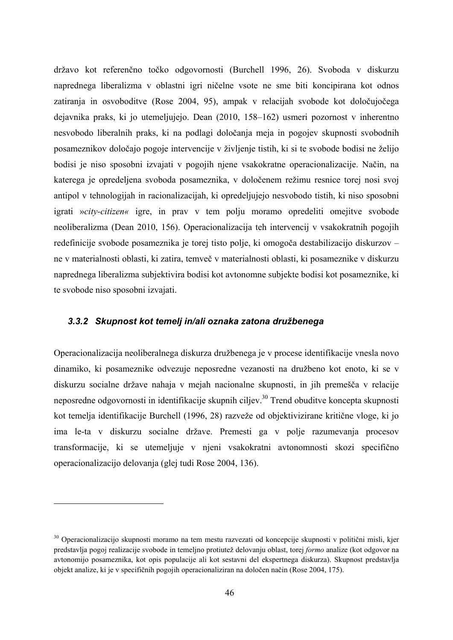državo kot referenčno točko odgovornosti (Burchell 1996, 26). Svoboda v diskurzu naprednega liberalizma v oblastni igri ničelne vsote ne sme biti koncipirana kot odnos zatiranja in osvoboditve (Rose 2004, 95), ampak v relacijah svobode kot določujočega dejavnika praks, ki jo utemeljujejo. Dean (2010, 158–162) usmeri pozornost v inherentno nesvobodo liberalnih praks, ki na podlagi določanja meja in pogojev skupnosti svobodnih posameznikov določajo pogoje intervencije v življenje tistih, ki si te svobode bodisi ne želijo bodisi je niso sposobni izvajati v pogojih njene vsakokratne operacionalizacije. Način, na katerega je opredeljena svoboda posameznika, v določenem režimu resnice torej nosi svoj antipol v tehnologijah in racionalizacijah, ki opredeljujejo nesvobodo tistih, ki niso sposobni igrati »*city-citizen«* igre, in prav v tem polju moramo opredeliti omejitve svobode neoliberalizma (Dean 2010, 156). Operacionalizacija teh intervencij v vsakokratnih pogojih redefinicije svobode posameznika je torej tisto polje, ki omogoča destabilizacijo diskurzov – ne v materialnosti oblasti, ki zatira, temveč v materialnosti oblasti, ki posameznike v diskurzu naprednega liberalizma subjektivira bodisi kot avtonomne subjekte bodisi kot posameznike, ki te svobode niso sposobni izvajati.

### *3.3.2 Skupnost kot temelj in/ali oznaka zatona družbenega*

**.** 

Operacionalizacija neoliberalnega diskurza družbenega je v procese identifikacije vnesla novo dinamiko, ki posameznike odvezuje neposredne vezanosti na družbeno kot enoto, ki se v diskurzu socialne države nahaja v mejah nacionalne skupnosti, in jih premešča v relacije neposredne odgovornosti in identifikacije skupnih ciljev.<sup>30</sup> Trend obuditve koncepta skupnosti kot temelja identifikacije Burchell (1996, 28) razveže od objektivizirane kritične vloge, ki jo ima le-ta v diskurzu socialne države. Premesti ga v polje razumevanja procesov transformacije, ki se utemeljuje v njeni vsakokratni avtonomnosti skozi specifično operacionalizacijo delovanja (glej tudi Rose 2004, 136).

<sup>&</sup>lt;sup>30</sup> Operacionalizacijo skupnosti moramo na tem mestu razvezati od koncepcije skupnosti v politični misli, kjer predstavlja pogoj realizacije svobode in temeljno protiutež delovanju oblast, torej *formo* analize (kot odgovor na avtonomijo posameznika, kot opis populacije ali kot sestavni del ekspertnega diskurza). Skupnost predstavlja objekt analize, ki je v specifičnih pogojih operacionaliziran na določen način (Rose 2004, 175).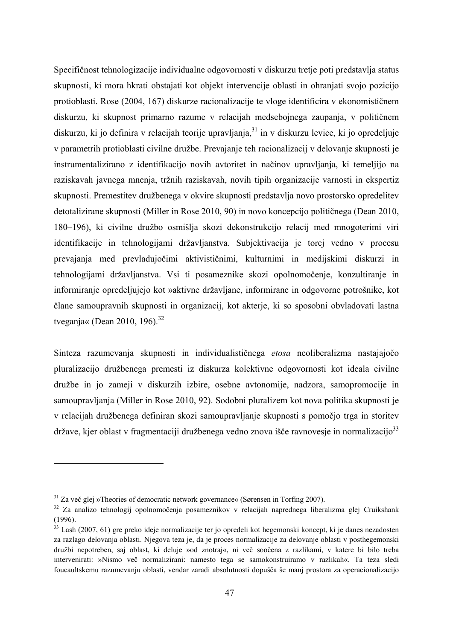Specifičnost tehnologizacije individualne odgovornosti v diskurzu tretje poti predstavlja status skupnosti, ki mora hkrati obstajati kot objekt intervencije oblasti in ohranjati svojo pozicijo protioblasti. Rose (2004, 167) diskurze racionalizacije te vloge identificira v ekonomističnem diskurzu, ki skupnost primarno razume v relacijah medsebojnega zaupanja, v političnem diskurzu, ki jo definira v relacijah teorije upravljanja,  $31$  in v diskurzu levice, ki jo opredeljuje v parametrih protioblasti civilne družbe. Prevajanje teh racionalizacij v delovanje skupnosti je instrumentalizirano z identifikacijo novih avtoritet in načinov upravljanja, ki temeljijo na raziskavah javnega mnenja, tržnih raziskavah, novih tipih organizacije varnosti in ekspertiz skupnosti. Premestitev družbenega v okvire skupnosti predstavlja novo prostorsko opredelitev detotalizirane skupnosti (Miller in Rose 2010, 90) in novo koncepcijo političnega (Dean 2010, 180–196), ki civilne družbo osmišlja skozi dekonstrukcijo relacij med mnogoterimi viri identifikacije in tehnologijami državljanstva. Subjektivacija je torej vedno v procesu prevajanja med prevladujočimi aktivističnimi, kulturnimi in medijskimi diskurzi in tehnologijami državljanstva. Vsi ti posameznike skozi opolnomočenje, konzultiranje in informiranje opredeljujejo kot »aktivne državljane, informirane in odgovorne potrošnike, kot člane samoupravnih skupnosti in organizacij, kot akterje, ki so sposobni obvladovati lastna tveganja« (Dean 2010, 196). $32$ 

Sinteza razumevanja skupnosti in individualističnega *etosa* neoliberalizma nastajajočo pluralizacijo družbenega premesti iz diskurza kolektivne odgovornosti kot ideala civilne družbe in jo zameji v diskurzih izbire, osebne avtonomije, nadzora, samopromocije in samoupravljanja (Miller in Rose 2010, 92). Sodobni pluralizem kot nova politika skupnosti je v relacijah družbenega definiran skozi samoupravljanje skupnosti s pomočjo trga in storitev države, kjer oblast v fragmentaciji družbenega vedno znova išče ravnovesje in normalizacijo<sup>33</sup>

<sup>&</sup>lt;sup>31</sup> Za več glej »Theories of democratic network governance« (Sørensen in Torfing 2007).<br><sup>32</sup> Za analizo tehnologij opolnomočenja posameznikov v relacijah naprednega liberalizma glej Cruikshank (1996).

<sup>&</sup>lt;sup>33</sup> Lash (2007, 61) gre preko ideje normalizacije ter jo opredeli kot hegemonski koncept, ki je danes nezadosten za razlago delovanja oblasti. Njegova teza je, da je proces normalizacije za delovanje oblasti v posthegemonski družbi nepotreben, saj oblast, ki deluje »od znotraj«, ni več soočena z razlikami, v katere bi bilo treba intervenirati: »Nismo več normalizirani: namesto tega se samokonstruiramo v razlikah«. Ta teza sledi foucaultskemu razumevanju oblasti, vendar zaradi absolutnosti dopušča še manj prostora za operacionalizacijo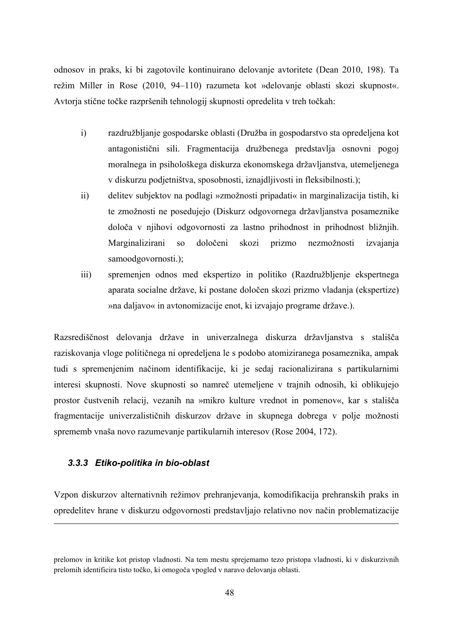odnosov in praks, ki bi zagotovile kontinuirano delovanje avtoritete (Dean 2010, 198). Ta režim Miller in Rose (2010, 94–110) razumeta kot »delovanje oblasti skozi skupnost«. Avtorja stične točke razpršenih tehnologij skupnosti opredelita v treh točkah:

- i) razdružbljanje gospodarske oblasti (Družba in gospodarstvo sta opredeljena kot antagonistični sili. Fragmentacija družbenega predstavlja osnovni pogoj moralnega in psihološkega diskurza ekonomskega državljanstva, utemeljenega v diskurzu podjetništva, sposobnosti, iznajdljivosti in fleksibilnosti.);
- ii) delitev subjektov na podlagi »zmožnosti pripadati« in marginalizacija tistih, ki te zmožnosti ne posedujejo (Diskurz odgovornega državljanstva posameznike določa v njihovi odgovornosti za lastno prihodnost in prihodnost bližnjih. Marginalizirani so določeni skozi prizmo nezmožnosti izvajanja samoodgovornosti.);
- iii) spremenjen odnos med ekspertizo in politiko (Razdružbljenje ekspertnega aparata socialne države, ki postane določen skozi prizmo vladanja (ekspertize) »na daljavo« in avtonomizacije enot, ki izvajajo programe države.).

Razsrediščnost delovanja države in univerzalnega diskurza državljanstva s stališča raziskovanja vloge političnega ni opredeljena le s podobo atomiziranega posameznika, ampak tudi s spremenjenim načinom identifikacije, ki je sedaj racionalizirana s partikularnimi interesi skupnosti. Nove skupnosti so namreč utemeljene v trajnih odnosih, ki oblikujejo prostor čustvenih relacij, vezanih na »mikro kulture vrednot in pomenov«, kar s stališča fragmentacije univerzalističnih diskurzov države in skupnega dobrega v polje možnosti sprememb vnaša novo razumevanje partikularnih interesov (Rose 2004, 172).

#### *3.3.3 Etiko-politika in bio-oblast*

1

Vzpon diskurzov alternativnih režimov prehranjevanja, komodifikacija prehranskih praks in opredelitev hrane v diskurzu odgovornosti predstavljajo relativno nov način problematizacije

prelomov in kritike kot pristop vladnosti. Na tem mestu sprejemamo tezo pristopa vladnosti, ki v diskurzivnih prelomih identificira tisto točko, ki omogoča vpogled v naravo delovanja oblasti.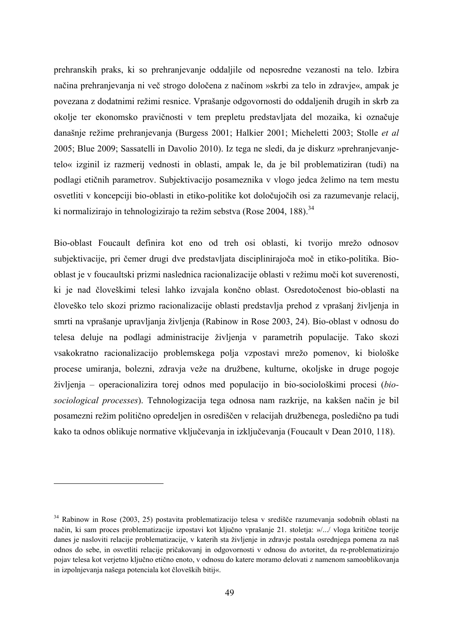prehranskih praks, ki so prehranjevanje oddaljile od neposredne vezanosti na telo. Izbira načina prehranjevanja ni več strogo določena z načinom »skrbi za telo in zdravje«, ampak je povezana z dodatnimi režimi resnice. Vprašanje odgovornosti do oddaljenih drugih in skrb za okolje ter ekonomsko pravičnosti v tem prepletu predstavljata del mozaika, ki označuje današnje režime prehranjevanja (Burgess 2001; Halkier 2001; Micheletti 2003; Stolle *et al* 2005; Blue 2009; Sassatelli in Davolio 2010). Iz tega ne sledi, da je diskurz »prehranjevanjetelo« izginil iz razmerij vednosti in oblasti, ampak le, da je bil problematiziran (tudi) na podlagi etičnih parametrov. Subjektivacijo posameznika v vlogo jedca želimo na tem mestu osvetliti v koncepciji bio-oblasti in etiko-politike kot določujočih osi za razumevanje relacij, ki normalizirajo in tehnologizirajo ta režim sebstva (Rose 2004, 188).<sup>34</sup>

Bio-oblast Foucault definira kot eno od treh osi oblasti, ki tvorijo mrežo odnosov subjektivacije, pri čemer drugi dve predstavljata disciplinirajoča moč in etiko-politika. Biooblast je v foucaultski prizmi naslednica racionalizacije oblasti v režimu moči kot suverenosti, ki je nad človeškimi telesi lahko izvajala končno oblast. Osredotočenost bio-oblasti na človeško telo skozi prizmo racionalizacije oblasti predstavlja prehod z vprašanj življenja in smrti na vprašanje upravljanja življenja (Rabinow in Rose 2003, 24). Bio-oblast v odnosu do telesa deluje na podlagi administracije življenja v parametrih populacije. Tako skozi vsakokratno racionalizacijo problemskega polja vzpostavi mrežo pomenov, ki biološke procese umiranja, bolezni, zdravja veže na družbene, kulturne, okoljske in druge pogoje življenja – operacionalizira torej odnos med populacijo in bio-sociološkimi procesi (*biosociological processes*). Tehnologizacija tega odnosa nam razkrije, na kakšen način je bil posamezni režim politično opredeljen in osrediščen v relacijah družbenega, posledično pa tudi kako ta odnos oblikuje normative vključevanja in izključevanja (Foucault v Dean 2010, 118).

1

<sup>34</sup> Rabinow in Rose (2003, 25) postavita problematizacijo telesa v središče razumevanja sodobnih oblasti na način, ki sam proces problematizacije izpostavi kot ključno vprašanje 21. stoletja: »/.../ vloga kritične teorije danes je nasloviti relacije problematizacije, v katerih sta življenje in zdravje postala osrednjega pomena za naš odnos do sebe, in osvetliti relacije pričakovanj in odgovornosti v odnosu do avtoritet, da re-problematizirajo pojav telesa kot verjetno ključno etično enoto, v odnosu do katere moramo delovati z namenom samooblikovanja in izpolnjevanja našega potenciala kot človeških bitij«.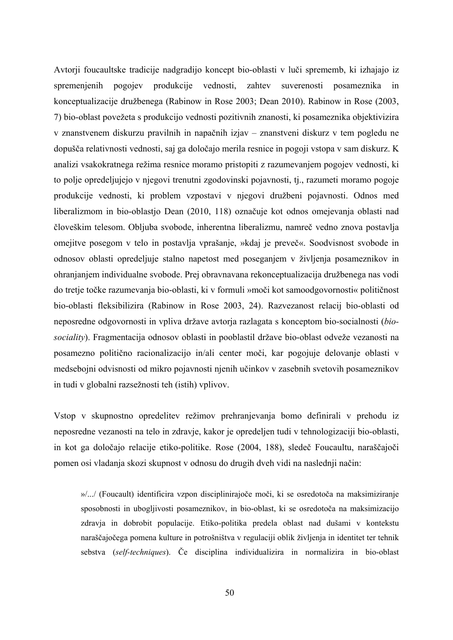Avtorji foucaultske tradicije nadgradijo koncept bio-oblasti v luči sprememb, ki izhajajo iz spremenjenih pogojev produkcije vednosti, zahtev suverenosti posameznika in konceptualizacije družbenega (Rabinow in Rose 2003; Dean 2010). Rabinow in Rose (2003, 7) bio-oblast povežeta s produkcijo vednosti pozitivnih znanosti, ki posameznika objektivizira v znanstvenem diskurzu pravilnih in napačnih izjav – znanstveni diskurz v tem pogledu ne dopušča relativnosti vednosti, saj ga določajo merila resnice in pogoji vstopa v sam diskurz. K analizi vsakokratnega režima resnice moramo pristopiti z razumevanjem pogojev vednosti, ki to polje opredeljujejo v njegovi trenutni zgodovinski pojavnosti, tj., razumeti moramo pogoje produkcije vednosti, ki problem vzpostavi v njegovi družbeni pojavnosti. Odnos med liberalizmom in bio-oblastjo Dean (2010, 118) označuje kot odnos omejevanja oblasti nad človeškim telesom. Obljuba svobode, inherentna liberalizmu, namreč vedno znova postavlja omejitve posegom v telo in postavlja vprašanje, »kdaj je preveč«. Soodvisnost svobode in odnosov oblasti opredeljuje stalno napetost med poseganjem v življenja posameznikov in ohranjanjem individualne svobode. Prej obravnavana rekonceptualizacija družbenega nas vodi do tretje točke razumevanja bio-oblasti, ki v formuli »moči kot samoodgovornosti« političnost bio-oblasti fleksibilizira (Rabinow in Rose 2003, 24). Razvezanost relacij bio-oblasti od neposredne odgovornosti in vpliva države avtorja razlagata s konceptom bio-socialnosti (*biosociality*). Fragmentacija odnosov oblasti in pooblastil države bio-oblast odveže vezanosti na posamezno politično racionalizacijo in/ali center moči, kar pogojuje delovanje oblasti v medsebojni odvisnosti od mikro pojavnosti njenih učinkov v zasebnih svetovih posameznikov in tudi v globalni razsežnosti teh (istih) vplivov.

Vstop v skupnostno opredelitev režimov prehranjevanja bomo definirali v prehodu iz neposredne vezanosti na telo in zdravje, kakor je opredeljen tudi v tehnologizaciji bio-oblasti, in kot ga določajo relacije etiko-politike. Rose (2004, 188), sledeč Foucaultu, naraščajoči pomen osi vladanja skozi skupnost v odnosu do drugih dveh vidi na naslednji način:

»/.../ (Foucault) identificira vzpon disciplinirajoče moči, ki se osredotoča na maksimiziranje sposobnosti in ubogljivosti posameznikov, in bio-oblast, ki se osredotoča na maksimizacijo zdravja in dobrobit populacije. Etiko-politika predela oblast nad dušami v kontekstu naraščajočega pomena kulture in potrošništva v regulaciji oblik življenja in identitet ter tehnik sebstva (*self-techniques*). Če disciplina individualizira in normalizira in bio-oblast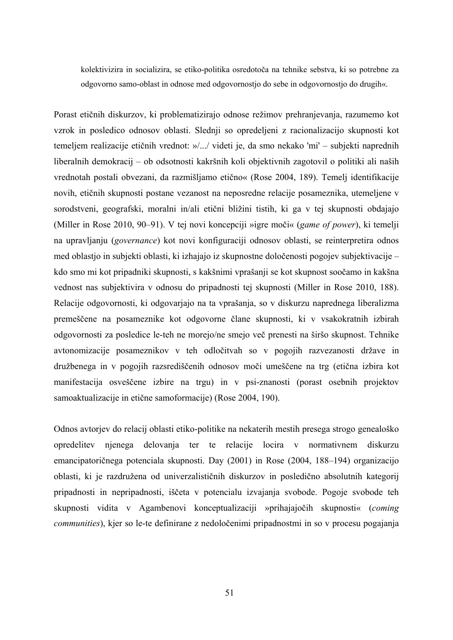kolektivizira in socializira, se etiko-politika osredotoča na tehnike sebstva, ki so potrebne za odgovorno samo-oblast in odnose med odgovornostjo do sebe in odgovornostjo do drugih«.

Porast etičnih diskurzov, ki problematizirajo odnose režimov prehranjevanja, razumemo kot vzrok in posledico odnosov oblasti. Slednji so opredeljeni z racionalizacijo skupnosti kot temeljem realizacije etičnih vrednot: »/.../ videti je, da smo nekako 'mi' – subjekti naprednih liberalnih demokracij – ob odsotnosti kakršnih koli objektivnih zagotovil o politiki ali naših vrednotah postali obvezani, da razmišljamo etično« (Rose 2004, 189). Temelj identifikacije novih, etičnih skupnosti postane vezanost na neposredne relacije posameznika, utemeljene v sorodstveni, geografski, moralni in/ali etični bližini tistih, ki ga v tej skupnosti obdajajo (Miller in Rose 2010, 90–91). V tej novi koncepciji »igre moči« (*game of power*), ki temelji na upravljanju (*governance*) kot novi konfiguraciji odnosov oblasti, se reinterpretira odnos med oblastjo in subjekti oblasti, ki izhajajo iz skupnostne določenosti pogojev subjektivacije – kdo smo mi kot pripadniki skupnosti, s kakšnimi vprašanji se kot skupnost soočamo in kakšna vednost nas subjektivira v odnosu do pripadnosti tej skupnosti (Miller in Rose 2010, 188). Relacije odgovornosti, ki odgovarjajo na ta vprašanja, so v diskurzu naprednega liberalizma premeščene na posameznike kot odgovorne člane skupnosti, ki v vsakokratnih izbirah odgovornosti za posledice le-teh ne morejo/ne smejo več prenesti na širšo skupnost. Tehnike avtonomizacije posameznikov v teh odločitvah so v pogojih razvezanosti države in družbenega in v pogojih razsrediščenih odnosov moči umeščene na trg (etična izbira kot manifestacija osveščene izbire na trgu) in v psi-znanosti (porast osebnih projektov samoaktualizacije in etične samoformacije) (Rose 2004, 190).

Odnos avtorjev do relacij oblasti etiko-politike na nekaterih mestih presega strogo genealoško opredelitev njenega delovanja ter te relacije locira v normativnem diskurzu emancipatoričnega potenciala skupnosti. Day (2001) in Rose (2004, 188–194) organizacijo oblasti, ki je razdružena od univerzalističnih diskurzov in posledično absolutnih kategorij pripadnosti in nepripadnosti, iščeta v potencialu izvajanja svobode. Pogoje svobode teh skupnosti vidita v Agambenovi konceptualizaciji »prihajajočih skupnosti« (*coming communities*), kjer so le-te definirane z nedoločenimi pripadnostmi in so v procesu pogajanja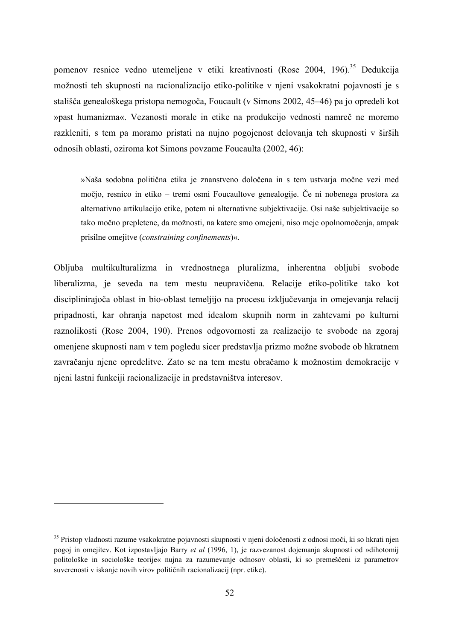pomenov resnice vedno utemeljene v etiki kreativnosti (Rose 2004, 196).<sup>35</sup> Dedukcija možnosti teh skupnosti na racionalizacijo etiko-politike v njeni vsakokratni pojavnosti je s stališča genealoškega pristopa nemogoča, Foucault (v Simons 2002, 45–46) pa jo opredeli kot »past humanizma«. Vezanosti morale in etike na produkcijo vednosti namreč ne moremo razkleniti, s tem pa moramo pristati na nujno pogojenost delovanja teh skupnosti v širših odnosih oblasti, oziroma kot Simons povzame Foucaulta (2002, 46):

»Naša sodobna politična etika je znanstveno določena in s tem ustvarja močne vezi med močjo, resnico in etiko – tremi osmi Foucaultove genealogije. Če ni nobenega prostora za alternativno artikulacijo etike, potem ni alternativne subjektivacije. Osi naše subjektivacije so tako močno prepletene, da možnosti, na katere smo omejeni, niso meje opolnomočenja, ampak prisilne omejitve (*constraining confinements*)«.

Obljuba multikulturalizma in vrednostnega pluralizma, inherentna obljubi svobode liberalizma, je seveda na tem mestu neupravičena. Relacije etiko-politike tako kot disciplinirajoča oblast in bio-oblast temeljijo na procesu izključevanja in omejevanja relacij pripadnosti, kar ohranja napetost med idealom skupnih norm in zahtevami po kulturni raznolikosti (Rose 2004, 190). Prenos odgovornosti za realizacijo te svobode na zgoraj omenjene skupnosti nam v tem pogledu sicer predstavlja prizmo možne svobode ob hkratnem zavračanju njene opredelitve. Zato se na tem mestu obračamo k možnostim demokracije v njeni lastni funkciji racionalizacije in predstavništva interesov.

<sup>&</sup>lt;sup>35</sup> Pristop vladnosti razume vsakokratne pojavnosti skupnosti v njeni določenosti z odnosi moči, ki so hkrati njen pogoj in omejitev. Kot izpostavljajo Barry *et al* (1996, 1), je razvezanost dojemanja skupnosti od »dihotomij politološke in sociološke teorije« nujna za razumevanje odnosov oblasti, ki so premeščeni iz parametrov suverenosti v iskanje novih virov političnih racionalizacij (npr. etike).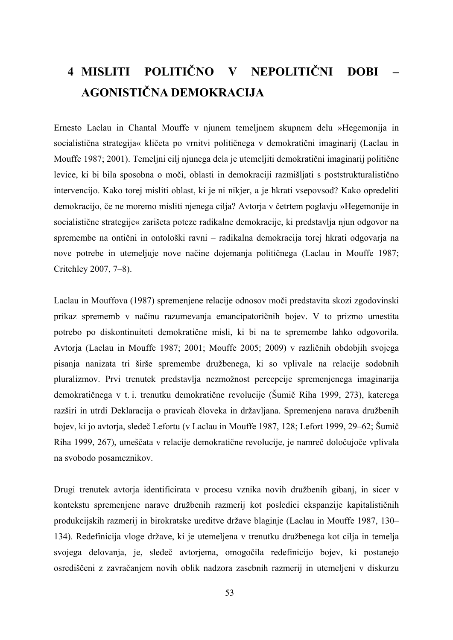# **4 MISLITI POLITIČNO V NEPOLITIČNI DOBI – AGONISTIČNA DEMOKRACIJA**

Ernesto Laclau in Chantal Mouffe v njunem temeljnem skupnem delu »Hegemonija in socialistična strategija« kličeta po vrnitvi političnega v demokratični imaginarij (Laclau in Mouffe 1987; 2001). Temeljni cilj njunega dela je utemeljiti demokratični imaginarij politične levice, ki bi bila sposobna o moči, oblasti in demokraciji razmišljati s poststrukturalistično intervencijo. Kako torej misliti oblast, ki je ni nikjer, a je hkrati vsepovsod? Kako opredeliti demokracijo, če ne moremo misliti njenega cilja? Avtorja v četrtem poglavju »Hegemonije in socialistične strategije« zarišeta poteze radikalne demokracije, ki predstavlja njun odgovor na spremembe na ontični in ontološki ravni – radikalna demokracija torej hkrati odgovarja na nove potrebe in utemeljuje nove načine dojemanja političnega (Laclau in Mouffe 1987; Critchley 2007, 7–8).

Laclau in Mouffova (1987) spremenjene relacije odnosov moči predstavita skozi zgodovinski prikaz sprememb v načinu razumevanja emancipatoričnih bojev. V to prizmo umestita potrebo po diskontinuiteti demokratične misli, ki bi na te spremembe lahko odgovorila. Avtorja (Laclau in Mouffe 1987; 2001; Mouffe 2005; 2009) v različnih obdobjih svojega pisanja nanizata tri širše spremembe družbenega, ki so vplivale na relacije sodobnih pluralizmov. Prvi trenutek predstavlja nezmožnost percepcije spremenjenega imaginarija demokratičnega v t. i. trenutku demokratične revolucije (Šumič Riha 1999, 273), katerega razširi in utrdi Deklaracija o pravicah človeka in državljana. Spremenjena narava družbenih bojev, ki jo avtorja, sledeč Lefortu (v Laclau in Mouffe 1987, 128; Lefort 1999, 29–62; Šumič Riha 1999, 267), umeščata v relacije demokratične revolucije, je namreč določujoče vplivala na svobodo posameznikov.

Drugi trenutek avtorja identificirata v procesu vznika novih družbenih gibanj, in sicer v kontekstu spremenjene narave družbenih razmerij kot posledici ekspanzije kapitalističnih produkcijskih razmerij in birokratske ureditve države blaginje (Laclau in Mouffe 1987, 130– 134). Redefinicija vloge države, ki je utemeljena v trenutku družbenega kot cilja in temelja svojega delovanja, je, sledeč avtorjema, omogočila redefinicijo bojev, ki postanejo osrediščeni z zavračanjem novih oblik nadzora zasebnih razmerij in utemeljeni v diskurzu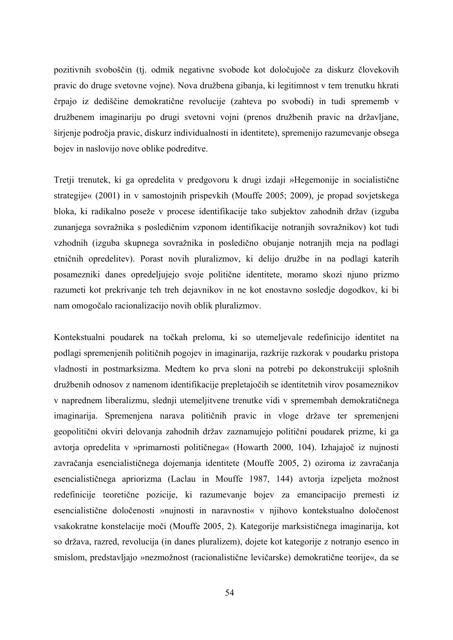pozitivnih svoboščin (tj. odmik negativne svobode kot določujoče za diskurz človekovih pravic do druge svetovne vojne). Nova družbena gibanja, ki legitimnost v tem trenutku hkrati črpajo iz dediščine demokratične revolucije (zahteva po svobodi) in tudi sprememb v družbenem imaginariju po drugi svetovni vojni (prenos družbenih pravic na državljane, širjenje področja pravic, diskurz individualnosti in identitete), spremenijo razumevanje obsega bojev in naslovijo nove oblike podreditve.

Tretji trenutek, ki ga opredelita v predgovoru k drugi izdaji »Hegemonije in socialistične strategije« (2001) in v samostojnih prispevkih (Mouffe 2005; 2009), je propad sovjetskega bloka, ki radikalno poseže v procese identifikacije tako subjektov zahodnih držav (izguba zunanjega sovražnika s posledičnim vzponom identifikacije notranjih sovražnikov) kot tudi vzhodnih (izguba skupnega sovražnika in posledično obujanje notranjih meja na podlagi etničnih opredelitev). Porast novih pluralizmov, ki delijo družbe in na podlagi katerih posamezniki danes opredeljujejo svoje politične identitete, moramo skozi njuno prizmo razumeti kot prekrivanje teh treh dejavnikov in ne kot enostavno sosledje dogodkov, ki bi nam omogočalo racionalizacijo novih oblik pluralizmov.

Kontekstualni poudarek na točkah preloma, ki so utemeljevale redefinicijo identitet na podlagi spremenjenih političnih pogojev in imaginarija, razkrije razkorak v poudarku pristopa vladnosti in postmarksizma. Medtem ko prva sloni na potrebi po dekonstrukciji splošnih družbenih odnosov z namenom identifikacije prepletajočih se identitetnih virov posameznikov v naprednem liberalizmu, slednji utemeljitvene trenutke vidi v spremembah demokratičnega imaginarija. Spremenjena narava političnih pravic in vloge države ter spremenjeni geopolitični okviri delovanja zahodnih držav zaznamujejo politični poudarek prizme, ki ga avtorja opredelita v »primarnosti političnega« (Howarth 2000, 104). Izhajajoč iz nujnosti zavračanja esencialističnega dojemanja identitete (Mouffe 2005, 2) oziroma iz zavračanja esencialističnega apriorizma (Laclau in Mouffe 1987, 144) avtorja izpeljeta možnost redefinicije teoretične pozicije, ki razumevanje bojev za emancipacijo premesti iz esencialistične določenosti »nujnosti in naravnosti« v njihovo kontekstualno določenost vsakokratne konstelacije moči (Mouffe 2005, 2). Kategorije marksističnega imaginarija, kot so država, razred, revolucija (in danes pluralizem), dojete kot kategorije z notranjo esenco in smislom, predstavljajo »nezmožnost (racionalistične levičarske) demokratične teorije«, da se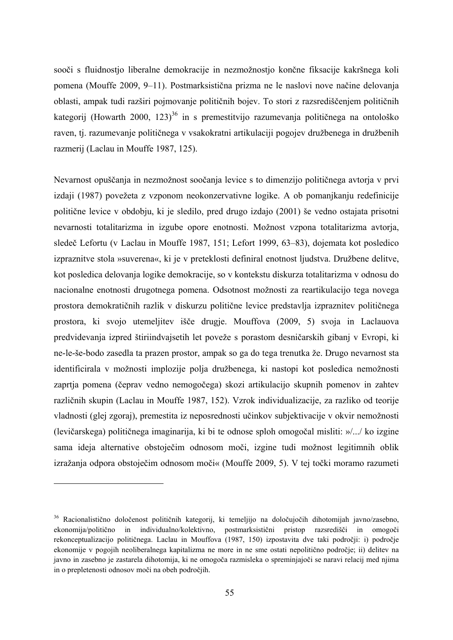sooči s fluidnostjo liberalne demokracije in nezmožnostjo končne fiksacije kakršnega koli pomena (Mouffe 2009, 9–11). Postmarksistična prizma ne le naslovi nove načine delovanja oblasti, ampak tudi razširi pojmovanje političnih bojev. To stori z razsrediščenjem političnih kategorij (Howarth 2000, 123)<sup>36</sup> in s premestitvijo razumevanja političnega na ontološko raven, ti. razumevanje političnega v vsakokratni artikulaciji pogojev družbenega in družbenih razmerij (Laclau in Mouffe 1987, 125).

Nevarnost opuščanja in nezmožnost soočanja levice s to dimenzijo političnega avtorja v prvi izdaji (1987) povežeta z vzponom neokonzervativne logike. A ob pomanjkanju redefinicije politične levice v obdobju, ki je sledilo, pred drugo izdajo (2001) še vedno ostajata prisotni nevarnosti totalitarizma in izgube opore enotnosti. Možnost vzpona totalitarizma avtorja, sledeč Lefortu (v Laclau in Mouffe 1987, 151; Lefort 1999, 63–83), dojemata kot posledico izpraznitve stola »suverena«, ki je v preteklosti definiral enotnost ljudstva. Družbene delitve, kot posledica delovanja logike demokracije, so v kontekstu diskurza totalitarizma v odnosu do nacionalne enotnosti drugotnega pomena. Odsotnost možnosti za reartikulacijo tega novega prostora demokratičnih razlik v diskurzu politične levice predstavlja izpraznitev političnega prostora, ki svojo utemeljitev išče drugje. Mouffova (2009, 5) svoja in Laclauova predvidevanja izpred štiriindvajsetih let poveže s porastom desničarskih gibanj v Evropi, ki ne-le-še-bodo zasedla ta prazen prostor, ampak so ga do tega trenutka že. Drugo nevarnost sta identificirala v možnosti implozije polja družbenega, ki nastopi kot posledica nemožnosti zaprtja pomena (čeprav vedno nemogočega) skozi artikulacijo skupnih pomenov in zahtev različnih skupin (Laclau in Mouffe 1987, 152). Vzrok individualizacije, za razliko od teorije vladnosti (glej zgoraj), premestita iz neposrednosti učinkov subjektivacije v okvir nemožnosti (levičarskega) političnega imaginarija, ki bi te odnose sploh omogočal misliti: »/.../ ko izgine sama ideja alternative obstoječim odnosom moči, izgine tudi možnost legitimnih oblik izražanja odpora obstoječim odnosom moči« (Mouffe 2009, 5). V tej točki moramo razumeti

1

<sup>&</sup>lt;sup>36</sup> Racionalistično določenost političnih kategorij, ki temeljijo na določujočih dihotomijah javno/zasebno, ekonomija/politično in individualno/kolektivno, postmarksistični pristop razsredišči in omogoči rekonceptualizacijo političnega. Laclau in Mouffova (1987, 150) izpostavita dve taki področji: i) področje ekonomije v pogojih neoliberalnega kapitalizma ne more in ne sme ostati nepolitično področje; ii) delitev na javno in zasebno je zastarela dihotomija, ki ne omogoča razmisleka o spreminjajoči se naravi relacij med njima in o prepletenosti odnosov moči na obeh področjih.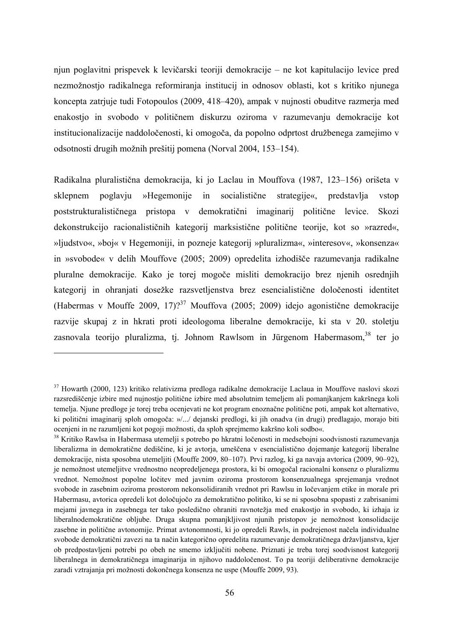njun poglavitni prispevek k levičarski teoriji demokracije – ne kot kapitulacijo levice pred nezmožnostjo radikalnega reformiranja institucij in odnosov oblasti, kot s kritiko njunega koncepta zatrjuje tudi Fotopoulos (2009, 418–420), ampak v nujnosti obuditve razmerja med enakostjo in svobodo v političnem diskurzu oziroma v razumevanju demokracije kot institucionalizacije naddoločenosti, ki omogoča, da popolno odprtost družbenega zamejimo v odsotnosti drugih možnih prešitij pomena (Norval 2004, 153–154).

Radikalna pluralistična demokracija, ki jo Laclau in Mouffova (1987, 123–156) orišeta v sklepnem poglavju »Hegemonije in socialistične strategije«, predstavlja vstop poststrukturalističnega pristopa v demokratični imaginarij politične levice. Skozi dekonstrukcijo racionalističnih kategorij marksistične politične teorije, kot so »razred«, »ljudstvo«, »boj« v Hegemoniji, in pozneje kategorij »pluralizma«, »interesov«, »konsenza« in »svobode« v delih Mouffove (2005; 2009) opredelita izhodišče razumevanja radikalne pluralne demokracije. Kako je torej mogoče misliti demokracijo brez njenih osrednjih kategorij in ohranjati dosežke razsvetljenstva brez esencialistične določenosti identitet (Habermas v Mouffe 2009, 17)?<sup>37</sup> Mouffova (2005; 2009) idejo agonistične demokracije razvije skupaj z in hkrati proti ideologoma liberalne demokracije, ki sta v 20. stoletju zasnovala teorijo pluralizma, tj. Johnom Rawlsom in Jürgenom Habermasom,<sup>38</sup> ter jo

<sup>37</sup> Howarth (2000, 123) kritiko relativizma predloga radikalne demokracije Laclaua in Mouffove naslovi skozi razsrediščenje izbire med nujnostjo politične izbire med absolutnim temeljem ali pomanjkanjem kakršnega koli temelja. Njune predloge je torej treba ocenjevati ne kot program enoznačne politične poti, ampak kot alternativo, ki politični imaginarij sploh omogoča: »/.../ dejanski predlogi, ki jih onadva (in drugi) predlagajo, morajo biti ocenjeni in ne razumljeni kot pogoji možnosti, da sploh sprejmemo kakršno koli sodbo«.

<sup>38</sup> Kritiko Rawlsa in Habermasa utemelji s potrebo po hkratni ločenosti in medsebojni soodvisnosti razumevanja liberalizma in demokratične dediščine, ki je avtorja, umeščena v esencialistično dojemanje kategorij liberalne demokracije, nista sposobna utemeljiti (Mouffe 2009, 80–107). Prvi razlog, ki ga navaja avtorica (2009, 90–92), je nemožnost utemeljitve vrednostno neopredeljenega prostora, ki bi omogočal racionalni konsenz o pluralizmu vrednot. Nemožnost popolne ločitev med javnim oziroma prostorom konsenzualnega sprejemanja vrednot svobode in zasebnim oziroma prostorom nekonsolidiranih vrednot pri Rawlsu in ločevanjem etike in morale pri Habermasu, avtorica opredeli kot določujočo za demokratično politiko, ki se ni sposobna spopasti z zabrisanimi mejami javnega in zasebnega ter tako posledično ohraniti ravnotežja med enakostjo in svobodo, ki izhaja iz liberalnodemokratične obljube. Druga skupna pomanjkljivost njunih pristopov je nemožnost konsolidacije zasebne in politične avtonomije. Primat avtonomnosti, ki jo opredeli Rawls, in podrejenost načela individualne svobode demokratični zavezi na ta način kategorično opredelita razumevanje demokratičnega državljanstva, kjer ob predpostavljeni potrebi po obeh ne smemo izključiti nobene. Priznati je treba torej soodvisnost kategorij liberalnega in demokratičnega imaginarija in njihovo naddoločenost. To pa teoriji deliberativne demokracije zaradi vztrajanja pri možnosti dokončnega konsenza ne uspe (Mouffe 2009, 93).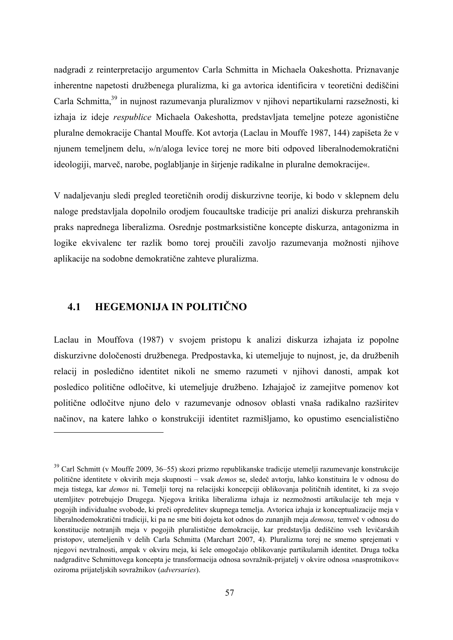nadgradi z reinterpretacijo argumentov Carla Schmitta in Michaela Oakeshotta. Priznavanje inherentne napetosti družbenega pluralizma, ki ga avtorica identificira v teoretični dediščini Carla Schmitta,<sup>39</sup> in nujnost razumevanja pluralizmov v njihovi nepartikularni razsežnosti, ki izhaja iz ideje *respublice* Michaela Oakeshotta, predstavljata temeljne poteze agonistične pluralne demokracije Chantal Mouffe. Kot avtorja (Laclau in Mouffe 1987, 144) zapišeta že v njunem temeljnem delu, »/n/aloga levice torej ne more biti odpoved liberalnodemokratični ideologiji, marveč, narobe, poglabljanje in širjenje radikalne in pluralne demokracije«.

V nadaljevanju sledi pregled teoretičnih orodij diskurzivne teorije, ki bodo v sklepnem delu naloge predstavljala dopolnilo orodjem foucaultske tradicije pri analizi diskurza prehranskih praks naprednega liberalizma. Osrednje postmarksistične koncepte diskurza, antagonizma in logike ekvivalenc ter razlik bomo torej proučili zavoljo razumevanja možnosti njihove aplikacije na sodobne demokratične zahteve pluralizma.

# **4.1 HEGEMONIJA IN POLITIČNO**

**.** 

Laclau in Mouffova (1987) v svojem pristopu k analizi diskurza izhajata iz popolne diskurzivne določenosti družbenega. Predpostavka, ki utemeljuje to nujnost, je, da družbenih relacij in posledično identitet nikoli ne smemo razumeti v njihovi danosti, ampak kot posledico politične odločitve, ki utemeljuje družbeno. Izhajajoč iz zamejitve pomenov kot politične odločitve njuno delo v razumevanje odnosov oblasti vnaša radikalno razširitev načinov, na katere lahko o konstrukciji identitet razmišljamo, ko opustimo esencialistično

<sup>&</sup>lt;sup>39</sup> Carl Schmitt (v Mouffe 2009, 36–55) skozi prizmo republikanske tradicije utemelji razumevanje konstrukcije politične identitete v okvirih meja skupnosti – vsak *demos* se, sledeč avtorju, lahko konstituira le v odnosu do meja tistega, kar *demos* ni. Temelji torej na relacijski koncepciji oblikovanja političnih identitet, ki za svojo utemljitev potrebujejo Drugega. Njegova kritika liberalizma izhaja iz nezmožnosti artikulacije teh meja v pogojih individualne svobode, ki preči opredelitev skupnega temelja. Avtorica izhaja iz konceptualizacije meja v liberalnodemokratični tradiciji, ki pa ne sme biti dojeta kot odnos do zunanjih meja *demosa,* temveč v odnosu do konstitucije notranjih meja v pogojih pluralistične demokracije, kar predstavlja dediščino vseh levičarskih pristopov, utemeljenih v delih Carla Schmitta (Marchart 2007, 4). Pluralizma torej ne smemo sprejemati v njegovi nevtralnosti, ampak v okviru meja, ki šele omogočajo oblikovanje partikularnih identitet. Druga točka nadgraditve Schmittovega koncepta je transformacija odnosa sovražnik-prijatelj v okvire odnosa »nasprotnikov« oziroma prijateljskih sovražnikov (*adversaries*).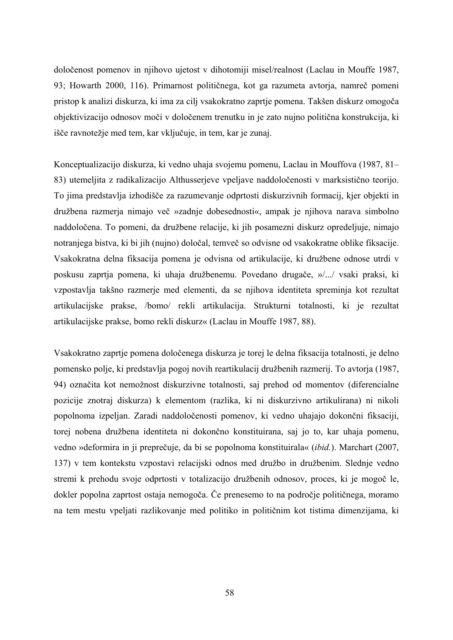določenost pomenov in njihovo ujetost v dihotomiji misel/realnost (Laclau in Mouffe 1987, 93; Howarth 2000, 116). Primarnost političnega, kot ga razumeta avtorja, namreč pomeni pristop k analizi diskurza, ki ima za cilj vsakokratno zaprtje pomena. Takšen diskurz omogoča objektivizacijo odnosov moči v določenem trenutku in je zato nujno politična konstrukcija, ki išče ravnotežje med tem, kar vključuje, in tem, kar je zunaj.

Konceptualizacijo diskurza, ki vedno uhaja svojemu pomenu, Laclau in Mouffova (1987, 81– 83) utemeljita z radikalizacijo Althusserjeve vpeljave naddoločenosti v marksistično teorijo. To jima predstavlja izhodišče za razumevanje odprtosti diskurzivnih formacij, kjer objekti in družbena razmerja nimajo več »zadnje dobesednosti«, ampak je njihova narava simbolno naddoločena. To pomeni, da družbene relacije, ki jih posamezni diskurz opredeljuje, nimajo notranjega bistva, ki bi jih (nujno) določal, temveč so odvisne od vsakokratne oblike fiksacije. Vsakokratna delna fiksacija pomena je odvisna od artikulacije, ki družbene odnose utrdi v poskusu zaprtja pomena, ki uhaja družbenemu. Povedano drugače, »/.../ vsaki praksi, ki vzpostavlja takšno razmerje med elementi, da se njihova identiteta spreminja kot rezultat artikulacijske prakse, /bomo/ rekli artikulacija. Strukturni totalnosti, ki je rezultat artikulacijske prakse, bomo rekli diskurz« (Laclau in Mouffe 1987, 88).

Vsakokratno zaprtje pomena določenega diskurza je torej le delna fiksacija totalnosti, je delno pomensko polje, ki predstavlja pogoj novih reartikulacij družbenih razmerij. To avtorja (1987, 94) označita kot nemožnost diskurzivne totalnosti, saj prehod od momentov (diferencialne pozicije znotraj diskurza) k elementom (razlika, ki ni diskurzivno artikulirana) ni nikoli popolnoma izpeljan. Zaradi naddoločenosti pomenov, ki vedno uhajajo dokončni fiksaciji, torej nobena družbena identiteta ni dokončno konstituirana, saj jo to, kar uhaja pomenu, vedno »deformira in ji preprečuje, da bi se popolnoma konstituirala« (*ibid.*). Marchart (2007, 137) v tem kontekstu vzpostavi relacijski odnos med družbo in družbenim. Slednje vedno stremi k prehodu svoje odprtosti v totalizacijo družbenih odnosov, proces, ki je mogoč le, dokler popolna zaprtost ostaja nemogoča. Če prenesemo to na področje političnega, moramo na tem mestu vpeljati razlikovanje med politiko in političnim kot tistima dimenzijama, ki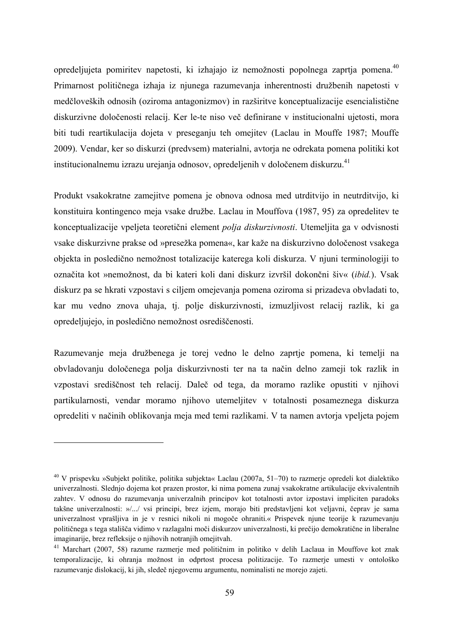opredeljujeta pomiritev napetosti, ki izhajajo iz nemožnosti popolnega zaprtja pomena.<sup>40</sup> Primarnost političnega izhaja iz njunega razumevanja inherentnosti družbenih napetosti v medčloveških odnosih (oziroma antagonizmov) in razširitve konceptualizacije esencialistične diskurzivne določenosti relacij. Ker le-te niso več definirane v institucionalni ujetosti, mora biti tudi reartikulacija dojeta v preseganju teh omejitev (Laclau in Mouffe 1987; Mouffe 2009). Vendar, ker so diskurzi (predvsem) materialni, avtorja ne odrekata pomena politiki kot institucionalnemu izrazu urejanja odnosov, opredeljenih v določenem diskurzu.<sup>41</sup>

Produkt vsakokratne zamejitve pomena je obnova odnosa med utrditvijo in neutrditvijo, ki konstituira kontingenco meja vsake družbe. Laclau in Mouffova (1987, 95) za opredelitev te konceptualizacije vpeljeta teoretični element *polja diskurzivnosti*. Utemeljita ga v odvisnosti vsake diskurzivne prakse od »presežka pomena«, kar kaže na diskurzivno določenost vsakega objekta in posledično nemožnost totalizacije katerega koli diskurza. V njuni terminologiji to označita kot »nemožnost, da bi kateri koli dani diskurz izvršil dokončni šiv« (*ibid.*). Vsak diskurz pa se hkrati vzpostavi s ciljem omejevanja pomena oziroma si prizadeva obvladati to, kar mu vedno znova uhaja, tj. polje diskurzivnosti, izmuzljivost relacij razlik, ki ga opredeljujejo, in posledično nemožnost osrediščenosti.

Razumevanje meja družbenega je torej vedno le delno zaprtje pomena, ki temelji na obvladovanju določenega polja diskurzivnosti ter na ta način delno zameji tok razlik in vzpostavi središčnost teh relacij. Daleč od tega, da moramo razlike opustiti v njihovi partikularnosti, vendar moramo njihovo utemeljitev v totalnosti posameznega diskurza opredeliti v načinih oblikovanja meja med temi razlikami. V ta namen avtorja vpeljeta pojem

<sup>40</sup> V prispevku »Subjekt politike, politika subjekta« Laclau (2007a, 51–70) to razmerje opredeli kot dialektiko univerzalnosti. Slednjo dojema kot prazen prostor, ki nima pomena zunaj vsakokratne artikulacije ekvivalentnih zahtev. V odnosu do razumevanja univerzalnih principov kot totalnosti avtor izpostavi impliciten paradoks takšne univerzalnosti: »/.../ vsi principi, brez izjem, morajo biti predstavljeni kot veljavni, čeprav je sama univerzalnost vprašljiva in je v resnici nikoli ni mogoče ohraniti.« Prispevek njune teorije k razumevanju političnega s tega stališča vidimo v razlagalni moči diskurzov univerzalnosti, ki prečijo demokratične in liberalne imaginarije, brez refleksije o njihovih notranjih omejitvah.

<sup>41</sup> Marchart (2007, 58) razume razmerje med političnim in politiko v delih Laclaua in Mouffove kot znak temporalizacije, ki ohranja možnost in odprtost procesa politizacije. To razmerje umesti v ontološko razumevanje dislokacij, ki jih, sledeč njegovemu argumentu, nominalisti ne morejo zajeti.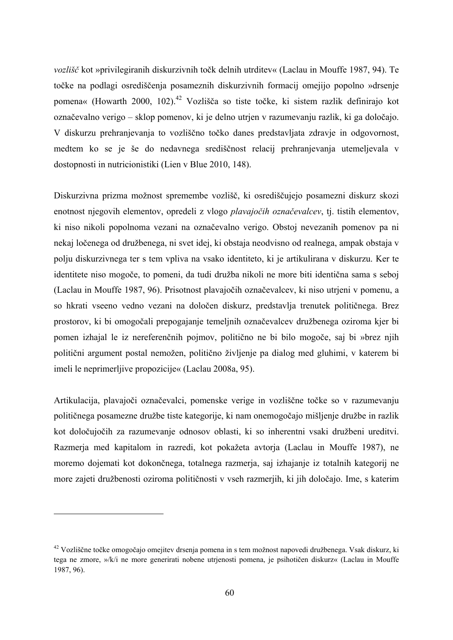*vozlišč* kot »privilegiranih diskurzivnih točk delnih utrditev« (Laclau in Mouffe 1987, 94). Te točke na podlagi osrediščenja posameznih diskurzivnih formacij omejijo popolno »drsenje pomena« (Howarth 2000, 102).<sup>42</sup> Vozlišča so tiste točke, ki sistem razlik definirajo kot označevalno verigo – sklop pomenov, ki je delno utrjen v razumevanju razlik, ki ga določajo. V diskurzu prehranjevanja to vozliščno točko danes predstavljata zdravje in odgovornost, medtem ko se je še do nedavnega središčnost relacij prehranjevanja utemeljevala v dostopnosti in nutricionistiki (Lien v Blue 2010, 148).

Diskurzivna prizma možnost spremembe vozlišč, ki osrediščujejo posamezni diskurz skozi enotnost njegovih elementov, opredeli z vlogo *plavajočih označevalcev*, tj. tistih elementov, ki niso nikoli popolnoma vezani na označevalno verigo. Obstoj nevezanih pomenov pa ni nekaj ločenega od družbenega, ni svet idej, ki obstaja neodvisno od realnega, ampak obstaja v polju diskurzivnega ter s tem vpliva na vsako identiteto, ki je artikulirana v diskurzu. Ker te identitete niso mogoče, to pomeni, da tudi družba nikoli ne more biti identična sama s seboj (Laclau in Mouffe 1987, 96). Prisotnost plavajočih označevalcev, ki niso utrjeni v pomenu, a so hkrati vseeno vedno vezani na določen diskurz, predstavlja trenutek političnega. Brez prostorov, ki bi omogočali prepogajanje temeljnih označevalcev družbenega oziroma kjer bi pomen izhajal le iz nereferenčnih pojmov, politično ne bi bilo mogoče, saj bi »brez njih politični argument postal nemožen, politično življenje pa dialog med gluhimi, v katerem bi imeli le neprimerljive propozicije« (Laclau 2008a, 95).

Artikulacija, plavajoči označevalci, pomenske verige in vozliščne točke so v razumevanju političnega posamezne družbe tiste kategorije, ki nam onemogočajo mišljenje družbe in razlik kot določujočih za razumevanje odnosov oblasti, ki so inherentni vsaki družbeni ureditvi. Razmerja med kapitalom in razredi, kot pokažeta avtorja (Laclau in Mouffe 1987), ne moremo dojemati kot dokončnega, totalnega razmerja, saj izhajanje iz totalnih kategorij ne more zajeti družbenosti oziroma političnosti v vseh razmerjih, ki jih določajo. Ime, s katerim

<sup>&</sup>lt;sup>42</sup> Vozliščne točke omogočajo omejitev drsenja pomena in s tem možnost napovedi družbenega. Vsak diskurz, ki tega ne zmore, »/k/i ne more generirati nobene utrjenosti pomena, je psihotičen diskurz« (Laclau in Mouffe 1987, 96).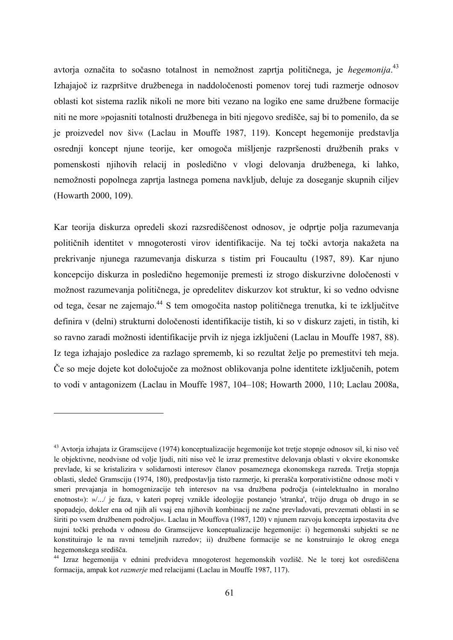avtorja označita to sočasno totalnost in nemožnost zaprtja političnega, je *hegemonija*. 43 Izhajajoč iz razpršitve družbenega in naddoločenosti pomenov torej tudi razmerje odnosov oblasti kot sistema razlik nikoli ne more biti vezano na logiko ene same družbene formacije niti ne more »pojasniti totalnosti družbenega in biti njegovo središče, saj bi to pomenilo, da se je proizvedel nov šiv« (Laclau in Mouffe 1987, 119). Koncept hegemonije predstavlja osrednji koncept njune teorije, ker omogoča mišljenje razpršenosti družbenih praks v pomenskosti njihovih relacij in posledično v vlogi delovanja družbenega, ki lahko, nemožnosti popolnega zaprtja lastnega pomena navkljub, deluje za doseganje skupnih ciljev (Howarth 2000, 109).

Kar teorija diskurza opredeli skozi razsrediščenost odnosov, je odprtje polja razumevanja političnih identitet v mnogoterosti virov identifikacije. Na tej točki avtorja nakažeta na prekrivanje njunega razumevanja diskurza s tistim pri Foucaultu (1987, 89). Kar njuno koncepcijo diskurza in posledično hegemonije premesti iz strogo diskurzivne določenosti v možnost razumevanja političnega, je opredelitev diskurzov kot struktur, ki so vedno odvisne od tega, česar ne zajemajo.<sup>44</sup> S tem omogočita nastop političnega trenutka, ki te izključitve definira v (delni) strukturni določenosti identifikacije tistih, ki so v diskurz zajeti, in tistih, ki so ravno zaradi možnosti identifikacije prvih iz njega izključeni (Laclau in Mouffe 1987, 88). Iz tega izhajajo posledice za razlago sprememb, ki so rezultat želje po premestitvi teh meja. Če so meje dojete kot določujoče za možnost oblikovanja polne identitete izključenih, potem to vodi v antagonizem (Laclau in Mouffe 1987, 104–108; Howarth 2000, 110; Laclau 2008a,

1

<sup>43</sup> Avtorja izhajata iz Gramscijeve (1974) konceptualizacije hegemonije kot tretje stopnje odnosov sil, ki niso več le objektivne, neodvisne od volje ljudi, niti niso več le izraz premestitve delovanja oblasti v okvire ekonomske prevlade, ki se kristalizira v solidarnosti interesov članov posameznega ekonomskega razreda. Tretja stopnja oblasti, sledeč Gramsciju (1974, 180), predpostavlja tisto razmerje, ki prerašča korporativistične odnose moči v smeri prevajanja in homogenizacije teh interesov na vsa družbena področja (»intelektualno in moralno enotnost«): »/.../ je faza, v kateri poprej vznikle ideologije postanejo 'stranka', trčijo druga ob drugo in se spopadejo, dokler ena od njih ali vsaj ena njihovih kombinacij ne začne prevladovati, prevzemati oblasti in se širiti po vsem družbenem področju«. Laclau in Mouffova (1987, 120) v njunem razvoju koncepta izpostavita dve nujni točki prehoda v odnosu do Gramscijeve konceptualizacije hegemonije: i) hegemonski subjekti se ne konstituirajo le na ravni temeljnih razredov; ii) družbene formacije se ne konstruirajo le okrog enega hegemonskega središča.<br><sup>44</sup> Izraz hegemonija v ednini predvideva mnogoterost hegemonskih vozlišč. Ne le torej kot osrediščena

formacija, ampak kot *razmerje* med relacijami (Laclau in Mouffe 1987, 117).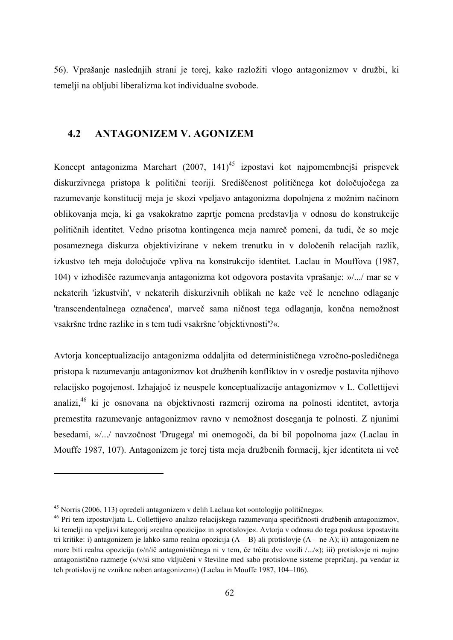56). Vprašanje naslednjih strani je torej, kako razložiti vlogo antagonizmov v družbi, ki temelji na obljubi liberalizma kot individualne svobode.

### **4.2 ANTAGONIZEM V. AGONIZEM**

Koncept antagonizma Marchart  $(2007, 141)^{45}$  izpostavi kot najpomembnejši prispevek diskurzivnega pristopa k politični teoriji. Središčenost političnega kot določujočega za razumevanje konstitucij meja je skozi vpeljavo antagonizma dopolnjena z možnim načinom oblikovanja meja, ki ga vsakokratno zaprtje pomena predstavlja v odnosu do konstrukcije političnih identitet. Vedno prisotna kontingenca meja namreč pomeni, da tudi, če so meje posameznega diskurza objektivizirane v nekem trenutku in v določenih relacijah razlik, izkustvo teh meja določujoče vpliva na konstrukcijo identitet. Laclau in Mouffova (1987, 104) v izhodišče razumevanja antagonizma kot odgovora postavita vprašanje: »/.../ mar se v nekaterih 'izkustvih', v nekaterih diskurzivnih oblikah ne kaže več le nenehno odlaganje 'transcendentalnega označenca', marveč sama ničnost tega odlaganja, končna nemožnost vsakršne trdne razlike in s tem tudi vsakršne 'objektivnosti'?«.

Avtorja konceptualizacijo antagonizma oddaljita od determinističnega vzročno-posledičnega pristopa k razumevanju antagonizmov kot družbenih konfliktov in v osredje postavita njihovo relacijsko pogojenost. Izhajajoč iz neuspele konceptualizacije antagonizmov v L. Collettijevi analizi,46 ki je osnovana na objektivnosti razmerij oziroma na polnosti identitet, avtorja premestita razumevanje antagonizmov ravno v nemožnost doseganja te polnosti. Z njunimi besedami, »/.../ navzočnost 'Drugega' mi onemogoči, da bi bil popolnoma jaz« (Laclau in Mouffe 1987, 107). Antagonizem je torej tista meja družbenih formacij, kjer identiteta ni več

<sup>&</sup>lt;sup>45</sup> Norris (2006, 113) opredeli antagonizem v delih Laclaua kot »ontologijo političnega«.<br><sup>46</sup> Pri tem izpostavljata L. Collettijevo analizo relacijskega razumevanja specifičnosti družbenih antagonizmov, ki temelji na vpeljavi kategorij »realna opozicija« in »protislovje«. Avtorja v odnosu do tega poskusa izpostavita tri kritike: i) antagonizem je lahko samo realna opozicija  $(A - B)$  ali protislovje  $(A - ne A)$ ; ii) antagonizem ne more biti realna opozicija (»/n/ič antagonističnega ni v tem, če trčita dve vozili /.../«); iii) protislovje ni nujno antagonistično razmerje (»/v/si smo vključeni v številne med sabo protislovne sisteme prepričanj, pa vendar iz teh protislovij ne vznikne noben antagonizem«) (Laclau in Mouffe 1987, 104–106).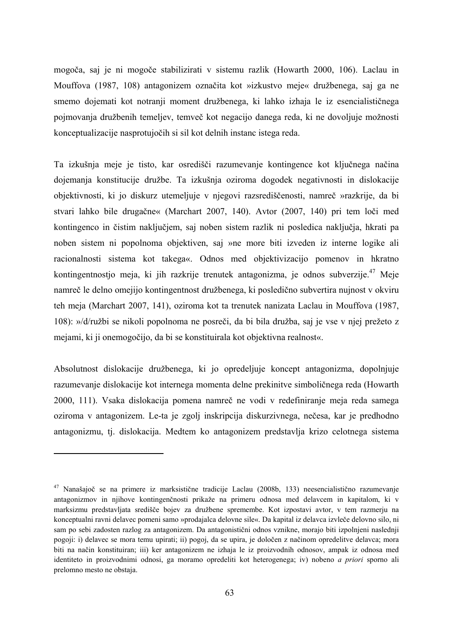mogoča, saj je ni mogoče stabilizirati v sistemu razlik (Howarth 2000, 106). Laclau in Mouffova (1987, 108) antagonizem označita kot »izkustvo meje« družbenega, saj ga ne smemo dojemati kot notranji moment družbenega, ki lahko izhaja le iz esencialističnega pojmovanja družbenih temeljev, temveč kot negacijo danega reda, ki ne dovoljuje možnosti konceptualizacije nasprotujočih si sil kot delnih instanc istega reda.

Ta izkušnja meje je tisto, kar osredišči razumevanje kontingence kot ključnega načina dojemanja konstitucije družbe. Ta izkušnja oziroma dogodek negativnosti in dislokacije objektivnosti, ki jo diskurz utemeljuje v njegovi razsrediščenosti, namreč »razkrije, da bi stvari lahko bile drugačne« (Marchart 2007, 140). Avtor (2007, 140) pri tem loči med kontingenco in čistim naključjem, saj noben sistem razlik ni posledica naključja, hkrati pa noben sistem ni popolnoma objektiven, saj »ne more biti izveden iz interne logike ali racionalnosti sistema kot takega«. Odnos med objektivizacijo pomenov in hkratno kontingentnostjo meja, ki jih razkrije trenutek antagonizma, je odnos subverzije.<sup>47</sup> Meje namreč le delno omejijo kontingentnost družbenega, ki posledično subvertira nujnost v okviru teh meja (Marchart 2007, 141), oziroma kot ta trenutek nanizata Laclau in Mouffova (1987, 108): »/d/ružbi se nikoli popolnoma ne posreči, da bi bila družba, saj je vse v njej prežeto z mejami, ki ji onemogočijo, da bi se konstituirala kot objektivna realnost«.

Absolutnost dislokacije družbenega, ki jo opredeljuje koncept antagonizma, dopolnjuje razumevanje dislokacije kot internega momenta delne prekinitve simboličnega reda (Howarth 2000, 111). Vsaka dislokacija pomena namreč ne vodi v redefiniranje meja reda samega oziroma v antagonizem. Le-ta je zgolj inskripcija diskurzivnega, nečesa, kar je predhodno antagonizmu, tj. dislokacija. Medtem ko antagonizem predstavlja krizo celotnega sistema

 $\overline{a}$ 

<sup>47</sup> Nanašajoč se na primere iz marksistične tradicije Laclau (2008b, 133) neesencialistično razumevanje antagonizmov in njihove kontingenčnosti prikaže na primeru odnosa med delavcem in kapitalom, ki v marksizmu predstavljata središče bojev za družbene spremembe. Kot izpostavi avtor, v tem razmerju na konceptualni ravni delavec pomeni samo »prodajalca delovne sile«. Da kapital iz delavca izvleče delovno silo, ni sam po sebi zadosten razlog za antagonizem. Da antagonistični odnos vznikne, morajo biti izpolnjeni naslednji pogoji: i) delavec se mora temu upirati; ii) pogoj, da se upira, je določen z načinom opredelitve delavca; mora biti na način konstituiran; iii) ker antagonizem ne izhaja le iz proizvodnih odnosov, ampak iz odnosa med identiteto in proizvodnimi odnosi, ga moramo opredeliti kot heterogenega; iv) nobeno *a priori* sporno ali prelomno mesto ne obstaja.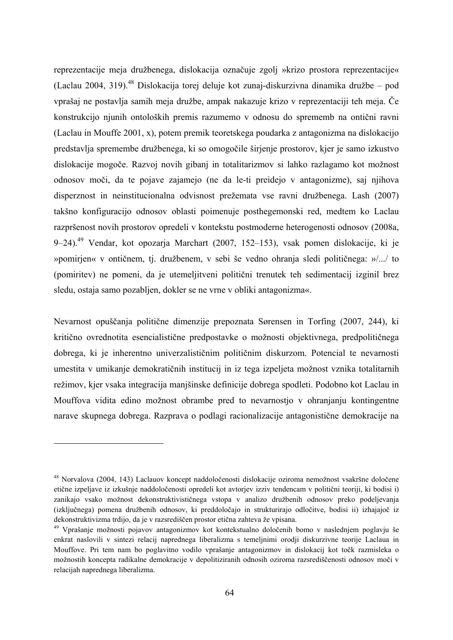reprezentacije meja družbenega, dislokacija označuje zgolj »krizo prostora reprezentacije« (Laclau 2004, 319).<sup>48</sup> Dislokacija torej deluje kot zunaj-diskurzivna dinamika družbe – pod vprašaj ne postavlja samih meja družbe, ampak nakazuje krizo v reprezentaciji teh meja. Če konstrukcijo njunih ontoloških premis razumemo v odnosu do sprememb na ontični ravni (Laclau in Mouffe 2001, x), potem premik teoretskega poudarka z antagonizma na dislokacijo predstavlja spremembe družbenega, ki so omogočile širjenje prostorov, kjer je samo izkustvo dislokacije mogoče. Razvoj novih gibanj in totalitarizmov si lahko razlagamo kot možnost odnosov moči, da te pojave zajamejo (ne da le-ti preidejo v antagonizme), saj njihova disperznost in neinstitucionalna odvisnost prežemata vse ravni družbenega. Lash (2007) takšno konfiguracijo odnosov oblasti poimenuje posthegemonski red, medtem ko Laclau razpršenost novih prostorov opredeli v kontekstu postmoderne heterogenosti odnosov (2008a, 9–24).<sup>49</sup> Vendar, kot opozarja Marchart (2007, 152–153), vsak pomen dislokacije, ki je »pomirjen« v ontičnem, tj. družbenem, v sebi še vedno ohranja sledi političnega: »/.../ to (pomiritev) ne pomeni, da je utemeljitveni politični trenutek teh sedimentacij izginil brez sledu, ostaja samo pozabljen, dokler se ne vrne v obliki antagonizma«.

Nevarnost opuščanja politične dimenzije prepoznata Sørensen in Torfing (2007, 244), ki kritično ovrednotita esencialistične predpostavke o možnosti objektivnega, predpolitičnega dobrega, ki je inherentno univerzalističnim političnim diskurzom. Potencial te nevarnosti umestita v umikanje demokratičnih institucij in iz tega izpeljeta možnost vznika totalitarnih režimov, kjer vsaka integracija manjšinske definicije dobrega spodleti. Podobno kot Laclau in Mouffova vidita edino možnost obrambe pred to nevarnostjo v ohranjanju kontingentne narave skupnega dobrega. Razprava o podlagi racionalizacije antagonistične demokracije na

<sup>48</sup> Norvalova (2004, 143) Laclauov koncept naddoločenosti dislokacije oziroma nemožnost vsakršne določene etične izpeljave iz izkušnje naddoločenosti opredeli kot avtorjev izziv tendencam v politični teoriji, ki bodisi i) zanikajo vsako možnost dekonstruktivističnega vstopa v analizo družbenih odnosov preko podeljevanja (izključnega) pomena družbenih odnosov, ki preddoločajo in strukturirajo odločitve, bodisi ii) izhajajoč iz dekonstruktivizma trdijo, da je v razsrediščen prostor etična zahteva že vpisana.<br><sup>49</sup> Vprašanje možnosti pojavov antagonizmov kot kontekstualno določenih bomo v naslednjem poglavju še

enkrat naslovili v sintezi relacij naprednega liberalizma s temeljnimi orodji diskurzivne teorije Laclaua in Mouffove. Pri tem nam bo poglavitno vodilo vprašanje antagonizmov in dislokacij kot točk razmisleka o možnostih koncepta radikalne demokracije v depolitiziranih odnosih oziroma razsrediščenosti odnosov moči v relacijah naprednega liberalizma.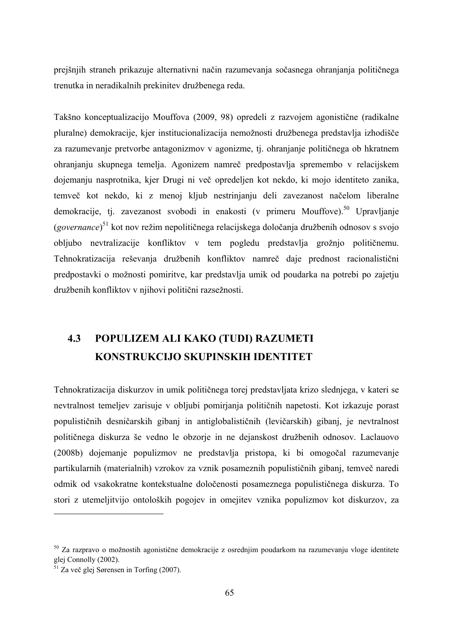prejšnjih straneh prikazuje alternativni način razumevanja sočasnega ohranjanja političnega trenutka in neradikalnih prekinitev družbenega reda.

Takšno konceptualizacijo Mouffova (2009, 98) opredeli z razvojem agonistične (radikalne pluralne) demokracije, kjer institucionalizacija nemožnosti družbenega predstavlja izhodišče za razumevanje pretvorbe antagonizmov v agonizme, tj. ohranjanje političnega ob hkratnem ohranjanju skupnega temelja. Agonizem namreč predpostavlja spremembo v relacijskem dojemanju nasprotnika, kjer Drugi ni več opredeljen kot nekdo, ki mojo identiteto zanika, temveč kot nekdo, ki z menoj kljub nestrinjanju deli zavezanost načelom liberalne demokracije, tj. zavezanost svobodi in enakosti (v primeru Mouffove).<sup>50</sup> Upravljanje (*governance*) 51 kot nov režim nepolitičnega relacijskega določanja družbenih odnosov s svojo obljubo nevtralizacije konfliktov v tem pogledu predstavlja grožnjo političnemu. Tehnokratizacija reševanja družbenih konfliktov namreč daje prednost racionalistični predpostavki o možnosti pomiritve, kar predstavlja umik od poudarka na potrebi po zajetju družbenih konfliktov v njihovi politični razsežnosti.

# **4.3 POPULIZEM ALI KAKO (TUDI) RAZUMETI KONSTRUKCIJO SKUPINSKIH IDENTITET**

Tehnokratizacija diskurzov in umik političnega torej predstavljata krizo slednjega, v kateri se nevtralnost temeljev zarisuje v obljubi pomirjanja političnih napetosti. Kot izkazuje porast populističnih desničarskih gibanj in antiglobalističnih (levičarskih) gibanj, je nevtralnost političnega diskurza še vedno le obzorje in ne dejanskost družbenih odnosov. Laclauovo (2008b) dojemanje populizmov ne predstavlja pristopa, ki bi omogočal razumevanje partikularnih (materialnih) vzrokov za vznik posameznih populističnih gibanj, temveč naredi odmik od vsakokratne kontekstualne določenosti posameznega populističnega diskurza. To stori z utemeljitvijo ontoloških pogojev in omejitev vznika populizmov kot diskurzov, za

<sup>50</sup> Za razpravo o možnostih agonistične demokracije z osrednjim poudarkom na razumevanju vloge identitete glej Connolly (2002).

<sup>51</sup> Za več glej Sørensen in Torfing (2007).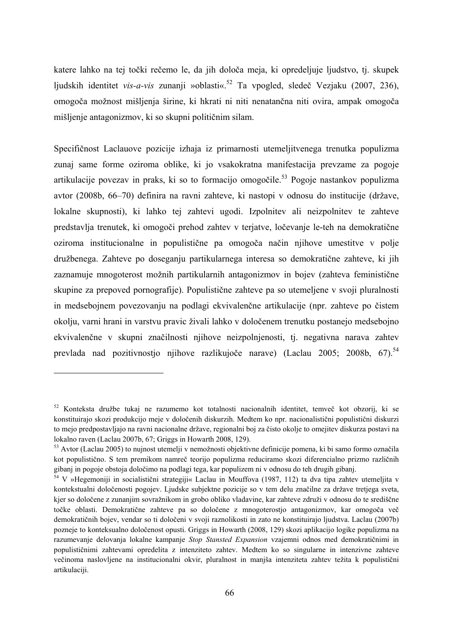katere lahko na tej točki rečemo le, da jih določa meja, ki opredeljuje ljudstvo, tj. skupek ljudskih identitet *vis-a-vis* zunanji »oblasti«.<sup>52</sup> Ta vpogled, sledeč Vezjaku (2007, 236), omogoča možnost mišljenja širine, ki hkrati ni niti nenatančna niti ovira, ampak omogoča mišljenje antagonizmov, ki so skupni političnim silam.

Specifičnost Laclauove pozicije izhaja iz primarnosti utemeljitvenega trenutka populizma zunaj same forme oziroma oblike, ki jo vsakokratna manifestacija prevzame za pogoje artikulacije povezav in praks, ki so to formacijo omogočile.<sup>53</sup> Pogoje nastankov populizma avtor (2008b, 66–70) definira na ravni zahteve, ki nastopi v odnosu do institucije (države, lokalne skupnosti), ki lahko tej zahtevi ugodi. Izpolnitev ali neizpolnitev te zahteve predstavlja trenutek, ki omogoči prehod zahtev v terjatve, ločevanje le-teh na demokratične oziroma institucionalne in populistične pa omogoča način njihove umestitve v polje družbenega. Zahteve po doseganju partikularnega interesa so demokratične zahteve, ki jih zaznamuje mnogoterost možnih partikularnih antagonizmov in bojev (zahteva feministične skupine za prepoved pornografije). Populistične zahteve pa so utemeljene v svoji pluralnosti in medsebojnem povezovanju na podlagi ekvivalenčne artikulacije (npr. zahteve po čistem okolju, varni hrani in varstvu pravic živali lahko v določenem trenutku postanejo medsebojno ekvivalenčne v skupni značilnosti njihove neizpolnjenosti, tj. negativna narava zahtev prevlada nad pozitivnostjo njihove razlikujoče narave) (Laclau 2005; 2008b, 67).<sup>54</sup>

<sup>52</sup> Konteksta družbe tukaj ne razumemo kot totalnosti nacionalnih identitet, temveč kot obzorij, ki se konstituirajo skozi produkcijo meje v določenih diskurzih. Medtem ko npr. nacionalistični populistični diskurzi to mejo predpostavljajo na ravni nacionalne države, regionalni boj za čisto okolje to omejitev diskurza postavi na lokalno raven (Laclau 2007b, 67; Griggs in Howarth 2008, 129).

<sup>53</sup> Avtor (Laclau 2005) to nujnost utemelji v nemožnosti objektivne definicije pomena, ki bi samo formo označila kot populistično. S tem premikom namreč teorijo populizma reduciramo skozi diferencialno prizmo različnih gibanj in pogoje obstoja določimo na podlagi tega, kar populizem ni v odnosu do teh drugih gibanj. 54 V »Hegemoniji in socialistični strategiji« Laclau in Mouffova (1987, 112) ta dva tipa zahtev utemeljita v

kontekstualni določenosti pogojev. Ljudske subjektne pozicije so v tem delu značilne za države tretjega sveta, kjer so določene z zunanjim sovražnikom in grobo obliko vladavine, kar zahteve združi v odnosu do te središčne točke oblasti. Demokratične zahteve pa so določene z mnogoterostjo antagonizmov, kar omogoča več demokratičnih bojev, vendar so ti določeni v svoji raznolikosti in zato ne konstituirajo ljudstva. Laclau (2007b) pozneje to konteksualno določenost opusti. Griggs in Howarth (2008, 129) skozi aplikacijo logike populizma na razumevanje delovanja lokalne kampanje *Stop Stansted Expansion* vzajemni odnos med demokratičnimi in populističnimi zahtevami opredelita z intenziteto zahtev. Medtem ko so singularne in intenzivne zahteve večinoma naslovljene na institucionalni okvir, pluralnost in manjša intenziteta zahtev težita k populistični artikulaciji.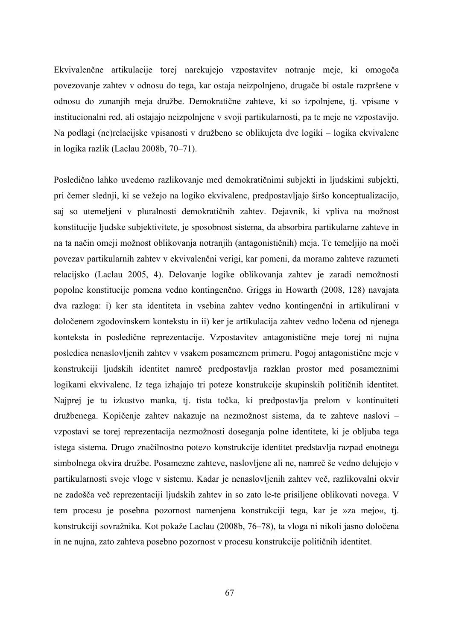Ekvivalenčne artikulacije torej narekujejo vzpostavitev notranje meje, ki omogoča povezovanje zahtev v odnosu do tega, kar ostaja neizpolnjeno, drugače bi ostale razpršene v odnosu do zunanjih meja družbe. Demokratične zahteve, ki so izpolnjene, tj. vpisane v institucionalni red, ali ostajajo neizpolnjene v svoji partikularnosti, pa te meje ne vzpostavijo. Na podlagi (ne)relacijske vpisanosti v družbeno se oblikujeta dve logiki – logika ekvivalenc in logika razlik (Laclau 2008b, 70–71).

Posledično lahko uvedemo razlikovanje med demokratičnimi subjekti in ljudskimi subjekti, pri čemer slednji, ki se vežejo na logiko ekvivalenc, predpostavljajo širšo konceptualizacijo, saj so utemeljeni v pluralnosti demokratičnih zahtev. Dejavnik, ki vpliva na možnost konstitucije ljudske subjektivitete, je sposobnost sistema, da absorbira partikularne zahteve in na ta način omeji možnost oblikovanja notranjih (antagonističnih) meja. Te temeljijo na moči povezav partikularnih zahtev v ekvivalenčni verigi, kar pomeni, da moramo zahteve razumeti relacijsko (Laclau 2005, 4). Delovanje logike oblikovanja zahtev je zaradi nemožnosti popolne konstitucije pomena vedno kontingenčno. Griggs in Howarth (2008, 128) navajata dva razloga: i) ker sta identiteta in vsebina zahtev vedno kontingenčni in artikulirani v določenem zgodovinskem kontekstu in ii) ker je artikulacija zahtev vedno ločena od njenega konteksta in posledične reprezentacije. Vzpostavitev antagonistične meje torej ni nujna posledica nenaslovljenih zahtev v vsakem posameznem primeru. Pogoj antagonistične meje v konstrukciji ljudskih identitet namreč predpostavlja razklan prostor med posameznimi logikami ekvivalenc. Iz tega izhajajo tri poteze konstrukcije skupinskih političnih identitet. Najprej je tu izkustvo manka, tj. tista točka, ki predpostavlja prelom v kontinuiteti družbenega. Kopičenje zahtev nakazuje na nezmožnost sistema, da te zahteve naslovi – vzpostavi se torej reprezentacija nezmožnosti doseganja polne identitete, ki je obljuba tega istega sistema. Drugo značilnostno potezo konstrukcije identitet predstavlja razpad enotnega simbolnega okvira družbe. Posamezne zahteve, naslovljene ali ne, namreč še vedno delujejo v partikularnosti svoje vloge v sistemu. Kadar je nenaslovljenih zahtev več, razlikovalni okvir ne zadošča več reprezentaciji ljudskih zahtev in so zato le-te prisiljene oblikovati novega. V tem procesu je posebna pozornost namenjena konstrukciji tega, kar je »za mejo«, tj. konstrukciji sovražnika. Kot pokaže Laclau (2008b, 76–78), ta vloga ni nikoli jasno določena in ne nujna, zato zahteva posebno pozornost v procesu konstrukcije političnih identitet.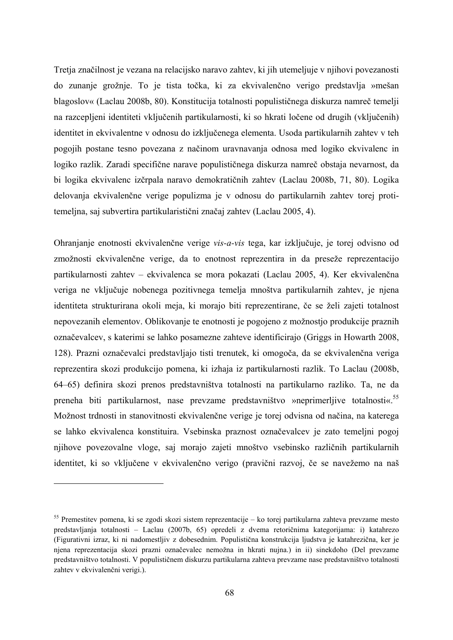Tretja značilnost je vezana na relacijsko naravo zahtev, ki jih utemeljuje v njihovi povezanosti do zunanje grožnje. To je tista točka, ki za ekvivalenčno verigo predstavlja »mešan blagoslov« (Laclau 2008b, 80). Konstitucija totalnosti populističnega diskurza namreč temelji na razcepljeni identiteti vključenih partikularnosti, ki so hkrati ločene od drugih (vključenih) identitet in ekvivalentne v odnosu do izključenega elementa. Usoda partikularnih zahtev v teh pogojih postane tesno povezana z načinom uravnavanja odnosa med logiko ekvivalenc in logiko razlik. Zaradi specifične narave populističnega diskurza namreč obstaja nevarnost, da bi logika ekvivalenc izčrpala naravo demokratičnih zahtev (Laclau 2008b, 71, 80). Logika delovanja ekvivalenčne verige populizma je v odnosu do partikularnih zahtev torej protitemeljna, saj subvertira partikularistični značaj zahtev (Laclau 2005, 4).

Ohranjanje enotnosti ekvivalenčne verige *vis-a-vis* tega, kar izključuje, je torej odvisno od zmožnosti ekvivalenčne verige, da to enotnost reprezentira in da preseže reprezentacijo partikularnosti zahtev – ekvivalenca se mora pokazati (Laclau 2005, 4). Ker ekvivalenčna veriga ne vključuje nobenega pozitivnega temelja mnoštva partikularnih zahtev, je njena identiteta strukturirana okoli meja, ki morajo biti reprezentirane, če se želi zajeti totalnost nepovezanih elementov. Oblikovanje te enotnosti je pogojeno z možnostjo produkcije praznih označevalcev, s katerimi se lahko posamezne zahteve identificirajo (Griggs in Howarth 2008, 128). Prazni označevalci predstavljajo tisti trenutek, ki omogoča, da se ekvivalenčna veriga reprezentira skozi produkcijo pomena, ki izhaja iz partikularnosti razlik. To Laclau (2008b, 64–65) definira skozi prenos predstavništva totalnosti na partikularno razliko. Ta, ne da preneha biti partikularnost, nase prevzame predstavništvo »neprimerljive totalnosti«.<sup>55</sup> Možnost trdnosti in stanovitnosti ekvivalenčne verige je torej odvisna od načina, na katerega se lahko ekvivalenca konstituira. Vsebinska praznost označevalcev je zato temeljni pogoj njihove povezovalne vloge, saj morajo zajeti mnoštvo vsebinsko različnih partikularnih identitet, ki so vključene v ekvivalenčno verigo (pravični razvoj, če se navežemo na naš

1

<sup>55</sup> Premestitev pomena, ki se zgodi skozi sistem reprezentacije – ko torej partikularna zahteva prevzame mesto predstavljanja totalnosti – Laclau (2007b, 65) opredeli z dvema retoričnima kategorijama: i) katahrezo (Figurativni izraz, ki ni nadomestljiv z dobesednim. Populistična konstrukcija ljudstva je katahrezična, ker je njena reprezentacija skozi prazni označevalec nemožna in hkrati nujna.) in ii) sinekdoho (Del prevzame predstavništvo totalnosti. V populističnem diskurzu partikularna zahteva prevzame nase predstavništvo totalnosti zahtev v ekvivalenčni verigi.).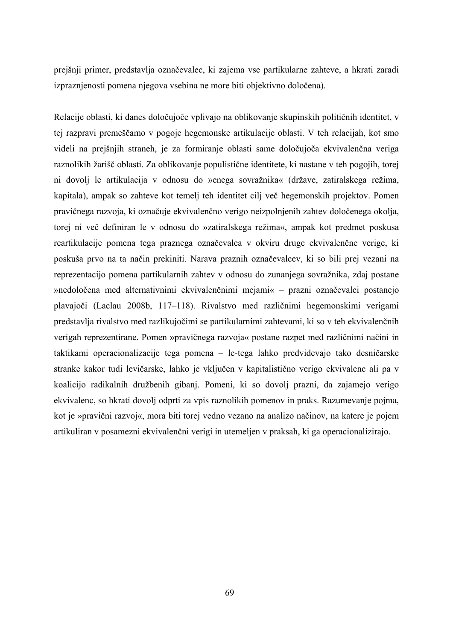prejšnji primer, predstavlja označevalec, ki zajema vse partikularne zahteve, a hkrati zaradi izpraznjenosti pomena njegova vsebina ne more biti objektivno določena).

Relacije oblasti, ki danes določujoče vplivajo na oblikovanje skupinskih političnih identitet, v tej razpravi premeščamo v pogoje hegemonske artikulacije oblasti. V teh relacijah, kot smo videli na prejšnjih straneh, je za formiranje oblasti same določujoča ekvivalenčna veriga raznolikih žarišč oblasti. Za oblikovanje populistične identitete, ki nastane v teh pogojih, torej ni dovolj le artikulacija v odnosu do »enega sovražnika« (države, zatiralskega režima, kapitala), ampak so zahteve kot temelj teh identitet cilj več hegemonskih projektov. Pomen pravičnega razvoja, ki označuje ekvivalenčno verigo neizpolnjenih zahtev določenega okolja, torej ni več definiran le v odnosu do »zatiralskega režima«, ampak kot predmet poskusa reartikulacije pomena tega praznega označevalca v okviru druge ekvivalenčne verige, ki poskuša prvo na ta način prekiniti. Narava praznih označevalcev, ki so bili prej vezani na reprezentacijo pomena partikularnih zahtev v odnosu do zunanjega sovražnika, zdaj postane »nedoločena med alternativnimi ekvivalenčnimi mejami« – prazni označevalci postanejo plavajoči (Laclau 2008b, 117–118). Rivalstvo med različnimi hegemonskimi verigami predstavlja rivalstvo med razlikujočimi se partikularnimi zahtevami, ki so v teh ekvivalenčnih verigah reprezentirane. Pomen »pravičnega razvoja« postane razpet med različnimi načini in taktikami operacionalizacije tega pomena – le-tega lahko predvidevajo tako desničarske stranke kakor tudi levičarske, lahko je vključen v kapitalistično verigo ekvivalenc ali pa v koalicijo radikalnih družbenih gibanj. Pomeni, ki so dovolj prazni, da zajamejo verigo ekvivalenc, so hkrati dovolj odprti za vpis raznolikih pomenov in praks. Razumevanje pojma, kot je »pravični razvoj«, mora biti torej vedno vezano na analizo načinov, na katere je pojem artikuliran v posamezni ekvivalenčni verigi in utemeljen v praksah, ki ga operacionalizirajo.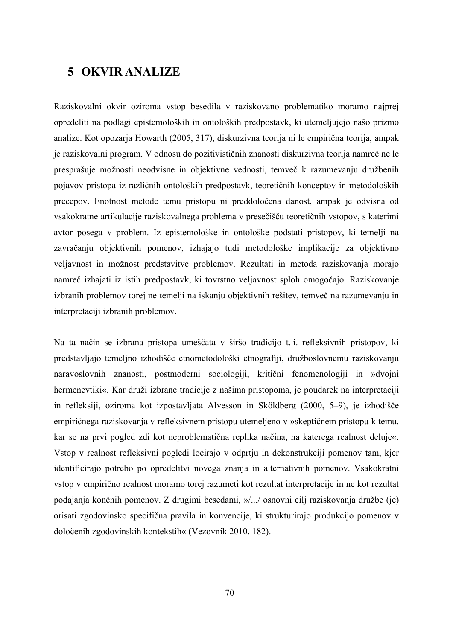# **5 OKVIR ANALIZE**

Raziskovalni okvir oziroma vstop besedila v raziskovano problematiko moramo najprej opredeliti na podlagi epistemoloških in ontoloških predpostavk, ki utemeljujejo našo prizmo analize. Kot opozarja Howarth (2005, 317), diskurzivna teorija ni le empirična teorija, ampak je raziskovalni program. V odnosu do pozitivističnih znanosti diskurzivna teorija namreč ne le presprašuje možnosti neodvisne in objektivne vednosti, temveč k razumevanju družbenih pojavov pristopa iz različnih ontoloških predpostavk, teoretičnih konceptov in metodoloških precepov. Enotnost metode temu pristopu ni preddoločena danost, ampak je odvisna od vsakokratne artikulacije raziskovalnega problema v presečišču teoretičnih vstopov, s katerimi avtor posega v problem. Iz epistemološke in ontološke podstati pristopov, ki temelji na zavračanju objektivnih pomenov, izhajajo tudi metodološke implikacije za objektivno veljavnost in možnost predstavitve problemov. Rezultati in metoda raziskovanja morajo namreč izhajati iz istih predpostavk, ki tovrstno veljavnost sploh omogočajo. Raziskovanje izbranih problemov torej ne temelji na iskanju objektivnih rešitev, temveč na razumevanju in interpretaciji izbranih problemov.

Na ta način se izbrana pristopa umeščata v širšo tradicijo t. i. refleksivnih pristopov, ki predstavljajo temeljno izhodišče etnometodološki etnografiji, družboslovnemu raziskovanju naravoslovnih znanosti, postmoderni sociologiji, kritični fenomenologiji in »dvojni hermenevtiki«. Kar druži izbrane tradicije z našima pristopoma, je poudarek na interpretaciji in refleksiji, oziroma kot izpostavljata Alvesson in Sköldberg (2000, 5–9), je izhodišče empiričnega raziskovanja v refleksivnem pristopu utemeljeno v »skeptičnem pristopu k temu, kar se na prvi pogled zdi kot neproblematična replika načina, na katerega realnost deluje«. Vstop v realnost refleksivni pogledi locirajo v odprtju in dekonstrukciji pomenov tam, kjer identificirajo potrebo po opredelitvi novega znanja in alternativnih pomenov. Vsakokratni vstop v empirično realnost moramo torej razumeti kot rezultat interpretacije in ne kot rezultat podajanja končnih pomenov. Z drugimi besedami, »/.../ osnovni cilj raziskovanja družbe (je) orisati zgodovinsko specifična pravila in konvencije, ki strukturirajo produkcijo pomenov v določenih zgodovinskih kontekstih« (Vezovnik 2010, 182).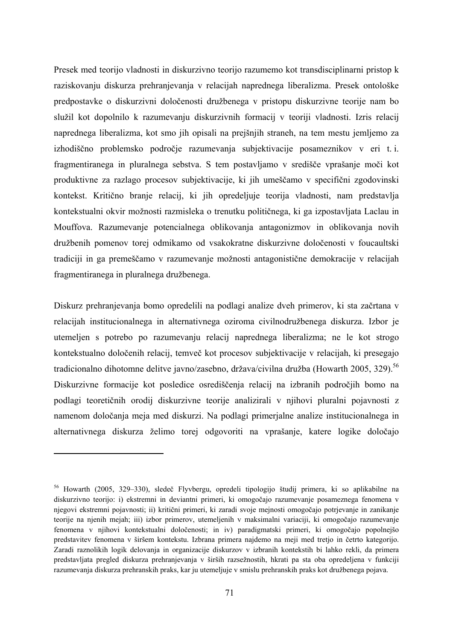Presek med teorijo vladnosti in diskurzivno teorijo razumemo kot transdisciplinarni pristop k raziskovanju diskurza prehranjevanja v relacijah naprednega liberalizma. Presek ontološke predpostavke o diskurzivni določenosti družbenega v pristopu diskurzivne teorije nam bo služil kot dopolnilo k razumevanju diskurzivnih formacij v teoriji vladnosti. Izris relacij naprednega liberalizma, kot smo jih opisali na prejšnjih straneh, na tem mestu jemljemo za izhodiščno problemsko področje razumevanja subjektivacije posameznikov v eri t. i. fragmentiranega in pluralnega sebstva. S tem postavljamo v središče vprašanje moči kot produktivne za razlago procesov subjektivacije, ki jih umeščamo v specifični zgodovinski kontekst. Kritično branje relacij, ki jih opredeljuje teorija vladnosti, nam predstavlja kontekstualni okvir možnosti razmisleka o trenutku političnega, ki ga izpostavljata Laclau in Mouffova. Razumevanje potencialnega oblikovanja antagonizmov in oblikovanja novih družbenih pomenov torej odmikamo od vsakokratne diskurzivne določenosti v foucaultski tradiciji in ga premeščamo v razumevanje možnosti antagonistične demokracije v relacijah fragmentiranega in pluralnega družbenega.

Diskurz prehranjevanja bomo opredelili na podlagi analize dveh primerov, ki sta začrtana v relacijah institucionalnega in alternativnega oziroma civilnodružbenega diskurza. Izbor je utemeljen s potrebo po razumevanju relacij naprednega liberalizma; ne le kot strogo kontekstualno določenih relacij, temveč kot procesov subjektivacije v relacijah, ki presegajo tradicionalno dihotomne delitve javno/zasebno, država/civilna družba (Howarth 2005, 329).<sup>56</sup> Diskurzivne formacije kot posledice osrediščenja relacij na izbranih področjih bomo na podlagi teoretičnih orodij diskurzivne teorije analizirali v njihovi pluralni pojavnosti z namenom določanja meja med diskurzi. Na podlagi primerjalne analize institucionalnega in alternativnega diskurza želimo torej odgovoriti na vprašanje, katere logike določajo

 $\overline{a}$ 

<sup>56</sup> Howarth (2005, 329–330), sledeč Flyvbergu, opredeli tipologijo študij primera, ki so aplikabilne na diskurzivno teorijo: i) ekstremni in deviantni primeri, ki omogočajo razumevanje posameznega fenomena v njegovi ekstremni pojavnosti; ii) kritični primeri, ki zaradi svoje mejnosti omogočajo potrjevanje in zanikanje teorije na njenih mejah; iii) izbor primerov, utemeljenih v maksimalni variaciji, ki omogočajo razumevanje fenomena v njihovi kontekstualni določenosti; in iv) paradigmatski primeri, ki omogočajo popolnejšo predstavitev fenomena v širšem kontekstu. Izbrana primera najdemo na meji med tretjo in četrto kategorijo. Zaradi raznolikih logik delovanja in organizacije diskurzov v izbranih kontekstih bi lahko rekli, da primera predstavljata pregled diskurza prehranjevanja v širših razsežnostih, hkrati pa sta oba opredeljena v funkciji razumevanja diskurza prehranskih praks, kar ju utemeljuje v smislu prehranskih praks kot družbenega pojava.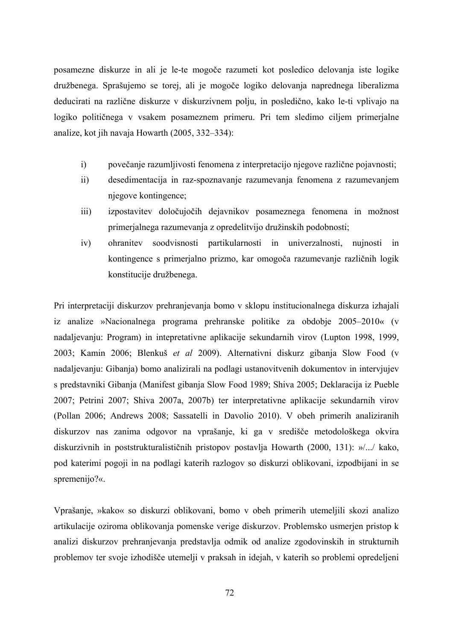posamezne diskurze in ali je le-te mogoče razumeti kot posledico delovanja iste logike družbenega. Sprašujemo se torej, ali je mogoče logiko delovanja naprednega liberalizma deducirati na različne diskurze v diskurzivnem polju, in posledično, kako le-ti vplivajo na logiko političnega v vsakem posameznem primeru. Pri tem sledimo ciljem primerjalne analize, kot jih navaja Howarth (2005, 332–334):

- i) povečanje razumljivosti fenomena z interpretacijo njegove različne pojavnosti;
- ii) desedimentacija in raz-spoznavanje razumevanja fenomena z razumevanjem njegove kontingence;
- iii) izpostavitev določujočih dejavnikov posameznega fenomena in možnost primerjalnega razumevanja z opredelitvijo družinskih podobnosti;
- iv) ohranitev soodvisnosti partikularnosti in univerzalnosti, nujnosti in kontingence s primerjalno prizmo, kar omogoča razumevanje različnih logik konstitucije družbenega.

Pri interpretaciji diskurzov prehranjevanja bomo v sklopu institucionalnega diskurza izhajali iz analize »Nacionalnega programa prehranske politike za obdobje 2005–2010« (v nadaljevanju: Program) in intepretativne aplikacije sekundarnih virov (Lupton 1998, 1999, 2003; Kamin 2006; Blenkuš *et al* 2009). Alternativni diskurz gibanja Slow Food (v nadaljevanju: Gibanja) bomo analizirali na podlagi ustanovitvenih dokumentov in intervjujev s predstavniki Gibanja (Manifest gibanja Slow Food 1989; Shiva 2005; Deklaracija iz Pueble 2007; Petrini 2007; Shiva 2007a, 2007b) ter interpretativne aplikacije sekundarnih virov (Pollan 2006; Andrews 2008; Sassatelli in Davolio 2010). V obeh primerih analiziranih diskurzov nas zanima odgovor na vprašanje, ki ga v središče metodološkega okvira diskurzivnih in poststrukturalističnih pristopov postavlja Howarth (2000, 131): »/.../ kako, pod katerimi pogoji in na podlagi katerih razlogov so diskurzi oblikovani, izpodbijani in se spremenijo?«.

Vprašanje, »kako« so diskurzi oblikovani, bomo v obeh primerih utemeljili skozi analizo artikulacije oziroma oblikovanja pomenske verige diskurzov. Problemsko usmerjen pristop k analizi diskurzov prehranjevanja predstavlja odmik od analize zgodovinskih in strukturnih problemov ter svoje izhodišče utemelji v praksah in idejah, v katerih so problemi opredeljeni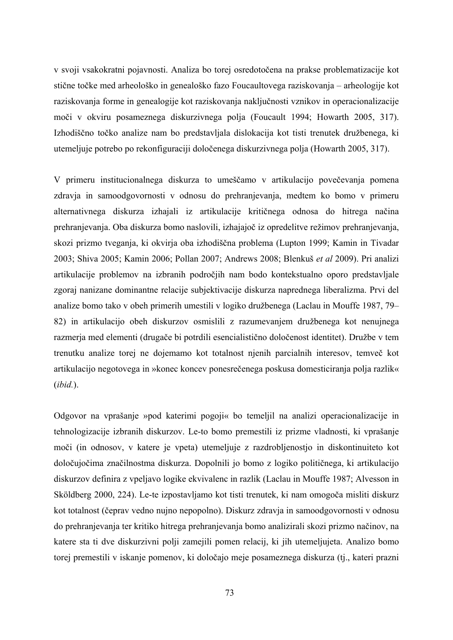v svoji vsakokratni pojavnosti. Analiza bo torej osredotočena na prakse problematizacije kot stične točke med arheološko in genealoško fazo Foucaultovega raziskovanja – arheologije kot raziskovanja forme in genealogije kot raziskovanja naključnosti vznikov in operacionalizacije moči v okviru posameznega diskurzivnega polja (Foucault 1994; Howarth 2005, 317). Izhodiščno točko analize nam bo predstavljala dislokacija kot tisti trenutek družbenega, ki utemeljuje potrebo po rekonfiguraciji določenega diskurzivnega polja (Howarth 2005, 317).

V primeru institucionalnega diskurza to umeščamo v artikulacijo povečevanja pomena zdravja in samoodgovornosti v odnosu do prehranjevanja, medtem ko bomo v primeru alternativnega diskurza izhajali iz artikulacije kritičnega odnosa do hitrega načina prehranjevanja. Oba diskurza bomo naslovili, izhajajoč iz opredelitve režimov prehranjevanja, skozi prizmo tveganja, ki okvirja oba izhodiščna problema (Lupton 1999; Kamin in Tivadar 2003; Shiva 2005; Kamin 2006; Pollan 2007; Andrews 2008; Blenkuš *et al* 2009). Pri analizi artikulacije problemov na izbranih področjih nam bodo kontekstualno oporo predstavljale zgoraj nanizane dominantne relacije subjektivacije diskurza naprednega liberalizma. Prvi del analize bomo tako v obeh primerih umestili v logiko družbenega (Laclau in Mouffe 1987, 79– 82) in artikulacijo obeh diskurzov osmislili z razumevanjem družbenega kot nenujnega razmerja med elementi (drugače bi potrdili esencialistično določenost identitet). Družbe v tem trenutku analize torej ne dojemamo kot totalnost njenih parcialnih interesov, temveč kot artikulacijo negotovega in »konec koncev ponesrečenega poskusa domesticiranja polja razlik« (*ibid.*).

Odgovor na vprašanje »pod katerimi pogoji« bo temeljil na analizi operacionalizacije in tehnologizacije izbranih diskurzov. Le-to bomo premestili iz prizme vladnosti, ki vprašanje moči (in odnosov, v katere je vpeta) utemeljuje z razdrobljenostjo in diskontinuiteto kot določujočima značilnostma diskurza. Dopolnili jo bomo z logiko političnega, ki artikulacijo diskurzov definira z vpeljavo logike ekvivalenc in razlik (Laclau in Mouffe 1987; Alvesson in Sköldberg 2000, 224). Le-te izpostavljamo kot tisti trenutek, ki nam omogoča misliti diskurz kot totalnost (čeprav vedno nujno nepopolno). Diskurz zdravja in samoodgovornosti v odnosu do prehranjevanja ter kritiko hitrega prehranjevanja bomo analizirali skozi prizmo načinov, na katere sta ti dve diskurzivni polji zamejili pomen relacij, ki jih utemeljujeta. Analizo bomo torej premestili v iskanje pomenov, ki določajo meje posameznega diskurza (tj., kateri prazni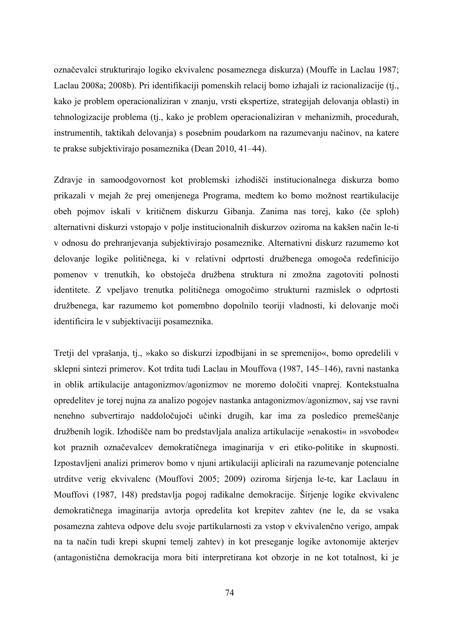označevalci strukturirajo logiko ekvivalenc posameznega diskurza) (Mouffe in Laclau 1987; Laclau 2008a; 2008b). Pri identifikaciji pomenskih relacij bomo izhajali iz racionalizacije (tj., kako je problem operacionaliziran v znanju, vrsti ekspertize, strategijah delovanja oblasti) in tehnologizacije problema (tj., kako je problem operacionaliziran v mehanizmih, procedurah, instrumentih, taktikah delovanja) s posebnim poudarkom na razumevanju načinov, na katere te prakse subjektivirajo posameznika (Dean 2010, 41–44).

Zdravje in samoodgovornost kot problemski izhodišči institucionalnega diskurza bomo prikazali v mejah že prej omenjenega Programa, medtem ko bomo možnost reartikulacije obeh pojmov iskali v kritičnem diskurzu Gibanja. Zanima nas torej, kako (če sploh) alternativni diskurzi vstopajo v polje institucionalnih diskurzov oziroma na kakšen način le-ti v odnosu do prehranjevanja subjektivirajo posameznike. Alternativni diskurz razumemo kot delovanje logike političnega, ki v relativni odprtosti družbenega omogoča redefinicijo pomenov v trenutkih, ko obstoječa družbena struktura ni zmožna zagotoviti polnosti identitete. Z vpeljavo trenutka političnega omogočimo strukturni razmislek o odprtosti družbenega, kar razumemo kot pomembno dopolnilo teoriji vladnosti, ki delovanje moči identificira le v subjektivaciji posameznika.

Tretji del vprašanja, tj., »kako so diskurzi izpodbijani in se spremenijo«, bomo opredelili v sklepni sintezi primerov. Kot trdita tudi Laclau in Mouffova (1987, 145–146), ravni nastanka in oblik artikulacije antagonizmov/agonizmov ne moremo določiti vnaprej. Kontekstualna opredelitev je torej nujna za analizo pogojev nastanka antagonizmov/agonizmov, saj vse ravni nenehno subvertirajo naddoločujoči učinki drugih, kar ima za posledico premeščanje družbenih logik. Izhodišče nam bo predstavljala analiza artikulacije »enakosti« in »svobode« kot praznih označevalcev demokratičnega imaginarija v eri etiko-politike in skupnosti. Izpostavljeni analizi primerov bomo v njuni artikulaciji aplicirali na razumevanje potencialne utrditve verig ekvivalenc (Mouffovi 2005; 2009) oziroma širjenja le-te, kar Laclauu in Mouffovi (1987, 148) predstavlja pogoj radikalne demokracije. Širjenje logike ekvivalenc demokratičnega imaginarija avtorja opredelita kot krepitev zahtev (ne le, da se vsaka posamezna zahteva odpove delu svoje partikularnosti za vstop v ekvivalenčno verigo, ampak na ta način tudi krepi skupni temelj zahtev) in kot preseganje logike avtonomije akterjev (antagonistična demokracija mora biti interpretirana kot obzorje in ne kot totalnost, ki je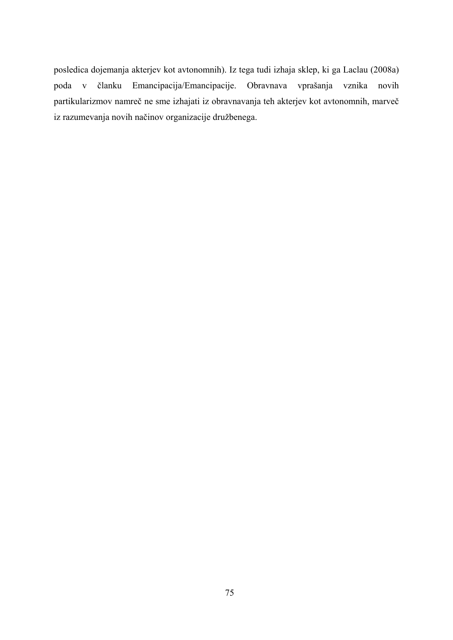posledica dojemanja akterjev kot avtonomnih). Iz tega tudi izhaja sklep, ki ga Laclau (2008a) poda v članku Emancipacija/Emancipacije. Obravnava vprašanja vznika novih partikularizmov namreč ne sme izhajati iz obravnavanja teh akterjev kot avtonomnih, marveč iz razumevanja novih načinov organizacije družbenega.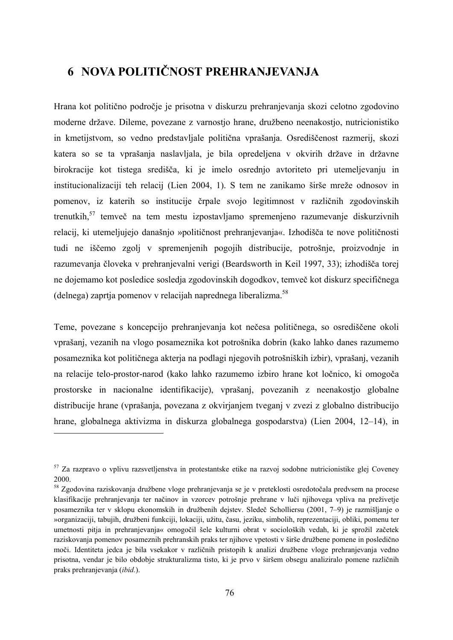# **6 NOVA POLITIČNOST PREHRANJEVANJA**

Hrana kot politično področje je prisotna v diskurzu prehranjevanja skozi celotno zgodovino moderne države. Dileme, povezane z varnostjo hrane, družbeno neenakostjo, nutricionistiko in kmetijstvom, so vedno predstavljale politična vprašanja. Osrediščenost razmerij, skozi katera so se ta vprašanja naslavljala, je bila opredeljena v okvirih države in državne birokracije kot tistega središča, ki je imelo osrednjo avtoriteto pri utemeljevanju in institucionalizaciji teh relacij (Lien 2004, 1). S tem ne zanikamo širše mreže odnosov in pomenov, iz katerih so institucije črpale svojo legitimnost v različnih zgodovinskih trenutkih,57 temveč na tem mestu izpostavljamo spremenjeno razumevanje diskurzivnih relacij, ki utemeljujejo današnjo »političnost prehranjevanja«. Izhodišča te nove političnosti tudi ne iščemo zgolj v spremenjenih pogojih distribucije, potrošnje, proizvodnje in razumevanja človeka v prehranjevalni verigi (Beardsworth in Keil 1997, 33); izhodišča torej ne dojemamo kot posledice sosledja zgodovinskih dogodkov, temveč kot diskurz specifičnega (delnega) zaprtja pomenov v relacijah naprednega liberalizma.58

Teme, povezane s koncepcijo prehranjevanja kot nečesa političnega, so osrediščene okoli vprašanj, vezanih na vlogo posameznika kot potrošnika dobrin (kako lahko danes razumemo posameznika kot političnega akterja na podlagi njegovih potrošniških izbir), vprašanj, vezanih na relacije telo-prostor-narod (kako lahko razumemo izbiro hrane kot ločnico, ki omogoča prostorske in nacionalne identifikacije), vprašanj, povezanih z neenakostjo globalne distribucije hrane (vprašanja, povezana z okvirjanjem tveganj v zvezi z globalno distribucijo hrane, globalnega aktivizma in diskurza globalnega gospodarstva) (Lien 2004, 12–14), in

<sup>57</sup> Za razpravo o vplivu razsvetljenstva in protestantske etike na razvoj sodobne nutricionistike glej Coveney 2000.

<sup>58</sup> Zgodovina raziskovanja družbene vloge prehranjevanja se je v preteklosti osredotočala predvsem na procese klasifikacije prehranjevanja ter načinov in vzorcev potrošnje prehrane v luči njihovega vpliva na preživetje posameznika ter v sklopu ekonomskih in družbenih dejstev. Sledeč Scholliersu (2001, 7–9) je razmišljanje o »organizaciji, tabujih, družbeni funkciji, lokaciji, užitu, času, jeziku, simbolih, reprezentaciji, obliki, pomenu ter umetnosti pitja in prehranjevanja« omogočil šele kulturni obrat v socioloških vedah, ki je sprožil začetek raziskovanja pomenov posameznih prehranskih praks ter njihove vpetosti v širše družbene pomene in posledično moči. Identiteta jedca je bila vsekakor v različnih pristopih k analizi družbene vloge prehranjevanja vedno prisotna, vendar je bilo obdobje strukturalizma tisto, ki je prvo v širšem obsegu analiziralo pomene različnih praks prehranjevanja (*ibid.*).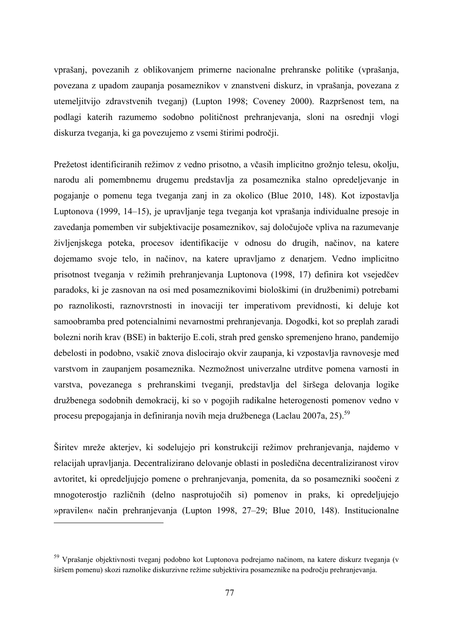vprašanj, povezanih z oblikovanjem primerne nacionalne prehranske politike (vprašanja, povezana z upadom zaupanja posameznikov v znanstveni diskurz, in vprašanja, povezana z utemeljitvijo zdravstvenih tveganj) (Lupton 1998; Coveney 2000). Razpršenost tem, na podlagi katerih razumemo sodobno političnost prehranjevanja, sloni na osrednji vlogi diskurza tveganja, ki ga povezujemo z vsemi štirimi področji.

Prežetost identificiranih režimov z vedno prisotno, a včasih implicitno grožnjo telesu, okolju, narodu ali pomembnemu drugemu predstavlja za posameznika stalno opredeljevanje in pogajanje o pomenu tega tveganja zanj in za okolico (Blue 2010, 148). Kot izpostavlja Luptonova (1999, 14–15), je upravljanje tega tveganja kot vprašanja individualne presoje in zavedanja pomemben vir subjektivacije posameznikov, saj določujoče vpliva na razumevanje življenjskega poteka, procesov identifikacije v odnosu do drugih, načinov, na katere dojemamo svoje telo, in načinov, na katere upravljamo z denarjem. Vedno implicitno prisotnost tveganja v režimih prehranjevanja Luptonova (1998, 17) definira kot vsejedčev paradoks, ki je zasnovan na osi med posameznikovimi biološkimi (in družbenimi) potrebami po raznolikosti, raznovrstnosti in inovaciji ter imperativom previdnosti, ki deluje kot samoobramba pred potencialnimi nevarnostmi prehranjevanja. Dogodki, kot so preplah zaradi bolezni norih krav (BSE) in bakterijo E.coli, strah pred gensko spremenjeno hrano, pandemijo debelosti in podobno, vsakič znova dislocirajo okvir zaupanja, ki vzpostavlja ravnovesje med varstvom in zaupanjem posameznika. Nezmožnost univerzalne utrditve pomena varnosti in varstva, povezanega s prehranskimi tveganji, predstavlja del širšega delovanja logike družbenega sodobnih demokracij, ki so v pogojih radikalne heterogenosti pomenov vedno v procesu prepogajanja in definiranja novih meja družbenega (Laclau 2007a, 25).59

Širitev mreže akterjev, ki sodelujejo pri konstrukciji režimov prehranjevanja, najdemo v relacijah upravljanja. Decentralizirano delovanje oblasti in posledična decentraliziranost virov avtoritet, ki opredeljujejo pomene o prehranjevanja, pomenita, da so posamezniki soočeni z mnogoterostjo različnih (delno nasprotujočih si) pomenov in praks, ki opredeljujejo »pravilen« način prehranjevanja (Lupton 1998, 27–29; Blue 2010, 148). Institucionalne

<sup>59</sup> Vprašanje objektivnosti tveganj podobno kot Luptonova podrejamo načinom, na katere diskurz tveganja (v širšem pomenu) skozi raznolike diskurzivne režime subjektivira posameznike na področju prehranjevanja.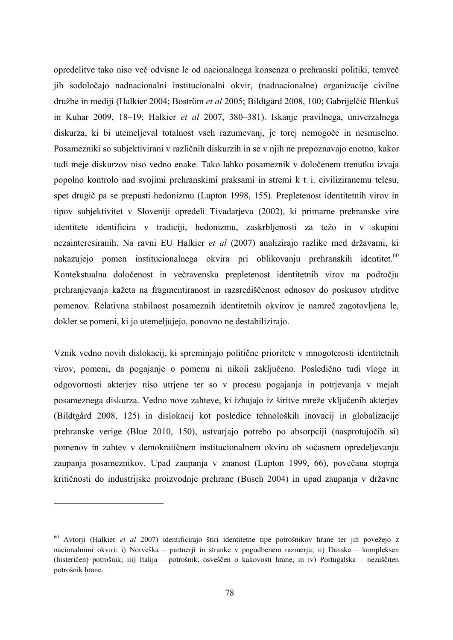opredelitve tako niso več odvisne le od nacionalnega konsenza o prehranski politiki, temveč jih sodoločajo nadnacionalni institucionalni okvir, (nadnacionalne) organizacije civilne družbe in mediji (Halkier 2004; Boström *et al* 2005; Bildtgård 2008, 100; Gabrijelčič Blenkuš in Kuhar 2009, 18–19; Halkier *et al* 2007, 380–381). Iskanje pravilnega, univerzalnega diskurza, ki bi utemeljeval totalnost vseh razumevanj, je torej nemogoče in nesmiselno. Posamezniki so subjektivirani v različnih diskurzih in se v njih ne prepoznavajo enotno, kakor tudi meje diskurzov niso vedno enake. Tako lahko posameznik v določenem trenutku izvaja popolno kontrolo nad svojimi prehranskimi praksami in stremi k t. i. civiliziranemu telesu, spet drugič pa se prepusti hedonizmu (Lupton 1998, 155). Prepletenost identitetnih virov in tipov subjektivitet v Sloveniji opredeli Tivadarjeva (2002), ki primarne prehranske vire identitete identificira v tradiciji, hedonizmu, zaskrbljenosti za težo in v skupini nezainteresiranih. Na ravni EU Halkier *et al* (2007) analizirajo razlike med državami, ki nakazujejo pomen institucionalnega okvira pri oblikovanju prehranskih identitet.<sup>60</sup> Kontekstualna določenost in večravenska prepletenost identitetnih virov na področju prehranjevanja kažeta na fragmentiranost in razsrediščenost odnosov do poskusov utrditve pomenov. Relativna stabilnost posameznih identitetnih okvirov je namreč zagotovljena le, dokler se pomeni, ki jo utemeljujejo, ponovno ne destabilizirajo.

Vznik vedno novih dislokacij, ki spreminjajo politične prioritete v mnogoterosti identitetnih virov, pomeni, da pogajanje o pomenu ni nikoli zaključeno. Posledično tudi vloge in odgovornosti akterjev niso utrjene ter so v procesu pogajanja in potrjevanja v mejah posameznega diskurza. Vedno nove zahteve, ki izhajajo iz širitve mreže vključenih akterjev (Bildtgård 2008, 125) in dislokacij kot posledice tehnoloških inovacij in globalizacije prehranske verige (Blue 2010, 150), ustvarjajo potrebo po absorpciji (nasprotujočih si) pomenov in zahtev v demokratičnem institucionalnem okviru ob sočasnem opredeljevanju zaupanja posameznikov. Upad zaupanja v znanost (Lupton 1999, 66), povečana stopnja kritičnosti do industrijske proizvodnje prehrane (Busch 2004) in upad zaupanja v državne

<sup>&</sup>lt;sup>60</sup> Avtorii (Halkier *et al* 2007) identificirajo štiri identitetne tipe potrošnikov hrane ter jih povežejo z nacionalnimi okviri: i) Norveška – partnerji in stranke v pogodbenem razmerju; ii) Danska – kompleksen (histeričen) potrošnik; iii) Italija – potrošnik, osveščen o kakovosti hrane, in iv) Portugalska – nezaščiten potrošnik hrane.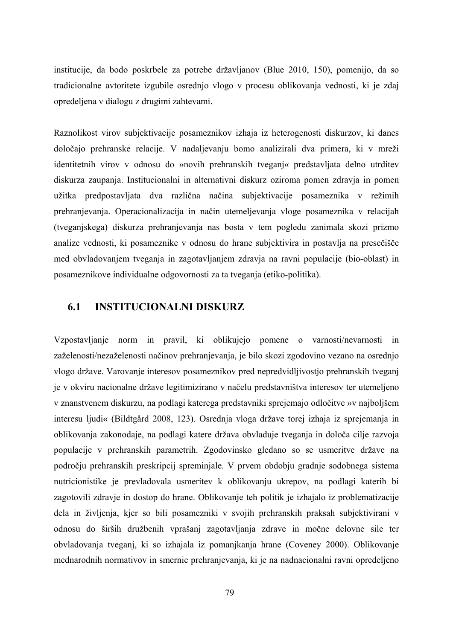institucije, da bodo poskrbele za potrebe državljanov (Blue 2010, 150), pomenijo, da so tradicionalne avtoritete izgubile osrednjo vlogo v procesu oblikovanja vednosti, ki je zdaj opredeljena v dialogu z drugimi zahtevami.

Raznolikost virov subjektivacije posameznikov izhaja iz heterogenosti diskurzov, ki danes določajo prehranske relacije. V nadaljevanju bomo analizirali dva primera, ki v mreži identitetnih virov v odnosu do »novih prehranskih tveganj« predstavljata delno utrditev diskurza zaupanja. Institucionalni in alternativni diskurz oziroma pomen zdravja in pomen užitka predpostavljata dva različna načina subjektivacije posameznika v režimih prehranjevanja. Operacionalizacija in način utemeljevanja vloge posameznika v relacijah (tveganjskega) diskurza prehranjevanja nas bosta v tem pogledu zanimala skozi prizmo analize vednosti, ki posameznike v odnosu do hrane subjektivira in postavlja na presečišče med obvladovanjem tveganja in zagotavljanjem zdravja na ravni populacije (bio-oblast) in posameznikove individualne odgovornosti za ta tveganja (etiko-politika).

## **6.1 INSTITUCIONALNI DISKURZ**

Vzpostavljanje norm in pravil, ki oblikujejo pomene o varnosti/nevarnosti in zaželenosti/nezaželenosti načinov prehranjevanja, je bilo skozi zgodovino vezano na osrednjo vlogo države. Varovanje interesov posameznikov pred nepredvidljivostjo prehranskih tveganj je v okviru nacionalne države legitimizirano v načelu predstavništva interesov ter utemeljeno v znanstvenem diskurzu, na podlagi katerega predstavniki sprejemajo odločitve »v najboljšem interesu ljudi« (Bildtgård 2008, 123). Osrednja vloga države torej izhaja iz sprejemanja in oblikovanja zakonodaje, na podlagi katere država obvladuje tveganja in določa cilje razvoja populacije v prehranskih parametrih. Zgodovinsko gledano so se usmeritve države na področju prehranskih preskripcij spreminjale. V prvem obdobju gradnje sodobnega sistema nutricionistike je prevladovala usmeritev k oblikovanju ukrepov, na podlagi katerih bi zagotovili zdravje in dostop do hrane. Oblikovanje teh politik je izhajalo iz problematizacije dela in življenja, kjer so bili posamezniki v svojih prehranskih praksah subjektivirani v odnosu do širših družbenih vprašanj zagotavljanja zdrave in močne delovne sile ter obvladovanja tveganj, ki so izhajala iz pomanjkanja hrane (Coveney 2000). Oblikovanje mednarodnih normativov in smernic prehranjevanja, ki je na nadnacionalni ravni opredeljeno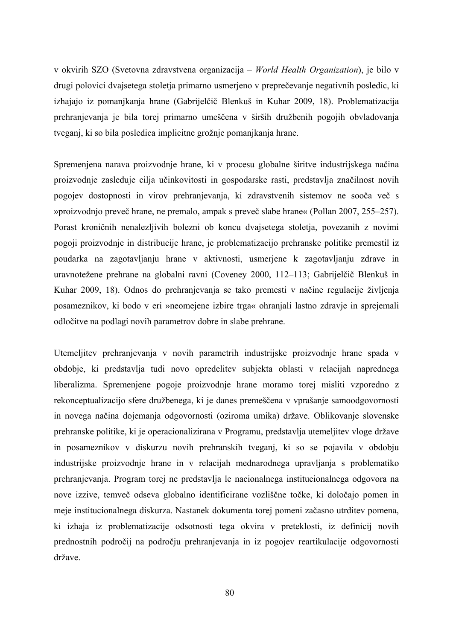v okvirih SZO (Svetovna zdravstvena organizacija – *World Health Organization*), je bilo v drugi polovici dvajsetega stoletja primarno usmerjeno v preprečevanje negativnih posledic, ki izhajajo iz pomanjkanja hrane (Gabrijelčič Blenkuš in Kuhar 2009, 18). Problematizacija prehranjevanja je bila torej primarno umeščena v širših družbenih pogojih obvladovanja tveganj, ki so bila posledica implicitne grožnje pomanjkanja hrane.

Spremenjena narava proizvodnje hrane, ki v procesu globalne širitve industrijskega načina proizvodnje zasleduje cilja učinkovitosti in gospodarske rasti, predstavlja značilnost novih pogojev dostopnosti in virov prehranjevanja, ki zdravstvenih sistemov ne sooča več s »proizvodnjo preveč hrane, ne premalo, ampak s preveč slabe hrane« (Pollan 2007, 255–257). Porast kroničnih nenalezljivih bolezni ob koncu dvajsetega stoletja, povezanih z novimi pogoji proizvodnje in distribucije hrane, je problematizacijo prehranske politike premestil iz poudarka na zagotavljanju hrane v aktivnosti, usmerjene k zagotavljanju zdrave in uravnotežene prehrane na globalni ravni (Coveney 2000, 112–113; Gabrijelčič Blenkuš in Kuhar 2009, 18). Odnos do prehranjevanja se tako premesti v načine regulacije življenja posameznikov, ki bodo v eri »neomejene izbire trga« ohranjali lastno zdravje in sprejemali odločitve na podlagi novih parametrov dobre in slabe prehrane.

Utemeljitev prehranjevanja v novih parametrih industrijske proizvodnje hrane spada v obdobje, ki predstavlja tudi novo opredelitev subjekta oblasti v relacijah naprednega liberalizma. Spremenjene pogoje proizvodnje hrane moramo torej misliti vzporedno z rekonceptualizacijo sfere družbenega, ki je danes premeščena v vprašanje samoodgovornosti in novega načina dojemanja odgovornosti (oziroma umika) države. Oblikovanje slovenske prehranske politike, ki je operacionalizirana v Programu, predstavlja utemeljitev vloge države in posameznikov v diskurzu novih prehranskih tveganj, ki so se pojavila v obdobju industrijske proizvodnje hrane in v relacijah mednarodnega upravljanja s problematiko prehranjevanja. Program torej ne predstavlja le nacionalnega institucionalnega odgovora na nove izzive, temveč odseva globalno identificirane vozliščne točke, ki določajo pomen in meje institucionalnega diskurza. Nastanek dokumenta torej pomeni začasno utrditev pomena, ki izhaja iz problematizacije odsotnosti tega okvira v preteklosti, iz definicij novih prednostnih področij na področju prehranjevanja in iz pogojev reartikulacije odgovornosti države.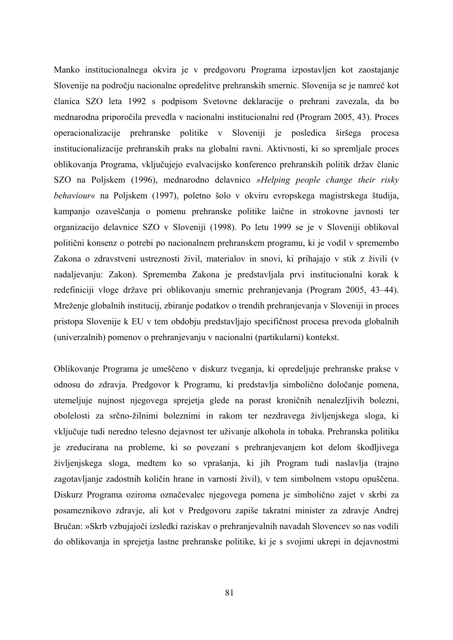Manko institucionalnega okvira je v predgovoru Programa izpostavljen kot zaostajanje Slovenije na področju nacionalne opredelitve prehranskih smernic. Slovenija se je namreč kot članica SZO leta 1992 s podpisom Svetovne deklaracije o prehrani zavezala, da bo mednarodna priporočila prevedla v nacionalni institucionalni red (Program 2005, 43). Proces operacionalizacije prehranske politike v Sloveniji je posledica širšega procesa institucionalizacije prehranskih praks na globalni ravni. Aktivnosti, ki so spremljale proces oblikovanja Programa, vključujejo evalvacijsko konferenco prehranskih politik držav članic SZO na Poljskem (1996), mednarodno delavnico *»Helping people change their risky behaviour«* na Poljskem (1997), poletno šolo v okviru evropskega magistrskega študija, kampanjo ozaveščanja o pomenu prehranske politike laične in strokovne javnosti ter organizacijo delavnice SZO v Sloveniji (1998). Po letu 1999 se je v Sloveniji oblikoval politični konsenz o potrebi po nacionalnem prehranskem programu, ki je vodil v spremembo Zakona o zdravstveni ustreznosti živil, materialov in snovi, ki prihajajo v stik z živili (v nadaljevanju: Zakon). Sprememba Zakona je predstavljala prvi institucionalni korak k redefiniciji vloge države pri oblikovanju smernic prehranjevanja (Program 2005, 43–44). Mreženje globalnih institucij, zbiranje podatkov o trendih prehranjevanja v Sloveniji in proces pristopa Slovenije k EU v tem obdobju predstavljajo specifičnost procesa prevoda globalnih (univerzalnih) pomenov o prehranjevanju v nacionalni (partikularni) kontekst.

Oblikovanje Programa je umeščeno v diskurz tveganja, ki opredeljuje prehranske prakse v odnosu do zdravja. Predgovor k Programu, ki predstavlja simbolično določanje pomena, utemeljuje nujnost njegovega sprejetja glede na porast kroničnih nenalezljivih bolezni, obolelosti za srčno-žilnimi boleznimi in rakom ter nezdravega življenjskega sloga, ki vključuje tudi neredno telesno dejavnost ter uživanje alkohola in tobaka. Prehranska politika je zreducirana na probleme, ki so povezani s prehranjevanjem kot delom škodljivega življenjskega sloga, medtem ko so vprašanja, ki jih Program tudi naslavlja (trajno zagotavljanje zadostnih količin hrane in varnosti živil), v tem simbolnem vstopu opuščena. Diskurz Programa oziroma označevalec njegovega pomena je simbolično zajet v skrbi za posameznikovo zdravje, ali kot v Predgovoru zapiše takratni minister za zdravje Andrej Bručan: »Skrb vzbujajoči izsledki raziskav o prehranjevalnih navadah Slovencev so nas vodili do oblikovanja in sprejetja lastne prehranske politike, ki je s svojimi ukrepi in dejavnostmi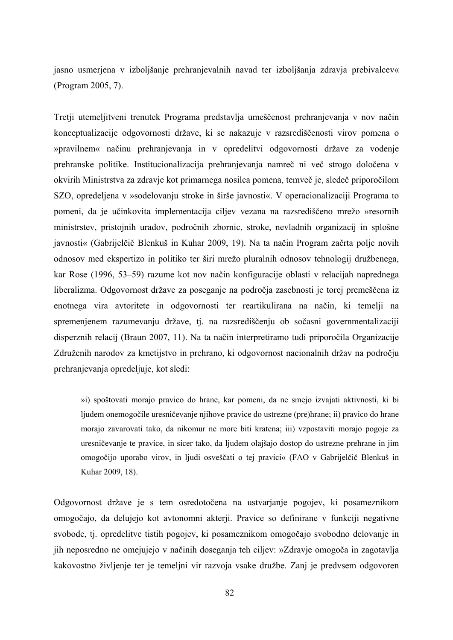jasno usmerjena v izboljšanje prehranjevalnih navad ter izboljšanja zdravja prebivalcev« (Program 2005, 7).

Tretji utemeljitveni trenutek Programa predstavlja umeščenost prehranjevanja v nov način konceptualizacije odgovornosti države, ki se nakazuje v razsrediščenosti virov pomena o »pravilnem« načinu prehranjevanja in v opredelitvi odgovornosti države za vodenje prehranske politike. Institucionalizacija prehranjevanja namreč ni več strogo določena v okvirih Ministrstva za zdravje kot primarnega nosilca pomena, temveč je, sledeč priporočilom SZO, opredeljena v »sodelovanju stroke in širše javnosti«. V operacionalizaciji Programa to pomeni, da je učinkovita implementacija ciljev vezana na razsrediščeno mrežo »resornih ministrstev, pristojnih uradov, področnih zbornic, stroke, nevladnih organizacij in splošne javnosti« (Gabrijelčič Blenkuš in Kuhar 2009, 19). Na ta način Program začrta polje novih odnosov med ekspertizo in politiko ter širi mrežo pluralnih odnosov tehnologij družbenega, kar Rose (1996, 53–59) razume kot nov način konfiguracije oblasti v relacijah naprednega liberalizma. Odgovornost države za poseganje na področja zasebnosti je torej premeščena iz enotnega vira avtoritete in odgovornosti ter reartikulirana na način, ki temelji na spremenjenem razumevanju države, tj. na razsrediščenju ob sočasni governmentalizaciji disperznih relacij (Braun 2007, 11). Na ta način interpretiramo tudi priporočila Organizacije Združenih narodov za kmetijstvo in prehrano, ki odgovornost nacionalnih držav na področju prehranjevanja opredeljuje, kot sledi:

»i) spoštovati morajo pravico do hrane, kar pomeni, da ne smejo izvajati aktivnosti, ki bi ljudem onemogočile uresničevanje njihove pravice do ustrezne (pre)hrane; ii) pravico do hrane morajo zavarovati tako, da nikomur ne more biti kratena; iii) vzpostaviti morajo pogoje za uresničevanje te pravice, in sicer tako, da ljudem olajšajo dostop do ustrezne prehrane in jim omogočijo uporabo virov, in ljudi osveščati o tej pravici« (FAO v Gabrijelčič Blenkuš in Kuhar 2009, 18).

Odgovornost države je s tem osredotočena na ustvarjanje pogojev, ki posameznikom omogočajo, da delujejo kot avtonomni akterji. Pravice so definirane v funkciji negativne svobode, tj. opredelitve tistih pogojev, ki posameznikom omogočajo svobodno delovanje in jih neposredno ne omejujejo v načinih doseganja teh ciljev: »Zdravje omogoča in zagotavlja kakovostno življenje ter je temeljni vir razvoja vsake družbe. Zanj je predvsem odgovoren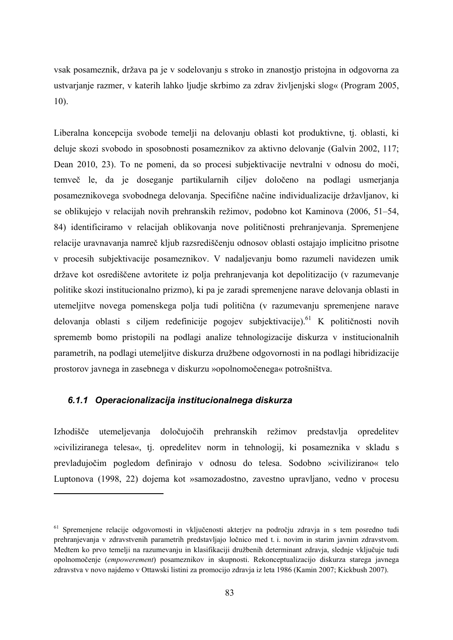vsak posameznik, država pa je v sodelovanju s stroko in znanostjo pristojna in odgovorna za ustvarjanje razmer, v katerih lahko ljudje skrbimo za zdrav življenjski slog« (Program 2005, 10).

Liberalna koncepcija svobode temelji na delovanju oblasti kot produktivne, tj. oblasti, ki deluje skozi svobodo in sposobnosti posameznikov za aktivno delovanje (Galvin 2002, 117; Dean 2010, 23). To ne pomeni, da so procesi subjektivacije nevtralni v odnosu do moči, temveč le, da je doseganje partikularnih ciljev določeno na podlagi usmerjanja posameznikovega svobodnega delovanja. Specifične načine individualizacije državljanov, ki se oblikujejo v relacijah novih prehranskih režimov, podobno kot Kaminova (2006, 51–54, 84) identificiramo v relacijah oblikovanja nove političnosti prehranjevanja. Spremenjene relacije uravnavanja namreč kljub razsrediščenju odnosov oblasti ostajajo implicitno prisotne v procesih subjektivacije posameznikov. V nadaljevanju bomo razumeli navidezen umik države kot osrediščene avtoritete iz polja prehranjevanja kot depolitizacijo (v razumevanje politike skozi institucionalno prizmo), ki pa je zaradi spremenjene narave delovanja oblasti in utemeljitve novega pomenskega polja tudi politična (v razumevanju spremenjene narave delovanja oblasti s ciljem redefinicije pogojev subjektivacije).<sup>61</sup> K političnosti novih sprememb bomo pristopili na podlagi analize tehnologizacije diskurza v institucionalnih parametrih, na podlagi utemeljitve diskurza družbene odgovornosti in na podlagi hibridizacije prostorov javnega in zasebnega v diskurzu »opolnomočenega« potrošništva.

### *6.1.1 Operacionalizacija institucionalnega diskurza*

 $\overline{a}$ 

Izhodišče utemeljevanja določujočih prehranskih režimov predstavlja opredelitev »civiliziranega telesa«, tj. opredelitev norm in tehnologij, ki posameznika v skladu s prevladujočim pogledom definirajo v odnosu do telesa. Sodobno »civilizirano« telo Luptonova (1998, 22) dojema kot »samozadostno, zavestno upravljano, vedno v procesu

<sup>&</sup>lt;sup>61</sup> Spremenjene relacije odgovornosti in vključenosti akterjev na področju zdravja in s tem posredno tudi prehranjevanja v zdravstvenih parametrih predstavljajo ločnico med t. i. novim in starim javnim zdravstvom. Medtem ko prvo temelji na razumevanju in klasifikaciji družbenih determinant zdravja, slednje vključuje tudi opolnomočenje (*empowerement*) posameznikov in skupnosti. Rekonceptualizacijo diskurza starega javnega zdravstva v novo najdemo v Ottawski listini za promocijo zdravja iz leta 1986 (Kamin 2007; Kickbush 2007).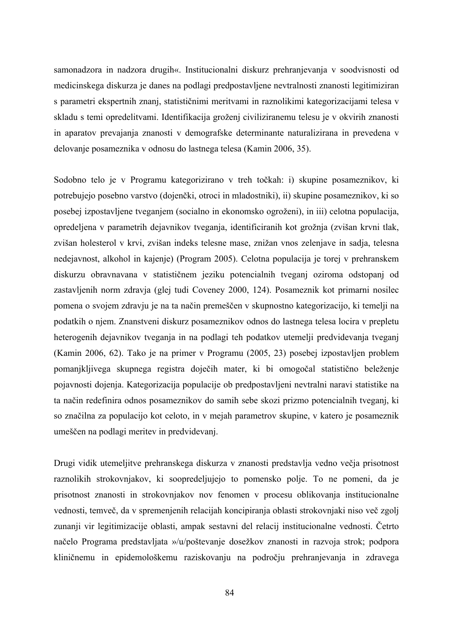samonadzora in nadzora drugih«. Institucionalni diskurz prehranjevanja v soodvisnosti od medicinskega diskurza je danes na podlagi predpostavljene nevtralnosti znanosti legitimiziran s parametri ekspertnih znanj, statističnimi meritvami in raznolikimi kategorizacijami telesa v skladu s temi opredelitvami. Identifikacija groženj civiliziranemu telesu je v okvirih znanosti in aparatov prevajanja znanosti v demografske determinante naturalizirana in prevedena v delovanje posameznika v odnosu do lastnega telesa (Kamin 2006, 35).

Sodobno telo je v Programu kategorizirano v treh točkah: i) skupine posameznikov, ki potrebujejo posebno varstvo (dojenčki, otroci in mladostniki), ii) skupine posameznikov, ki so posebej izpostavljene tveganjem (socialno in ekonomsko ogroženi), in iii) celotna populacija, opredeljena v parametrih dejavnikov tveganja, identificiranih kot grožnja (zvišan krvni tlak, zvišan holesterol v krvi, zvišan indeks telesne mase, znižan vnos zelenjave in sadja, telesna nedejavnost, alkohol in kajenje) (Program 2005). Celotna populacija je torej v prehranskem diskurzu obravnavana v statističnem jeziku potencialnih tveganj oziroma odstopanj od zastavljenih norm zdravja (glej tudi Coveney 2000, 124). Posameznik kot primarni nosilec pomena o svojem zdravju je na ta način premeščen v skupnostno kategorizacijo, ki temelji na podatkih o njem. Znanstveni diskurz posameznikov odnos do lastnega telesa locira v prepletu heterogenih dejavnikov tveganja in na podlagi teh podatkov utemelji predvidevanja tveganj (Kamin 2006, 62). Tako je na primer v Programu (2005, 23) posebej izpostavljen problem pomanjkljivega skupnega registra doječih mater, ki bi omogočal statistično beleženje pojavnosti dojenja. Kategorizacija populacije ob predpostavljeni nevtralni naravi statistike na ta način redefinira odnos posameznikov do samih sebe skozi prizmo potencialnih tveganj, ki so značilna za populacijo kot celoto, in v mejah parametrov skupine, v katero je posameznik umeščen na podlagi meritev in predvidevanj.

Drugi vidik utemeljitve prehranskega diskurza v znanosti predstavlja vedno večja prisotnost raznolikih strokovnjakov, ki soopredeljujejo to pomensko polje. To ne pomeni, da je prisotnost znanosti in strokovnjakov nov fenomen v procesu oblikovanja institucionalne vednosti, temveč, da v spremenjenih relacijah koncipiranja oblasti strokovnjaki niso več zgolj zunanji vir legitimizacije oblasti, ampak sestavni del relacij institucionalne vednosti. Četrto načelo Programa predstavljata »/u/poštevanje dosežkov znanosti in razvoja strok; podpora kliničnemu in epidemološkemu raziskovanju na področju prehranjevanja in zdravega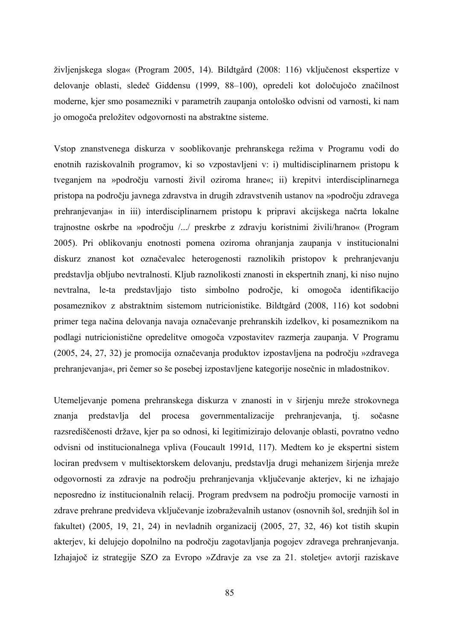življenjskega sloga« (Program 2005, 14). Bildtgård (2008: 116) vključenost ekspertize v delovanje oblasti, sledeč Giddensu (1999, 88–100), opredeli kot določujočo značilnost moderne, kjer smo posamezniki v parametrih zaupanja ontološko odvisni od varnosti, ki nam jo omogoča preložitev odgovornosti na abstraktne sisteme.

Vstop znanstvenega diskurza v sooblikovanje prehranskega režima v Programu vodi do enotnih raziskovalnih programov, ki so vzpostavljeni v: i) multidisciplinarnem pristopu k tveganjem na »področju varnosti živil oziroma hrane«; ii) krepitvi interdisciplinarnega pristopa na področju javnega zdravstva in drugih zdravstvenih ustanov na »področju zdravega prehranjevanja« in iii) interdisciplinarnem pristopu k pripravi akcijskega načrta lokalne trajnostne oskrbe na »področju /.../ preskrbe z zdravju koristnimi živili/hrano« (Program 2005). Pri oblikovanju enotnosti pomena oziroma ohranjanja zaupanja v institucionalni diskurz znanost kot označevalec heterogenosti raznolikih pristopov k prehranjevanju predstavlja obljubo nevtralnosti. Kljub raznolikosti znanosti in ekspertnih znanj, ki niso nujno nevtralna, le-ta predstavljajo tisto simbolno področje, ki omogoča identifikacijo posameznikov z abstraktnim sistemom nutricionistike. Bildtgård (2008, 116) kot sodobni primer tega načina delovanja navaja označevanje prehranskih izdelkov, ki posameznikom na podlagi nutricionistične opredelitve omogoča vzpostavitev razmerja zaupanja. V Programu (2005, 24, 27, 32) je promocija označevanja produktov izpostavljena na področju »zdravega prehranjevanja«, pri čemer so še posebej izpostavljene kategorije nosečnic in mladostnikov.

Utemeljevanje pomena prehranskega diskurza v znanosti in v širjenju mreže strokovnega znanja predstavlja del procesa governmentalizacije prehranjevanja, tj. sočasne razsrediščenosti države, kjer pa so odnosi, ki legitimizirajo delovanje oblasti, povratno vedno odvisni od institucionalnega vpliva (Foucault 1991d, 117). Medtem ko je ekspertni sistem lociran predvsem v multisektorskem delovanju, predstavlja drugi mehanizem širjenja mreže odgovornosti za zdravje na področju prehranjevanja vključevanje akterjev, ki ne izhajajo neposredno iz institucionalnih relacij. Program predvsem na področju promocije varnosti in zdrave prehrane predvideva vključevanje izobraževalnih ustanov (osnovnih šol, srednjih šol in fakultet) (2005, 19, 21, 24) in nevladnih organizacij (2005, 27, 32, 46) kot tistih skupin akterjev, ki delujejo dopolnilno na področju zagotavljanja pogojev zdravega prehranjevanja. Izhajajoč iz strategije SZO za Evropo »Zdravje za vse za 21. stoletje« avtorji raziskave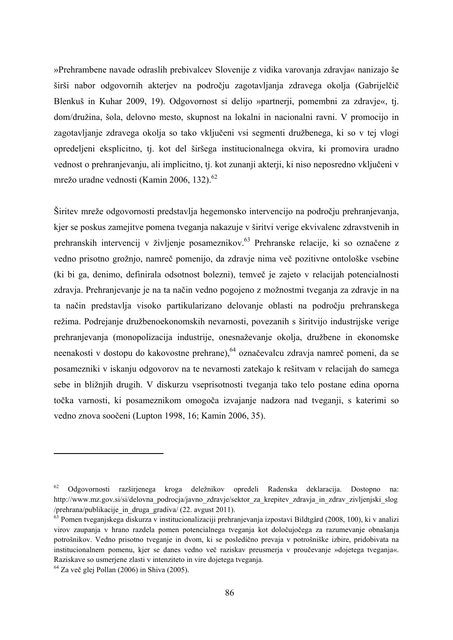»Prehrambene navade odraslih prebivalcev Slovenije z vidika varovanja zdravja« nanizajo še širši nabor odgovornih akterjev na področju zagotavljanja zdravega okolja (Gabrijelčič Blenkuš in Kuhar 2009, 19). Odgovornost si delijo »partnerji, pomembni za zdravje«, tj. dom/družina, šola, delovno mesto, skupnost na lokalni in nacionalni ravni. V promocijo in zagotavljanje zdravega okolja so tako vključeni vsi segmenti družbenega, ki so v tej vlogi opredeljeni eksplicitno, tj. kot del širšega institucionalnega okvira, ki promovira uradno vednost o prehranjevanju, ali implicitno, tj. kot zunanji akterji, ki niso neposredno vključeni v mrežo uradne vednosti (Kamin 2006, 132).<sup>62</sup>

Širitev mreže odgovornosti predstavlja hegemonsko intervencijo na področju prehranjevanja, kjer se poskus zamejitve pomena tveganja nakazuje v širitvi verige ekvivalenc zdravstvenih in prehranskih intervencij v življenje posameznikov.63 Prehranske relacije, ki so označene z vedno prisotno grožnjo, namreč pomenijo, da zdravje nima več pozitivne ontološke vsebine (ki bi ga, denimo, definirala odsotnost bolezni), temveč je zajeto v relacijah potencialnosti zdravja. Prehranjevanje je na ta način vedno pogojeno z možnostmi tveganja za zdravje in na ta način predstavlja visoko partikularizano delovanje oblasti na področju prehranskega režima. Podrejanje družbenoekonomskih nevarnosti, povezanih s širitvijo industrijske verige prehranjevanja (monopolizacija industrije, onesnaževanje okolja, družbene in ekonomske neenakosti v dostopu do kakovostne prehrane),<sup>64</sup> označevalcu zdravja namreč pomeni, da se posamezniki v iskanju odgovorov na te nevarnosti zatekajo k rešitvam v relacijah do samega sebe in bližnjih drugih. V diskurzu vseprisotnosti tveganja tako telo postane edina oporna točka varnosti, ki posameznikom omogoča izvajanje nadzora nad tveganji, s katerimi so vedno znova soočeni (Lupton 1998, 16; Kamin 2006, 35).

 $\overline{a}$ 

<sup>62</sup> Odgovornosti razširjenega kroga deležnikov opredeli Radenska deklaracija. Dostopno na: http://www.mz.gov.si/si/delovna podrocja/javno zdravje/sektor za krepitev zdravja in zdrav zivljenjski slog /prehrana/publikacije\_in\_druga\_gradiva/ (22. avgust 2011).

<sup>63</sup> Pomen tveganjskega diskurza v institucionalizaciji prehranjevanja izpostavi Bildtgård (2008, 100), ki v analizi virov zaupanja v hrano razdela pomen potencialnega tveganja kot določujočega za razumevanje obnašanja potrošnikov. Vedno prisotno tveganje in dvom, ki se posledično prevaja v potrošniške izbire, pridobivata na institucionalnem pomenu, kjer se danes vedno več raziskav preusmerja v proučevanje »dojetega tveganja«. Raziskave so usmerjene zlasti v intenziteto in vire dojetega tveganja. 64 Za več glej Pollan (2006) in Shiva (2005).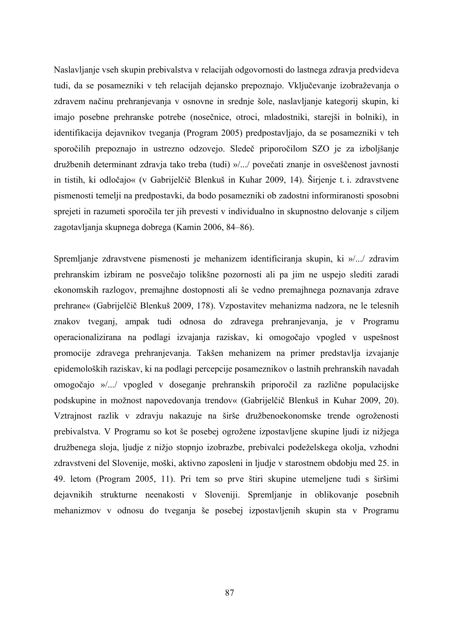Naslavljanje vseh skupin prebivalstva v relacijah odgovornosti do lastnega zdravja predvideva tudi, da se posamezniki v teh relacijah dejansko prepoznajo. Vključevanje izobraževanja o zdravem načinu prehranjevanja v osnovne in srednje šole, naslavljanje kategorij skupin, ki imajo posebne prehranske potrebe (nosečnice, otroci, mladostniki, starejši in bolniki), in identifikacija dejavnikov tveganja (Program 2005) predpostavljajo, da se posamezniki v teh sporočilih prepoznajo in ustrezno odzovejo. Sledeč priporočilom SZO je za izboljšanje družbenih determinant zdravja tako treba (tudi) »/.../ povečati znanje in osveščenost javnosti in tistih, ki odločajo« (v Gabrijelčič Blenkuš in Kuhar 2009, 14). Širjenje t. i. zdravstvene pismenosti temelji na predpostavki, da bodo posamezniki ob zadostni informiranosti sposobni sprejeti in razumeti sporočila ter jih prevesti v individualno in skupnostno delovanje s ciljem zagotavljanja skupnega dobrega (Kamin 2006, 84–86).

Spremljanje zdravstvene pismenosti je mehanizem identificiranja skupin, ki »/.../ zdravim prehranskim izbiram ne posvečajo tolikšne pozornosti ali pa jim ne uspejo slediti zaradi ekonomskih razlogov, premajhne dostopnosti ali še vedno premajhnega poznavanja zdrave prehrane« (Gabrijelčič Blenkuš 2009, 178). Vzpostavitev mehanizma nadzora, ne le telesnih znakov tveganj, ampak tudi odnosa do zdravega prehranjevanja, je v Programu operacionalizirana na podlagi izvajanja raziskav, ki omogočajo vpogled v uspešnost promocije zdravega prehranjevanja. Takšen mehanizem na primer predstavlja izvajanje epidemoloških raziskav, ki na podlagi percepcije posameznikov o lastnih prehranskih navadah omogočajo »/.../ vpogled v doseganje prehranskih priporočil za različne populacijske podskupine in možnost napovedovanja trendov« (Gabrijelčič Blenkuš in Kuhar 2009, 20). Vztrajnost razlik v zdravju nakazuje na širše družbenoekonomske trende ogroženosti prebivalstva. V Programu so kot še posebej ogrožene izpostavljene skupine ljudi iz nižjega družbenega sloja, ljudje z nižjo stopnjo izobrazbe, prebivalci podeželskega okolja, vzhodni zdravstveni del Slovenije, moški, aktivno zaposleni in ljudje v starostnem obdobju med 25. in 49. letom (Program 2005, 11). Pri tem so prve štiri skupine utemeljene tudi s širšimi dejavnikih strukturne neenakosti v Sloveniji. Spremljanje in oblikovanje posebnih mehanizmov v odnosu do tveganja še posebej izpostavljenih skupin sta v Programu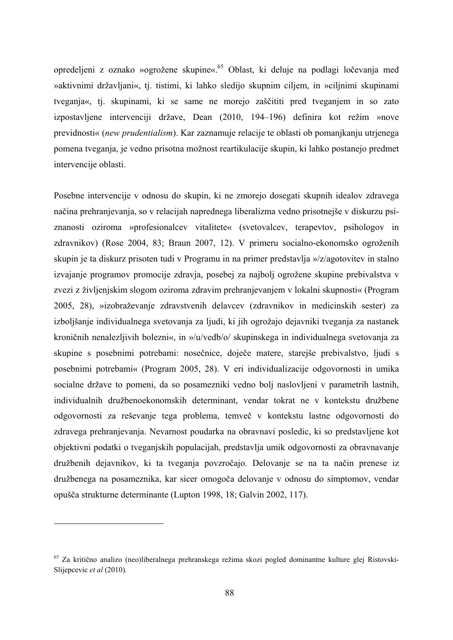opredeljeni z oznako »ogrožene skupine«.65 Oblast, ki deluje na podlagi ločevanja med »aktivnimi državljani«, tj. tistimi, ki lahko sledijo skupnim ciljem, in »ciljnimi skupinami tveganja«, tj. skupinami, ki se same ne morejo zaščititi pred tveganjem in so zato izpostavljene intervenciji države, Dean (2010, 194–196) definira kot režim »nove previdnosti« (*new prudentialism*). Kar zaznamuje relacije te oblasti ob pomanjkanju utrjenega pomena tveganja, je vedno prisotna možnost reartikulacije skupin, ki lahko postanejo predmet intervencije oblasti.

Posebne intervencije v odnosu do skupin, ki ne zmorejo dosegati skupnih idealov zdravega načina prehranjevanja, so v relacijah naprednega liberalizma vedno prisotnejše v diskurzu psiznanosti oziroma »profesionalcev vitalitete« (svetovalcev, terapevtov, psihologov in zdravnikov) (Rose 2004, 83; Braun 2007, 12). V primeru socialno-ekonomsko ogroženih skupin je ta diskurz prisoten tudi v Programu in na primer predstavlja »/z/agotovitev in stalno izvajanje programov promocije zdravja, posebej za najbolj ogrožene skupine prebivalstva v zvezi z življenjskim slogom oziroma zdravim prehranjevanjem v lokalni skupnosti« (Program 2005, 28), »izobraževanje zdravstvenih delavcev (zdravnikov in medicinskih sester) za izboljšanje individualnega svetovanja za ljudi, ki jih ogrožajo dejavniki tveganja za nastanek kroničnih nenalezljivih bolezni«, in »/u/vedb/o/ skupinskega in individualnega svetovanja za skupine s posebnimi potrebami: nosečnice, doječe matere, starejše prebivalstvo, ljudi s posebnimi potrebami« (Program 2005, 28). V eri individualizacije odgovornosti in umika socialne države to pomeni, da so posamezniki vedno bolj naslovljeni v parametrih lastnih, individualnih družbenoekonomskih determinant, vendar tokrat ne v kontekstu družbene odgovornosti za reševanje tega problema, temveč v kontekstu lastne odgovornosti do zdravega prehranjevanja. Nevarnost poudarka na obravnavi posledic, ki so predstavljene kot objektivni podatki o tveganjskih populacijah, predstavlja umik odgovornosti za obravnavanje družbenih dejavnikov, ki ta tveganja povzročajo. Delovanje se na ta način prenese iz družbenega na posameznika, kar sicer omogoča delovanje v odnosu do simptomov, vendar opušča strukturne determinante (Lupton 1998, 18; Galvin 2002, 117).

1

<sup>65</sup> Za kritično analizo (neo)liberalnega prehranskega režima skozi pogled dominantne kulture glej Ristovski-Slijepcevic *et al* (2010).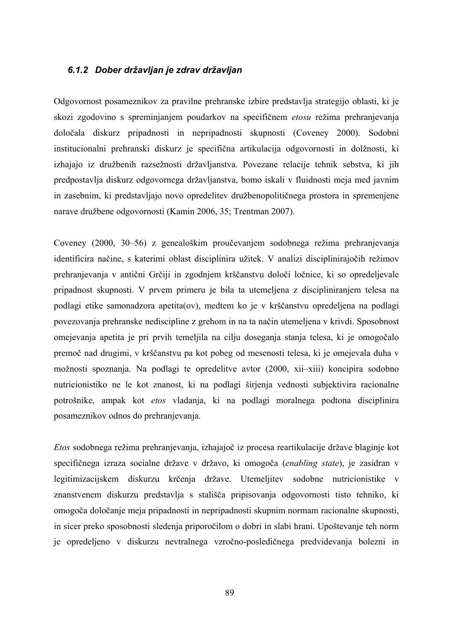### *6.1.2 Dober državljan je zdrav državljan*

Odgovornost posameznikov za pravilne prehranske izbire predstavlja strategijo oblasti, ki je skozi zgodovino s spreminjanjem poudarkov na specifičnem *etosu* režima prehranjevanja določala diskurz pripadnosti in nepripadnosti skupnosti (Coveney 2000). Sodobni institucionalni prehranski diskurz je specifična artikulacija odgovornosti in dolžnosti, ki izhajajo iz družbenih razsežnosti državljanstva. Povezane relacije tehnik sebstva, ki jih predpostavlja diskurz odgovornega državljanstva, bomo iskali v fluidnosti meja med javnim in zasebnim, ki predstavljajo novo opredelitev družbenopolitičnega prostora in spremenjene narave družbene odgovornosti (Kamin 2006, 35; Trentman 2007).

Coveney (2000, 30–56) z genealoškim proučevanjem sodobnega režima prehranjevanja identificira načine, s katerimi oblast disciplinira užitek. V analizi disciplinirajočih režimov prehranjevanja v antični Grčiji in zgodnjem krščanstvu določi ločnice, ki so opredeljevale pripadnost skupnosti. V prvem primeru je bila ta utemeljena z discipliniranjem telesa na podlagi etike samonadzora apetita(ov), medtem ko je v krščanstvu opredeljena na podlagi povezovanja prehranske nediscipline z grehom in na ta način utemeljena v krivdi. Sposobnost omejevanja apetita je pri prvih temeljila na cilju doseganja stanja telesa, ki je omogočalo premoč nad drugimi, v krščanstvu pa kot pobeg od mesenosti telesa, ki je omejevala duha v možnosti spoznanja. Na podlagi te opredelitve avtor (2000, xii–xiii) koncipira sodobno nutricionistiko ne le kot znanost, ki na podlagi širjenja vednosti subjektivira racionalne potrošnike, ampak kot *etos* vladanja, ki na podlagi moralnega podtona disciplinira posameznikov odnos do prehranjevanja.

*Etos* sodobnega režima prehranjevanja, izhajajoč iz procesa reartikulacije države blaginje kot specifičnega izraza socialne države v državo, ki omogoča (*enabling state*), je zasidran v legitimizacijskem diskurzu krčenja države. Utemeljitev sodobne nutricionistike v znanstvenem diskurzu predstavlja s stališča pripisovanja odgovornosti tisto tehniko, ki omogoča določanje meja pripadnosti in nepripadnosti skupnim normam racionalne skupnosti, in sicer preko sposobnosti sledenja priporočilom o dobri in slabi hrani. Upoštevanje teh norm je opredeljeno v diskurzu nevtralnega vzročno-posledičnega predvidevanja bolezni in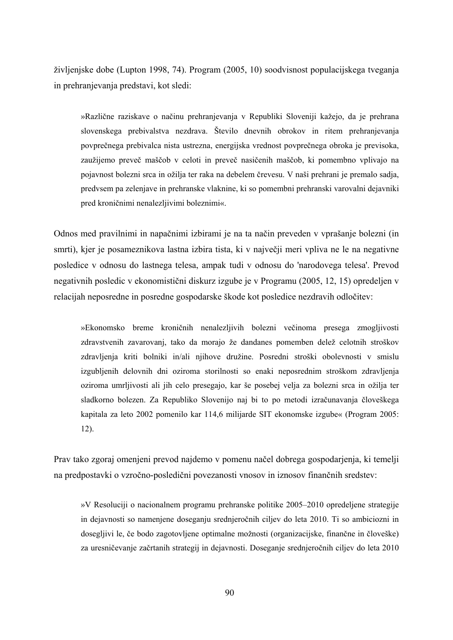življenjske dobe (Lupton 1998, 74). Program (2005, 10) soodvisnost populacijskega tveganja in prehranjevanja predstavi, kot sledi:

»Različne raziskave o načinu prehranjevanja v Republiki Sloveniji kažejo, da je prehrana slovenskega prebivalstva nezdrava. Število dnevnih obrokov in ritem prehranjevanja povprečnega prebivalca nista ustrezna, energijska vrednost povprečnega obroka je previsoka, zaužijemo preveč maščob v celoti in preveč nasičenih maščob, ki pomembno vplivajo na pojavnost bolezni srca in ožilja ter raka na debelem črevesu. V naši prehrani je premalo sadja, predvsem pa zelenjave in prehranske vlaknine, ki so pomembni prehranski varovalni dejavniki pred kroničnimi nenalezljivimi boleznimi«.

Odnos med pravilnimi in napačnimi izbirami je na ta način preveden v vprašanje bolezni (in smrti), kjer je posameznikova lastna izbira tista, ki v največji meri vpliva ne le na negativne posledice v odnosu do lastnega telesa, ampak tudi v odnosu do 'narodovega telesa'. Prevod negativnih posledic v ekonomistični diskurz izgube je v Programu (2005, 12, 15) opredeljen v relacijah neposredne in posredne gospodarske škode kot posledice nezdravih odločitev:

»Ekonomsko breme kroničnih nenalezljivih bolezni večinoma presega zmogljivosti zdravstvenih zavarovanj, tako da morajo že dandanes pomemben delež celotnih stroškov zdravljenja kriti bolniki in/ali njihove družine. Posredni stroški obolevnosti v smislu izgubljenih delovnih dni oziroma storilnosti so enaki neposrednim stroškom zdravljenja oziroma umrljivosti ali jih celo presegajo, kar še posebej velja za bolezni srca in ožilja ter sladkorno bolezen. Za Republiko Slovenijo naj bi to po metodi izračunavanja človeškega kapitala za leto 2002 pomenilo kar 114,6 milijarde SIT ekonomske izgube« (Program 2005: 12).

Prav tako zgoraj omenjeni prevod najdemo v pomenu načel dobrega gospodarjenja, ki temelji na predpostavki o vzročno-posledični povezanosti vnosov in iznosov finančnih sredstev:

»V Resoluciji o nacionalnem programu prehranske politike 2005–2010 opredeljene strategije in dejavnosti so namenjene doseganju srednjeročnih ciljev do leta 2010. Ti so ambiciozni in dosegljivi le, če bodo zagotovljene optimalne možnosti (organizacijske, finančne in človeške) za uresničevanje začrtanih strategij in dejavnosti. Doseganje srednjeročnih ciljev do leta 2010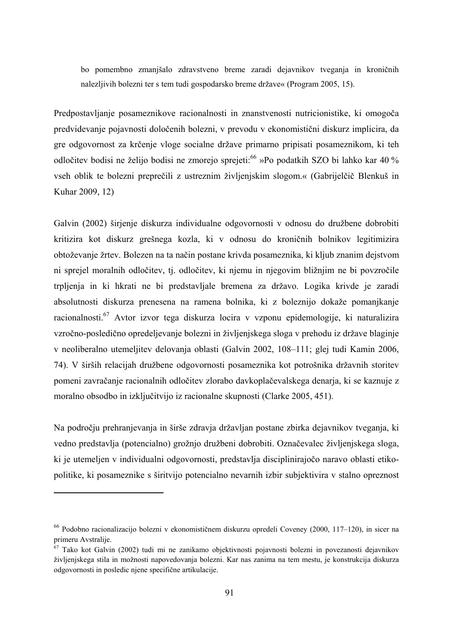bo pomembno zmanjšalo zdravstveno breme zaradi dejavnikov tveganja in kroničnih nalezljivih bolezni ter s tem tudi gospodarsko breme države« (Program 2005, 15).

Predpostavljanje posameznikove racionalnosti in znanstvenosti nutricionistike, ki omogoča predvidevanje pojavnosti določenih bolezni, v prevodu v ekonomistični diskurz implicira, da gre odgovornost za krčenje vloge socialne države primarno pripisati posameznikom, ki teh odločitev bodisi ne želijo bodisi ne zmorejo sprejeti:<sup>66</sup> »Po podatkih SZO bi lahko kar 40 % vseh oblik te bolezni preprečili z ustreznim življenjskim slogom.« (Gabrijelčič Blenkuš in Kuhar 2009, 12)

Galvin (2002) širjenje diskurza individualne odgovornosti v odnosu do družbene dobrobiti kritizira kot diskurz grešnega kozla, ki v odnosu do kroničnih bolnikov legitimizira obtoževanje žrtev. Bolezen na ta način postane krivda posameznika, ki kljub znanim dejstvom ni sprejel moralnih odločitev, tj. odločitev, ki njemu in njegovim bližnjim ne bi povzročile trpljenja in ki hkrati ne bi predstavljale bremena za državo. Logika krivde je zaradi absolutnosti diskurza prenesena na ramena bolnika, ki z boleznijo dokaže pomanjkanje racionalnosti.67 Avtor izvor tega diskurza locira v vzponu epidemologije, ki naturalizira vzročno-posledično opredeljevanje bolezni in življenjskega sloga v prehodu iz države blaginje v neoliberalno utemeljitev delovanja oblasti (Galvin 2002, 108–111; glej tudi Kamin 2006, 74). V širših relacijah družbene odgovornosti posameznika kot potrošnika državnih storitev pomeni zavračanje racionalnih odločitev zlorabo davkoplačevalskega denarja, ki se kaznuje z moralno obsodbo in izključitvijo iz racionalne skupnosti (Clarke 2005, 451).

Na področju prehranjevanja in širše zdravja državljan postane zbirka dejavnikov tveganja, ki vedno predstavlja (potencialno) grožnjo družbeni dobrobiti. Označevalec življenjskega sloga, ki je utemeljen v individualni odgovornosti, predstavlja disciplinirajočo naravo oblasti etikopolitike, ki posameznike s širitvijo potencialno nevarnih izbir subjektivira v stalno opreznost

1

<sup>66</sup> Podobno racionalizacijo bolezni v ekonomističnem diskurzu opredeli Coveney (2000, 117–120), in sicer na primeru Avstralije.

<sup>67</sup> Tako kot Galvin (2002) tudi mi ne zanikamo objektivnosti pojavnosti bolezni in povezanosti dejavnikov življenjskega stila in možnosti napovedovanja bolezni. Kar nas zanima na tem mestu, je konstrukcija diskurza odgovornosti in posledic njene specifične artikulacije.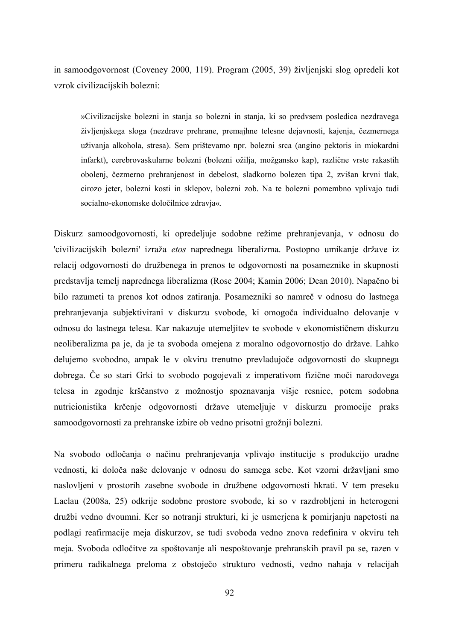in samoodgovornost (Coveney 2000, 119). Program (2005, 39) življenjski slog opredeli kot vzrok civilizacijskih bolezni:

»Civilizacijske bolezni in stanja so bolezni in stanja, ki so predvsem posledica nezdravega življenjskega sloga (nezdrave prehrane, premajhne telesne dejavnosti, kajenja, čezmernega uživanja alkohola, stresa). Sem prištevamo npr. bolezni srca (angino pektoris in miokardni infarkt), cerebrovaskularne bolezni (bolezni ožilja, možgansko kap), različne vrste rakastih obolenj, čezmerno prehranjenost in debelost, sladkorno bolezen tipa 2, zvišan krvni tlak, cirozo jeter, bolezni kosti in sklepov, bolezni zob. Na te bolezni pomembno vplivajo tudi socialno-ekonomske določilnice zdravja«.

Diskurz samoodgovornosti, ki opredeljuje sodobne režime prehranjevanja, v odnosu do 'civilizacijskih bolezni' izraža *etos* naprednega liberalizma. Postopno umikanje države iz relacij odgovornosti do družbenega in prenos te odgovornosti na posameznike in skupnosti predstavlja temelj naprednega liberalizma (Rose 2004; Kamin 2006; Dean 2010). Napačno bi bilo razumeti ta prenos kot odnos zatiranja. Posamezniki so namreč v odnosu do lastnega prehranjevanja subjektivirani v diskurzu svobode, ki omogoča individualno delovanje v odnosu do lastnega telesa. Kar nakazuje utemeljitev te svobode v ekonomističnem diskurzu neoliberalizma pa je, da je ta svoboda omejena z moralno odgovornostjo do države. Lahko delujemo svobodno, ampak le v okviru trenutno prevladujoče odgovornosti do skupnega dobrega. Če so stari Grki to svobodo pogojevali z imperativom fizične moči narodovega telesa in zgodnje krščanstvo z možnostjo spoznavanja višje resnice, potem sodobna nutricionistika krčenje odgovornosti države utemeljuje v diskurzu promocije praks samoodgovornosti za prehranske izbire ob vedno prisotni grožnji bolezni.

Na svobodo odločanja o načinu prehranjevanja vplivajo institucije s produkcijo uradne vednosti, ki določa naše delovanje v odnosu do samega sebe. Kot vzorni državljani smo naslovljeni v prostorih zasebne svobode in družbene odgovornosti hkrati. V tem preseku Laclau (2008a, 25) odkrije sodobne prostore svobode, ki so v razdrobljeni in heterogeni družbi vedno dvoumni. Ker so notranji strukturi, ki je usmerjena k pomirjanju napetosti na podlagi reafirmacije meja diskurzov, se tudi svoboda vedno znova redefinira v okviru teh meja. Svoboda odločitve za spoštovanje ali nespoštovanje prehranskih pravil pa se, razen v primeru radikalnega preloma z obstoječo strukturo vednosti, vedno nahaja v relacijah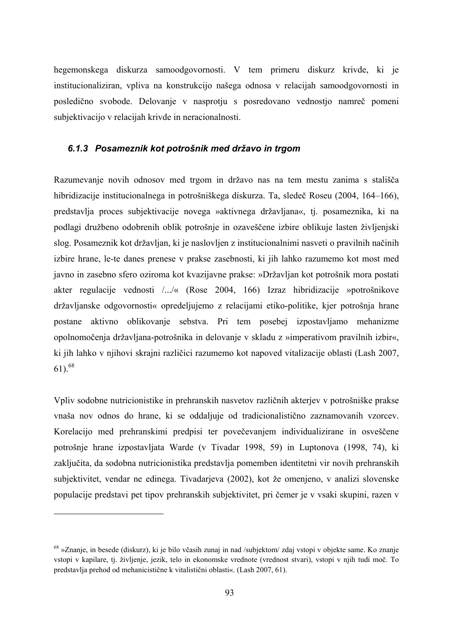hegemonskega diskurza samoodgovornosti. V tem primeru diskurz krivde, ki je institucionaliziran, vpliva na konstrukcijo našega odnosa v relacijah samoodgovornosti in posledično svobode. Delovanje v nasprotju s posredovano vednostjo namreč pomeni subjektivacijo v relacijah krivde in neracionalnosti.

### *6.1.3 Posameznik kot potrošnik med državo in trgom*

Razumevanje novih odnosov med trgom in državo nas na tem mestu zanima s stališča hibridizacije institucionalnega in potrošniškega diskurza. Ta, sledeč Roseu (2004, 164–166), predstavlja proces subjektivacije novega »aktivnega državljana«, tj. posameznika, ki na podlagi družbeno odobrenih oblik potrošnje in ozaveščene izbire oblikuje lasten življenjski slog. Posameznik kot državljan, ki je naslovljen z institucionalnimi nasveti o pravilnih načinih izbire hrane, le-te danes prenese v prakse zasebnosti, ki jih lahko razumemo kot most med javno in zasebno sfero oziroma kot kvazijavne prakse: »Državljan kot potrošnik mora postati akter regulacije vednosti /.../« (Rose 2004, 166) Izraz hibridizacije »potrošnikove državljanske odgovornosti« opredeljujemo z relacijami etiko-politike, kjer potrošnja hrane postane aktivno oblikovanje sebstva. Pri tem posebej izpostavljamo mehanizme opolnomočenja državljana-potrošnika in delovanje v skladu z »imperativom pravilnih izbir«, ki jih lahko v njihovi skrajni različici razumemo kot napoved vitalizacije oblasti (Lash 2007, 61).68

Vpliv sodobne nutricionistike in prehranskih nasvetov različnih akterjev v potrošniške prakse vnaša nov odnos do hrane, ki se oddaljuje od tradicionalistično zaznamovanih vzorcev. Korelacijo med prehranskimi predpisi ter povečevanjem individualizirane in osveščene potrošnje hrane izpostavljata Warde (v Tivadar 1998, 59) in Luptonova (1998, 74), ki zaključita, da sodobna nutricionistika predstavlja pomemben identitetni vir novih prehranskih subjektivitet, vendar ne edinega. Tivadarjeva (2002), kot že omenjeno, v analizi slovenske populacije predstavi pet tipov prehranskih subjektivitet, pri čemer je v vsaki skupini, razen v

<sup>68 »</sup>Znanje, in besede (diskurz), ki je bilo včasih zunaj in nad /subjektom/ zdaj vstopi v objekte same. Ko znanje vstopi v kapilare, tj. življenje, jezik, telo in ekonomske vrednote (vrednost stvari), vstopi v njih tudi moč. To predstavlja prehod od mehanicistične k vitalistični oblasti«. (Lash 2007, 61).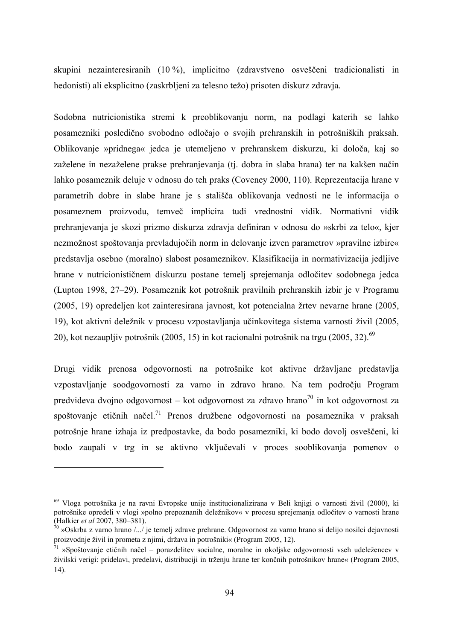skupini nezainteresiranih (10 %), implicitno (zdravstveno osveščeni tradicionalisti in hedonisti) ali eksplicitno (zaskrbljeni za telesno težo) prisoten diskurz zdravja.

Sodobna nutricionistika stremi k preoblikovanju norm, na podlagi katerih se lahko posamezniki posledično svobodno odločajo o svojih prehranskih in potrošniških praksah. Oblikovanje »pridnega« jedca je utemeljeno v prehranskem diskurzu, ki določa, kaj so zaželene in nezaželene prakse prehranjevanja (tj. dobra in slaba hrana) ter na kakšen način lahko posameznik deluje v odnosu do teh praks (Coveney 2000, 110). Reprezentacija hrane v parametrih dobre in slabe hrane je s stališča oblikovanja vednosti ne le informacija o posameznem proizvodu, temveč implicira tudi vrednostni vidik. Normativni vidik prehranjevanja je skozi prizmo diskurza zdravja definiran v odnosu do »skrbi za telo«, kjer nezmožnost spoštovanja prevladujočih norm in delovanje izven parametrov »pravilne izbire« predstavlja osebno (moralno) slabost posameznikov. Klasifikacija in normativizacija jedljive hrane v nutricionističnem diskurzu postane temelj sprejemanja odločitev sodobnega jedca (Lupton 1998, 27–29). Posameznik kot potrošnik pravilnih prehranskih izbir je v Programu (2005, 19) opredeljen kot zainteresirana javnost, kot potencialna žrtev nevarne hrane (2005, 19), kot aktivni deležnik v procesu vzpostavljanja učinkovitega sistema varnosti živil (2005, 20), kot nezaupljiv potrošnik (2005, 15) in kot racionalni potrošnik na trgu (2005, 32).<sup>69</sup>

Drugi vidik prenosa odgovornosti na potrošnike kot aktivne državljane predstavlja vzpostavljanje soodgovornosti za varno in zdravo hrano. Na tem področju Program predvideva dvojno odgovornost – kot odgovornost za zdravo hrano<sup>70</sup> in kot odgovornost za spoštovanie etičnih načel.<sup>71</sup> Prenos družbene odgovornosti na posameznika v praksah potrošnje hrane izhaja iz predpostavke, da bodo posamezniki, ki bodo dovolj osveščeni, ki bodo zaupali v trg in se aktivno vključevali v proces sooblikovanja pomenov o

1

<sup>69</sup> Vloga potrošnika je na ravni Evropske unije institucionalizirana v Beli knjigi o varnosti živil (2000), ki potrošnike opredeli v vlogi »polno prepoznanih deležnikov« v procesu sprejemanja odločitev o varnosti hrane (Halkier et al 2007 380–381)

<sup>&</sup>lt;sup>70</sup> »Oskrba z varno hrano /...<sup>/</sup> je temelj zdrave prehrane. Odgovornost za varno hrano si delijo nosilci dejavnosti proizvodnje živil in prometa z njimi, država in potrošniki« (Program 2005, 12).

 $71$  »Spoštovanje etičnih načel – porazdelitev socialne, moralne in okoljske odgovornosti vseh udeležencev v živilski verigi: pridelavi, predelavi, distribuciji in trženju hrane ter končnih potrošnikov hrane« (Program 2005, 14).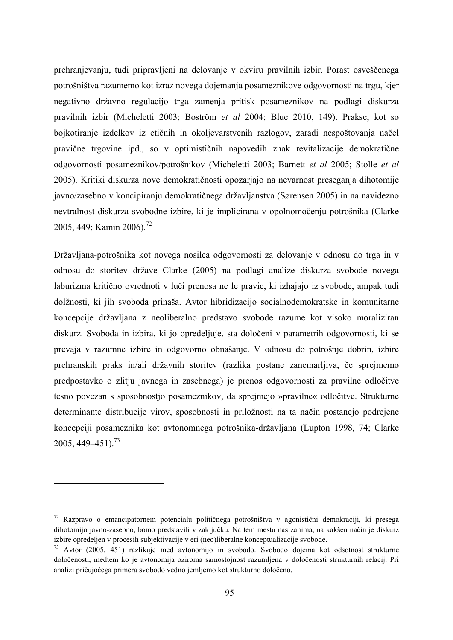prehranjevanju, tudi pripravljeni na delovanje v okviru pravilnih izbir. Porast osveščenega potrošništva razumemo kot izraz novega dojemanja posameznikove odgovornosti na trgu, kjer negativno državno regulacijo trga zamenja pritisk posameznikov na podlagi diskurza pravilnih izbir (Micheletti 2003; Boström *et al* 2004; Blue 2010, 149). Prakse, kot so bojkotiranje izdelkov iz etičnih in okoljevarstvenih razlogov, zaradi nespoštovanja načel pravične trgovine ipd., so v optimističnih napovedih znak revitalizacije demokratične odgovornosti posameznikov/potrošnikov (Micheletti 2003; Barnett *et al* 2005; Stolle *et al* 2005). Kritiki diskurza nove demokratičnosti opozarjajo na nevarnost preseganja dihotomije javno/zasebno v koncipiranju demokratičnega državljanstva (Sørensen 2005) in na navidezno nevtralnost diskurza svobodne izbire, ki je implicirana v opolnomočenju potrošnika (Clarke 2005, 449; Kamin 2006).<sup>72</sup>

Državljana-potrošnika kot novega nosilca odgovornosti za delovanje v odnosu do trga in v odnosu do storitev države Clarke (2005) na podlagi analize diskurza svobode novega laburizma kritično ovrednoti v luči prenosa ne le pravic, ki izhajajo iz svobode, ampak tudi dolžnosti, ki jih svoboda prinaša. Avtor hibridizacijo socialnodemokratske in komunitarne koncepcije državljana z neoliberalno predstavo svobode razume kot visoko moraliziran diskurz. Svoboda in izbira, ki jo opredeljuje, sta določeni v parametrih odgovornosti, ki se prevaja v razumne izbire in odgovorno obnašanje. V odnosu do potrošnje dobrin, izbire prehranskih praks in/ali državnih storitev (razlika postane zanemarljiva, če sprejmemo predpostavko o zlitju javnega in zasebnega) je prenos odgovornosti za pravilne odločitve tesno povezan s sposobnostjo posameznikov, da sprejmejo »pravilne« odločitve. Strukturne determinante distribucije virov, sposobnosti in priložnosti na ta način postanejo podrejene koncepciji posameznika kot avtonomnega potrošnika-državljana (Lupton 1998, 74; Clarke 2005, 449–451).<sup>73</sup>

1

<sup>72</sup> Razpravo o emancipatornem potencialu političnega potrošništva v agonistični demokraciji, ki presega dihotomijo javno-zasebno, bomo predstavili v zaključku. Na tem mestu nas zanima, na kakšen način je diskurz izbire opredeljen v procesih subjektivacije v eri (neo)liberalne konceptualizacije svobode. 73 Avtor (2005, 451) razlikuje med avtonomijo in svobodo. Svobodo dojema kot odsotnost strukturne

določenosti, medtem ko je avtonomija oziroma samostojnost razumljena v določenosti strukturnih relacij. Pri analizi pričujočega primera svobodo vedno jemljemo kot strukturno določeno.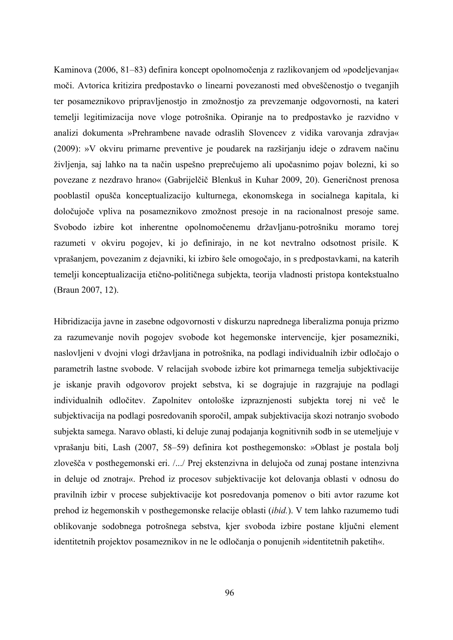Kaminova (2006, 81–83) definira koncept opolnomočenja z razlikovanjem od »podeljevanja« moči. Avtorica kritizira predpostavko o linearni povezanosti med obveščenostjo o tveganjih ter posameznikovo pripravljenostjo in zmožnostjo za prevzemanje odgovornosti, na kateri temelji legitimizacija nove vloge potrošnika. Opiranje na to predpostavko je razvidno v analizi dokumenta »Prehrambene navade odraslih Slovencev z vidika varovanja zdravja« (2009): »V okviru primarne preventive je poudarek na razširjanju ideje o zdravem načinu življenja, saj lahko na ta način uspešno preprečujemo ali upočasnimo pojav bolezni, ki so povezane z nezdravo hrano« (Gabrijelčič Blenkuš in Kuhar 2009, 20). Generičnost prenosa pooblastil opušča konceptualizacijo kulturnega, ekonomskega in socialnega kapitala, ki določujoče vpliva na posameznikovo zmožnost presoje in na racionalnost presoje same. Svobodo izbire kot inherentne opolnomočenemu državljanu-potrošniku moramo torej razumeti v okviru pogojev, ki jo definirajo, in ne kot nevtralno odsotnost prisile. K vprašanjem, povezanim z dejavniki, ki izbiro šele omogočajo, in s predpostavkami, na katerih temelji konceptualizacija etično-političnega subjekta, teorija vladnosti pristopa kontekstualno (Braun 2007, 12).

Hibridizacija javne in zasebne odgovornosti v diskurzu naprednega liberalizma ponuja prizmo za razumevanje novih pogojev svobode kot hegemonske intervencije, kjer posamezniki, naslovljeni v dvojni vlogi državljana in potrošnika, na podlagi individualnih izbir odločajo o parametrih lastne svobode. V relacijah svobode izbire kot primarnega temelja subjektivacije je iskanje pravih odgovorov projekt sebstva, ki se dograjuje in razgrajuje na podlagi individualnih odločitev. Zapolnitev ontološke izpraznjenosti subjekta torej ni več le subjektivacija na podlagi posredovanih sporočil, ampak subjektivacija skozi notranjo svobodo subjekta samega. Naravo oblasti, ki deluje zunaj podajanja kognitivnih sodb in se utemeljuje v vprašanju biti, Lash (2007, 58–59) definira kot posthegemonsko: »Oblast je postala bolj zlovešča v posthegemonski eri. /.../ Prej ekstenzivna in delujoča od zunaj postane intenzivna in deluje od znotraj«. Prehod iz procesov subjektivacije kot delovanja oblasti v odnosu do pravilnih izbir v procese subjektivacije kot posredovanja pomenov o biti avtor razume kot prehod iz hegemonskih v posthegemonske relacije oblasti (*ibid.*). V tem lahko razumemo tudi oblikovanje sodobnega potrošnega sebstva, kjer svoboda izbire postane ključni element identitetnih projektov posameznikov in ne le odločanja o ponujenih »identitetnih paketih«.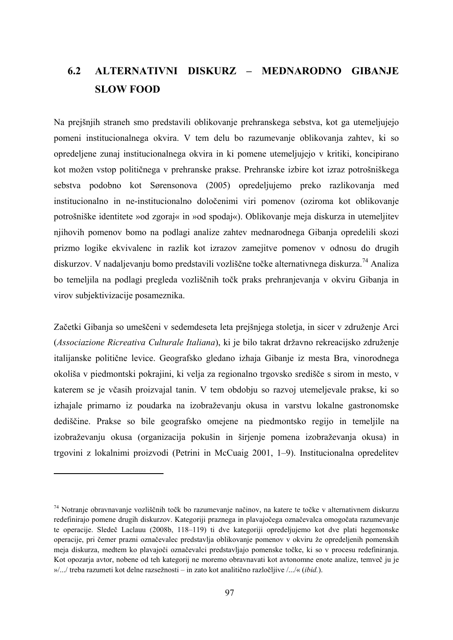## **6.2 ALTERNATIVNI DISKURZ – MEDNARODNO GIBANJE SLOW FOOD**

Na prejšnjih straneh smo predstavili oblikovanje prehranskega sebstva, kot ga utemeljujejo pomeni institucionalnega okvira. V tem delu bo razumevanje oblikovanja zahtev, ki so opredeljene zunaj institucionalnega okvira in ki pomene utemeljujejo v kritiki, koncipirano kot možen vstop političnega v prehranske prakse. Prehranske izbire kot izraz potrošniškega sebstva podobno kot Sørensonova (2005) opredeljujemo preko razlikovanja med institucionalno in ne-institucionalno določenimi viri pomenov (oziroma kot oblikovanje potrošniške identitete »od zgoraj« in »od spodaj«). Oblikovanje meja diskurza in utemeljitev njihovih pomenov bomo na podlagi analize zahtev mednarodnega Gibanja opredelili skozi prizmo logike ekvivalenc in razlik kot izrazov zamejitve pomenov v odnosu do drugih diskurzov. V nadaljevanju bomo predstavili vozliščne točke alternativnega diskurza.<sup>74</sup> Analiza bo temeljila na podlagi pregleda vozliščnih točk praks prehranjevanja v okviru Gibanja in virov subjektivizacije posameznika.

Začetki Gibanja so umeščeni v sedemdeseta leta prejšnjega stoletja, in sicer v združenje Arci (*Associazione Ricreativa Culturale Italiana*), ki je bilo takrat državno rekreacijsko združenje italijanske politične levice. Geografsko gledano izhaja Gibanje iz mesta Bra, vinorodnega okoliša v piedmontski pokrajini, ki velja za regionalno trgovsko središče s sirom in mesto, v katerem se je včasih proizvajal tanin. V tem obdobju so razvoj utemeljevale prakse, ki so izhajale primarno iz poudarka na izobraževanju okusa in varstvu lokalne gastronomske dediščine. Prakse so bile geografsko omejene na piedmontsko regijo in temeljile na izobraževanju okusa (organizacija pokušin in širjenje pomena izobraževanja okusa) in trgovini z lokalnimi proizvodi (Petrini in McCuaig 2001, 1–9). Institucionalna opredelitev

<sup>74</sup> Notranje obravnavanje vozliščnih točk bo razumevanje načinov, na katere te točke v alternativnem diskurzu redefinirajo pomene drugih diskurzov. Kategoriji praznega in plavajočega označevalca omogočata razumevanje te operacije. Sledeč Laclauu (2008b, 118–119) ti dve kategoriji opredeljujemo kot dve plati hegemonske operacije, pri čemer prazni označevalec predstavlja oblikovanje pomenov v okviru že opredeljenih pomenskih meja diskurza, medtem ko plavajoči označevalci predstavljajo pomenske točke, ki so v procesu redefiniranja. Kot opozarja avtor, nobene od teh kategorij ne moremo obravnavati kot avtonomne enote analize, temveč ju je »/.../ treba razumeti kot delne razsežnosti – in zato kot analitično razločljive /.../« (*ibid.*).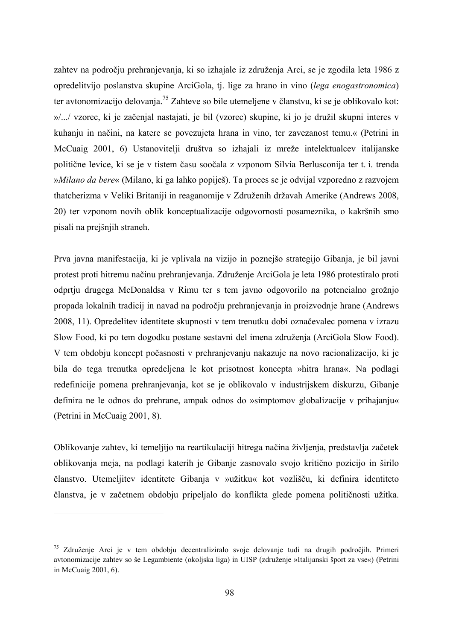zahtev na področju prehranjevanja, ki so izhajale iz združenja Arci, se je zgodila leta 1986 z opredelitvijo poslanstva skupine ArciGola, tj. lige za hrano in vino (*lega enogastronomica*) ter avtonomizacijo delovanja.75 Zahteve so bile utemeljene v članstvu, ki se je oblikovalo kot: »/.../ vzorec, ki je začenjal nastajati, je bil (vzorec) skupine, ki jo je družil skupni interes v kuhanju in načini, na katere se povezujeta hrana in vino, ter zavezanost temu.« (Petrini in McCuaig 2001, 6) Ustanovitelji društva so izhajali iz mreže intelektualcev italijanske politične levice, ki se je v tistem času soočala z vzponom Silvia Berlusconija ter t. i. trenda »*Milano da bere*« (Milano, ki ga lahko popiješ). Ta proces se je odvijal vzporedno z razvojem thatcherizma v Veliki Britaniji in reaganomije v Združenih državah Amerike (Andrews 2008, 20) ter vzponom novih oblik konceptualizacije odgovornosti posameznika, o kakršnih smo pisali na prejšnjih straneh.

Prva javna manifestacija, ki je vplivala na vizijo in poznejšo strategijo Gibanja, je bil javni protest proti hitremu načinu prehranjevanja. Združenje ArciGola je leta 1986 protestiralo proti odprtju drugega McDonaldsa v Rimu ter s tem javno odgovorilo na potencialno grožnjo propada lokalnih tradicij in navad na področju prehranjevanja in proizvodnje hrane (Andrews 2008, 11). Opredelitev identitete skupnosti v tem trenutku dobi označevalec pomena v izrazu Slow Food, ki po tem dogodku postane sestavni del imena združenja (ArciGola Slow Food). V tem obdobju koncept počasnosti v prehranjevanju nakazuje na novo racionalizacijo, ki je bila do tega trenutka opredeljena le kot prisotnost koncepta »hitra hrana«. Na podlagi redefinicije pomena prehranjevanja, kot se je oblikovalo v industrijskem diskurzu, Gibanje definira ne le odnos do prehrane, ampak odnos do »simptomov globalizacije v prihajanju« (Petrini in McCuaig 2001, 8).

Oblikovanje zahtev, ki temeljijo na reartikulaciji hitrega načina življenja, predstavlja začetek oblikovanja meja, na podlagi katerih je Gibanje zasnovalo svojo kritično pozicijo in širilo članstvo. Utemeljitev identitete Gibanja v »užitku« kot vozlišču, ki definira identiteto članstva, je v začetnem obdobju pripeljalo do konflikta glede pomena političnosti užitka.

<sup>75</sup> Združenje Arci je v tem obdobju decentraliziralo svoje delovanje tudi na drugih področjih. Primeri avtonomizacije zahtev so še Legambiente (okoljska liga) in UISP (združenje »Italijanski šport za vse«) (Petrini in McCuaig 2001, 6).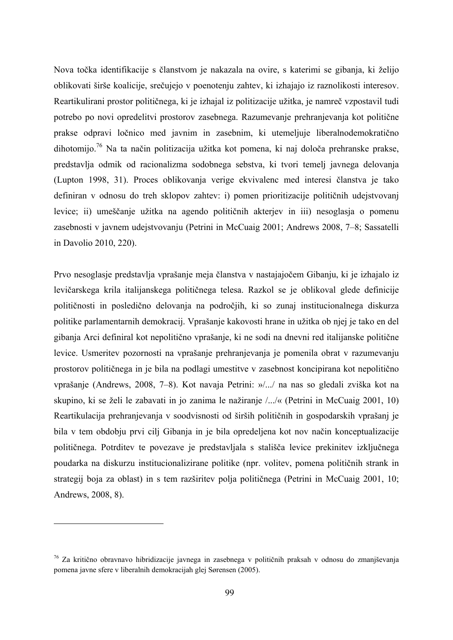Nova točka identifikacije s članstvom je nakazala na ovire, s katerimi se gibanja, ki želijo oblikovati širše koalicije, srečujejo v poenotenju zahtev, ki izhajajo iz raznolikosti interesov. Reartikulirani prostor političnega, ki je izhajal iz politizacije užitka, je namreč vzpostavil tudi potrebo po novi opredelitvi prostorov zasebnega. Razumevanje prehranjevanja kot politične prakse odpravi ločnico med javnim in zasebnim, ki utemeljuje liberalnodemokratično dihotomijo.76 Na ta način politizacija užitka kot pomena, ki naj določa prehranske prakse, predstavlja odmik od racionalizma sodobnega sebstva, ki tvori temelj javnega delovanja (Lupton 1998, 31). Proces oblikovanja verige ekvivalenc med interesi članstva je tako definiran v odnosu do treh sklopov zahtev: i) pomen prioritizacije političnih udejstvovanj levice; ii) umeščanje užitka na agendo političnih akterjev in iii) nesoglasja o pomenu zasebnosti v javnem udejstvovanju (Petrini in McCuaig 2001; Andrews 2008, 7–8; Sassatelli in Davolio 2010, 220).

Prvo nesoglasje predstavlja vprašanje meja članstva v nastajajočem Gibanju, ki je izhajalo iz levičarskega krila italijanskega političnega telesa. Razkol se je oblikoval glede definicije političnosti in posledično delovanja na področjih, ki so zunaj institucionalnega diskurza politike parlamentarnih demokracij. Vprašanje kakovosti hrane in užitka ob njej je tako en del gibanja Arci definiral kot nepolitično vprašanje, ki ne sodi na dnevni red italijanske politične levice. Usmeritev pozornosti na vprašanje prehranjevanja je pomenila obrat v razumevanju prostorov političnega in je bila na podlagi umestitve v zasebnost koncipirana kot nepolitično vprašanje (Andrews, 2008, 7–8). Kot navaja Petrini: »/.../ na nas so gledali zviška kot na skupino, ki se želi le zabavati in jo zanima le nažiranje /.../« (Petrini in McCuaig 2001, 10) Reartikulacija prehranjevanja v soodvisnosti od širših političnih in gospodarskih vprašanj je bila v tem obdobju prvi cilj Gibanja in je bila opredeljena kot nov način konceptualizacije političnega. Potrditev te povezave je predstavljala s stališča levice prekinitev izključnega poudarka na diskurzu institucionalizirane politike (npr. volitev, pomena političnih strank in strategij boja za oblast) in s tem razširitev polja političnega (Petrini in McCuaig 2001, 10; Andrews, 2008, 8).

1

<sup>76</sup> Za kritično obravnavo hibridizacije javnega in zasebnega v političnih praksah v odnosu do zmanjševanja pomena javne sfere v liberalnih demokracijah glej Sørensen (2005).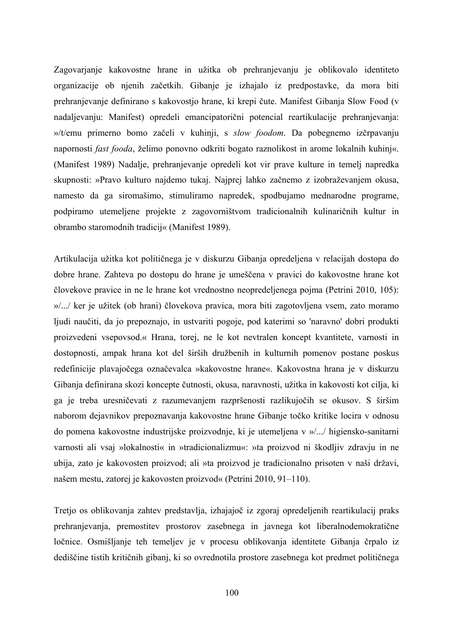Zagovarjanje kakovostne hrane in užitka ob prehranjevanju je oblikovalo identiteto organizacije ob njenih začetkih. Gibanje je izhajalo iz predpostavke, da mora biti prehranjevanje definirano s kakovostjo hrane, ki krepi čute. Manifest Gibanja Slow Food (v nadaljevanju: Manifest) opredeli emancipatorični potencial reartikulacije prehranjevanja: »/t/emu primerno bomo začeli v kuhinji, s *slow foodom*. Da pobegnemo izčrpavanju napornosti *fast fooda*, želimo ponovno odkriti bogato raznolikost in arome lokalnih kuhinj«. (Manifest 1989) Nadalje, prehranjevanje opredeli kot vir prave kulture in temelj napredka skupnosti: »Pravo kulturo najdemo tukaj. Najprej lahko začnemo z izobraževanjem okusa, namesto da ga siromašimo, stimuliramo napredek, spodbujamo mednarodne programe, podpiramo utemeljene projekte z zagovorništvom tradicionalnih kulinaričnih kultur in obrambo staromodnih tradicij« (Manifest 1989).

Artikulacija užitka kot političnega je v diskurzu Gibanja opredeljena v relacijah dostopa do dobre hrane. Zahteva po dostopu do hrane je umeščena v pravici do kakovostne hrane kot človekove pravice in ne le hrane kot vrednostno neopredeljenega pojma (Petrini 2010, 105): »/.../ ker je užitek (ob hrani) človekova pravica, mora biti zagotovljena vsem, zato moramo ljudi naučiti, da jo prepoznajo, in ustvariti pogoje, pod katerimi so 'naravno' dobri produkti proizvedeni vsepovsod.« Hrana, torej, ne le kot nevtralen koncept kvantitete, varnosti in dostopnosti, ampak hrana kot del širših družbenih in kulturnih pomenov postane poskus redefinicije plavajočega označevalca »kakovostne hrane«. Kakovostna hrana je v diskurzu Gibanja definirana skozi koncepte čutnosti, okusa, naravnosti, užitka in kakovosti kot cilja, ki ga je treba uresničevati z razumevanjem razpršenosti razlikujočih se okusov. S širšim naborom dejavnikov prepoznavanja kakovostne hrane Gibanje točko kritike locira v odnosu do pomena kakovostne industrijske proizvodnje, ki je utemeljena v »/.../ higiensko-sanitarni varnosti ali vsaj »lokalnosti« in »tradicionalizmu«: »ta proizvod ni škodljiv zdravju in ne ubija, zato je kakovosten proizvod; ali »ta proizvod je tradicionalno prisoten v naši državi, našem mestu, zatorej je kakovosten proizvod« (Petrini 2010, 91–110).

Tretjo os oblikovanja zahtev predstavlja, izhajajoč iz zgoraj opredeljenih reartikulacij praks prehranjevanja, premostitev prostorov zasebnega in javnega kot liberalnodemokratične ločnice. Osmišljanje teh temeljev je v procesu oblikovanja identitete Gibanja črpalo iz dediščine tistih kritičnih gibanj, ki so ovrednotila prostore zasebnega kot predmet političnega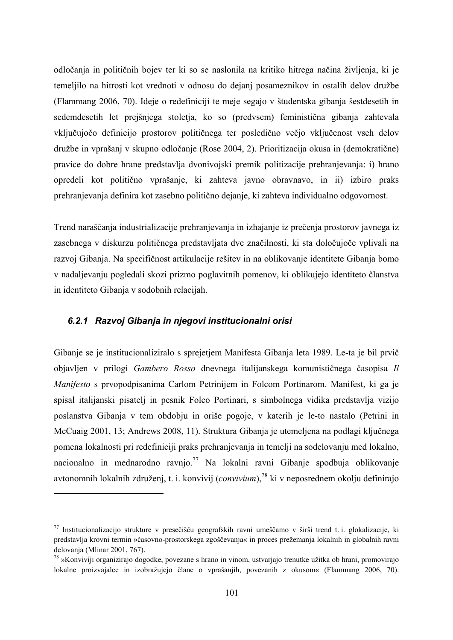odločanja in političnih bojev ter ki so se naslonila na kritiko hitrega načina življenja, ki je temeljilo na hitrosti kot vrednoti v odnosu do dejanj posameznikov in ostalih delov družbe (Flammang 2006, 70). Ideje o redefiniciji te meje segajo v študentska gibanja šestdesetih in sedemdesetih let prejšnjega stoletja, ko so (predvsem) feministična gibanja zahtevala vključujočo definicijo prostorov političnega ter posledično večjo vključenost vseh delov družbe in vprašanj v skupno odločanje (Rose 2004, 2). Prioritizacija okusa in (demokratične) pravice do dobre hrane predstavlja dvonivojski premik politizacije prehranjevanja: i) hrano opredeli kot politično vprašanje, ki zahteva javno obravnavo, in ii) izbiro praks prehranjevanja definira kot zasebno politično dejanje, ki zahteva individualno odgovornost.

Trend naraščanja industrializacije prehranjevanja in izhajanje iz prečenja prostorov javnega iz zasebnega v diskurzu političnega predstavljata dve značilnosti, ki sta določujoče vplivali na razvoj Gibanja. Na specifičnost artikulacije rešitev in na oblikovanje identitete Gibanja bomo v nadaljevanju pogledali skozi prizmo poglavitnih pomenov, ki oblikujejo identiteto članstva in identiteto Gibanja v sodobnih relacijah.

### *6.2.1 Razvoj Gibanja in njegovi institucionalni orisi*

 $\overline{a}$ 

Gibanje se je institucionaliziralo s sprejetjem Manifesta Gibanja leta 1989. Le-ta je bil prvič objavljen v prilogi *Gambero Rosso* dnevnega italijanskega komunističnega časopisa *Il Manifesto* s prvopodpisanima Carlom Petrinijem in Folcom Portinarom. Manifest, ki ga je spisal italijanski pisatelj in pesnik Folco Portinari, s simbolnega vidika predstavlja vizijo poslanstva Gibanja v tem obdobju in oriše pogoje, v katerih je le-to nastalo (Petrini in McCuaig 2001, 13; Andrews 2008, 11). Struktura Gibanja je utemeljena na podlagi ključnega pomena lokalnosti pri redefiniciji praks prehranjevanja in temelji na sodelovanju med lokalno, nacionalno in mednarodno ravnjo.<sup>77</sup> Na lokalni ravni Gibanje spodbuja oblikovanje avtonomnih lokalnih združenj, t. i. konvivij (*convivium*),78 ki v neposrednem okolju definirajo

<sup>77</sup> Institucionalizacijo strukture v presečišču geografskih ravni umeščamo v širši trend t. i. glokalizacije, ki predstavlja krovni termin »časovno-prostorskega zgoščevanja« in proces prežemanja lokalnih in globalnih ravni delovanja (Mlinar 2001, 767).

<sup>78 »</sup>Konviviji organizirajo dogodke, povezane s hrano in vinom, ustvarjajo trenutke užitka ob hrani, promovirajo lokalne proizvajalce in izobražujejo člane o vprašanjih, povezanih z okusom« (Flammang 2006, 70).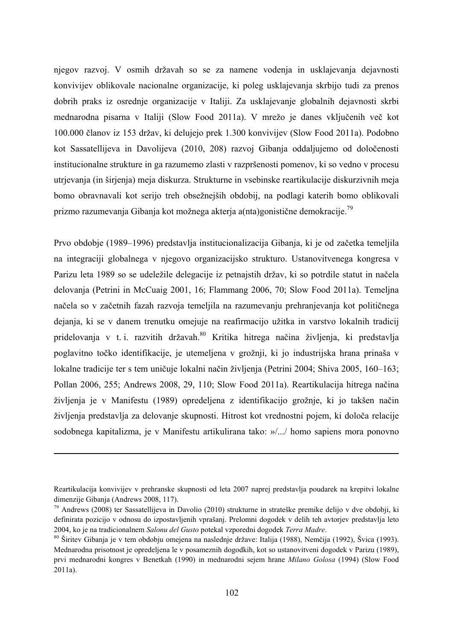njegov razvoj. V osmih državah so se za namene vodenja in usklajevanja dejavnosti konvivijev oblikovale nacionalne organizacije, ki poleg usklajevanja skrbijo tudi za prenos dobrih praks iz osrednje organizacije v Italiji. Za usklajevanje globalnih dejavnosti skrbi mednarodna pisarna v Italiji (Slow Food 2011a). V mrežo je danes vključenih več kot 100.000 članov iz 153 držav, ki delujejo prek 1.300 konvivijev (Slow Food 2011a). Podobno kot Sassatellijeva in Davolijeva (2010, 208) razvoj Gibanja oddaljujemo od določenosti institucionalne strukture in ga razumemo zlasti v razpršenosti pomenov, ki so vedno v procesu utrjevanja (in širjenja) meja diskurza. Strukturne in vsebinske reartikulacije diskurzivnih meja bomo obravnavali kot serijo treh obsežnejših obdobij, na podlagi katerih bomo oblikovali prizmo razumevanja Gibanja kot možnega akteria a(nta)gonistične demokracije.<sup>79</sup>

Prvo obdobje (1989–1996) predstavlja institucionalizacija Gibanja, ki je od začetka temeljila na integraciji globalnega v njegovo organizacijsko strukturo. Ustanovitvenega kongresa v Parizu leta 1989 so se udeležile delegacije iz petnajstih držav, ki so potrdile statut in načela delovanja (Petrini in McCuaig 2001, 16; Flammang 2006, 70; Slow Food 2011a). Temeljna načela so v začetnih fazah razvoja temeljila na razumevanju prehranjevanja kot političnega dejanja, ki se v danem trenutku omejuje na reafirmacijo užitka in varstvo lokalnih tradicij pridelovanja v t. i. razvitih državah.<sup>80</sup> Kritika hitrega načina življenja, ki predstavlja poglavitno točko identifikacije, je utemeljena v grožnji, ki jo industrijska hrana prinaša v lokalne tradicije ter s tem uničuje lokalni način življenja (Petrini 2004; Shiva 2005, 160–163; Pollan 2006, 255; Andrews 2008, 29, 110; Slow Food 2011a). Reartikulacija hitrega načina življenja je v Manifestu (1989) opredeljena z identifikacijo grožnje, ki jo takšen način življenja predstavlja za delovanje skupnosti. Hitrost kot vrednostni pojem, ki določa relacije sodobnega kapitalizma, je v Manifestu artikulirana tako: »/.../ homo sapiens mora ponovno

 $\overline{a}$ 

Reartikulacija konvivijev v prehranske skupnosti od leta 2007 naprej predstavlja poudarek na krepitvi lokalne dimenzije Gibanja (Andrews 2008, 117).

<sup>79</sup> Andrews (2008) ter Sassatellijeva in Davolio (2010) strukturne in strateške premike delijo v dve obdobji, ki definirata pozicijo v odnosu do izpostavljenih vprašanj. Prelomni dogodek v delih teh avtorjev predstavlja leto 2004, ko je na tradicionalnem *Salonu del Gusto* potekal vzporedni dogodek *Terra Madre*. 80 Širitev Gibanja je v tem obdobju omejena na naslednje države: Italija (1988), Nemčija (1992), Švica (1993).

Mednarodna prisotnost je opredeljena le v posameznih dogodkih, kot so ustanovitveni dogodek v Parizu (1989), prvi mednarodni kongres v Benetkah (1990) in mednarodni sejem hrane *Milano Golosa* (1994) (Slow Food 2011a).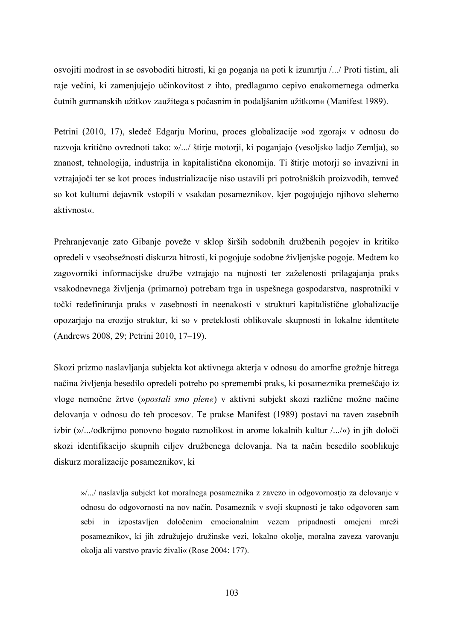osvojiti modrost in se osvoboditi hitrosti, ki ga poganja na poti k izumrtju /.../ Proti tistim, ali raje večini, ki zamenjujejo učinkovitost z ihto, predlagamo cepivo enakomernega odmerka čutnih gurmanskih užitkov zaužitega s počasnim in podaljšanim užitkom« (Manifest 1989).

Petrini (2010, 17), sledeč Edgarju Morinu, proces globalizacije »od zgoraj« v odnosu do razvoja kritično ovrednoti tako: »/.../ štirje motorji, ki poganjajo (vesoljsko ladjo Zemlja), so znanost, tehnologija, industrija in kapitalistična ekonomija. Ti štirje motorji so invazivni in vztrajajoči ter se kot proces industrializacije niso ustavili pri potrošniških proizvodih, temveč so kot kulturni dejavnik vstopili v vsakdan posameznikov, kjer pogojujejo njihovo sleherno aktivnost«.

Prehranjevanje zato Gibanje poveže v sklop širših sodobnih družbenih pogojev in kritiko opredeli v vseobsežnosti diskurza hitrosti, ki pogojuje sodobne življenjske pogoje. Medtem ko zagovorniki informacijske družbe vztrajajo na nujnosti ter zaželenosti prilagajanja praks vsakodnevnega življenja (primarno) potrebam trga in uspešnega gospodarstva, nasprotniki v točki redefiniranja praks v zasebnosti in neenakosti v strukturi kapitalistične globalizacije opozarjajo na erozijo struktur, ki so v preteklosti oblikovale skupnosti in lokalne identitete (Andrews 2008, 29; Petrini 2010, 17–19).

Skozi prizmo naslavljanja subjekta kot aktivnega akterja v odnosu do amorfne grožnje hitrega načina življenja besedilo opredeli potrebo po spremembi praks, ki posameznika premeščajo iz vloge nemočne žrtve (»*postali smo plen«*) v aktivni subjekt skozi različne možne načine delovanja v odnosu do teh procesov. Te prakse Manifest (1989) postavi na raven zasebnih izbir (»/.../odkrijmo ponovno bogato raznolikost in arome lokalnih kultur /.../«) in jih določi skozi identifikacijo skupnih ciljev družbenega delovanja. Na ta način besedilo sooblikuje diskurz moralizacije posameznikov, ki

»/.../ naslavlja subjekt kot moralnega posameznika z zavezo in odgovornostjo za delovanje v odnosu do odgovornosti na nov način. Posameznik v svoji skupnosti je tako odgovoren sam sebi in izpostavljen določenim emocionalnim vezem pripadnosti omejeni mreži posameznikov, ki jih združujejo družinske vezi, lokalno okolje, moralna zaveza varovanju okolja ali varstvo pravic živali« (Rose 2004: 177).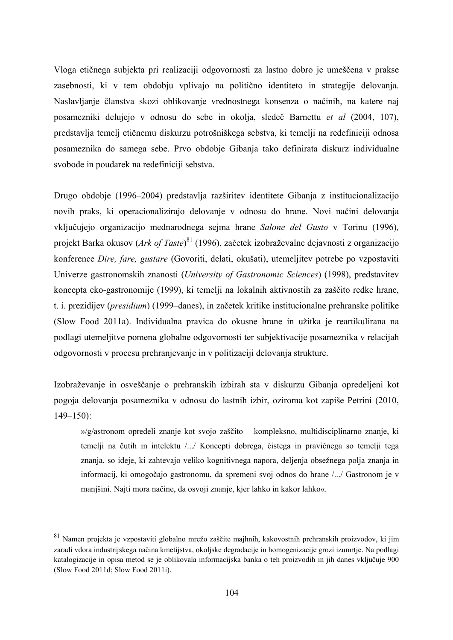Vloga etičnega subjekta pri realizaciji odgovornosti za lastno dobro je umeščena v prakse zasebnosti, ki v tem obdobju vplivajo na politično identiteto in strategije delovanja. Naslavljanje članstva skozi oblikovanje vrednostnega konsenza o načinih, na katere naj posamezniki delujejo v odnosu do sebe in okolja, sledeč Barnettu *et al* (2004, 107), predstavlja temelj etičnemu diskurzu potrošniškega sebstva, ki temelji na redefiniciji odnosa posameznika do samega sebe. Prvo obdobje Gibanja tako definirata diskurz individualne svobode in poudarek na redefiniciji sebstva.

Drugo obdobje (1996–2004) predstavlja razširitev identitete Gibanja z institucionalizacijo novih praks, ki operacionalizirajo delovanje v odnosu do hrane. Novi načini delovanja vključujejo organizacijo mednarodnega sejma hrane *Salone del Gusto* v Torinu (1996)*,*  projekt Barka okusov (*Ark of Taste*) 81 (1996), začetek izobraževalne dejavnosti z organizacijo konference *Dire, fare, gustare* (Govoriti, delati, okušati), utemeljitev potrebe po vzpostaviti Univerze gastronomskih znanosti (*University of Gastronomic Sciences*) (1998), predstavitev koncepta eko-gastronomije (1999), ki temelji na lokalnih aktivnostih za zaščito redke hrane, t. i. prezidijev (*presidium*) (1999–danes), in začetek kritike institucionalne prehranske politike (Slow Food 2011a). Individualna pravica do okusne hrane in užitka je reartikulirana na podlagi utemeljitve pomena globalne odgovornosti ter subjektivacije posameznika v relacijah odgovornosti v procesu prehranjevanje in v politizaciji delovanja strukture.

Izobraževanje in osveščanje o prehranskih izbirah sta v diskurzu Gibanja opredeljeni kot pogoja delovanja posameznika v odnosu do lastnih izbir, oziroma kot zapiše Petrini (2010, 149–150):

»/g/astronom opredeli znanje kot svojo zaščito – kompleksno, multidisciplinarno znanje, ki temelji na čutih in intelektu /.../ Koncepti dobrega, čistega in pravičnega so temelji tega znanja, so ideje, ki zahtevajo veliko kognitivnega napora, deljenja obsežnega polja znanja in informacij, ki omogočajo gastronomu, da spremeni svoj odnos do hrane /.../ Gastronom je v manjšini. Najti mora načine, da osvoji znanje, kjer lahko in kakor lahko«.

<sup>81</sup> Namen projekta je vzpostaviti globalno mrežo zaščite majhnih, kakovostnih prehranskih proizvodov, ki jim zaradi vdora industrijskega načina kmetijstva, okoljske degradacije in homogenizacije grozi izumrtje. Na podlagi katalogizacije in opisa metod se je oblikovala informacijska banka o teh proizvodih in jih danes vključuje 900 (Slow Food 2011d; Slow Food 2011i).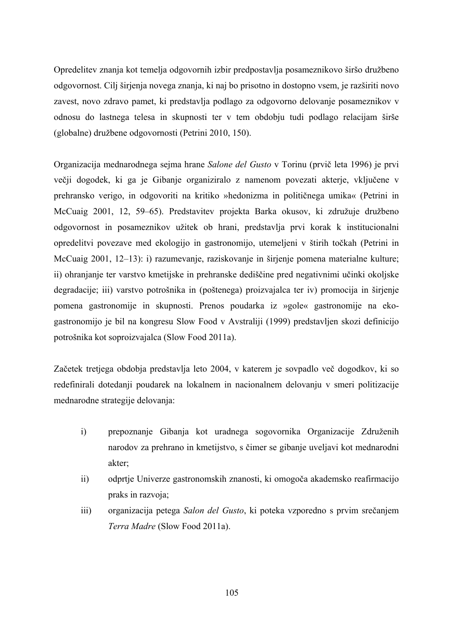Opredelitev znanja kot temelja odgovornih izbir predpostavlja posameznikovo širšo družbeno odgovornost. Cilj širjenja novega znanja, ki naj bo prisotno in dostopno vsem, je razširiti novo zavest, novo zdravo pamet, ki predstavlja podlago za odgovorno delovanje posameznikov v odnosu do lastnega telesa in skupnosti ter v tem obdobju tudi podlago relacijam širše (globalne) družbene odgovornosti (Petrini 2010, 150).

Organizacija mednarodnega sejma hrane *Salone del Gusto* v Torinu (prvič leta 1996) je prvi večji dogodek, ki ga je Gibanje organiziralo z namenom povezati akterje, vključene v prehransko verigo, in odgovoriti na kritiko »hedonizma in političnega umika« (Petrini in McCuaig 2001, 12, 59–65). Predstavitev projekta Barka okusov, ki združuje družbeno odgovornost in posameznikov užitek ob hrani, predstavlja prvi korak k institucionalni opredelitvi povezave med ekologijo in gastronomijo, utemeljeni v štirih točkah (Petrini in McCuaig 2001, 12–13): i) razumevanje, raziskovanje in širjenje pomena materialne kulture; ii) ohranjanje ter varstvo kmetijske in prehranske dediščine pred negativnimi učinki okoljske degradacije; iii) varstvo potrošnika in (poštenega) proizvajalca ter iv) promocija in širjenje pomena gastronomije in skupnosti. Prenos poudarka iz »gole« gastronomije na ekogastronomijo je bil na kongresu Slow Food v Avstraliji (1999) predstavljen skozi definicijo potrošnika kot soproizvajalca (Slow Food 2011a).

Začetek tretjega obdobja predstavlja leto 2004, v katerem je sovpadlo več dogodkov, ki so redefinirali dotedanji poudarek na lokalnem in nacionalnem delovanju v smeri politizacije mednarodne strategije delovanja:

- i) prepoznanje Gibanja kot uradnega sogovornika Organizacije Združenih narodov za prehrano in kmetijstvo, s čimer se gibanje uveljavi kot mednarodni akter;
- ii) odprtje Univerze gastronomskih znanosti, ki omogoča akademsko reafirmacijo praks in razvoja;
- iii) organizacija petega *Salon del Gusto*, ki poteka vzporedno s prvim srečanjem *Terra Madre* (Slow Food 2011a).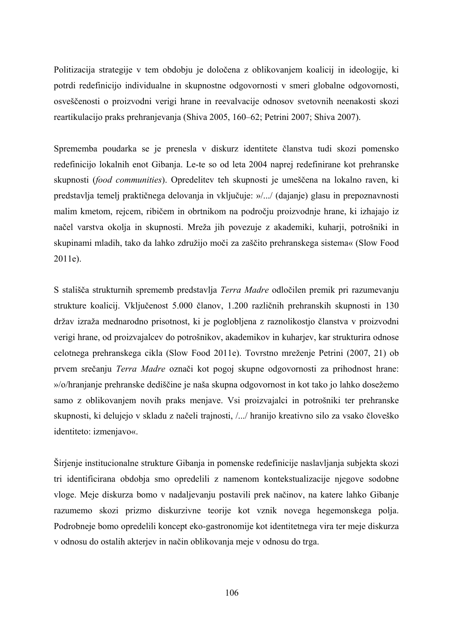Politizacija strategije v tem obdobju je določena z oblikovanjem koalicij in ideologije, ki potrdi redefinicijo individualne in skupnostne odgovornosti v smeri globalne odgovornosti, osveščenosti o proizvodni verigi hrane in reevalvacije odnosov svetovnih neenakosti skozi reartikulacijo praks prehranjevanja (Shiva 2005, 160–62; Petrini 2007; Shiva 2007).

Sprememba poudarka se je prenesla v diskurz identitete članstva tudi skozi pomensko redefinicijo lokalnih enot Gibanja. Le-te so od leta 2004 naprej redefinirane kot prehranske skupnosti (*food communities*). Opredelitev teh skupnosti je umeščena na lokalno raven, ki predstavlja temelj praktičnega delovanja in vključuje: »/.../ (dajanje) glasu in prepoznavnosti malim kmetom, rejcem, ribičem in obrtnikom na področju proizvodnje hrane, ki izhajajo iz načel varstva okolja in skupnosti. Mreža jih povezuje z akademiki, kuharji, potrošniki in skupinami mladih, tako da lahko združijo moči za zaščito prehranskega sistema« (Slow Food 2011e).

S stališča strukturnih sprememb predstavlja *Terra Madre* odločilen premik pri razumevanju strukture koalicij. Vključenost 5.000 članov, 1.200 različnih prehranskih skupnosti in 130 držav izraža mednarodno prisotnost, ki je poglobljena z raznolikostjo članstva v proizvodni verigi hrane, od proizvajalcev do potrošnikov, akademikov in kuharjev, kar strukturira odnose celotnega prehranskega cikla (Slow Food 2011e). Tovrstno mreženje Petrini (2007, 21) ob prvem srečanju *Terra Madre* označi kot pogoj skupne odgovornosti za prihodnost hrane: »/o/hranjanje prehranske dediščine je naša skupna odgovornost in kot tako jo lahko dosežemo samo z oblikovanjem novih praks menjave. Vsi proizvajalci in potrošniki ter prehranske skupnosti, ki delujejo v skladu z načeli trajnosti, /.../ hranijo kreativno silo za vsako človeško identiteto: izmenjavo«.

Širjenje institucionalne strukture Gibanja in pomenske redefinicije naslavljanja subjekta skozi tri identificirana obdobja smo opredelili z namenom kontekstualizacije njegove sodobne vloge. Meje diskurza bomo v nadaljevanju postavili prek načinov, na katere lahko Gibanje razumemo skozi prizmo diskurzivne teorije kot vznik novega hegemonskega polja. Podrobneje bomo opredelili koncept eko-gastronomije kot identitetnega vira ter meje diskurza v odnosu do ostalih akterjev in način oblikovanja meje v odnosu do trga.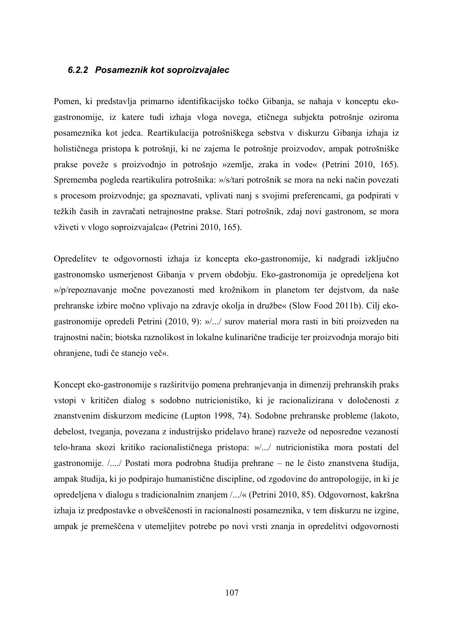#### *6.2.2 Posameznik kot soproizvajalec*

Pomen, ki predstavlja primarno identifikacijsko točko Gibanja, se nahaja v konceptu ekogastronomije, iz katere tudi izhaja vloga novega, etičnega subjekta potrošnje oziroma posameznika kot jedca. Reartikulacija potrošniškega sebstva v diskurzu Gibanja izhaja iz holističnega pristopa k potrošnji, ki ne zajema le potrošnje proizvodov, ampak potrošniške prakse poveže s proizvodnjo in potrošnjo »zemlje, zraka in vode« (Petrini 2010, 165). Sprememba pogleda reartikulira potrošnika: »/s/tari potrošnik se mora na neki način povezati s procesom proizvodnje; ga spoznavati, vplivati nanj s svojimi preferencami, ga podpirati v težkih časih in zavračati netrajnostne prakse. Stari potrošnik, zdaj novi gastronom, se mora vživeti v vlogo soproizvajalca« (Petrini 2010, 165).

Opredelitev te odgovornosti izhaja iz koncepta eko-gastronomije, ki nadgradi izključno gastronomsko usmerjenost Gibanja v prvem obdobju. Eko-gastronomija je opredeljena kot »/p/repoznavanje močne povezanosti med krožnikom in planetom ter dejstvom, da naše prehranske izbire močno vplivajo na zdravje okolja in družbe« (Slow Food 2011b). Cilj ekogastronomije opredeli Petrini (2010, 9): »/.../ surov material mora rasti in biti proizveden na trajnostni način; biotska raznolikost in lokalne kulinarične tradicije ter proizvodnja morajo biti ohranjene, tudi če stanejo več«.

Koncept eko-gastronomije s razširitvijo pomena prehranjevanja in dimenzij prehranskih praks vstopi v kritičen dialog s sodobno nutricionistiko, ki je racionalizirana v določenosti z znanstvenim diskurzom medicine (Lupton 1998, 74). Sodobne prehranske probleme (lakoto, debelost, tveganja, povezana z industrijsko pridelavo hrane) razveže od neposredne vezanosti telo-hrana skozi kritiko racionalističnega pristopa: »/.../ nutricionistika mora postati del gastronomije. /..../ Postati mora podrobna študija prehrane – ne le čisto znanstvena študija, ampak študija, ki jo podpirajo humanistične discipline, od zgodovine do antropologije, in ki je opredeljena v dialogu s tradicionalnim znanjem /.../« (Petrini 2010, 85). Odgovornost, kakršna izhaja iz predpostavke o obveščenosti in racionalnosti posameznika, v tem diskurzu ne izgine, ampak je premeščena v utemeljitev potrebe po novi vrsti znanja in opredelitvi odgovornosti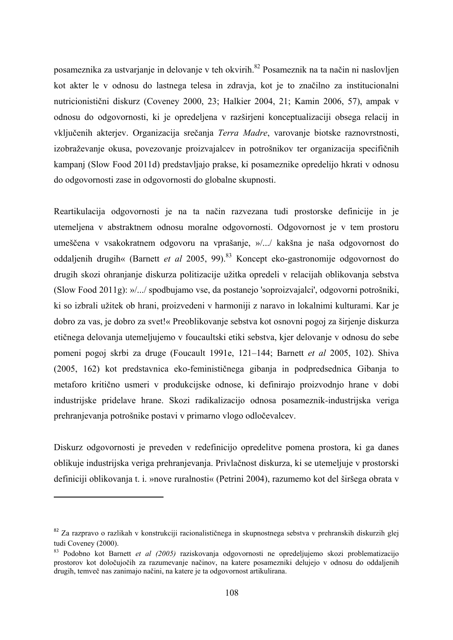posameznika za ustvarjanje in delovanje v teh okvirih.82 Posameznik na ta način ni naslovljen kot akter le v odnosu do lastnega telesa in zdravja, kot je to značilno za institucionalni nutricionistični diskurz (Coveney 2000, 23; Halkier 2004, 21; Kamin 2006, 57), ampak v odnosu do odgovornosti, ki je opredeljena v razširjeni konceptualizaciji obsega relacij in vključenih akterjev. Organizacija srečanja *Terra Madre*, varovanje biotske raznovrstnosti, izobraževanje okusa, povezovanje proizvajalcev in potrošnikov ter organizacija specifičnih kampanj (Slow Food 2011d) predstavljajo prakse, ki posameznike opredelijo hkrati v odnosu do odgovornosti zase in odgovornosti do globalne skupnosti.

Reartikulacija odgovornosti je na ta način razvezana tudi prostorske definicije in je utemeljena v abstraktnem odnosu moralne odgovornosti. Odgovornost je v tem prostoru umeščena v vsakokratnem odgovoru na vprašanje, »/.../ kakšna je naša odgovornost do oddaljenih drugih« (Barnett *et al* 2005, 99).<sup>83</sup> Koncept eko-gastronomije odgovornost do drugih skozi ohranjanje diskurza politizacije užitka opredeli v relacijah oblikovanja sebstva (Slow Food 2011g): »/.../ spodbujamo vse, da postanejo 'soproizvajalci', odgovorni potrošniki, ki so izbrali užitek ob hrani, proizvedeni v harmoniji z naravo in lokalnimi kulturami. Kar je dobro za vas, je dobro za svet!« Preoblikovanje sebstva kot osnovni pogoj za širjenje diskurza etičnega delovanja utemeljujemo v foucaultski etiki sebstva, kjer delovanje v odnosu do sebe pomeni pogoj skrbi za druge (Foucault 1991e, 121–144; Barnett *et al* 2005, 102). Shiva (2005, 162) kot predstavnica eko-feminističnega gibanja in podpredsednica Gibanja to metaforo kritično usmeri v produkcijske odnose, ki definirajo proizvodnjo hrane v dobi industrijske pridelave hrane. Skozi radikalizacijo odnosa posameznik-industrijska veriga prehranjevanja potrošnike postavi v primarno vlogo odločevalcev.

Diskurz odgovornosti je preveden v redefinicijo opredelitve pomena prostora, ki ga danes oblikuje industrijska veriga prehranjevanja. Privlačnost diskurza, ki se utemeljuje v prostorski definiciji oblikovanja t. i. »nove ruralnosti« (Petrini 2004), razumemo kot del širšega obrata v

 $\overline{\phantom{a}}$ 

<sup>82</sup> Za razpravo o razlikah v konstrukciji racionalističnega in skupnostnega sebstva v prehranskih diskurzih glej tudi Coveney (2000).

<sup>83</sup> Podobno kot Barnett *et al (2005)* raziskovanja odgovornosti ne opredeljujemo skozi problematizacijo prostorov kot določujočih za razumevanje načinov, na katere posamezniki delujejo v odnosu do oddaljenih drugih, temveč nas zanimajo načini, na katere je ta odgovornost artikulirana.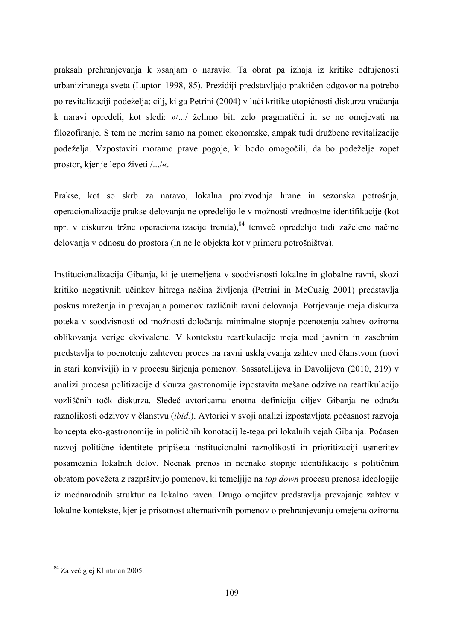praksah prehranjevanja k »sanjam o naravi«. Ta obrat pa izhaja iz kritike odtujenosti urbaniziranega sveta (Lupton 1998, 85). Prezidiji predstavljajo praktičen odgovor na potrebo po revitalizaciji podeželja; cilj, ki ga Petrini (2004) v luči kritike utopičnosti diskurza vračanja k naravi opredeli, kot sledi: »/.../ želimo biti zelo pragmatični in se ne omejevati na filozofiranje. S tem ne merim samo na pomen ekonomske, ampak tudi družbene revitalizacije podeželja. Vzpostaviti moramo prave pogoje, ki bodo omogočili, da bo podeželje zopet prostor, kjer je lepo živeti /.../«.

Prakse, kot so skrb za naravo, lokalna proizvodnja hrane in sezonska potrošnja, operacionalizacije prakse delovanja ne opredelijo le v možnosti vrednostne identifikacije (kot npr. v diskurzu tržne operacionalizacije trenda),<sup>84</sup> temveč opredelijo tudi zaželene načine delovanja v odnosu do prostora (in ne le objekta kot v primeru potrošništva).

Institucionalizacija Gibanja, ki je utemeljena v soodvisnosti lokalne in globalne ravni, skozi kritiko negativnih učinkov hitrega načina življenja (Petrini in McCuaig 2001) predstavlja poskus mreženja in prevajanja pomenov različnih ravni delovanja. Potrjevanje meja diskurza poteka v soodvisnosti od možnosti določanja minimalne stopnje poenotenja zahtev oziroma oblikovanja verige ekvivalenc. V kontekstu reartikulacije meja med javnim in zasebnim predstavlja to poenotenje zahteven proces na ravni usklajevanja zahtev med članstvom (novi in stari konviviji) in v procesu širjenja pomenov. Sassatellijeva in Davolijeva (2010, 219) v analizi procesa politizacije diskurza gastronomije izpostavita mešane odzive na reartikulacijo vozliščnih točk diskurza. Sledeč avtoricama enotna definicija ciljev Gibanja ne odraža raznolikosti odzivov v članstvu (*ibid.*). Avtorici v svoji analizi izpostavljata počasnost razvoja koncepta eko-gastronomije in političnih konotacij le-tega pri lokalnih vejah Gibanja. Počasen razvoj politične identitete pripišeta institucionalni raznolikosti in prioritizaciji usmeritev posameznih lokalnih delov. Neenak prenos in neenake stopnje identifikacije s političnim obratom povežeta z razpršitvijo pomenov, ki temeljijo na *top down* procesu prenosa ideologije iz mednarodnih struktur na lokalno raven. Drugo omejitev predstavlja prevajanje zahtev v lokalne kontekste, kjer je prisotnost alternativnih pomenov o prehranjevanju omejena oziroma

<sup>84</sup> Za več glej Klintman 2005.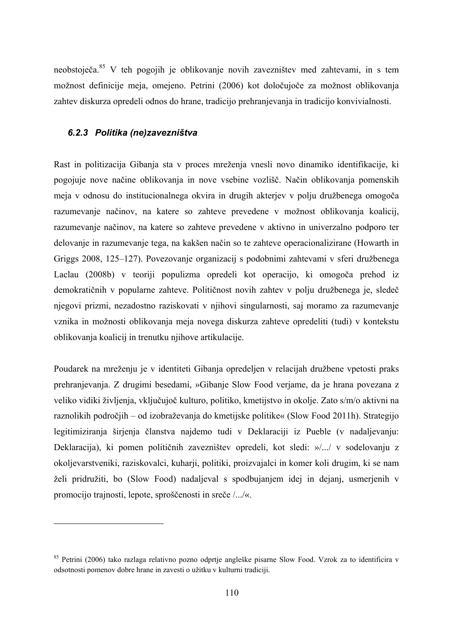neobstoječa.85 V teh pogojih je oblikovanje novih zavezništev med zahtevami, in s tem možnost definicije meja, omejeno. Petrini (2006) kot določujoče za možnost oblikovanja zahtev diskurza opredeli odnos do hrane, tradicijo prehranjevanja in tradicijo konvivialnosti.

## *6.2.3 Politika (ne)zavezništva*

1

Rast in politizacija Gibanja sta v proces mreženja vnesli novo dinamiko identifikacije, ki pogojuje nove načine oblikovanja in nove vsebine vozlišč. Način oblikovanja pomenskih meja v odnosu do institucionalnega okvira in drugih akterjev v polju družbenega omogoča razumevanje načinov, na katere so zahteve prevedene v možnost oblikovanja koalicij, razumevanje načinov, na katere so zahteve prevedene v aktivno in univerzalno podporo ter delovanje in razumevanje tega, na kakšen način so te zahteve operacionalizirane (Howarth in Griggs 2008, 125–127). Povezovanje organizacij s podobnimi zahtevami v sferi družbenega Laclau (2008b) v teoriji populizma opredeli kot operacijo, ki omogoča prehod iz demokratičnih v popularne zahteve. Političnost novih zahtev v polju družbenega je, sledeč njegovi prizmi, nezadostno raziskovati v njihovi singularnosti, saj moramo za razumevanje vznika in možnosti oblikovanja meja novega diskurza zahteve opredeliti (tudi) v kontekstu oblikovanja koalicij in trenutku njihove artikulacije.

Poudarek na mreženju je v identiteti Gibanja opredeljen v relacijah družbene vpetosti praks prehranjevanja. Z drugimi besedami, »Gibanje Slow Food verjame, da je hrana povezana z veliko vidiki življenja, vključujoč kulturo, politiko, kmetijstvo in okolje. Zato s/m/o aktivni na raznolikih področjih – od izobraževanja do kmetijske politike« (Slow Food 2011h). Strategijo legitimiziranja širjenja članstva najdemo tudi v Deklaraciji iz Pueble (v nadaljevanju: Deklaracija), ki pomen političnih zavezništev opredeli, kot sledi: »/.../ v sodelovanju z okoljevarstveniki, raziskovalci, kuharji, politiki, proizvajalci in komer koli drugim, ki se nam želi pridružiti, bo (Slow Food) nadaljeval s spodbujanjem idej in dejanj, usmerjenih v promocijo trajnosti, lepote, sproščenosti in sreče /.../«.

<sup>&</sup>lt;sup>85</sup> Petrini (2006) tako razlaga relativno pozno odprtje angleške pisarne Slow Food. Vzrok za to identificira v odsotnosti pomenov dobre hrane in zavesti o užitku v kulturni tradiciji.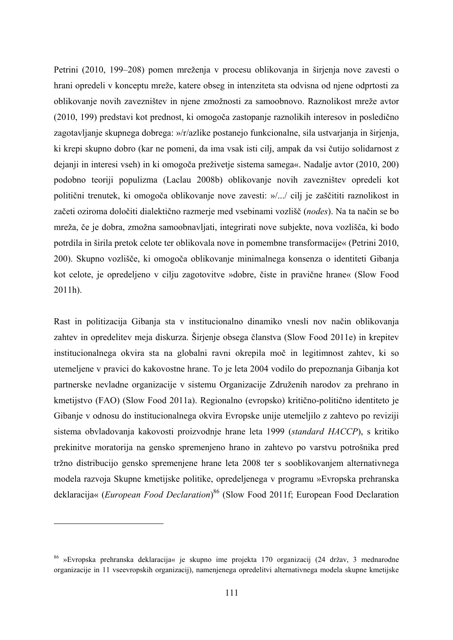Petrini (2010, 199–208) pomen mreženja v procesu oblikovanja in širjenja nove zavesti o hrani opredeli v konceptu mreže, katere obseg in intenziteta sta odvisna od njene odprtosti za oblikovanje novih zavezništev in njene zmožnosti za samoobnovo. Raznolikost mreže avtor (2010, 199) predstavi kot prednost, ki omogoča zastopanje raznolikih interesov in posledično zagotavljanje skupnega dobrega: »/r/azlike postanejo funkcionalne, sila ustvarjanja in širjenja, ki krepi skupno dobro (kar ne pomeni, da ima vsak isti cilj, ampak da vsi čutijo solidarnost z dejanji in interesi vseh) in ki omogoča preživetje sistema samega«. Nadalje avtor (2010, 200) podobno teoriji populizma (Laclau 2008b) oblikovanje novih zavezništev opredeli kot politični trenutek, ki omogoča oblikovanje nove zavesti: »/.../ cilj je zaščititi raznolikost in začeti oziroma določiti dialektično razmerje med vsebinami vozlišč (*nodes*). Na ta način se bo mreža, če je dobra, zmožna samoobnavljati, integrirati nove subjekte, nova vozlišča, ki bodo potrdila in širila pretok celote ter oblikovala nove in pomembne transformacije« (Petrini 2010, 200). Skupno vozlišče, ki omogoča oblikovanje minimalnega konsenza o identiteti Gibanja kot celote, je opredeljeno v cilju zagotovitve »dobre, čiste in pravične hrane« (Slow Food 2011h).

Rast in politizacija Gibanja sta v institucionalno dinamiko vnesli nov način oblikovanja zahtev in opredelitev meja diskurza. Širjenje obsega članstva (Slow Food 2011e) in krepitev institucionalnega okvira sta na globalni ravni okrepila moč in legitimnost zahtev, ki so utemeljene v pravici do kakovostne hrane. To je leta 2004 vodilo do prepoznanja Gibanja kot partnerske nevladne organizacije v sistemu Organizacije Združenih narodov za prehrano in kmetijstvo (FAO) (Slow Food 2011a). Regionalno (evropsko) kritično-politično identiteto je Gibanje v odnosu do institucionalnega okvira Evropske unije utemeljilo z zahtevo po reviziji sistema obvladovanja kakovosti proizvodnje hrane leta 1999 (*standard HACCP*), s kritiko prekinitve moratorija na gensko spremenjeno hrano in zahtevo po varstvu potrošnika pred tržno distribucijo gensko spremenjene hrane leta 2008 ter s sooblikovanjem alternativnega modela razvoja Skupne kmetijske politike, opredeljenega v programu »Evropska prehranska deklaracija« (*European Food Declaration*) 86 (Slow Food 2011f; European Food Declaration

<sup>86 »</sup>Evropska prehranska deklaracija« je skupno ime projekta 170 organizacij (24 držav, 3 mednarodne organizacije in 11 vseevropskih organizacij), namenjenega opredelitvi alternativnega modela skupne kmetijske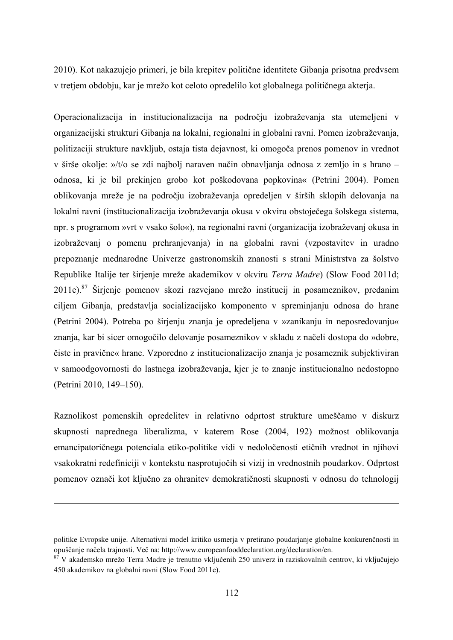2010). Kot nakazujejo primeri, je bila krepitev politične identitete Gibanja prisotna predvsem v tretjem obdobju, kar je mrežo kot celoto opredelilo kot globalnega političnega akterja.

Operacionalizacija in institucionalizacija na področju izobraževanja sta utemeljeni v organizacijski strukturi Gibanja na lokalni, regionalni in globalni ravni. Pomen izobraževanja, politizaciji strukture navkljub, ostaja tista dejavnost, ki omogoča prenos pomenov in vrednot v širše okolje: »/t/o se zdi najbolj naraven način obnavljanja odnosa z zemljo in s hrano – odnosa, ki je bil prekinjen grobo kot poškodovana popkovina« (Petrini 2004). Pomen oblikovanja mreže je na področju izobraževanja opredeljen v širših sklopih delovanja na lokalni ravni (institucionalizacija izobraževanja okusa v okviru obstoječega šolskega sistema, npr. s programom »vrt v vsako šolo«), na regionalni ravni (organizacija izobraževanj okusa in izobraževanj o pomenu prehranjevanja) in na globalni ravni (vzpostavitev in uradno prepoznanje mednarodne Univerze gastronomskih znanosti s strani Ministrstva za šolstvo Republike Italije ter širjenje mreže akademikov v okviru *Terra Madre*) (Slow Food 2011d; 2011e).87 Širjenje pomenov skozi razvejano mrežo institucij in posameznikov, predanim ciljem Gibanja, predstavlja socializacijsko komponento v spreminjanju odnosa do hrane (Petrini 2004). Potreba po širjenju znanja je opredeljena v »zanikanju in neposredovanju« znanja, kar bi sicer omogočilo delovanje posameznikov v skladu z načeli dostopa do »dobre, čiste in pravične« hrane. Vzporedno z institucionalizacijo znanja je posameznik subjektiviran v samoodgovornosti do lastnega izobraževanja, kjer je to znanje institucionalno nedostopno (Petrini 2010, 149–150).

Raznolikost pomenskih opredelitev in relativno odprtost strukture umeščamo v diskurz skupnosti naprednega liberalizma, v katerem Rose (2004, 192) možnost oblikovanja emancipatoričnega potenciala etiko-politike vidi v nedoločenosti etičnih vrednot in njihovi vsakokratni redefiniciji v kontekstu nasprotujočih si vizij in vrednostnih poudarkov. Odprtost pomenov označi kot ključno za ohranitev demokratičnosti skupnosti v odnosu do tehnologij

politike Evropske unije. Alternativni model kritiko usmerja v pretirano poudarjanje globalne konkurenčnosti in opuščanje načela trajnosti. Več na: http://www.europeanfooddeclaration.org/declaration/en. 87 V akademsko mrežo Terra Madre je trenutno vključenih 250 univerz in raziskovalnih centrov, ki vključujejo

<sup>450</sup> akademikov na globalni ravni (Slow Food 2011e).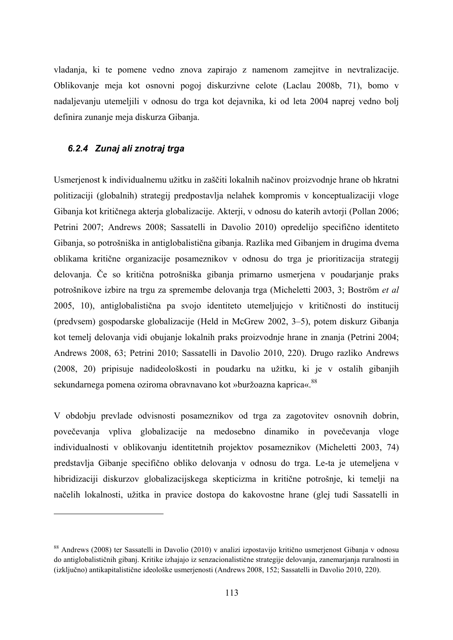vladanja, ki te pomene vedno znova zapirajo z namenom zamejitve in nevtralizacije. Oblikovanje meja kot osnovni pogoj diskurzivne celote (Laclau 2008b, 71), bomo v nadaljevanju utemeljili v odnosu do trga kot dejavnika, ki od leta 2004 naprej vedno bolj definira zunanje meja diskurza Gibanja.

## *6.2.4 Zunaj ali znotraj trga*

**.** 

Usmerjenost k individualnemu užitku in zaščiti lokalnih načinov proizvodnje hrane ob hkratni politizaciji (globalnih) strategij predpostavlja nelahek kompromis v konceptualizaciji vloge Gibanja kot kritičnega akterja globalizacije. Akterji, v odnosu do katerih avtorji (Pollan 2006; Petrini 2007; Andrews 2008; Sassatelli in Davolio 2010) opredelijo specifično identiteto Gibanja, so potrošniška in antiglobalistična gibanja. Razlika med Gibanjem in drugima dvema oblikama kritične organizacije posameznikov v odnosu do trga je prioritizacija strategij delovanja. Če so kritična potrošniška gibanja primarno usmerjena v poudarjanje praks potrošnikove izbire na trgu za spremembe delovanja trga (Micheletti 2003, 3; Boström *et al* 2005, 10), antiglobalistična pa svojo identiteto utemeljujejo v kritičnosti do institucij (predvsem) gospodarske globalizacije (Held in McGrew 2002, 3–5), potem diskurz Gibanja kot temelj delovanja vidi obujanje lokalnih praks proizvodnje hrane in znanja (Petrini 2004; Andrews 2008, 63; Petrini 2010; Sassatelli in Davolio 2010, 220). Drugo razliko Andrews (2008, 20) pripisuje nadideološkosti in poudarku na užitku, ki je v ostalih gibanjih sekundarnega pomena oziroma obravnavano kot »buržoazna kaprica«. 88

V obdobju prevlade odvisnosti posameznikov od trga za zagotovitev osnovnih dobrin, povečevanja vpliva globalizacije na medosebno dinamiko in povečevanja vloge individualnosti v oblikovanju identitetnih projektov posameznikov (Micheletti 2003, 74) predstavlja Gibanje specifično obliko delovanja v odnosu do trga. Le-ta je utemeljena v hibridizaciji diskurzov globalizacijskega skepticizma in kritične potrošnje, ki temelji na načelih lokalnosti, užitka in pravice dostopa do kakovostne hrane (glej tudi Sassatelli in

<sup>88</sup> Andrews (2008) ter Sassatelli in Davolio (2010) v analizi izpostavijo kritično usmerjenost Gibanja v odnosu do antiglobalističnih gibanj. Kritike izhajajo iz senzacionalistične strategije delovanja, zanemarjanja ruralnosti in (izključno) antikapitalistične ideološke usmerjenosti (Andrews 2008, 152; Sassatelli in Davolio 2010, 220).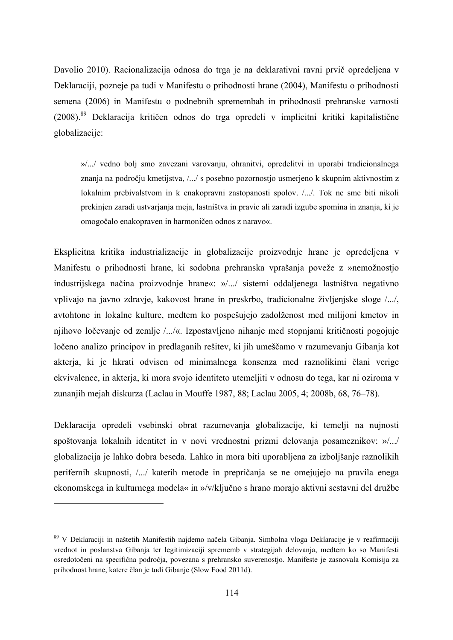Davolio 2010). Racionalizacija odnosa do trga je na deklarativni ravni prvič opredeljena v Deklaraciji, pozneje pa tudi v Manifestu o prihodnosti hrane (2004), Manifestu o prihodnosti semena (2006) in Manifestu o podnebnih spremembah in prihodnosti prehranske varnosti (2008).89 Deklaracija kritičen odnos do trga opredeli v implicitni kritiki kapitalistične globalizacije:

»/.../ vedno bolj smo zavezani varovanju, ohranitvi, opredelitvi in uporabi tradicionalnega znanja na področju kmetijstva, /.../ s posebno pozornostjo usmerjeno k skupnim aktivnostim z lokalnim prebivalstvom in k enakopravni zastopanosti spolov. /.../. Tok ne sme biti nikoli prekinjen zaradi ustvarjanja meja, lastništva in pravic ali zaradi izgube spomina in znanja, ki je omogočalo enakopraven in harmoničen odnos z naravo«.

Eksplicitna kritika industrializacije in globalizacije proizvodnje hrane je opredeljena v Manifestu o prihodnosti hrane, ki sodobna prehranska vprašanja poveže z »nemožnostjo industrijskega načina proizvodnje hrane«: »/.../ sistemi oddaljenega lastništva negativno vplivajo na javno zdravje, kakovost hrane in preskrbo, tradicionalne življenjske sloge /.../, avtohtone in lokalne kulture, medtem ko pospešujejo zadolženost med milijoni kmetov in njihovo ločevanje od zemlje /.../«. Izpostavljeno nihanje med stopnjami kritičnosti pogojuje ločeno analizo principov in predlaganih rešitev, ki jih umeščamo v razumevanju Gibanja kot akterja, ki je hkrati odvisen od minimalnega konsenza med raznolikimi člani verige ekvivalence, in akterja, ki mora svojo identiteto utemeljiti v odnosu do tega, kar ni oziroma v zunanjih mejah diskurza (Laclau in Mouffe 1987, 88; Laclau 2005, 4; 2008b, 68, 76–78).

Deklaracija opredeli vsebinski obrat razumevanja globalizacije, ki temelji na nujnosti spoštovanja lokalnih identitet in v novi vrednostni prizmi delovanja posameznikov: »/.../ globalizacija je lahko dobra beseda. Lahko in mora biti uporabljena za izboljšanje raznolikih perifernih skupnosti, /.../ katerih metode in prepričanja se ne omejujejo na pravila enega ekonomskega in kulturnega modela« in »/v/ključno s hrano morajo aktivni sestavni del družbe

<sup>&</sup>lt;sup>89</sup> V Deklaraciji in naštetih Manifestih najdemo načela Gibanja. Simbolna vloga Deklaracije je v reafirmaciji vrednot in poslanstva Gibanja ter legitimizaciji sprememb v strategijah delovanja, medtem ko so Manifesti osredotočeni na specifična področja, povezana s prehransko suverenostjo. Manifeste je zasnovala Komisija za prihodnost hrane, katere član je tudi Gibanje (Slow Food 2011d).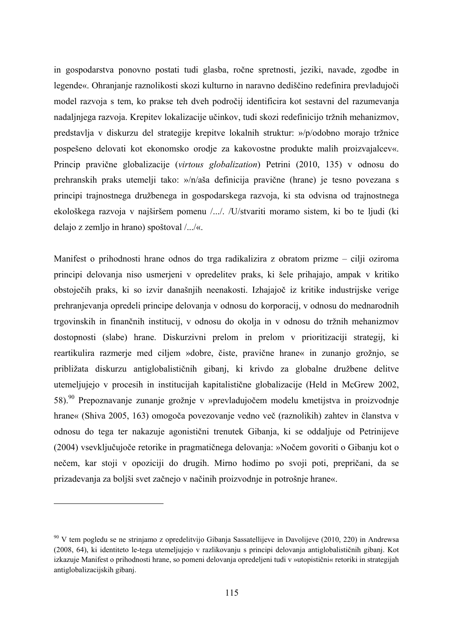in gospodarstva ponovno postati tudi glasba, ročne spretnosti, jeziki, navade, zgodbe in legende«. Ohranjanje raznolikosti skozi kulturno in naravno dediščino redefinira prevladujoči model razvoja s tem, ko prakse teh dveh področij identificira kot sestavni del razumevanja nadaljnjega razvoja. Krepitev lokalizacije učinkov, tudi skozi redefinicijo tržnih mehanizmov, predstavlja v diskurzu del strategije krepitve lokalnih struktur: »/p/odobno morajo tržnice pospešeno delovati kot ekonomsko orodje za kakovostne produkte malih proizvajalcev«. Princip pravične globalizacije (*virtous globalization*) Petrini (2010, 135) v odnosu do prehranskih praks utemelji tako: »/n/aša definicija pravične (hrane) je tesno povezana s principi trajnostnega družbenega in gospodarskega razvoja, ki sta odvisna od trajnostnega ekološkega razvoja v najširšem pomenu /.../. /U/stvariti moramo sistem, ki bo te ljudi (ki delajo z zemljo in hrano) spoštoval /.../«.

Manifest o prihodnosti hrane odnos do trga radikalizira z obratom prizme – cilji oziroma principi delovanja niso usmerjeni v opredelitev praks, ki šele prihajajo, ampak v kritiko obstoječih praks, ki so izvir današnjih neenakosti. Izhajajoč iz kritike industrijske verige prehranjevanja opredeli principe delovanja v odnosu do korporacij, v odnosu do mednarodnih trgovinskih in finančnih institucij, v odnosu do okolja in v odnosu do tržnih mehanizmov dostopnosti (slabe) hrane. Diskurzivni prelom in prelom v prioritizaciji strategij, ki reartikulira razmerje med ciljem »dobre, čiste, pravične hrane« in zunanjo grožnjo, se približata diskurzu antiglobalističnih gibanj, ki krivdo za globalne družbene delitve utemeljujejo v procesih in institucijah kapitalistične globalizacije (Held in McGrew 2002, 58).90 Prepoznavanje zunanje grožnje v »prevladujočem modelu kmetijstva in proizvodnje hrane« (Shiva 2005, 163) omogoča povezovanje vedno več (raznolikih) zahtev in članstva v odnosu do tega ter nakazuje agonistični trenutek Gibanja, ki se oddaljuje od Petrinijeve (2004) vsevključujoče retorike in pragmatičnega delovanja: »Nočem govoriti o Gibanju kot o nečem, kar stoji v opoziciji do drugih. Mirno hodimo po svoji poti, prepričani, da se prizadevanja za boljši svet začnejo v načinih proizvodnje in potrošnje hrane«.

<sup>90</sup> V tem pogledu se ne strinjamo z opredelitvijo Gibanja Sassatellijeve in Davolijeve (2010, 220) in Andrewsa (2008, 64), ki identiteto le-tega utemeljujejo v razlikovanju s principi delovanja antiglobalističnih gibanj. Kot izkazuje Manifest o prihodnosti hrane, so pomeni delovanja opredeljeni tudi v »utopistični« retoriki in strategijah antiglobalizacijskih gibanj.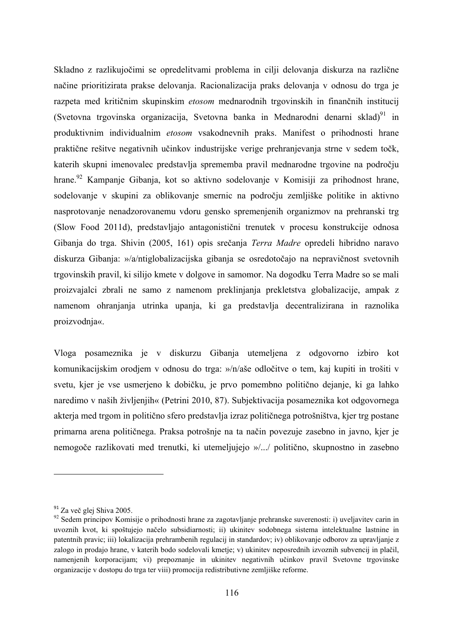Skladno z razlikujočimi se opredelitvami problema in cilji delovanja diskurza na različne načine prioritizirata prakse delovanja. Racionalizacija praks delovanja v odnosu do trga je razpeta med kritičnim skupinskim *etosom* mednarodnih trgovinskih in finančnih institucij (Svetovna trgovinska organizacija, Svetovna banka in Mednarodni denarni sklad)<sup>91</sup> in produktivnim individualnim *etosom* vsakodnevnih praks. Manifest o prihodnosti hrane praktične rešitve negativnih učinkov industrijske verige prehranjevanja strne v sedem točk, katerih skupni imenovalec predstavlja sprememba pravil mednarodne trgovine na področju hrane.<sup>92</sup> Kampanje Gibanja, kot so aktivno sodelovanje v Komisiji za prihodnost hrane, sodelovanje v skupini za oblikovanje smernic na področju zemljiške politike in aktivno nasprotovanje nenadzorovanemu vdoru gensko spremenjenih organizmov na prehranski trg (Slow Food 2011d), predstavljajo antagonistični trenutek v procesu konstrukcije odnosa Gibanja do trga. Shivin (2005, 161) opis srečanja *Terra Madre* opredeli hibridno naravo diskurza Gibanja: »/a/ntiglobalizacijska gibanja se osredotočajo na nepravičnost svetovnih trgovinskih pravil, ki silijo kmete v dolgove in samomor. Na dogodku Terra Madre so se mali proizvajalci zbrali ne samo z namenom preklinjanja prekletstva globalizacije, ampak z namenom ohranjanja utrinka upanja, ki ga predstavlja decentralizirana in raznolika proizvodnja«.

Vloga posameznika je v diskurzu Gibanja utemeljena z odgovorno izbiro kot komunikacijskim orodjem v odnosu do trga: »/n/aše odločitve o tem, kaj kupiti in trošiti v svetu, kjer je vse usmerjeno k dobičku, je prvo pomembno politično dejanje, ki ga lahko naredimo v naših življenjih« (Petrini 2010, 87). Subjektivacija posameznika kot odgovornega akterja med trgom in politično sfero predstavlja izraz političnega potrošništva, kjer trg postane primarna arena političnega. Praksa potrošnje na ta način povezuje zasebno in javno, kjer je nemogoče razlikovati med trenutki, ki utemeljujejo »/.../ politično, skupnostno in zasebno

 $91$  Za več glej Shiva 2005.

<sup>&</sup>lt;sup>92</sup> Sedem principov Komisije o prihodnosti hrane za zagotavljanje prehranske suverenosti: i) uveljavitev carin in uvoznih kvot, ki spoštujejo načelo subsidiarnosti; ii) ukinitev sodobnega sistema intelektualne lastnine in patentnih pravic; iii) lokalizacija prehrambenih regulacij in standardov; iv) oblikovanje odborov za upravljanje z zalogo in prodajo hrane, v katerih bodo sodelovali kmetje; v) ukinitev neposrednih izvoznih subvencij in plačil, namenjenih korporacijam; vi) prepoznanje in ukinitev negativnih učinkov pravil Svetovne trgovinske organizacije v dostopu do trga ter viii) promocija redistributivne zemljiške reforme.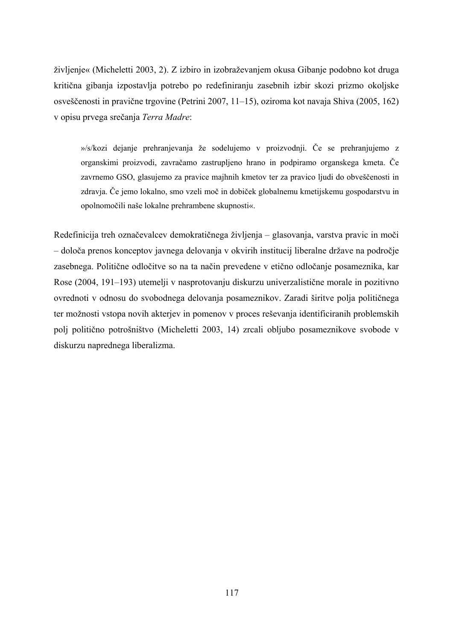življenje« (Micheletti 2003, 2). Z izbiro in izobraževanjem okusa Gibanje podobno kot druga kritična gibanja izpostavlja potrebo po redefiniranju zasebnih izbir skozi prizmo okoljske osveščenosti in pravične trgovine (Petrini 2007, 11–15), oziroma kot navaja Shiva (2005, 162) v opisu prvega srečanja *Terra Madre*:

»/s/kozi dejanje prehranjevanja že sodelujemo v proizvodnji. Če se prehranjujemo z organskimi proizvodi, zavračamo zastrupljeno hrano in podpiramo organskega kmeta. Če zavrnemo GSO, glasujemo za pravice majhnih kmetov ter za pravico ljudi do obveščenosti in zdravja. Če jemo lokalno, smo vzeli moč in dobiček globalnemu kmetijskemu gospodarstvu in opolnomočili naše lokalne prehrambene skupnosti«.

Redefinicija treh označevalcev demokratičnega življenja – glasovanja, varstva pravic in moči – določa prenos konceptov javnega delovanja v okvirih institucij liberalne države na področje zasebnega. Politične odločitve so na ta način prevedene v etično odločanje posameznika, kar Rose (2004, 191–193) utemelji v nasprotovanju diskurzu univerzalistične morale in pozitivno ovrednoti v odnosu do svobodnega delovanja posameznikov. Zaradi širitve polja političnega ter možnosti vstopa novih akterjev in pomenov v proces reševanja identificiranih problemskih polj politično potrošništvo (Micheletti 2003, 14) zrcali obljubo posameznikove svobode v diskurzu naprednega liberalizma.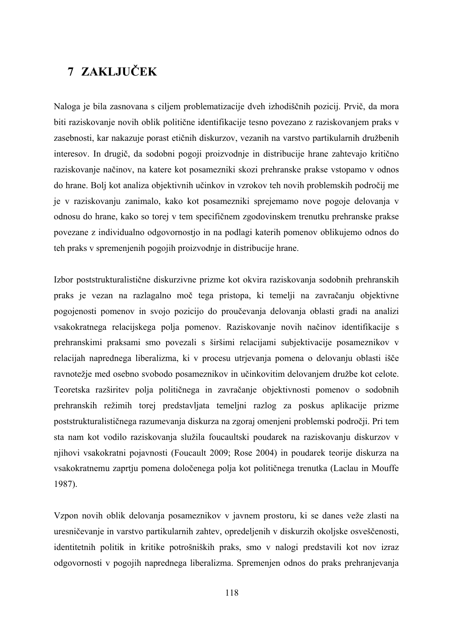## **7 ZAKLJUČEK**

Naloga je bila zasnovana s ciljem problematizacije dveh izhodiščnih pozicij. Prvič, da mora biti raziskovanje novih oblik politične identifikacije tesno povezano z raziskovanjem praks v zasebnosti, kar nakazuje porast etičnih diskurzov, vezanih na varstvo partikularnih družbenih interesov. In drugič, da sodobni pogoji proizvodnje in distribucije hrane zahtevajo kritično raziskovanje načinov, na katere kot posamezniki skozi prehranske prakse vstopamo v odnos do hrane. Bolj kot analiza objektivnih učinkov in vzrokov teh novih problemskih področij me je v raziskovanju zanimalo, kako kot posamezniki sprejemamo nove pogoje delovanja v odnosu do hrane, kako so torej v tem specifičnem zgodovinskem trenutku prehranske prakse povezane z individualno odgovornostjo in na podlagi katerih pomenov oblikujemo odnos do teh praks v spremenjenih pogojih proizvodnje in distribucije hrane.

Izbor poststrukturalistične diskurzivne prizme kot okvira raziskovanja sodobnih prehranskih praks je vezan na razlagalno moč tega pristopa, ki temelji na zavračanju objektivne pogojenosti pomenov in svojo pozicijo do proučevanja delovanja oblasti gradi na analizi vsakokratnega relacijskega polja pomenov. Raziskovanje novih načinov identifikacije s prehranskimi praksami smo povezali s širšimi relacijami subjektivacije posameznikov v relacijah naprednega liberalizma, ki v procesu utrjevanja pomena o delovanju oblasti išče ravnotežje med osebno svobodo posameznikov in učinkovitim delovanjem družbe kot celote. Teoretska razširitev polja političnega in zavračanje objektivnosti pomenov o sodobnih prehranskih režimih torej predstavljata temeljni razlog za poskus aplikacije prizme poststrukturalističnega razumevanja diskurza na zgoraj omenjeni problemski področji. Pri tem sta nam kot vodilo raziskovanja služila foucaultski poudarek na raziskovanju diskurzov v njihovi vsakokratni pojavnosti (Foucault 2009; Rose 2004) in poudarek teorije diskurza na vsakokratnemu zaprtju pomena določenega polja kot političnega trenutka (Laclau in Mouffe 1987).

Vzpon novih oblik delovanja posameznikov v javnem prostoru, ki se danes veže zlasti na uresničevanje in varstvo partikularnih zahtev, opredeljenih v diskurzih okoljske osveščenosti, identitetnih politik in kritike potrošniških praks, smo v nalogi predstavili kot nov izraz odgovornosti v pogojih naprednega liberalizma. Spremenjen odnos do praks prehranjevanja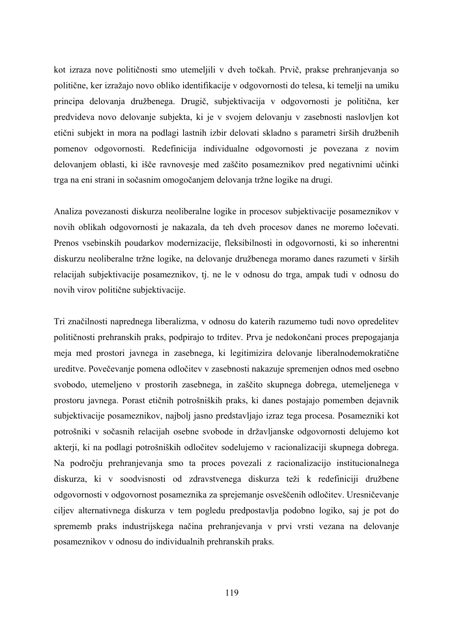kot izraza nove političnosti smo utemeljili v dveh točkah. Prvič, prakse prehranjevanja so politične, ker izražajo novo obliko identifikacije v odgovornosti do telesa, ki temelji na umiku principa delovanja družbenega. Drugič, subjektivacija v odgovornosti je politična, ker predvideva novo delovanje subjekta, ki je v svojem delovanju v zasebnosti naslovljen kot etični subjekt in mora na podlagi lastnih izbir delovati skladno s parametri širših družbenih pomenov odgovornosti. Redefinicija individualne odgovornosti je povezana z novim delovanjem oblasti, ki išče ravnovesje med zaščito posameznikov pred negativnimi učinki trga na eni strani in sočasnim omogočanjem delovanja tržne logike na drugi.

Analiza povezanosti diskurza neoliberalne logike in procesov subjektivacije posameznikov v novih oblikah odgovornosti je nakazala, da teh dveh procesov danes ne moremo ločevati. Prenos vsebinskih poudarkov modernizacije, fleksibilnosti in odgovornosti, ki so inherentni diskurzu neoliberalne tržne logike, na delovanje družbenega moramo danes razumeti v širših relacijah subjektivacije posameznikov, tj. ne le v odnosu do trga, ampak tudi v odnosu do novih virov politične subjektivacije.

Tri značilnosti naprednega liberalizma, v odnosu do katerih razumemo tudi novo opredelitev političnosti prehranskih praks, podpirajo to trditev. Prva je nedokončani proces prepogajanja meja med prostori javnega in zasebnega, ki legitimizira delovanje liberalnodemokratične ureditve. Povečevanje pomena odločitev v zasebnosti nakazuje spremenjen odnos med osebno svobodo, utemeljeno v prostorih zasebnega, in zaščito skupnega dobrega, utemeljenega v prostoru javnega. Porast etičnih potrošniških praks, ki danes postajajo pomemben dejavnik subjektivacije posameznikov, najbolj jasno predstavljajo izraz tega procesa. Posamezniki kot potrošniki v sočasnih relacijah osebne svobode in državljanske odgovornosti delujemo kot akterji, ki na podlagi potrošniških odločitev sodelujemo v racionalizaciji skupnega dobrega. Na področju prehranjevanja smo ta proces povezali z racionalizacijo institucionalnega diskurza, ki v soodvisnosti od zdravstvenega diskurza teži k redefiniciji družbene odgovornosti v odgovornost posameznika za sprejemanje osveščenih odločitev. Uresničevanje ciljev alternativnega diskurza v tem pogledu predpostavlja podobno logiko, saj je pot do sprememb praks industrijskega načina prehranjevanja v prvi vrsti vezana na delovanje posameznikov v odnosu do individualnih prehranskih praks.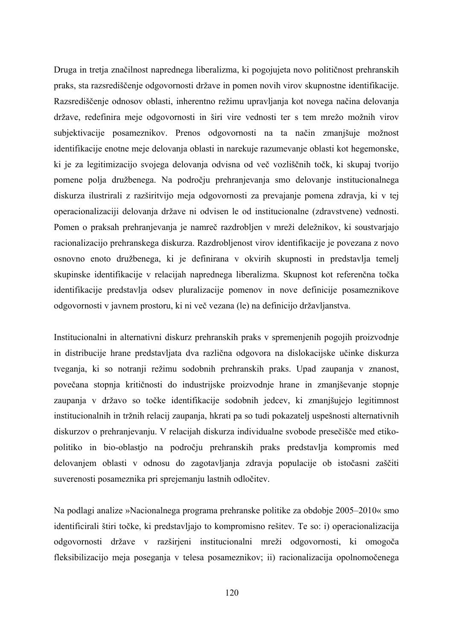Druga in tretja značilnost naprednega liberalizma, ki pogojujeta novo političnost prehranskih praks, sta razsrediščenje odgovornosti države in pomen novih virov skupnostne identifikacije. Razsrediščenje odnosov oblasti, inherentno režimu upravljanja kot novega načina delovanja države, redefinira meje odgovornosti in širi vire vednosti ter s tem mrežo možnih virov subjektivacije posameznikov. Prenos odgovornosti na ta način zmanjšuje možnost identifikacije enotne meje delovanja oblasti in narekuje razumevanje oblasti kot hegemonske, ki je za legitimizacijo svojega delovanja odvisna od več vozliščnih točk, ki skupaj tvorijo pomene polja družbenega. Na področju prehranjevanja smo delovanje institucionalnega diskurza ilustrirali z razširitvijo meja odgovornosti za prevajanje pomena zdravja, ki v tej operacionalizaciji delovanja države ni odvisen le od institucionalne (zdravstvene) vednosti. Pomen o praksah prehranjevanja je namreč razdrobljen v mreži deležnikov, ki soustvarjajo racionalizacijo prehranskega diskurza. Razdrobljenost virov identifikacije je povezana z novo osnovno enoto družbenega, ki je definirana v okvirih skupnosti in predstavlja temelj skupinske identifikacije v relacijah naprednega liberalizma. Skupnost kot referenčna točka identifikacije predstavlja odsev pluralizacije pomenov in nove definicije posameznikove odgovornosti v javnem prostoru, ki ni več vezana (le) na definicijo državljanstva.

Institucionalni in alternativni diskurz prehranskih praks v spremenjenih pogojih proizvodnje in distribucije hrane predstavljata dva različna odgovora na dislokacijske učinke diskurza tveganja, ki so notranji režimu sodobnih prehranskih praks. Upad zaupanja v znanost, povečana stopnja kritičnosti do industrijske proizvodnje hrane in zmanjševanje stopnje zaupanja v državo so točke identifikacije sodobnih jedcev, ki zmanjšujejo legitimnost institucionalnih in tržnih relacij zaupanja, hkrati pa so tudi pokazatelj uspešnosti alternativnih diskurzov o prehranjevanju. V relacijah diskurza individualne svobode presečišče med etikopolitiko in bio-oblastjo na področju prehranskih praks predstavlja kompromis med delovanjem oblasti v odnosu do zagotavljanja zdravja populacije ob istočasni zaščiti suverenosti posameznika pri sprejemanju lastnih odločitev.

Na podlagi analize »Nacionalnega programa prehranske politike za obdobje 2005–2010« smo identificirali štiri točke, ki predstavljajo to kompromisno rešitev. Te so: i) operacionalizacija odgovornosti države v razširjeni institucionalni mreži odgovornosti, ki omogoča fleksibilizacijo meja poseganja v telesa posameznikov; ii) racionalizacija opolnomočenega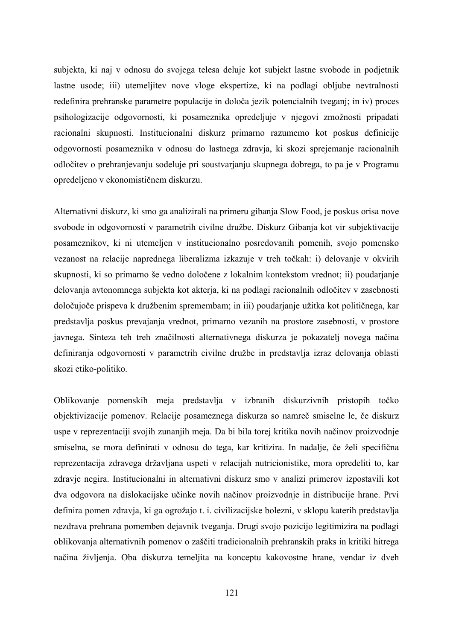subjekta, ki naj v odnosu do svojega telesa deluje kot subjekt lastne svobode in podjetnik lastne usode; iii) utemeljitev nove vloge ekspertize, ki na podlagi obljube nevtralnosti redefinira prehranske parametre populacije in določa jezik potencialnih tveganj; in iv) proces psihologizacije odgovornosti, ki posameznika opredeljuje v njegovi zmožnosti pripadati racionalni skupnosti. Institucionalni diskurz primarno razumemo kot poskus definicije odgovornosti posameznika v odnosu do lastnega zdravja, ki skozi sprejemanje racionalnih odločitev o prehranjevanju sodeluje pri soustvarjanju skupnega dobrega, to pa je v Programu opredeljeno v ekonomističnem diskurzu.

Alternativni diskurz, ki smo ga analizirali na primeru gibanja Slow Food, je poskus orisa nove svobode in odgovornosti v parametrih civilne družbe. Diskurz Gibanja kot vir subjektivacije posameznikov, ki ni utemeljen v institucionalno posredovanih pomenih, svojo pomensko vezanost na relacije naprednega liberalizma izkazuje v treh točkah: i) delovanje v okvirih skupnosti, ki so primarno še vedno določene z lokalnim kontekstom vrednot; ii) poudarjanje delovanja avtonomnega subjekta kot akterja, ki na podlagi racionalnih odločitev v zasebnosti določujoče prispeva k družbenim spremembam; in iii) poudarjanje užitka kot političnega, kar predstavlja poskus prevajanja vrednot, primarno vezanih na prostore zasebnosti, v prostore javnega. Sinteza teh treh značilnosti alternativnega diskurza je pokazatelj novega načina definiranja odgovornosti v parametrih civilne družbe in predstavlja izraz delovanja oblasti skozi etiko-politiko.

Oblikovanje pomenskih meja predstavlja v izbranih diskurzivnih pristopih točko objektivizacije pomenov. Relacije posameznega diskurza so namreč smiselne le, če diskurz uspe v reprezentaciji svojih zunanjih meja. Da bi bila torej kritika novih načinov proizvodnje smiselna, se mora definirati v odnosu do tega, kar kritizira. In nadalje, če želi specifična reprezentacija zdravega državljana uspeti v relacijah nutricionistike, mora opredeliti to, kar zdravje negira. Institucionalni in alternativni diskurz smo v analizi primerov izpostavili kot dva odgovora na dislokacijske učinke novih načinov proizvodnje in distribucije hrane. Prvi definira pomen zdravja, ki ga ogrožajo t. i. civilizacijske bolezni, v sklopu katerih predstavlja nezdrava prehrana pomemben dejavnik tveganja. Drugi svojo pozicijo legitimizira na podlagi oblikovanja alternativnih pomenov o zaščiti tradicionalnih prehranskih praks in kritiki hitrega načina življenja. Oba diskurza temeljita na konceptu kakovostne hrane, vendar iz dveh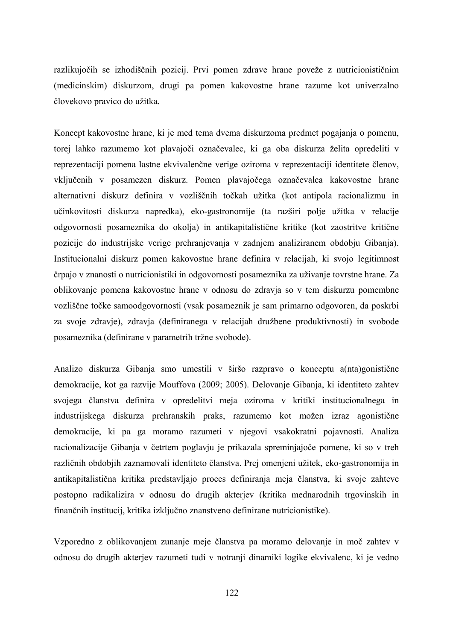razlikujočih se izhodiščnih pozicij. Prvi pomen zdrave hrane poveže z nutricionističnim (medicinskim) diskurzom, drugi pa pomen kakovostne hrane razume kot univerzalno človekovo pravico do užitka.

Koncept kakovostne hrane, ki je med tema dvema diskurzoma predmet pogajanja o pomenu, torej lahko razumemo kot plavajoči označevalec, ki ga oba diskurza želita opredeliti v reprezentaciji pomena lastne ekvivalenčne verige oziroma v reprezentaciji identitete členov, vključenih v posamezen diskurz. Pomen plavajočega označevalca kakovostne hrane alternativni diskurz definira v vozliščnih točkah užitka (kot antipola racionalizmu in učinkovitosti diskurza napredka), eko-gastronomije (ta razširi polje užitka v relacije odgovornosti posameznika do okolja) in antikapitalistične kritike (kot zaostritve kritične pozicije do industrijske verige prehranjevanja v zadnjem analiziranem obdobju Gibanja). Institucionalni diskurz pomen kakovostne hrane definira v relacijah, ki svojo legitimnost črpajo v znanosti o nutricionistiki in odgovornosti posameznika za uživanje tovrstne hrane. Za oblikovanje pomena kakovostne hrane v odnosu do zdravja so v tem diskurzu pomembne vozliščne točke samoodgovornosti (vsak posameznik je sam primarno odgovoren, da poskrbi za svoje zdravje), zdravja (definiranega v relacijah družbene produktivnosti) in svobode posameznika (definirane v parametrih tržne svobode).

Analizo diskurza Gibanja smo umestili v širšo razpravo o konceptu a(nta)gonistične demokracije, kot ga razvije Mouffova (2009; 2005). Delovanje Gibanja, ki identiteto zahtev svojega članstva definira v opredelitvi meja oziroma v kritiki institucionalnega in industrijskega diskurza prehranskih praks, razumemo kot možen izraz agonistične demokracije, ki pa ga moramo razumeti v njegovi vsakokratni pojavnosti. Analiza racionalizacije Gibanja v četrtem poglavju je prikazala spreminjajoče pomene, ki so v treh različnih obdobjih zaznamovali identiteto članstva. Prej omenjeni užitek, eko-gastronomija in antikapitalistična kritika predstavljajo proces definiranja meja članstva, ki svoje zahteve postopno radikalizira v odnosu do drugih akterjev (kritika mednarodnih trgovinskih in finančnih institucij, kritika izključno znanstveno definirane nutricionistike).

Vzporedno z oblikovanjem zunanje meje članstva pa moramo delovanje in moč zahtev v odnosu do drugih akterjev razumeti tudi v notranji dinamiki logike ekvivalenc, ki je vedno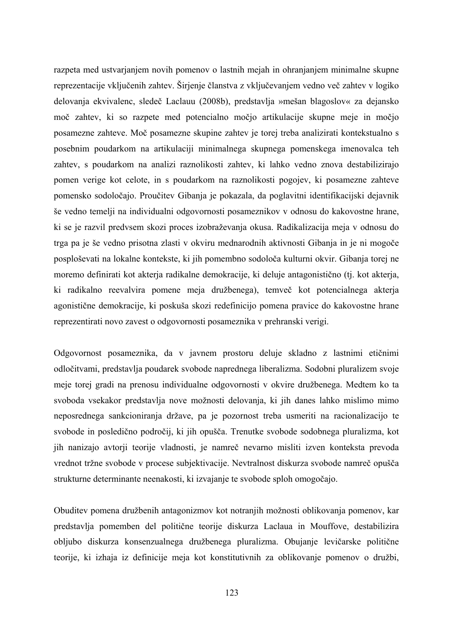razpeta med ustvarjanjem novih pomenov o lastnih mejah in ohranjanjem minimalne skupne reprezentacije vključenih zahtev. Širjenje članstva z vključevanjem vedno več zahtev v logiko delovanja ekvivalenc, sledeč Laclauu (2008b), predstavlja »mešan blagoslov« za dejansko moč zahtev, ki so razpete med potencialno močjo artikulacije skupne meje in močjo posamezne zahteve. Moč posamezne skupine zahtev je torej treba analizirati kontekstualno s posebnim poudarkom na artikulaciji minimalnega skupnega pomenskega imenovalca teh zahtev, s poudarkom na analizi raznolikosti zahtev, ki lahko vedno znova destabilizirajo pomen verige kot celote, in s poudarkom na raznolikosti pogojev, ki posamezne zahteve pomensko sodoločajo. Proučitev Gibanja je pokazala, da poglavitni identifikacijski dejavnik še vedno temelji na individualni odgovornosti posameznikov v odnosu do kakovostne hrane, ki se je razvil predvsem skozi proces izobraževanja okusa. Radikalizacija meja v odnosu do trga pa je še vedno prisotna zlasti v okviru mednarodnih aktivnosti Gibanja in je ni mogoče posploševati na lokalne kontekste, ki jih pomembno sodoloča kulturni okvir. Gibanja torej ne moremo definirati kot akterja radikalne demokracije, ki deluje antagonistično (tj. kot akterja, ki radikalno reevalvira pomene meja družbenega), temveč kot potencialnega akterja agonistične demokracije, ki poskuša skozi redefinicijo pomena pravice do kakovostne hrane reprezentirati novo zavest o odgovornosti posameznika v prehranski verigi.

Odgovornost posameznika, da v javnem prostoru deluje skladno z lastnimi etičnimi odločitvami, predstavlja poudarek svobode naprednega liberalizma. Sodobni pluralizem svoje meje torej gradi na prenosu individualne odgovornosti v okvire družbenega. Medtem ko ta svoboda vsekakor predstavlja nove možnosti delovanja, ki jih danes lahko mislimo mimo neposrednega sankcioniranja države, pa je pozornost treba usmeriti na racionalizacijo te svobode in posledično področij, ki jih opušča. Trenutke svobode sodobnega pluralizma, kot jih nanizajo avtorji teorije vladnosti, je namreč nevarno misliti izven konteksta prevoda vrednot tržne svobode v procese subjektivacije. Nevtralnost diskurza svobode namreč opušča strukturne determinante neenakosti, ki izvajanje te svobode sploh omogočajo.

Obuditev pomena družbenih antagonizmov kot notranjih možnosti oblikovanja pomenov, kar predstavlja pomemben del politične teorije diskurza Laclaua in Mouffove, destabilizira obljubo diskurza konsenzualnega družbenega pluralizma. Obujanje levičarske politične teorije, ki izhaja iz definicije meja kot konstitutivnih za oblikovanje pomenov o družbi,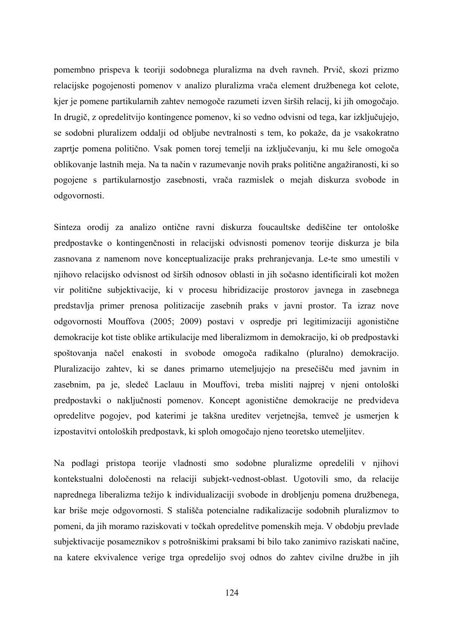pomembno prispeva k teoriji sodobnega pluralizma na dveh ravneh. Prvič, skozi prizmo relacijske pogojenosti pomenov v analizo pluralizma vrača element družbenega kot celote, kjer je pomene partikularnih zahtev nemogoče razumeti izven širših relacij, ki jih omogočajo. In drugič, z opredelitvijo kontingence pomenov, ki so vedno odvisni od tega, kar izključujejo, se sodobni pluralizem oddalji od obljube nevtralnosti s tem, ko pokaže, da je vsakokratno zaprtje pomena politično. Vsak pomen torej temelji na izključevanju, ki mu šele omogoča oblikovanje lastnih meja. Na ta način v razumevanje novih praks politične angažiranosti, ki so pogojene s partikularnostjo zasebnosti, vrača razmislek o mejah diskurza svobode in odgovornosti.

Sinteza orodij za analizo ontične ravni diskurza foucaultske dediščine ter ontološke predpostavke o kontingenčnosti in relacijski odvisnosti pomenov teorije diskurza je bila zasnovana z namenom nove konceptualizacije praks prehranjevanja. Le-te smo umestili v njihovo relacijsko odvisnost od širših odnosov oblasti in jih sočasno identificirali kot možen vir politične subjektivacije, ki v procesu hibridizacije prostorov javnega in zasebnega predstavlja primer prenosa politizacije zasebnih praks v javni prostor. Ta izraz nove odgovornosti Mouffova (2005; 2009) postavi v ospredje pri legitimizaciji agonistične demokracije kot tiste oblike artikulacije med liberalizmom in demokracijo, ki ob predpostavki spoštovanja načel enakosti in svobode omogoča radikalno (pluralno) demokracijo. Pluralizacijo zahtev, ki se danes primarno utemeljujejo na presečišču med javnim in zasebnim, pa je, sledeč Laclauu in Mouffovi, treba misliti najprej v njeni ontološki predpostavki o naključnosti pomenov. Koncept agonistične demokracije ne predvideva opredelitve pogojev, pod katerimi je takšna ureditev verjetnejša, temveč je usmerjen k izpostavitvi ontoloških predpostavk, ki sploh omogočajo njeno teoretsko utemeljitev.

Na podlagi pristopa teorije vladnosti smo sodobne pluralizme opredelili v njihovi kontekstualni določenosti na relaciji subjekt-vednost-oblast. Ugotovili smo, da relacije naprednega liberalizma težijo k individualizaciji svobode in drobljenju pomena družbenega, kar briše meje odgovornosti. S stališča potencialne radikalizacije sodobnih pluralizmov to pomeni, da jih moramo raziskovati v točkah opredelitve pomenskih meja. V obdobju prevlade subjektivacije posameznikov s potrošniškimi praksami bi bilo tako zanimivo raziskati načine, na katere ekvivalence verige trga opredelijo svoj odnos do zahtev civilne družbe in jih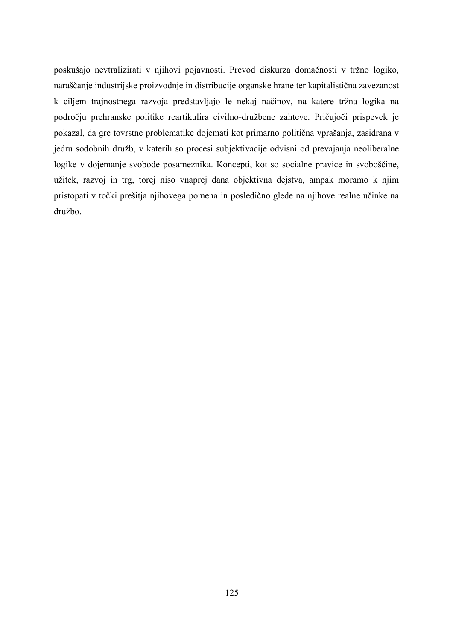poskušajo nevtralizirati v njihovi pojavnosti. Prevod diskurza domačnosti v tržno logiko, naraščanje industrijske proizvodnje in distribucije organske hrane ter kapitalistična zavezanost k ciljem trajnostnega razvoja predstavljajo le nekaj načinov, na katere tržna logika na področju prehranske politike reartikulira civilno-družbene zahteve. Pričujoči prispevek je pokazal, da gre tovrstne problematike dojemati kot primarno politična vprašanja, zasidrana v jedru sodobnih družb, v katerih so procesi subjektivacije odvisni od prevajanja neoliberalne logike v dojemanje svobode posameznika. Koncepti, kot so socialne pravice in svoboščine, užitek, razvoj in trg, torej niso vnaprej dana objektivna dejstva, ampak moramo k njim pristopati v točki prešitja njihovega pomena in posledično glede na njihove realne učinke na družbo.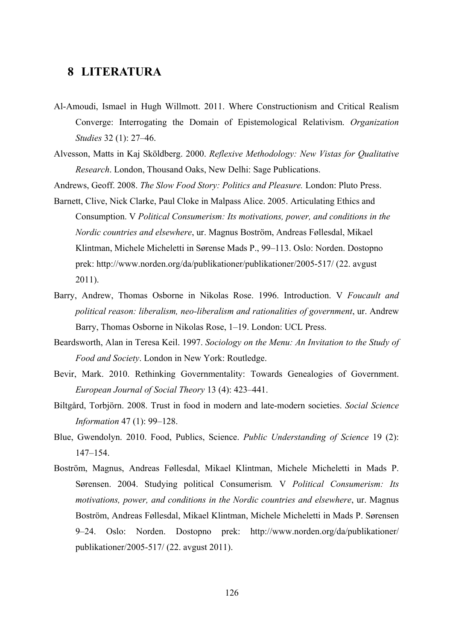## **8 LITERATURA**

- Al-Amoudi, Ismael in Hugh Willmott. 2011. Where Constructionism and Critical Realism Converge: Interrogating the Domain of Epistemological Relativism. *Organization Studies* 32 (1): 27–46.
- Alvesson, Matts in Kaj Sköldberg. 2000. *Reflexive Methodology: New Vistas for Qualitative Research*. London, Thousand Oaks, New Delhi: Sage Publications.

Andrews, Geoff. 2008. *The Slow Food Story: Politics and Pleasure.* London: Pluto Press.

- Barnett, Clive, Nick Clarke, Paul Cloke in Malpass Alice. 2005. Articulating Ethics and Consumption. V *Political Consumerism: Its motivations, power, and conditions in the Nordic countries and elsewhere*, ur. Magnus Boström, Andreas Føllesdal, Mikael Klintman, Michele Micheletti in Sørense Mads P., 99–113. Oslo: Norden. Dostopno prek: http://www.norden.org/da/publikationer/publikationer/2005-517/ (22. avgust 2011).
- Barry, Andrew, Thomas Osborne in Nikolas Rose. 1996. Introduction. V *Foucault and political reason: liberalism, neo-liberalism and rationalities of government*, ur. Andrew Barry, Thomas Osborne in Nikolas Rose, 1–19. London: UCL Press.
- Beardsworth, Alan in Teresa Keil. 1997. *Sociology on the Menu: An Invitation to the Study of Food and Society*. London in New York: Routledge.
- Bevir, Mark. 2010. Rethinking Governmentality: Towards Genealogies of Government. *European Journal of Social Theory* 13 (4): 423–441.
- Biltgård, Torbjörn. 2008. Trust in food in modern and late-modern societies. *Social Science Information* 47 (1): 99–128.
- Blue, Gwendolyn. 2010. Food, Publics, Science. *Public Understanding of Science* 19 (2): 147–154.
- Boström, Magnus, Andreas Føllesdal, Mikael Klintman, Michele Micheletti in Mads P. Sørensen. 2004. Studying political Consumerism*.* V *Political Consumerism: Its motivations, power, and conditions in the Nordic countries and elsewhere*, ur. Magnus Boström, Andreas Føllesdal, Mikael Klintman, Michele Micheletti in Mads P. Sørensen 9–24. Oslo: Norden. Dostopno prek: http://www.norden.org/da/publikationer/ publikationer/2005-517/ (22. avgust 2011).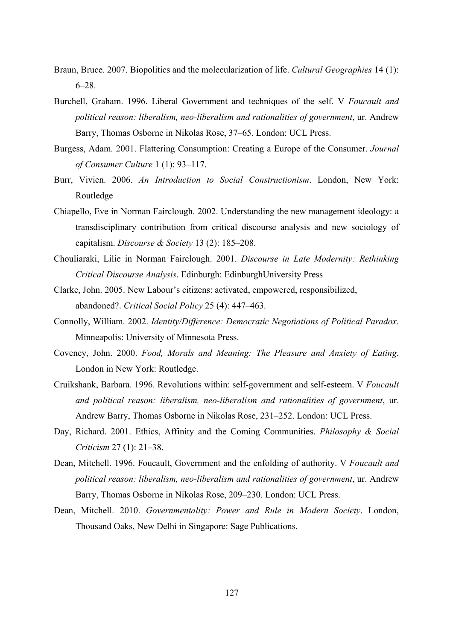- Braun, Bruce. 2007. Biopolitics and the molecularization of life. *Cultural Geographies* 14 (1): 6–28.
- Burchell, Graham. 1996. Liberal Government and techniques of the self. V *Foucault and political reason: liberalism, neo-liberalism and rationalities of government*, ur. Andrew Barry, Thomas Osborne in Nikolas Rose, 37–65. London: UCL Press.
- Burgess, Adam. 2001. Flattering Consumption: Creating a Europe of the Consumer. *Journal of Consumer Culture* 1 (1): 93–117.
- Burr, Vivien. 2006. *An Introduction to Social Constructionism*. London, New York: Routledge
- Chiapello, Eve in Norman Fairclough. 2002. Understanding the new management ideology: a transdisciplinary contribution from critical discourse analysis and new sociology of capitalism. *Discourse & Society* 13 (2): 185–208.
- Chouliaraki, Lilie in Norman Fairclough. 2001. *Discourse in Late Modernity: Rethinking Critical Discourse Analysis*. Edinburgh: EdinburghUniversity Press
- Clarke, John. 2005. New Labour's citizens: activated, empowered, responsibilized, abandoned?. *Critical Social Policy* 25 (4): 447–463.
- Connolly, William. 2002. *Identity/Difference: Democratic Negotiations of Political Paradox*. Minneapolis: University of Minnesota Press.
- Coveney, John. 2000. *Food, Morals and Meaning: The Pleasure and Anxiety of Eating*. London in New York: Routledge.
- Cruikshank, Barbara. 1996. Revolutions within: self-government and self-esteem. V *Foucault and political reason: liberalism, neo-liberalism and rationalities of government*, ur. Andrew Barry, Thomas Osborne in Nikolas Rose, 231–252. London: UCL Press.
- Day, Richard. 2001. Ethics, Affinity and the Coming Communities. *Philosophy & Social Criticism* 27 (1): 21–38.
- Dean, Mitchell. 1996. Foucault, Government and the enfolding of authority. V *Foucault and political reason: liberalism, neo-liberalism and rationalities of government*, ur. Andrew Barry, Thomas Osborne in Nikolas Rose, 209–230. London: UCL Press.
- Dean, Mitchell. 2010. *Governmentality: Power and Rule in Modern Society*. London, Thousand Oaks, New Delhi in Singapore: Sage Publications.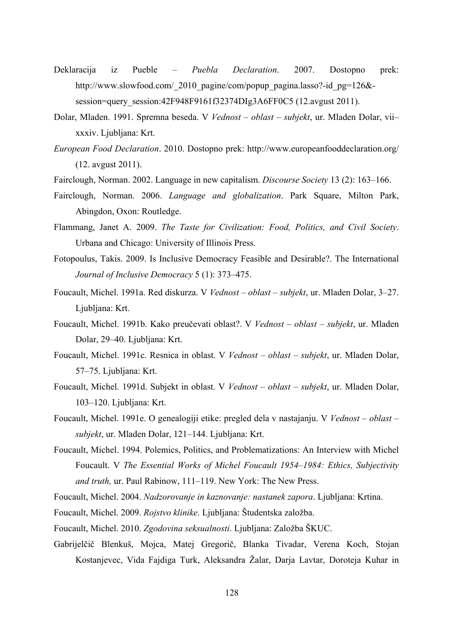- Deklaracija iz Pueble *Puebla Declaration*. 2007. Dostopno prek: http://www.slowfood.com/ 2010 pagine/com/popup pagina.lasso?-id pg=126&session=query\_session:42F948F9161f32374DIg3A6FF0C5 (12.avgust 2011).
- Dolar, Mladen. 1991. Spremna beseda. V *Vednost oblast subjekt*, ur. Mladen Dolar, vii– xxxiv. Ljubljana: Krt.
- *European Food Declaration*. 2010. Dostopno prek: http://www.europeanfooddeclaration.org/ (12. avgust 2011).
- Fairclough, Norman. 2002. Language in new capitalism. *Discourse Society* 13 (2): 163–166.
- Fairclough, Norman. 2006. *Language and globalization*. Park Square, Milton Park, Abingdon, Oxon: Routledge.
- Flammang, Janet A. 2009. *The Taste for Civilization: Food, Politics, and Civil Society*. Urbana and Chicago: University of Illinois Press.
- Fotopoulus, Takis. 2009. Is Inclusive Democracy Feasible and Desirable?. The International *Journal of Inclusive Democracy* 5 (1): 373–475.
- Foucault, Michel. 1991a. Red diskurza. V *Vednost oblast subjekt*, ur. Mladen Dolar, 3–27. Ljubljana: Krt.
- Foucault, Michel. 1991b. Kako preučevati oblast?. V *Vednost oblast subjekt*, ur. Mladen Dolar, 29–40. Ljubljana: Krt.
- Foucault, Michel. 1991c. Resnica in oblast. V *Vednost oblast subjekt*, ur. Mladen Dolar, 57–75. Ljubljana: Krt.
- Foucault, Michel. 1991d. Subjekt in oblast. V *Vednost oblast subjekt*, ur. Mladen Dolar, 103–120. Ljubljana: Krt.
- Foucault, Michel. 1991e. O genealogiji etike: pregled dela v nastajanju. V *Vednost oblast subjekt*, ur. Mladen Dolar, 121–144. Ljubljana: Krt.
- Foucault, Michel. 1994. Polemics, Politics, and Problematizations: An Interview with Michel Foucault. V *The Essential Works of Michel Foucault 1954–1984: Ethics, Subjectivity and truth,* ur. Paul Rabinow, 111–119. New York: The New Press.
- Foucault, Michel. 2004. *Nadzorovanje in kaznovanje: nastanek zapora*. Ljubljana: Krtina.
- Foucault, Michel. 2009. *Rojstvo klinike*. Ljubljana: Študentska založba.
- Foucault, Michel. 2010. *Zgodovina seksualnosti*. Ljubljana: Založba ŠKUC.
- Gabrijelčič Blenkuš, Mojca, Matej Gregorič, Blanka Tivadar, Verena Koch, Stojan Kostanjevec, Vida Fajdiga Turk, Aleksandra Žalar, Darja Lavtar, Doroteja Kuhar in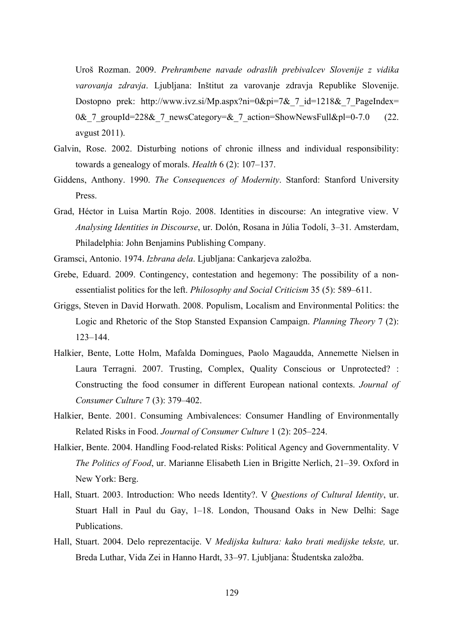Uroš Rozman. 2009. *Prehrambene navade odraslih prebivalcev Slovenije z vidika varovanja zdravja*. Ljubljana: Inštitut za varovanje zdravja Republike Slovenije. Dostopno prek: http://www.ivz.si/Mp.aspx?ni=0&pi=7&\_7\_id=1218&\_7\_PageIndex= 0& 7 groupId=228& 7 newsCategory=& 7 action=ShowNewsFull&pl=0-7.0 (22. avgust 2011).

- Galvin, Rose. 2002. Disturbing notions of chronic illness and individual responsibility: towards a genealogy of morals. *Health* 6 (2): 107–137.
- Giddens, Anthony. 1990. *The Consequences of Modernity*. Stanford: Stanford University Press.
- Grad, Héctor in Luisa Martín Rojo. 2008. Identities in discourse: An integrative view. V *Analysing Identities in Discourse*, ur. Dolón, Rosana in Júlia Todolí, 3–31. Amsterdam, Philadelphia: John Benjamins Publishing Company.

Gramsci, Antonio. 1974. *Izbrana dela*. Ljubljana: Cankarjeva založba.

- Grebe, Eduard. 2009. Contingency, contestation and hegemony: The possibility of a nonessentialist politics for the left. *Philosophy and Social Criticism* 35 (5): 589–611.
- Griggs, Steven in David Horwath. 2008. Populism, Localism and Environmental Politics: the Logic and Rhetoric of the Stop Stansted Expansion Campaign. *Planning Theory* 7 (2): 123–144.
- Halkier, Bente, Lotte Holm, Mafalda Domingues, Paolo Magaudda, Annemette Nielsen in Laura Terragni. 2007. Trusting, Complex, Quality Conscious or Unprotected? : Constructing the food consumer in different European national contexts. *Journal of Consumer Culture* 7 (3): 379–402.
- Halkier, Bente. 2001. Consuming Ambivalences: Consumer Handling of Environmentally Related Risks in Food. *Journal of Consumer Culture* 1 (2): 205–224.
- Halkier, Bente. 2004. Handling Food-related Risks: Political Agency and Governmentality. V *The Politics of Food*, ur. Marianne Elisabeth Lien in Brigitte Nerlich, 21–39. Oxford in New York: Berg.
- Hall, Stuart. 2003. Introduction: Who needs Identity?. V *Questions of Cultural Identity*, ur. Stuart Hall in Paul du Gay, 1–18. London, Thousand Oaks in New Delhi: Sage Publications.
- Hall, Stuart. 2004. Delo reprezentacije. V *Medijska kultura: kako brati medijske tekste,* ur. Breda Luthar, Vida Zei in Hanno Hardt, 33–97. Ljubljana: Študentska založba.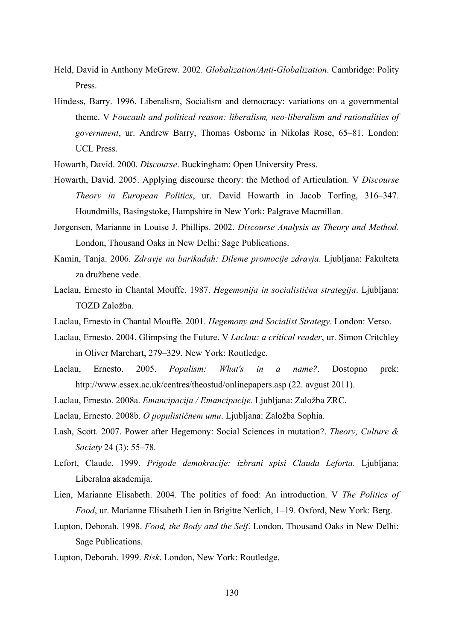- Held, David in Anthony McGrew. 2002. *Globalization/Anti-Globalization*. Cambridge: Polity Press.
- Hindess, Barry. 1996. Liberalism, Socialism and democracy: variations on a governmental theme. V *Foucault and political reason: liberalism, neo-liberalism and rationalities of government*, ur. Andrew Barry, Thomas Osborne in Nikolas Rose, 65–81. London: UCL Press.
- Howarth, David. 2000. *Discourse*. Buckingham: Open University Press.
- Howarth, David. 2005. Applying discourse theory: the Method of Articulation. V *Discourse Theory in European Politics*, ur. David Howarth in Jacob Torfing, 316–347. Houndmills, Basingstoke, Hampshire in New York: Palgrave Macmillan.
- Jørgensen, Marianne in Louise J. Phillips. 2002. *Discourse Analysis as Theory and Method*. London, Thousand Oaks in New Delhi: Sage Publications.
- Kamin, Tanja. 2006. *Zdravje na barikadah: Dileme promocije zdravja*. Ljubljana: Fakulteta za družbene vede.
- Laclau, Ernesto in Chantal Mouffe. 1987. *Hegemonija in socialistična strategija*. Ljubljana: TOZD Založba.
- Laclau, Ernesto in Chantal Mouffe. 2001. *Hegemony and Socialist Strategy*. London: Verso.
- Laclau, Ernesto. 2004. Glimpsing the Future. V *Laclau: a critical reader*, ur. Simon Critchley in Oliver Marchart, 279–329. New York: Routledge.
- Laclau, Ernesto. 2005. *Populism: What's in a name?*. Dostopno prek: http://www.essex.ac.uk/centres/theostud/onlinepapers.asp (22. avgust 2011).
- Laclau, Ernesto. 2008a. *Emancipacija / Emancipacije*. Ljubljana: Založba ZRC.
- Laclau, Ernesto. 2008b. *O populističnem umu*. Ljubljana: Založba Sophia.
- Lash, Scott. 2007. Power after Hegemony: Social Sciences in mutation?. *Theory, Culture & Society* 24 (3): 55–78.
- Lefort, Claude. 1999. *Prigode demokracije: izbrani spisi Clauda Leforta*. Ljubljana: Liberalna akademija.
- Lien, Marianne Elisabeth. 2004. The politics of food: An introduction. V *The Politics of Food*, ur. Marianne Elisabeth Lien in Brigitte Nerlich, 1–19. Oxford, New York: Berg.
- Lupton, Deborah. 1998. *Food, the Body and the Self*. London, Thousand Oaks in New Delhi: Sage Publications.
- Lupton, Deborah. 1999. *Risk*. London, New York: Routledge.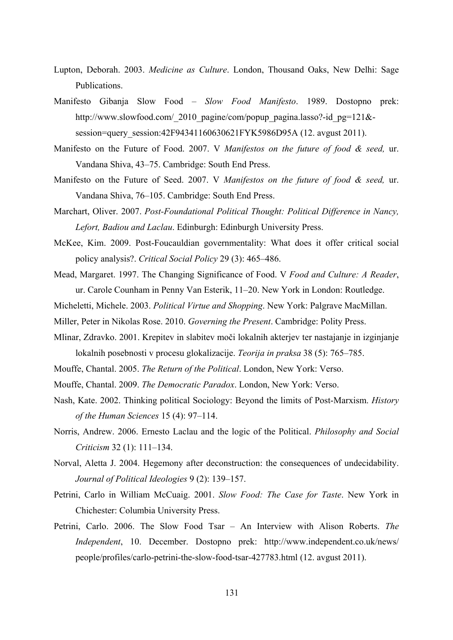- Lupton, Deborah. 2003. *Medicine as Culture*. London, Thousand Oaks, New Delhi: Sage Publications.
- Manifesto Gibanja Slow Food *Slow Food Manifesto*. 1989. Dostopno prek: http://www.slowfood.com/ 2010 pagine/com/popup pagina.lasso?-id pg=121&session=query\_session:42F94341160630621FYK5986D95A (12. avgust 2011).
- Manifesto on the Future of Food. 2007. V *Manifestos on the future of food & seed,* ur. Vandana Shiva, 43–75. Cambridge: South End Press.
- Manifesto on the Future of Seed. 2007. V *Manifestos on the future of food & seed,* ur. Vandana Shiva, 76–105. Cambridge: South End Press.
- Marchart, Oliver. 2007. *Post-Foundational Political Thought: Political Difference in Nancy, Lefort, Badiou and Laclau*. Edinburgh: Edinburgh University Press.
- McKee, Kim. 2009. Post-Foucauldian governmentality: What does it offer critical social policy analysis?. *Critical Social Policy* 29 (3): 465–486.
- Mead, Margaret. 1997. The Changing Significance of Food. V *Food and Culture: A Reader*, ur. Carole Counham in Penny Van Esterik, 11–20. New York in London: Routledge.
- Micheletti, Michele. 2003. *Political Virtue and Shopping*. New York: Palgrave MacMillan.
- Miller, Peter in Nikolas Rose. 2010. *Governing the Present*. Cambridge: Polity Press.
- Mlinar, Zdravko. 2001. Krepitev in slabitev moči lokalnih akterjev ter nastajanje in izginjanje lokalnih posebnosti v procesu glokalizacije. *Teorija in praksa* 38 (5): 765–785.
- Mouffe, Chantal. 2005. *The Return of the Political*. London, New York: Verso.
- Mouffe, Chantal. 2009. *The Democratic Paradox*. London, New York: Verso.
- Nash, Kate. 2002. Thinking political Sociology: Beyond the limits of Post-Marxism. *History of the Human Sciences* 15 (4): 97–114.
- Norris, Andrew. 2006. Ernesto Laclau and the logic of the Political. *Philosophy and Social Criticism* 32 (1): 111–134.
- Norval, Aletta J. 2004. Hegemony after deconstruction: the consequences of undecidability. *Journal of Political Ideologies* 9 (2): 139–157.
- Petrini, Carlo in William McCuaig. 2001. *Slow Food: The Case for Taste*. New York in Chichester: Columbia University Press.
- Petrini, Carlo. 2006. The Slow Food Tsar An Interview with Alison Roberts. *The Independent*, 10. December. Dostopno prek: http://www.independent.co.uk/news/ people/profiles/carlo-petrini-the-slow-food-tsar-427783.html (12. avgust 2011).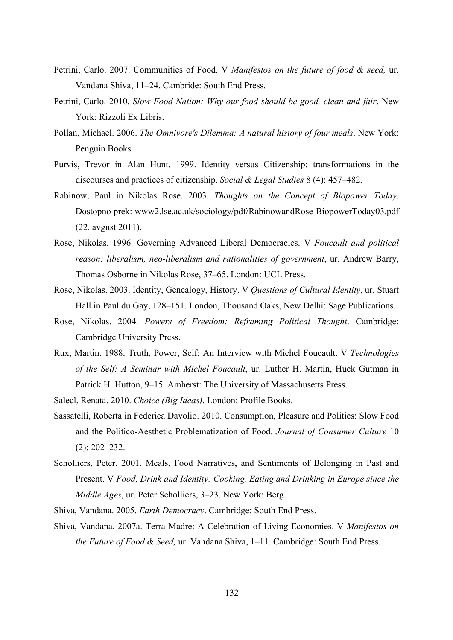- Petrini, Carlo. 2007. Communities of Food. V *Manifestos on the future of food & seed,* ur. Vandana Shiva, 11–24. Cambride: South End Press.
- Petrini, Carlo. 2010. *Slow Food Nation: Why our food should be good, clean and fair*. New York: Rizzoli Ex Libris.
- Pollan, Michael. 2006. *The Omnivore's Dilemma: A natural history of four meals*. New York: Penguin Books.
- Purvis, Trevor in Alan Hunt. 1999. Identity versus Citizenship: transformations in the discourses and practices of citizenship. *Social & Legal Studies* 8 (4): 457–482.
- Rabinow, Paul in Nikolas Rose. 2003. *Thoughts on the Concept of Biopower Today*. Dostopno prek: www2.lse.ac.uk/sociology/pdf/RabinowandRose-BiopowerToday03.pdf (22. avgust 2011).
- Rose, Nikolas. 1996. Governing Advanced Liberal Democracies. V *Foucault and political reason: liberalism, neo-liberalism and rationalities of government*, ur. Andrew Barry, Thomas Osborne in Nikolas Rose, 37–65. London: UCL Press.
- Rose, Nikolas. 2003. Identity, Genealogy, History. V *Questions of Cultural Identity*, ur. Stuart Hall in Paul du Gay, 128–151. London, Thousand Oaks, New Delhi: Sage Publications.
- Rose, Nikolas. 2004. *Powers of Freedom: Reframing Political Thought*. Cambridge: Cambridge University Press.
- Rux, Martin. 1988. Truth, Power, Self: An Interview with Michel Foucault. V *Technologies of the Self: A Seminar with Michel Foucault*, ur. Luther H. Martin, Huck Gutman in Patrick H. Hutton, 9–15. Amherst: The University of Massachusetts Press.
- Salecl, Renata. 2010. *Choice (Big Ideas)*. London: Profile Books.
- Sassatelli, Roberta in Federica Davolio. 2010. Consumption, Pleasure and Politics: Slow Food and the Politico-Aesthetic Problematization of Food. *Journal of Consumer Culture* 10 (2): 202–232.
- Scholliers, Peter. 2001. Meals, Food Narratives, and Sentiments of Belonging in Past and Present. V *Food, Drink and Identity: Cooking, Eating and Drinking in Europe since the Middle Ages*, ur. Peter Scholliers, 3–23. New York: Berg.
- Shiva, Vandana. 2005. *Earth Democracy*. Cambridge: South End Press.
- Shiva, Vandana. 2007a. Terra Madre: A Celebration of Living Economies. V *Manifestos on the Future of Food & Seed,* ur. Vandana Shiva, 1–11*.* Cambridge: South End Press.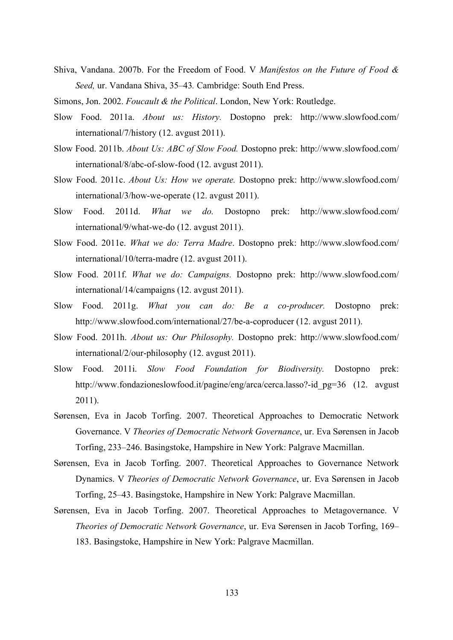- Shiva, Vandana. 2007b. For the Freedom of Food. V *Manifestos on the Future of Food & Seed,* ur. Vandana Shiva, 35–43*.* Cambridge: South End Press.
- Simons, Jon. 2002. *Foucault & the Political*. London, New York: Routledge.
- Slow Food. 2011a. *About us: History.* Dostopno prek: http://www.slowfood.com/ international/7/history (12. avgust 2011).
- Slow Food. 2011b. *About Us: ABC of Slow Food.* Dostopno prek: http://www.slowfood.com/ international/8/abc-of-slow-food (12. avgust 2011).
- Slow Food. 2011c. *About Us: How we operate.* Dostopno prek: http://www.slowfood.com/ international/3/how-we-operate (12. avgust 2011).
- Slow Food. 2011d. *What we do.* Dostopno prek: http://www.slowfood.com/ international/9/what-we-do (12. avgust 2011).
- Slow Food. 2011e. *What we do: Terra Madre*. Dostopno prek: http://www.slowfood.com/ international/10/terra-madre (12. avgust 2011).
- Slow Food. 2011f. *What we do: Campaigns.* Dostopno prek: http://www.slowfood.com/ international/14/campaigns (12. avgust 2011).
- Slow Food. 2011g. *What you can do: Be a co-producer.* Dostopno prek: http://www.slowfood.com/international/27/be-a-coproducer (12. avgust 2011).
- Slow Food. 2011h. *About us: Our Philosophy.* Dostopno prek: http://www.slowfood.com/ international/2/our-philosophy (12. avgust 2011).
- Slow Food. 2011i. *Slow Food Foundation for Biodiversity.* Dostopno prek: http://www.fondazioneslowfood.it/pagine/eng/arca/cerca.lasso?-id\_pg=36 (12. avgust 2011).
- Sørensen, Eva in Jacob Torfing. 2007. Theoretical Approaches to Democratic Network Governance. V *Theories of Democratic Network Governance*, ur. Eva Sørensen in Jacob Torfing, 233–246. Basingstoke, Hampshire in New York: Palgrave Macmillan.
- Sørensen, Eva in Jacob Torfing. 2007. Theoretical Approaches to Governance Network Dynamics. V *Theories of Democratic Network Governance*, ur. Eva Sørensen in Jacob Torfing, 25–43. Basingstoke, Hampshire in New York: Palgrave Macmillan.
- Sørensen, Eva in Jacob Torfing. 2007. Theoretical Approaches to Metagovernance. V *Theories of Democratic Network Governance*, ur. Eva Sørensen in Jacob Torfing, 169– 183. Basingstoke, Hampshire in New York: Palgrave Macmillan.